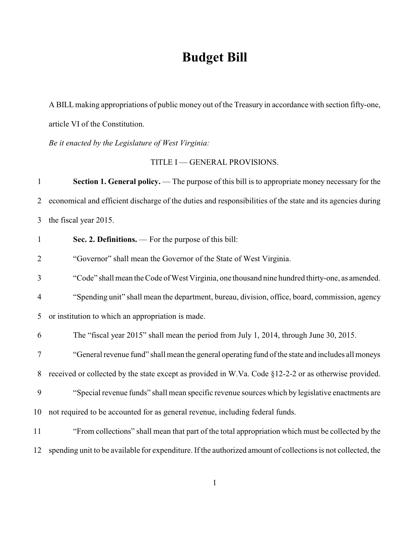# **Budget Bill**

A BILL making appropriations of public money out of the Treasury in accordance with section fifty-one, article VI of the Constitution.

*Be it enacted by the Legislature of West Virginia:*

TITLE I — GENERAL PROVISIONS.

| $\mathbf{1}$   | <b>Section 1. General policy.</b> — The purpose of this bill is to appropriate money necessary for the       |
|----------------|--------------------------------------------------------------------------------------------------------------|
| 2              | economical and efficient discharge of the duties and responsibilities of the state and its agencies during   |
| 3              | the fiscal year 2015.                                                                                        |
| $\mathbf{1}$   | Sec. 2. Definitions. — For the purpose of this bill:                                                         |
| $\overline{2}$ | "Governor" shall mean the Governor of the State of West Virginia.                                            |
| 3              | "Code" shall mean the Code of West Virginia, one thousand nine hundred thirty-one, as amended.               |
| $\overline{4}$ | "Spending unit" shall mean the department, bureau, division, office, board, commission, agency               |
| 5              | or institution to which an appropriation is made.                                                            |
| 6              | The "fiscal year 2015" shall mean the period from July 1, 2014, through June 30, 2015.                       |
| 7              | "General revenue fund" shall mean the general operating fund of the state and includes all moneys            |
| 8              | received or collected by the state except as provided in W.Va. Code §12-2-2 or as otherwise provided.        |
| 9              | "Special revenue funds" shall mean specific revenue sources which by legislative enactments are              |
| 10             | not required to be accounted for as general revenue, including federal funds.                                |
| 11             | "From collections" shall mean that part of the total appropriation which must be collected by the            |
| 12             | spending unit to be available for expenditure. If the authorized amount of collections is not collected, the |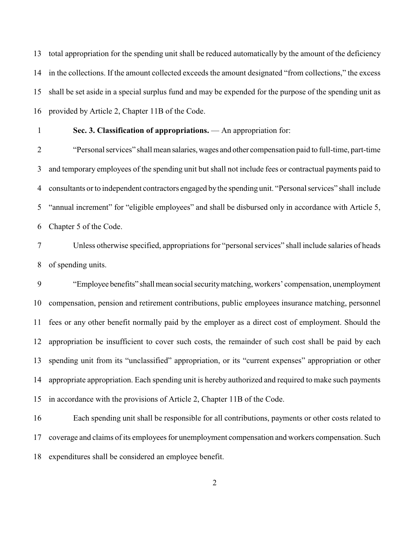total appropriation for the spending unit shall be reduced automatically by the amount of the deficiency in the collections. If the amount collected exceeds the amount designated "from collections," the excess shall be set aside in a special surplus fund and may be expended for the purpose of the spending unit as provided by Article 2, Chapter 11B of the Code.

### **Sec. 3. Classification of appropriations.** — An appropriation for:

 "Personal services" shall mean salaries, wages and other compensation paid to full-time, part-time and temporary employees of the spending unit but shall not include fees or contractual payments paid to consultants or to independent contractors engaged by the spending unit. "Personal services" shall include "annual increment" for "eligible employees" and shall be disbursed only in accordance with Article 5, Chapter 5 of the Code.

 Unless otherwise specified, appropriations for "personal services" shall include salaries of heads of spending units.

 "Employee benefits" shall mean social security matching, workers' compensation, unemployment compensation, pension and retirement contributions, public employees insurance matching, personnel fees or any other benefit normally paid by the employer as a direct cost of employment. Should the appropriation be insufficient to cover such costs, the remainder of such cost shall be paid by each spending unit from its "unclassified" appropriation, or its "current expenses" appropriation or other appropriate appropriation. Each spending unit is hereby authorized and required to make such payments in accordance with the provisions of Article 2, Chapter 11B of the Code.

 Each spending unit shall be responsible for all contributions, payments or other costs related to coverage and claims of its employees for unemployment compensation and workers compensation. Such expenditures shall be considered an employee benefit.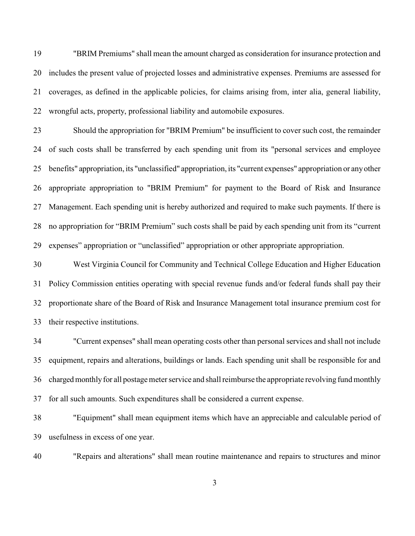"BRIM Premiums" shall mean the amount charged as consideration for insurance protection and includes the present value of projected losses and administrative expenses. Premiums are assessed for coverages, as defined in the applicable policies, for claims arising from, inter alia, general liability, wrongful acts, property, professional liability and automobile exposures.

 Should the appropriation for "BRIM Premium" be insufficient to cover such cost, the remainder of such costs shall be transferred by each spending unit from its "personal services and employee benefits" appropriation, its "unclassified" appropriation, its "current expenses" appropriation or any other appropriate appropriation to "BRIM Premium" for payment to the Board of Risk and Insurance Management. Each spending unit is hereby authorized and required to make such payments. If there is no appropriation for "BRIM Premium" such costs shall be paid by each spending unit from its "current expenses" appropriation or "unclassified" appropriation or other appropriate appropriation.

 West Virginia Council for Community and Technical College Education and Higher Education Policy Commission entities operating with special revenue funds and/or federal funds shall pay their proportionate share of the Board of Risk and Insurance Management total insurance premium cost for their respective institutions.

 "Current expenses" shall mean operating costs other than personal services and shall not include equipment, repairs and alterations, buildings or lands. Each spending unit shall be responsible for and charged monthly for all postage meter service and shall reimburse the appropriate revolving fund monthly for all such amounts. Such expenditures shall be considered a current expense.

 "Equipment" shall mean equipment items which have an appreciable and calculable period of usefulness in excess of one year.

"Repairs and alterations" shall mean routine maintenance and repairs to structures and minor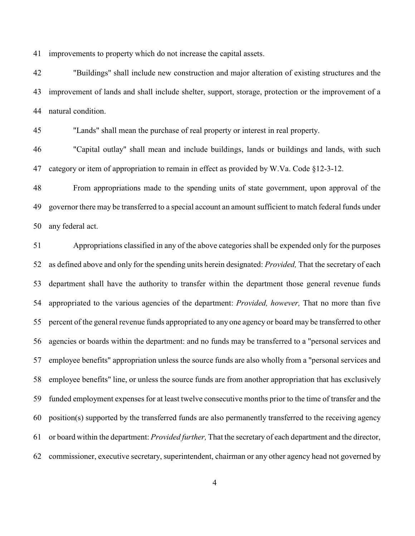improvements to property which do not increase the capital assets.

 "Buildings" shall include new construction and major alteration of existing structures and the improvement of lands and shall include shelter, support, storage, protection or the improvement of a natural condition.

"Lands" shall mean the purchase of real property or interest in real property.

 "Capital outlay" shall mean and include buildings, lands or buildings and lands, with such category or item of appropriation to remain in effect as provided by W.Va. Code §12-3-12.

 From appropriations made to the spending units of state government, upon approval of the governor there may be transferred to a special account an amount sufficient to match federal funds under any federal act.

 Appropriations classified in any of the above categories shall be expended only for the purposes as defined above and only for the spending units herein designated: *Provided,* That the secretary of each department shall have the authority to transfer within the department those general revenue funds appropriated to the various agencies of the department: *Provided, however,* That no more than five percent of the general revenue funds appropriated to any one agency or board may be transferred to other agencies or boards within the department: and no funds may be transferred to a "personal services and employee benefits" appropriation unless the source funds are also wholly from a "personal services and employee benefits" line, or unless the source funds are from another appropriation that has exclusively funded employment expenses for at least twelve consecutive months prior to the time of transfer and the position(s) supported by the transferred funds are also permanently transferred to the receiving agency or board within the department: *Provided further,* That the secretary of each department and the director, commissioner, executive secretary, superintendent, chairman or any other agency head not governed by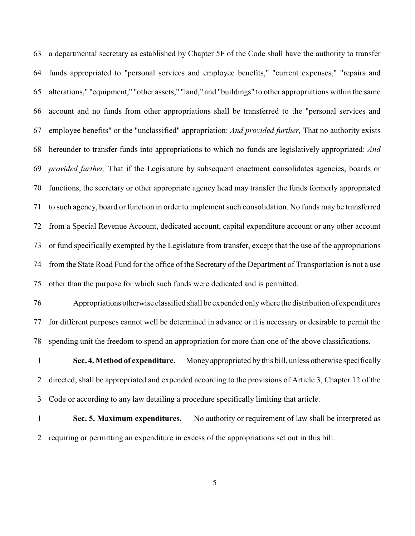a departmental secretary as established by Chapter 5F of the Code shall have the authority to transfer funds appropriated to "personal services and employee benefits," "current expenses," "repairs and alterations," "equipment," "other assets," "land," and "buildings" to other appropriations within the same account and no funds from other appropriations shall be transferred to the "personal services and employee benefits" or the "unclassified" appropriation: *And provided further,* That no authority exists hereunder to transfer funds into appropriations to which no funds are legislatively appropriated: *And provided further,* That if the Legislature by subsequent enactment consolidates agencies, boards or functions, the secretary or other appropriate agency head may transfer the funds formerly appropriated to such agency, board or function in order to implement such consolidation. No funds may be transferred from a Special Revenue Account, dedicated account, capital expenditure account or any other account or fund specifically exempted by the Legislature from transfer, except that the use of the appropriations from the State Road Fund for the office of the Secretary of the Department of Transportation is not a use other than the purpose for which such funds were dedicated and is permitted.

 Appropriations otherwise classified shall be expended only where the distribution of expenditures for different purposes cannot well be determined in advance or it is necessary or desirable to permit the spending unit the freedom to spend an appropriation for more than one of the above classifications.

 **Sec. 4. Method of expenditure.**— Moneyappropriated by this bill, unless otherwise specifically directed, shall be appropriated and expended according to the provisions of Article 3, Chapter 12 of the Code or according to any law detailing a procedure specifically limiting that article.

1 **Sec. 5. Maximum expenditures.** — No authority or requirement of law shall be interpreted as requiring or permitting an expenditure in excess of the appropriations set out in this bill.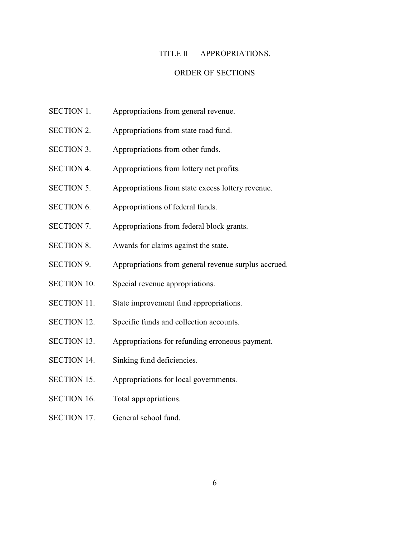#### TITLE II — APPROPRIATIONS.

#### ORDER OF SECTIONS

- SECTION 1. Appropriations from general revenue.
- SECTION 2. Appropriations from state road fund.
- SECTION 3. Appropriations from other funds.
- SECTION 4. Appropriations from lottery net profits.
- SECTION 5. Appropriations from state excess lottery revenue.
- SECTION 6. Appropriations of federal funds.
- SECTION 7. Appropriations from federal block grants.
- SECTION 8. Awards for claims against the state.
- SECTION 9. Appropriations from general revenue surplus accrued.
- SECTION 10. Special revenue appropriations.
- SECTION 11. State improvement fund appropriations.
- SECTION 12. Specific funds and collection accounts.
- SECTION 13. Appropriations for refunding erroneous payment.
- SECTION 14. Sinking fund deficiencies.
- SECTION 15. Appropriations for local governments.
- SECTION 16. Total appropriations.
- SECTION 17. General school fund.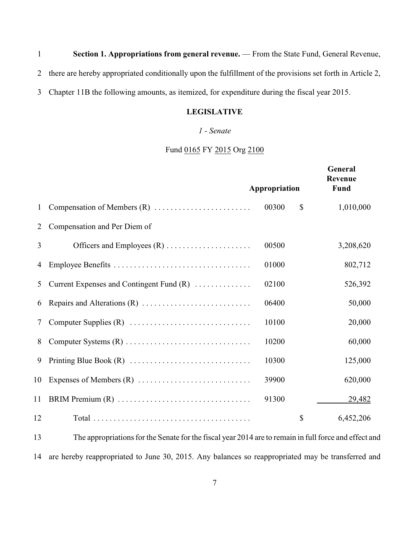**Section 1. Appropriations from general revenue.** — From the State Fund, General Revenue,

there are hereby appropriated conditionally upon the fulfillment of the provisions set forth in Article 2,

Chapter 11B the following amounts, as itemized, for expenditure during the fiscal year 2015.

### **LEGISLATIVE**

### *1 - Senate*

# Fund 0165 FY 2015 Org 2100

|    |                                            | Appropriation | General<br>Revenue<br>Fund |
|----|--------------------------------------------|---------------|----------------------------|
| 1  |                                            | 00300         | $\mathbb{S}$<br>1,010,000  |
| 2  | Compensation and Per Diem of               |               |                            |
| 3  |                                            | 00500         | 3,208,620                  |
| 4  |                                            | 01000         | 802,712                    |
| 5  | Current Expenses and Contingent Fund $(R)$ | 02100         | 526,392                    |
| 6  |                                            | 06400         | 50,000                     |
| 7  |                                            | 10100         | 20,000                     |
| 8  |                                            | 10200         | 60,000                     |
| 9  |                                            | 10300         | 125,000                    |
| 10 |                                            | 39900         | 620,000                    |
| 11 |                                            | 91300         | <u>29,482</u>              |
| 12 |                                            |               | \$<br>6,452,206            |
|    |                                            |               |                            |

 The appropriations for the Senate for the fiscal year 2014 are to remain in full force and effect and are hereby reappropriated to June 30, 2015. Any balances so reappropriated may be transferred and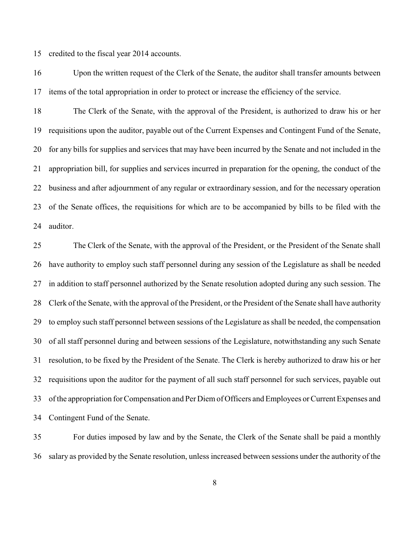credited to the fiscal year 2014 accounts.

 Upon the written request of the Clerk of the Senate, the auditor shall transfer amounts between items of the total appropriation in order to protect or increase the efficiency of the service.

 The Clerk of the Senate, with the approval of the President, is authorized to draw his or her requisitions upon the auditor, payable out of the Current Expenses and Contingent Fund of the Senate, for any bills for supplies and services that may have been incurred by the Senate and not included in the appropriation bill, for supplies and services incurred in preparation for the opening, the conduct of the business and after adjournment of any regular or extraordinary session, and for the necessary operation of the Senate offices, the requisitions for which are to be accompanied by bills to be filed with the auditor.

 The Clerk of the Senate, with the approval of the President, or the President of the Senate shall have authority to employ such staff personnel during any session of the Legislature as shall be needed in addition to staff personnel authorized by the Senate resolution adopted during any such session. The Clerk of the Senate, with the approval of the President, or the President of the Senate shall have authority to employ such staff personnel between sessions of the Legislature as shall be needed, the compensation of all staff personnel during and between sessions of the Legislature, notwithstanding any such Senate resolution, to be fixed by the President of the Senate. The Clerk is hereby authorized to draw his or her requisitions upon the auditor for the payment of all such staff personnel for such services, payable out of the appropriation for Compensation and Per Diem of Officers and Employees or Current Expenses and Contingent Fund of the Senate.

 For duties imposed by law and by the Senate, the Clerk of the Senate shall be paid a monthly salary as provided by the Senate resolution, unless increased between sessions under the authority of the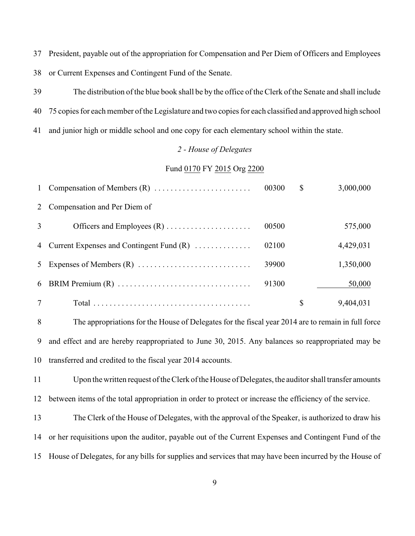President, payable out of the appropriation for Compensation and Per Diem of Officers and Employees or Current Expenses and Contingent Fund of the Senate.

 The distribution of the blue book shall be by the office of the Clerk of the Senate and shall include 75 copies for each member of the Legislature and two copies for each classified and approved high school and junior high or middle school and one copy for each elementary school within the state.

#### *2 - House of Delegates*

### Fund 0170 FY 2015 Org 2200

| $\mathbf{1}$ |                                              | 00300 | $\mathbb{S}$ | 3,000,000 |
|--------------|----------------------------------------------|-------|--------------|-----------|
| 2            | Compensation and Per Diem of                 |       |              |           |
| 3            |                                              | 00500 |              | 575,000   |
|              | 4 Current Expenses and Contingent Fund $(R)$ | 02100 |              | 4,429,031 |
| 5            |                                              | 39900 |              | 1,350,000 |
|              |                                              | 91300 |              | 50,000    |
| 7            |                                              |       | \$           | 9,404,031 |

 The appropriations for the House of Delegates for the fiscal year 2014 are to remain in full force and effect and are hereby reappropriated to June 30, 2015. Any balances so reappropriated may be transferred and credited to the fiscal year 2014 accounts.

 Upon the written request of the Clerk of the House of Delegates, the auditor shall transfer amounts between items of the total appropriation in order to protect or increase the efficiency of the service.

 The Clerk of the House of Delegates, with the approval of the Speaker, is authorized to draw his or her requisitions upon the auditor, payable out of the Current Expenses and Contingent Fund of the House of Delegates, for any bills for supplies and services that may have been incurred by the House of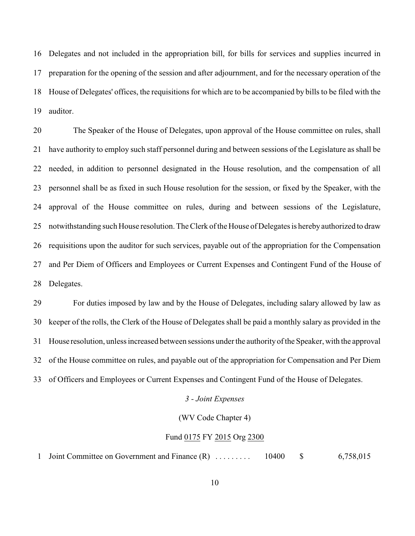Delegates and not included in the appropriation bill, for bills for services and supplies incurred in preparation for the opening of the session and after adjournment, and for the necessary operation of the House of Delegates' offices, the requisitions for which are to be accompanied by bills to be filed with the auditor.

 The Speaker of the House of Delegates, upon approval of the House committee on rules, shall have authority to employ such staff personnel during and between sessions of the Legislature as shall be needed, in addition to personnel designated in the House resolution, and the compensation of all personnel shall be as fixed in such House resolution for the session, or fixed by the Speaker, with the approval of the House committee on rules, during and between sessions of the Legislature, notwithstanding such House resolution. The Clerk of the House of Delegates is hereby authorized to draw requisitions upon the auditor for such services, payable out of the appropriation for the Compensation and Per Diem of Officers and Employees or Current Expenses and Contingent Fund of the House of Delegates.

 For duties imposed by law and by the House of Delegates, including salary allowed by law as keeper of the rolls, the Clerk of the House of Delegates shall be paid a monthly salary as provided in the House resolution, unless increased between sessions under the authority of the Speaker, with the approval of the House committee on rules, and payable out of the appropriation for Compensation and Per Diem of Officers and Employees or Current Expenses and Contingent Fund of the House of Delegates.

### *3 - Joint Expenses*

#### (WV Code Chapter 4)

#### Fund 0175 FY 2015 Org 2300

Joint Committee on Government and Finance (R) . . . . . . . . . 10400 \$ 6,758,015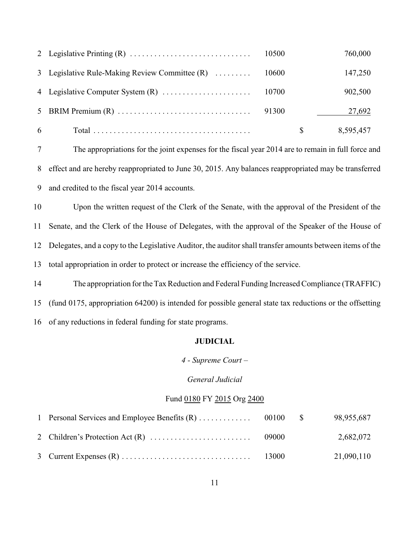|   |                                                | 10500 |              | 760,000   |
|---|------------------------------------------------|-------|--------------|-----------|
|   | 3 Legislative Rule-Making Review Committee (R) | 10600 |              | 147,250   |
|   |                                                |       |              | 902,500   |
|   |                                                |       |              | 27,692    |
| 6 |                                                |       | <sup>8</sup> | 8,595,457 |

 The appropriations for the joint expenses for the fiscal year 2014 are to remain in full force and effect and are hereby reappropriated to June 30, 2015. Any balances reappropriated may be transferred and credited to the fiscal year 2014 accounts.

 Upon the written request of the Clerk of the Senate, with the approval of the President of the Senate, and the Clerk of the House of Delegates, with the approval of the Speaker of the House of Delegates, and a copy to the Legislative Auditor, the auditor shall transfer amounts between items of the total appropriation in order to protect or increase the efficiency of the service.

14 The appropriation for the Tax Reduction and Federal Funding Increased Compliance (TRAFFIC) (fund 0175, appropriation 64200) is intended for possible general state tax reductions or the offsetting of any reductions in federal funding for state programs.

### **JUDICIAL**

*4 - Supreme Court –*

### *General Judicial*

### Fund 0180 FY 2015 Org 2400

|  |       | 98,955,687 |
|--|-------|------------|
|  | 09000 | 2,682,072  |
|  |       | 21,090,110 |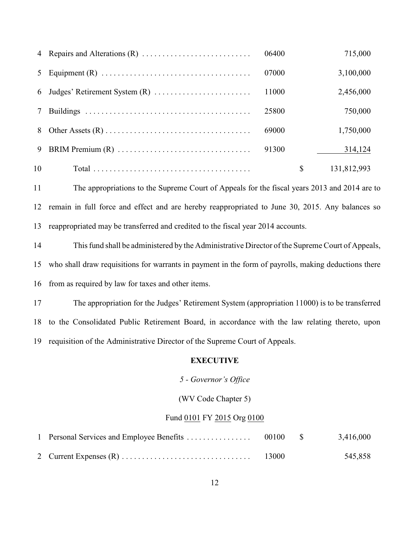| $\overline{4}$ | 06400 | 715,000           |
|----------------|-------|-------------------|
| 5              | 07000 | 3,100,000         |
| 6              | 11000 | 2,456,000         |
|                | 25800 | 750,000           |
| 8              | 69000 | 1,750,000         |
| 9              | 91300 | 314,124           |
| 10             |       | \$<br>131,812,993 |

 The appropriations to the Supreme Court of Appeals for the fiscal years 2013 and 2014 are to remain in full force and effect and are hereby reappropriated to June 30, 2015. Any balances so reappropriated may be transferred and credited to the fiscal year 2014 accounts.

 This fund shall be administered by the Administrative Director of the Supreme Court of Appeals, who shall draw requisitions for warrants in payment in the form of payrolls, making deductions there from as required by law for taxes and other items.

 The appropriation for the Judges' Retirement System (appropriation 11000) is to be transferred to the Consolidated Public Retirement Board, in accordance with the law relating thereto, upon requisition of the Administrative Director of the Supreme Court of Appeals.

#### **EXECUTIVE**

### *5 - Governor's Office*

### (WV Code Chapter 5)

#### Fund 0101 FY 2015 Org 0100

|  |       | 3,416,000 |
|--|-------|-----------|
|  | 13000 | 545,858   |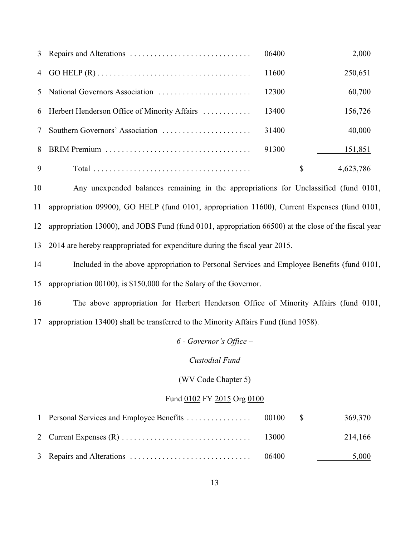|   |                                                | 06400 | 2,000           |
|---|------------------------------------------------|-------|-----------------|
| 4 |                                                | 11600 | 250,651         |
| 5 | National Governors Association                 | 12300 | 60,700          |
|   | 6 Herbert Henderson Office of Minority Affairs | 13400 | 156,726         |
|   | Southern Governors' Association                | 31400 | 40,000          |
| 8 |                                                | 91300 | 151,851         |
| 9 |                                                |       | \$<br>4,623,786 |

 Any unexpended balances remaining in the appropriations for Unclassified (fund 0101, appropriation 09900), GO HELP (fund 0101, appropriation 11600), Current Expenses (fund 0101, appropriation 13000), and JOBS Fund (fund 0101, appropriation 66500) at the close of the fiscal year 2014 are hereby reappropriated for expenditure during the fiscal year 2015.

Included in the above appropriation to Personal Services and Employee Benefits (fund 0101,

appropriation 00100), is \$150,000 for the Salary of the Governor.

The above appropriation for Herbert Henderson Office of Minority Affairs (fund 0101,

appropriation 13400) shall be transferred to the Minority Affairs Fund (fund 1058).

*6 - Governor's Office –*

*Custodial Fund*

(WV Code Chapter 5)

### Fund 0102 FY 2015 Org 0100

|  |       | 369,370 |
|--|-------|---------|
|  |       | 214,166 |
|  | 06400 | 5,000   |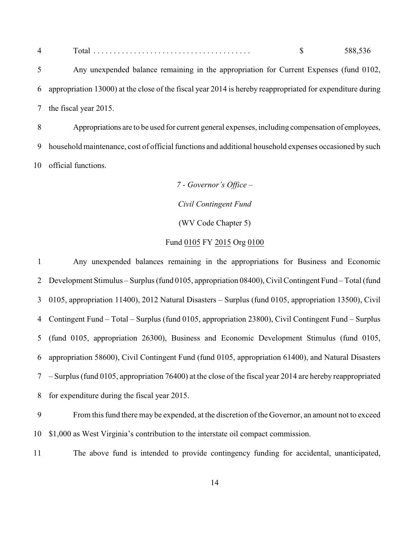| $\blacksquare$<br>Total<br>z |  | - റ റ |
|------------------------------|--|-------|
|------------------------------|--|-------|

 Any unexpended balance remaining in the appropriation for Current Expenses (fund 0102, appropriation 13000) at the close of the fiscal year 2014 is hereby reappropriated for expenditure during the fiscal year 2015.

 Appropriations are to be used for current general expenses, including compensation of employees, household maintenance, cost of official functions and additional household expenses occasioned by such official functions.

> *7 - Governor's Office – Civil Contingent Fund* (WV Code Chapter 5) Fund 0105 FY 2015 Org 0100

 Any unexpended balances remaining in the appropriations for Business and Economic Development Stimulus *–* Surplus (fund 0105, appropriation 08400), Civil Contingent Fund *–* Total (fund 0105, appropriation 11400), 2012 Natural Disasters – Surplus (fund 0105, appropriation 13500), Civil Contingent Fund *–* Total *–* Surplus (fund 0105, appropriation 23800), Civil Contingent Fund *–* Surplus (fund 0105, appropriation 26300), Business and Economic Development Stimulus (fund 0105, appropriation 58600), Civil Contingent Fund (fund 0105, appropriation 61400), and Natural Disasters – Surplus (fund 0105, appropriation 76400) at the close of the fiscal year 2014 are hereby reappropriated for expenditure during the fiscal year 2015.

 From this fund there may be expended, at the discretion of the Governor, an amount not to exceed \$1,000 as West Virginia's contribution to the interstate oil compact commission.

The above fund is intended to provide contingency funding for accidental, unanticipated,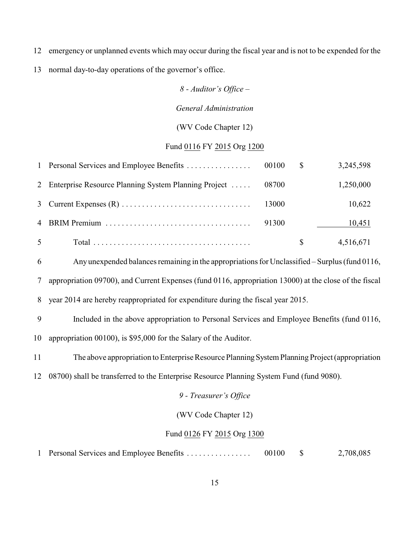emergency or unplanned events which may occur during the fiscal year and is not to be expended for the

normal day-to-day operations of the governor's office.

# *8 - Auditor's Office –*

### *General Administration*

### (WV Code Chapter 12)

### Fund 0116 FY 2015 Org 1200

|   |                                                        |       | \$ | 3,245,598 |
|---|--------------------------------------------------------|-------|----|-----------|
|   | 2 Enterprise Resource Planning System Planning Project | 08700 |    | 1,250,000 |
|   |                                                        | 13000 |    | 10,622    |
|   |                                                        | 91300 |    | 10,451    |
| 5 |                                                        |       | S  | 4,516,671 |

Any unexpended balances remaining in the appropriations for Unclassified *–* Surplus (fund 0116,

appropriation 09700), and Current Expenses (fund 0116, appropriation 13000) at the close of the fiscal

year 2014 are hereby reappropriated for expenditure during the fiscal year 2015.

 Included in the above appropriation to Personal Services and Employee Benefits (fund 0116, appropriation 00100), is \$95,000 for the Salary of the Auditor.

The above appropriation to Enterprise Resource Planning System Planning Project (appropriation

08700) shall be transferred to the Enterprise Resource Planning System Fund (fund 9080).

#### *9 - Treasurer's Office*

(WV Code Chapter 12)

#### Fund 0126 FY 2015 Org 1300

Personal Services and Employee Benefits . . . . . . . . . . . . . . . . 00100 \$ 2,708,085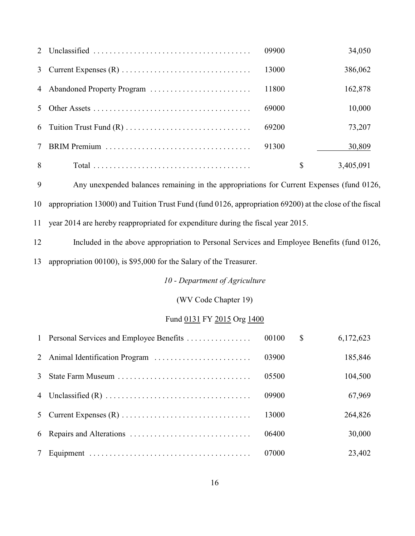|        | 09900 | 34,050    |
|--------|-------|-----------|
| 3      | 13000 | 386,062   |
| 4      | 11800 | 162,878   |
|        | 69000 | 10,000    |
| 6      | 69200 | 73,207    |
| $\tau$ | 91300 | 30,809    |
| 8      | \$    | 3,405,091 |

 Any unexpended balances remaining in the appropriations for Current Expenses (fund 0126, appropriation 13000) and Tuition Trust Fund (fund 0126, appropriation 69200) at the close of the fiscal year 2014 are hereby reappropriated for expenditure during the fiscal year 2015.

Included in the above appropriation to Personal Services and Employee Benefits (fund 0126,

appropriation 00100), is \$95,000 for the Salary of the Treasurer.

*10 - Department of Agriculture*

(WV Code Chapter 19)

# Fund 0131 FY 2015 Org 1400

|   | 1 Personal Services and Employee Benefits | 00100 | $\mathbb{S}$ | 6,172,623 |
|---|-------------------------------------------|-------|--------------|-----------|
|   |                                           | 03900 |              | 185,846   |
| 3 |                                           | 05500 |              | 104,500   |
|   |                                           | 09900 |              | 67,969    |
|   |                                           | 13000 |              | 264,826   |
|   |                                           | 06400 |              | 30,000    |
| 7 |                                           | 07000 |              | 23,402    |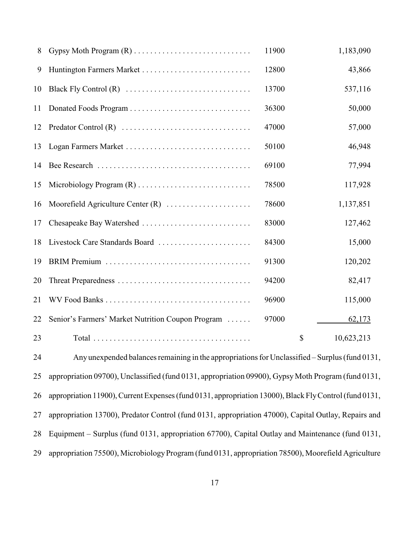| 8  | Gypsy Moth Program (R)                            | 11900 | 1,183,090        |
|----|---------------------------------------------------|-------|------------------|
| 9  | Huntington Farmers Market                         | 12800 | 43,866           |
| 10 |                                                   | 13700 | 537,116          |
| 11 |                                                   | 36300 | 50,000           |
| 12 |                                                   | 47000 | 57,000           |
| 13 | Logan Farmers Market                              | 50100 | 46,948           |
| 14 |                                                   | 69100 | 77,994           |
| 15 |                                                   | 78500 | 117,928          |
| 16 | Moorefield Agriculture Center (R)                 | 78600 | 1,137,851        |
| 17 | Chesapeake Bay Watershed                          | 83000 | 127,462          |
| 18 | Livestock Care Standards Board                    | 84300 | 15,000           |
| 19 |                                                   | 91300 | 120,202          |
| 20 |                                                   | 94200 | 82,417           |
| 21 |                                                   | 96900 | 115,000          |
| 22 | Senior's Farmers' Market Nutrition Coupon Program | 97000 | 62,173           |
| 23 |                                                   |       | \$<br>10,623,213 |

 Any unexpended balances remaining in the appropriations for Unclassified *–* Surplus (fund 0131, appropriation 09700), Unclassified (fund 0131, appropriation 09900), Gypsy Moth Program (fund 0131, appropriation 11900), Current Expenses (fund 0131, appropriation 13000), Black Fly Control (fund 0131, appropriation 13700), Predator Control (fund 0131, appropriation 47000), Capital Outlay, Repairs and Equipment – Surplus (fund 0131, appropriation 67700), Capital Outlay and Maintenance (fund 0131, 29 appropriation 75500), Microbiology Program (fund 0131, appropriation 78500), Moorefield Agriculture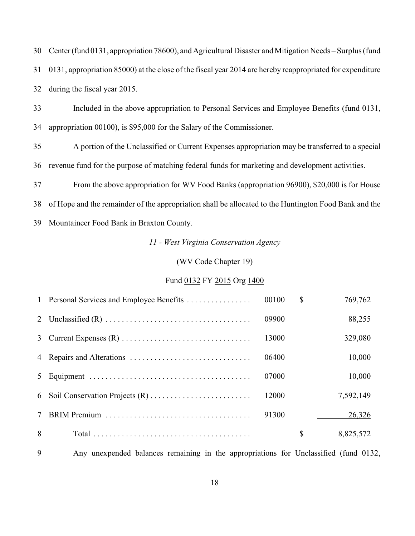Center (fund 0131, appropriation 78600), and Agricultural Disaster and Mitigation Needs *–* Surplus (fund 0131, appropriation 85000) at the close of the fiscal year 2014 are hereby reappropriated for expenditure during the fiscal year 2015.

 Included in the above appropriation to Personal Services and Employee Benefits (fund 0131, appropriation 00100), is \$95,000 for the Salary of the Commissioner.

 A portion of the Unclassified or Current Expenses appropriation may be transferred to a special revenue fund for the purpose of matching federal funds for marketing and development activities.

From the above appropriation for WV Food Banks (appropriation 96900), \$20,000 is for House

of Hope and the remainder of the appropriation shall be allocated to the Huntington Food Bank and the

Mountaineer Food Bank in Braxton County.

*11 - West Virginia Conservation Agency*

### (WV Code Chapter 19)

### Fund 0132 FY 2015 Org 1400

|        | 1 Personal Services and Employee Benefits | 00100 | $\mathbb{S}$ | 769,762   |
|--------|-------------------------------------------|-------|--------------|-----------|
|        |                                           | 09900 |              | 88,255    |
|        |                                           | 13000 |              | 329,080   |
|        |                                           | 06400 |              | 10,000    |
|        |                                           | 07000 |              | 10,000    |
|        |                                           | 12000 |              | 7,592,149 |
| $\tau$ |                                           | 91300 |              | 26,326    |
| 8      |                                           |       | $\mathbb{S}$ | 8,825,572 |

Any unexpended balances remaining in the appropriations for Unclassified (fund 0132,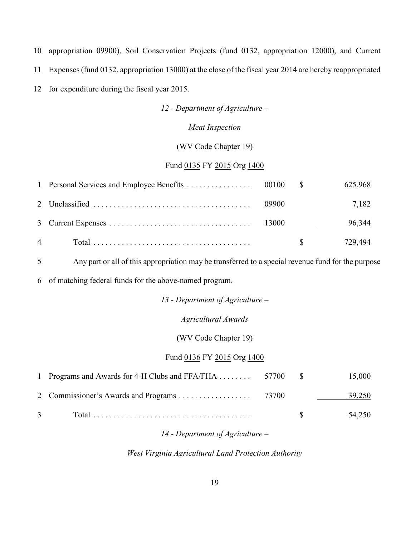10 appropriation 09900), Soil Conservation Projects (fund 0132, appropriation 12000), and Current

11 Expenses (fund 0132, appropriation 13000) at the close of the fiscal year 2014 are hereby reappropriated

12 for expenditure during the fiscal year 2015.

*12 - Department of Agriculture –*

*Meat Inspection*

(WV Code Chapter 19)

#### Fund 0135 FY 2015 Org 1400

|                |       | 625,968                 |
|----------------|-------|-------------------------|
|                | 09900 | 7,182                   |
|                |       | 96,344                  |
| $\overline{4}$ |       | 729.494<br>$\mathbb{S}$ |

5 Any part or all of this appropriation may be transferred to a special revenue fund for the purpose

6 of matching federal funds for the above-named program.

*13 - Department of Agriculture –*

#### *Agricultural Awards*

#### (WV Code Chapter 19)

### Fund 0136 FY 2015 Org 1400

| 1 Programs and Awards for 4-H Clubs and FFA/FHA  57700 \$ |  | 15,000                |
|-----------------------------------------------------------|--|-----------------------|
|                                                           |  | 39,250                |
| $\overline{3}$                                            |  | 54,250<br>$\mathbf S$ |

### *14 - Department of Agriculture –*

*West Virginia Agricultural Land Protection Authority*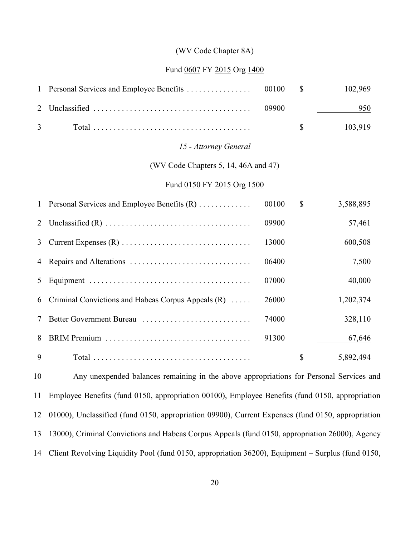#### (WV Code Chapter 8A)

#### Fund 0607 FY 2015 Org 1400

| 1            | Personal Services and Employee Benefits                                                 | 00100 | $\mathbb{S}$ | 102,969   |
|--------------|-----------------------------------------------------------------------------------------|-------|--------------|-----------|
| 2            |                                                                                         | 09900 |              | 950       |
| 3            |                                                                                         |       | \$           | 103,919   |
|              | 15 - Attorney General                                                                   |       |              |           |
|              | (WV Code Chapters 5, 14, 46A and 47)                                                    |       |              |           |
|              | Fund 0150 FY 2015 Org 1500                                                              |       |              |           |
| $\mathbf{1}$ | Personal Services and Employee Benefits (R)                                             | 00100 | \$           | 3,588,895 |
| 2            |                                                                                         | 09900 |              | 57,461    |
| 3            |                                                                                         | 13000 |              | 600,508   |
| 4            |                                                                                         | 06400 |              | 7,500     |
| 5            |                                                                                         | 07000 |              | 40,000    |
| 6            | Criminal Convictions and Habeas Corpus Appeals (R)                                      | 26000 |              | 1,202,374 |
| 7            | Better Government Bureau                                                                | 74000 |              | 328,110   |
| 8            |                                                                                         | 91300 |              | 67,646    |
| 9            |                                                                                         |       | $\mathbb{S}$ | 5,892,494 |
| 10           | Any unexpended balances remaining in the above appropriations for Personal Services and |       |              |           |

 Employee Benefits (fund 0150, appropriation 00100), Employee Benefits (fund 0150, appropriation 01000), Unclassified (fund 0150, appropriation 09900), Current Expenses (fund 0150, appropriation 13000), Criminal Convictions and Habeas Corpus Appeals (fund 0150, appropriation 26000), Agency Client Revolving Liquidity Pool (fund 0150, appropriation 36200), Equipment – Surplus (fund 0150,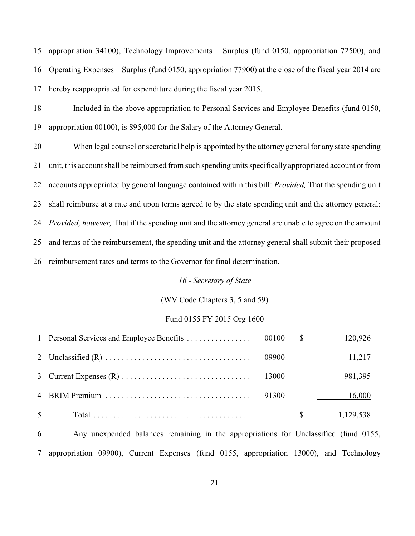appropriation 34100), Technology Improvements – Surplus (fund 0150, appropriation 72500), and Operating Expenses – Surplus (fund 0150, appropriation 77900) at the close of the fiscal year 2014 are hereby reappropriated for expenditure during the fiscal year 2015.

- Included in the above appropriation to Personal Services and Employee Benefits (fund 0150, appropriation 00100), is \$95,000 for the Salary of the Attorney General.
- When legal counsel or secretarial help is appointed by the attorney general for any state spending unit, this account shall be reimbursed from such spending units specifically appropriated account or from accounts appropriated by general language contained within this bill: *Provided,* That the spending unit shall reimburse at a rate and upon terms agreed to by the state spending unit and the attorney general: *Provided, however,* That if the spending unit and the attorney general are unable to agree on the amount and terms of the reimbursement, the spending unit and the attorney general shall submit their proposed reimbursement rates and terms to the Governor for final determination.

### *16 - Secretary of State*

### (WV Code Chapters 3, 5 and 59)

#### Fund 0155 FY 2015 Org 1600

|                |             | 120,926   |
|----------------|-------------|-----------|
|                |             | 11,217    |
|                |             | 981,395   |
|                |             | 16,000    |
| 5 <sup>5</sup> | $\mathbf S$ | 1,129,538 |

 Any unexpended balances remaining in the appropriations for Unclassified (fund 0155, appropriation 09900), Current Expenses (fund 0155, appropriation 13000), and Technology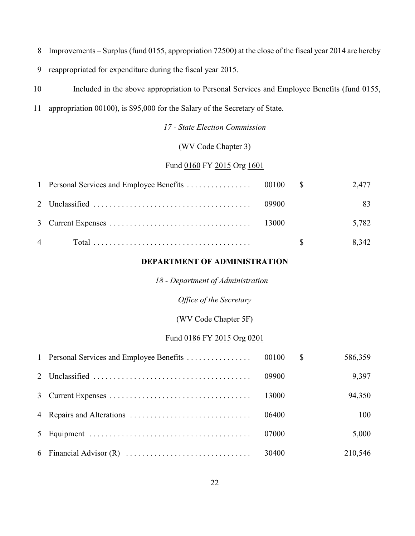- Improvements *–* Surplus (fund 0155, appropriation 72500) at the close of the fiscal year 2014 are hereby
- reappropriated for expenditure during the fiscal year 2015.
- Included in the above appropriation to Personal Services and Employee Benefits (fund 0155,
- appropriation 00100), is \$95,000 for the Salary of the Secretary of State.

*17 - State Election Commission*

(WV Code Chapter 3)

# Fund 0160 FY 2015 Org 1601

|                |       | 2,477                         |
|----------------|-------|-------------------------------|
|                | 09900 |                               |
|                |       | 5,782<br><u>and the state</u> |
| $\overline{4}$ |       | 8,342                         |

### **DEPARTMENT OF ADMINISTRATION**

*18 - Department of Administration –*

*Office of the Secretary*

(WV Code Chapter 5F)

### Fund 0186 FY 2015 Org 0201

|  |       | $\mathbb{S}$ | 586,359 |
|--|-------|--------------|---------|
|  | 09900 |              | 9,397   |
|  | 13000 |              | 94,350  |
|  | 06400 |              | 100     |
|  | 07000 |              | 5,000   |
|  |       |              | 210,546 |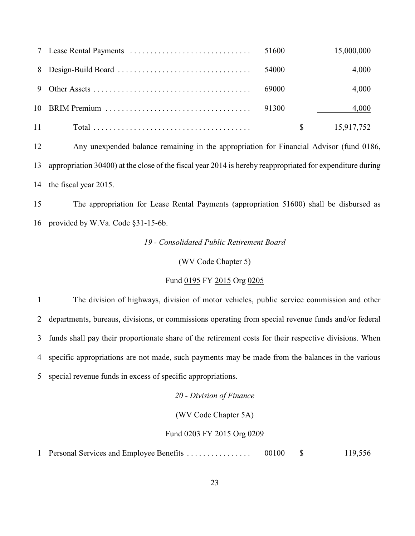|      | 51600 | 15,000,000 |
|------|-------|------------|
|      | 54000 | 4,000      |
| 9    | 69000 | 4,000      |
|      | 91300 | 4,000      |
| 11 — |       | 15,917,752 |

 Any unexpended balance remaining in the appropriation for Financial Advisor (fund 0186, appropriation 30400) at the close of the fiscal year 2014 is hereby reappropriated for expenditure during the fiscal year 2015.

 The appropriation for Lease Rental Payments (appropriation 51600) shall be disbursed as provided by W.Va. Code §31-15-6b.

*19 - Consolidated Public Retirement Board*

(WV Code Chapter 5)

#### Fund 0195 FY 2015 Org 0205

 The division of highways, division of motor vehicles, public service commission and other departments, bureaus, divisions, or commissions operating from special revenue funds and/or federal funds shall pay their proportionate share of the retirement costs for their respective divisions. When specific appropriations are not made, such payments may be made from the balances in the various special revenue funds in excess of specific appropriations.

*20 - Division of Finance*

(WV Code Chapter 5A)

#### Fund 0203 FY 2015 Org 0209

Personal Services and Employee Benefits . . . . . . . . . . . . . . . . 00100 \$ 119,556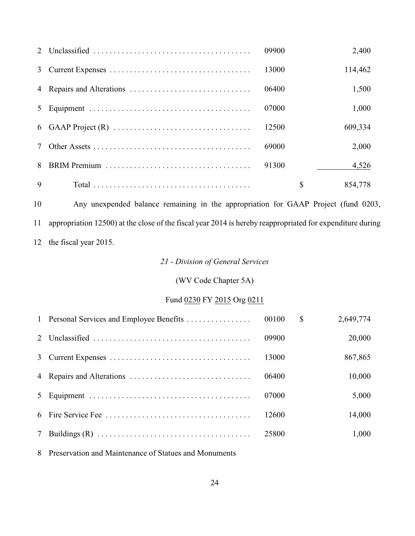|   | 09900 | 2,400   |
|---|-------|---------|
| 3 | 13000 | 114,462 |
|   | 06400 | 1,500   |
| 5 | 07000 | 1,000   |
|   | 12500 | 609,334 |
|   | 69000 | 2,000   |
| 8 | 91300 | 4,526   |
| 9 | S     | 854,778 |

 Any unexpended balance remaining in the appropriation for GAAP Project (fund 0203, appropriation 12500) at the close of the fiscal year 2014 is hereby reappropriated for expenditure during the fiscal year 2015.

# *21 - Division of General Services*

# (WV Code Chapter 5A)

# Fund 0230 FY 2015 Org 0211

|  |       | <sup>S</sup> | 2,649,774 |
|--|-------|--------------|-----------|
|  | 09900 |              | 20,000    |
|  | 13000 |              | 867,865   |
|  | 06400 |              | 10,000    |
|  | 07000 |              | 5,000     |
|  | 12600 |              | 14,000    |
|  | 25800 |              | 1,000     |

Preservation and Maintenance of Statues and Monuments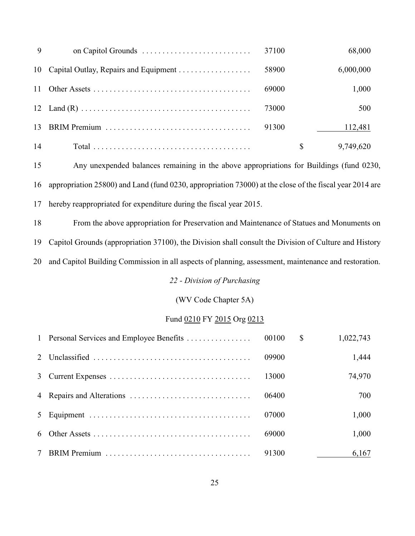| -9 | 37100 | 68,000    |
|----|-------|-----------|
|    | 58900 | 6,000,000 |
|    | 69000 | 1,000     |
|    | 73000 | 500       |
| 13 | 91300 | 112,481   |
| 14 |       | 9,749,620 |

 Any unexpended balances remaining in the above appropriations for Buildings (fund 0230, appropriation 25800) and Land (fund 0230, appropriation 73000) at the close of the fiscal year 2014 are hereby reappropriated for expenditure during the fiscal year 2015.

 From the above appropriation for Preservation and Maintenance of Statues and Monuments on Capitol Grounds (appropriation 37100), the Division shall consult the Division of Culture and History and Capitol Building Commission in all aspects of planning, assessment, maintenance and restoration.

*22 - Division of Purchasing*

(WV Code Chapter 5A)

#### Fund 0210 FY 2015 Org 0213

|  |       | $\mathbb{S}$ | 1,022,743 |
|--|-------|--------------|-----------|
|  | 09900 |              | 1,444     |
|  | 13000 |              | 74,970    |
|  | 06400 |              | 700       |
|  | 07000 |              | 1,000     |
|  | 69000 |              | 1,000     |
|  | 91300 |              | 6,167     |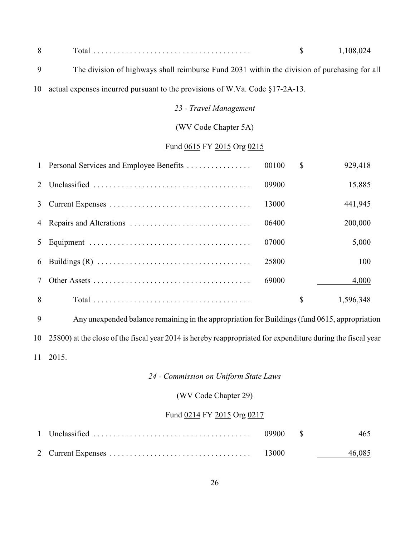|  | . רח סחי<br>$\mathbf{u}$ |
|--|--------------------------|
|  |                          |

- The division of highways shall reimburse Fund 2031 within the division of purchasing for all
- actual expenses incurred pursuant to the provisions of W.Va. Code §17-2A-13.

# *23 - Travel Management*

### (WV Code Chapter 5A)

# Fund 0615 FY 2015 Org 0215

|   | 1 Personal Services and Employee Benefits | 00100 | \$<br>929,418   |
|---|-------------------------------------------|-------|-----------------|
| 2 |                                           | 09900 | 15,885          |
| 3 |                                           | 13000 | 441,945         |
|   |                                           | 06400 | 200,000         |
|   |                                           | 07000 | 5,000           |
| 6 |                                           | 25800 | 100             |
|   |                                           | 69000 | 4,000           |
| 8 |                                           |       | \$<br>1,596,348 |

 Any unexpended balance remaining in the appropriation for Buildings (fund 0615, appropriation 25800) at the close of the fiscal year 2014 is hereby reappropriated for expenditure during the fiscal year 2015.

# *24 - Commission on Uniform State Laws*

### (WV Code Chapter 29)

### Fund 0214 FY 2015 Org 0217

|  |  | 465    |
|--|--|--------|
|  |  | 46,085 |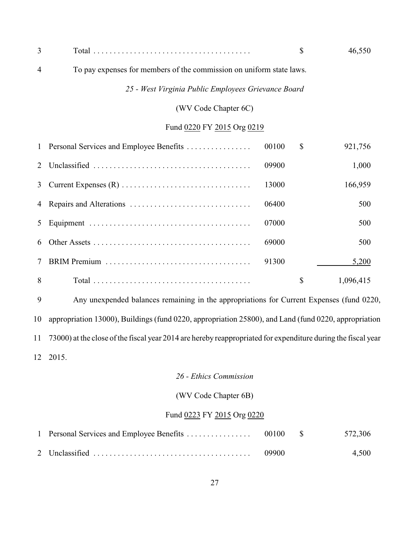| 3              |                                                                      |       | \$            | 46,550    |
|----------------|----------------------------------------------------------------------|-------|---------------|-----------|
| $\overline{4}$ | To pay expenses for members of the commission on uniform state laws. |       |               |           |
|                | 25 - West Virginia Public Employees Grievance Board                  |       |               |           |
|                | (WV Code Chapter 6C)                                                 |       |               |           |
|                | Fund 0220 FY 2015 Org 0219                                           |       |               |           |
|                | 1 Personal Services and Employee Benefits                            | 00100 | $\mathcal{S}$ | 921,756   |
| 2              |                                                                      | 09900 |               | 1,000     |
| 3              |                                                                      | 13000 |               | 166,959   |
|                |                                                                      | 06400 |               | 500       |
| 5              |                                                                      | 07000 |               | 500       |
| 6              |                                                                      | 69000 |               | 500       |
| $\tau$         |                                                                      | 91300 |               | 5,200     |
| 8              |                                                                      |       | \$            | 1,096,415 |

 Any unexpended balances remaining in the appropriations for Current Expenses (fund 0220, appropriation 13000), Buildings (fund 0220, appropriation 25800), and Land (fund 0220, appropriation 73000) at the close of the fiscal year 2014 are hereby reappropriated for expenditure during the fiscal year 2015.

### *26 - Ethics Commission*

# (WV Code Chapter 6B)

# Fund 0223 FY 2015 Org 0220

|  |       | 572,306 |
|--|-------|---------|
|  | 09900 | 4,500   |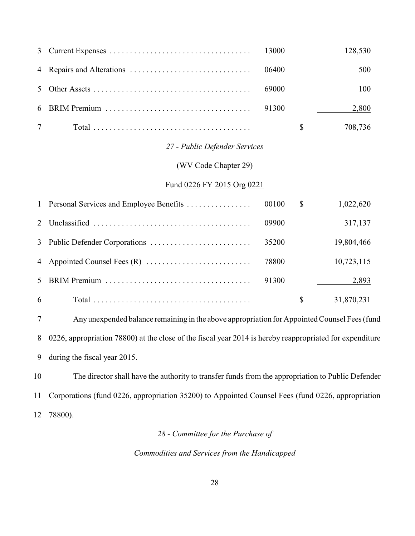|                      | 13000 |                                                             | 128,530 |
|----------------------|-------|-------------------------------------------------------------|---------|
|                      | 06400 |                                                             | 500     |
|                      | 69000 |                                                             | 100     |
|                      | 91300 |                                                             | 2,800   |
|                      |       | \$                                                          | 708,736 |
|                      |       |                                                             |         |
| (WV Code Chapter 29) |       |                                                             |         |
|                      |       |                                                             |         |
|                      |       | 27 - Public Defender Services<br>Fund 0226 FY 2015 Org 0221 |         |

|    | 00100 | $\mathcal{S}$ | 1,022,620  |
|----|-------|---------------|------------|
|    | 09900 |               | 317,137    |
|    | 35200 |               | 19,804,466 |
|    | 78800 |               | 10,723,115 |
|    | 91300 |               | 2,893      |
| -6 |       | S             | 31,870,231 |

 Any unexpended balance remaining in the above appropriation for Appointed Counsel Fees (fund 0226, appropriation 78800) at the close of the fiscal year 2014 is hereby reappropriated for expenditure during the fiscal year 2015.

 The director shall have the authority to transfer funds from the appropriation to Public Defender Corporations (fund 0226, appropriation 35200) to Appointed Counsel Fees (fund 0226, appropriation 78800).

# *28 - Committee for the Purchase of*

*Commodities and Services from the Handicapped*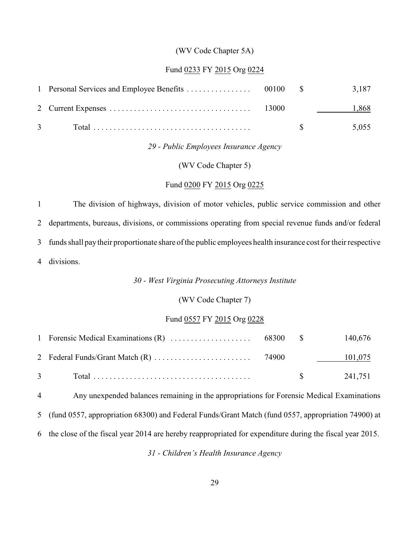#### (WV Code Chapter 5A)

#### Fund 0233 FY 2015 Org 0224

|               |  | 3,187                                    |
|---------------|--|------------------------------------------|
|               |  | 1,868                                    |
| $\mathcal{R}$ |  | 5.055<br>$\mathcal{R}$ and $\mathcal{R}$ |

### *29 - Public Employees Insurance Agency*

(WV Code Chapter 5)

#### Fund 0200 FY 2015 Org 0225

 The division of highways, division of motor vehicles, public service commission and other departments, bureaus, divisions, or commissions operating from special revenue funds and/or federal funds shall paytheir proportionate share of the public employees health insurance cost for their respective divisions.

# *30 - West Virginia Prosecuting Attorneys Institute*

### (WV Code Chapter 7)

#### Fund 0557 FY 2015 Org 0228

|  |  | 140,676             |
|--|--|---------------------|
|  |  | 101,075             |
|  |  | $\frac{1}{241.751}$ |

 Any unexpended balances remaining in the appropriations for Forensic Medical Examinations (fund 0557, appropriation 68300) and Federal Funds/Grant Match (fund 0557, appropriation 74900) at

the close of the fiscal year 2014 are hereby reappropriated for expenditure during the fiscal year 2015.

*31 - Children's Health Insurance Agency*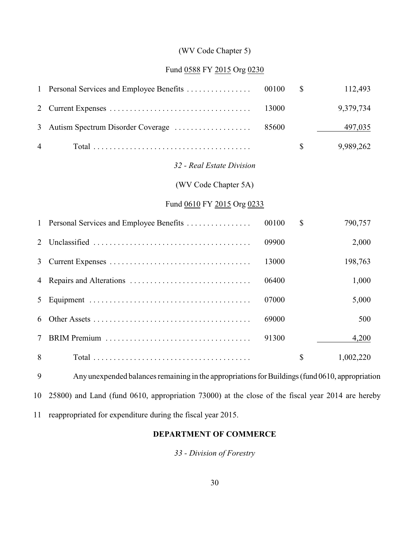# (WV Code Chapter 5)

# Fund 0588 FY 2015 Org 0230

| $\mathbf{1}$   | Personal Services and Employee Benefits                                                         | 00100 | $\mathcal{S}$ | 112,493   |
|----------------|-------------------------------------------------------------------------------------------------|-------|---------------|-----------|
| $\overline{2}$ |                                                                                                 | 13000 |               | 9,379,734 |
| 3              | Autism Spectrum Disorder Coverage                                                               | 85600 |               | 497,035   |
| 4              |                                                                                                 |       | $\mathbb{S}$  | 9,989,262 |
|                | 32 - Real Estate Division                                                                       |       |               |           |
|                | (WV Code Chapter 5A)                                                                            |       |               |           |
|                | Fund 0610 FY 2015 Org 0233                                                                      |       |               |           |
| $\mathbf{1}$   | Personal Services and Employee Benefits                                                         | 00100 | \$            | 790,757   |
| $\overline{2}$ |                                                                                                 | 09900 |               | 2,000     |
| 3              |                                                                                                 | 13000 |               | 198,763   |
| 4              |                                                                                                 | 06400 |               | 1,000     |
| 5              |                                                                                                 | 07000 |               | 5,000     |
| 6              |                                                                                                 | 69000 |               | 500       |
| $\tau$         |                                                                                                 | 91300 |               | 4,200     |
| 8              |                                                                                                 |       | $\mathcal{S}$ | 1,002,220 |
| 9              | Any unexpended balances remaining in the appropriations for Buildings (fund 0610, appropriation |       |               |           |

25800) and Land (fund 0610, appropriation 73000) at the close of the fiscal year 2014 are hereby

reappropriated for expenditure during the fiscal year 2015.

# **DEPARTMENT OF COMMERCE**

*33 - Division of Forestry*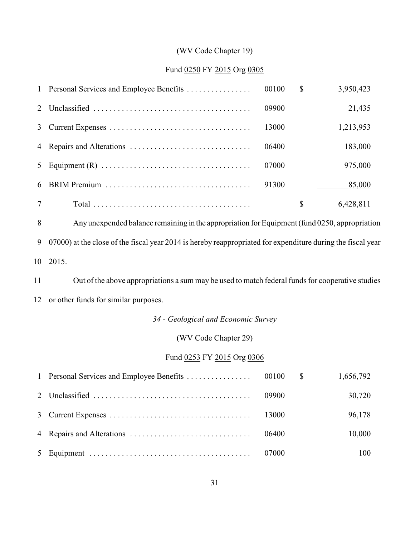# (WV Code Chapter 19)

# Fund 0250 FY 2015 Org 0305

|                | 1 Personal Services and Employee Benefits | 00100 | \$<br>3,950,423 |
|----------------|-------------------------------------------|-------|-----------------|
| 2 <sup>1</sup> |                                           | 09900 | 21,435          |
| 3              |                                           | 13000 | 1,213,953       |
|                |                                           | 06400 | 183,000         |
| $5 -$          |                                           | 07000 | 975,000         |
| 6              |                                           | 91300 | 85,000          |
|                |                                           |       | \$<br>6,428,811 |

 Any unexpended balance remaining in the appropriation for Equipment (fund 0250, appropriation 07000) at the close of the fiscal year 2014 is hereby reappropriated for expenditure during the fiscal year 2015.

 Out of the above appropriations a sum may be used to match federal funds for cooperative studies or other funds for similar purposes.

# *34 - Geological and Economic Survey*

# (WV Code Chapter 29)

# Fund 0253 FY 2015 Org 0306

|  |       | 1,656,792 |
|--|-------|-----------|
|  | 09900 | 30,720    |
|  | 13000 | 96,178    |
|  | 06400 | 10,000    |
|  |       | 100       |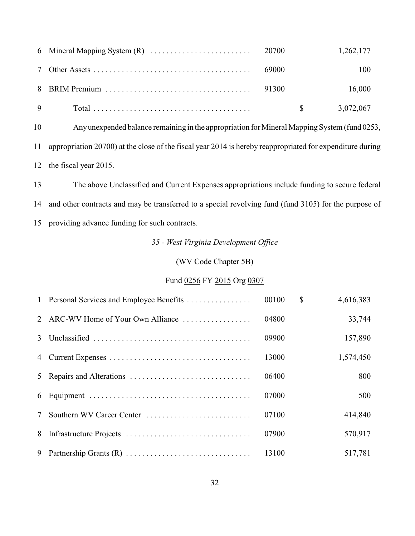|  |  | 1,262,177 |
|--|--|-----------|
|  |  | 100       |
|  |  | 16,000    |
|  |  | 3,072,067 |

Any unexpended balance remaining in the appropriation for Mineral Mapping System (fund 0253,

appropriation 20700) at the close of the fiscal year 2014 is hereby reappropriated for expenditure during

the fiscal year 2015.

 The above Unclassified and Current Expenses appropriations include funding to secure federal and other contracts and may be transferred to a special revolving fund (fund 3105) for the purpose of providing advance funding for such contracts.

*35 - West Virginia Development Office*

(WV Code Chapter 5B)

# Fund 0256 FY 2015 Org 0307

|                 | 1 Personal Services and Employee Benefits | 00100 | $\mathbb{S}$ | 4,616,383 |
|-----------------|-------------------------------------------|-------|--------------|-----------|
|                 | 2 ARC-WV Home of Your Own Alliance        | 04800 |              | 33,744    |
|                 |                                           | 09900 |              | 157,890   |
|                 |                                           | 13000 |              | 1,574,450 |
|                 |                                           | 06400 |              | 800       |
|                 |                                           | 07000 |              | 500       |
| $7\phantom{.0}$ | Southern WV Career Center                 | 07100 |              | 414,840   |
|                 |                                           | 07900 |              | 570,917   |
| 9               |                                           | 13100 |              | 517,781   |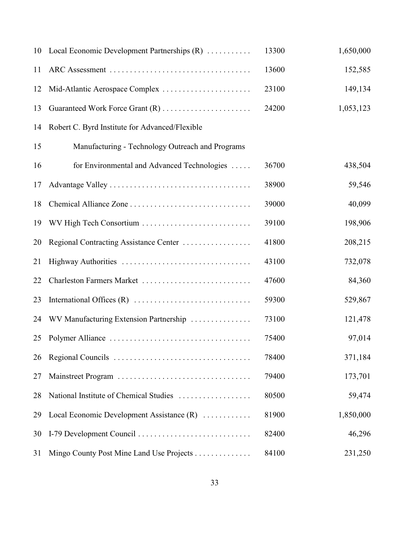|    | 10 Local Economic Development Partnerships (R)   | 13300 | 1,650,000 |
|----|--------------------------------------------------|-------|-----------|
| 11 |                                                  | 13600 | 152,585   |
| 12 |                                                  | 23100 | 149,134   |
| 13 | Guaranteed Work Force Grant (R)                  | 24200 | 1,053,123 |
| 14 | Robert C. Byrd Institute for Advanced/Flexible   |       |           |
| 15 | Manufacturing - Technology Outreach and Programs |       |           |
| 16 | for Environmental and Advanced Technologies      | 36700 | 438,504   |
| 17 |                                                  | 38900 | 59,546    |
| 18 |                                                  | 39000 | 40,099    |
| 19 | WV High Tech Consortium                          | 39100 | 198,906   |
| 20 | Regional Contracting Assistance Center           | 41800 | 208,215   |
| 21 |                                                  | 43100 | 732,078   |
| 22 | Charleston Farmers Market                        | 47600 | 84,360    |
| 23 |                                                  | 59300 | 529,867   |
| 24 | WV Manufacturing Extension Partnership           | 73100 | 121,478   |
| 25 |                                                  | 75400 | 97,014    |
| 26 |                                                  | 78400 | 371,184   |
| 27 |                                                  | 79400 | 173,701   |
| 28 | National Institute of Chemical Studies           | 80500 | 59,474    |
| 29 | Local Economic Development Assistance (R)        | 81900 | 1,850,000 |
| 30 |                                                  | 82400 | 46,296    |
| 31 | Mingo County Post Mine Land Use Projects         | 84100 | 231,250   |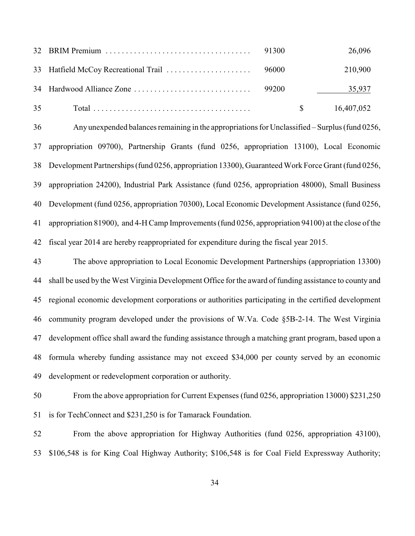|    |  |             | 26,096     |
|----|--|-------------|------------|
|    |  |             | 210,900    |
|    |  |             | 35,937     |
| 35 |  | $\mathbf S$ | 16,407,052 |

 Any unexpended balances remaining in the appropriations for Unclassified – Surplus (fund 0256, appropriation 09700), Partnership Grants (fund 0256, appropriation 13100), Local Economic Development Partnerships (fund 0256, appropriation 13300), Guaranteed Work Force Grant (fund 0256, appropriation 24200), Industrial Park Assistance (fund 0256, appropriation 48000), Small Business Development (fund 0256, appropriation 70300), Local Economic Development Assistance (fund 0256, appropriation 81900), and 4-H Camp Improvements (fund 0256, appropriation 94100) at the close of the fiscal year 2014 are hereby reappropriated for expenditure during the fiscal year 2015.

 The above appropriation to Local Economic Development Partnerships (appropriation 13300) shall be used by the West Virginia Development Office for the award of funding assistance to county and regional economic development corporations or authorities participating in the certified development community program developed under the provisions of W.Va. Code §5B-2-14. The West Virginia development office shall award the funding assistance through a matching grant program, based upon a formula whereby funding assistance may not exceed \$34,000 per county served by an economic development or redevelopment corporation or authority.

 From the above appropriation for Current Expenses (fund 0256, appropriation 13000) \$231,250 is for TechConnect and \$231,250 is for Tamarack Foundation.

 From the above appropriation for Highway Authorities (fund 0256, appropriation 43100), \$106,548 is for King Coal Highway Authority; \$106,548 is for Coal Field Expressway Authority;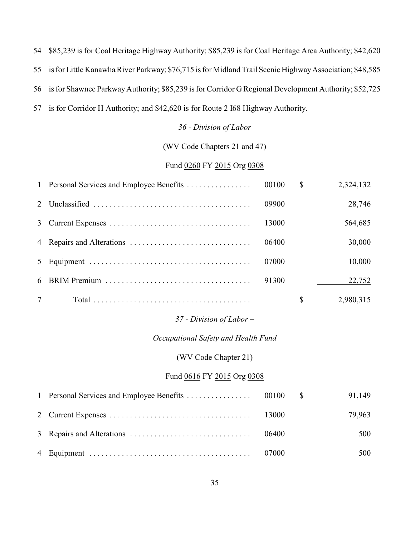\$85,239 is for Coal Heritage Highway Authority; \$85,239 is for Coal Heritage Area Authority; \$42,620

is for Little Kanawha River Parkway; \$76,715 is for Midland Trail Scenic Highway Association; \$48,585

is for Shawnee Parkway Authority; \$85,239 is for Corridor G Regional Development Authority; \$52,725

is for Corridor H Authority; and \$42,620 is for Route 2 I68 Highway Authority.

#### *36 - Division of Labor*

(WV Code Chapters 21 and 47)

# Fund 0260 FY 2015 Org 0308

|                |       | <sup>S</sup> | 2,324,132 |
|----------------|-------|--------------|-----------|
| 2 <sup>1</sup> | 09900 |              | 28,746    |
| 3              | 13000 |              | 564,685   |
|                | 06400 |              | 30,000    |
| 5 <sup>1</sup> | 07000 |              | 10,000    |
| 6              | 91300 |              | 22,752    |
|                |       | S            | 2,980,315 |

#### *37 - Division of Labor –*

#### *Occupational Safety and Health Fund*

(WV Code Chapter 21)

# Fund 0616 FY 2015 Org 0308

|  |       | 91,149 |
|--|-------|--------|
|  |       | 79,963 |
|  | 06400 | 500    |
|  | 07000 | 500    |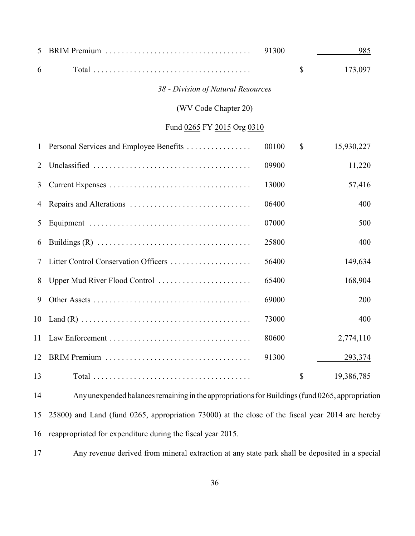| 5            |                                                                                                 | 91300 | 985              |
|--------------|-------------------------------------------------------------------------------------------------|-------|------------------|
| 6            |                                                                                                 |       | \$<br>173,097    |
|              | 38 - Division of Natural Resources                                                              |       |                  |
|              | (WV Code Chapter 20)                                                                            |       |                  |
|              | Fund 0265 FY 2015 Org 0310                                                                      |       |                  |
| $\mathbf{1}$ | Personal Services and Employee Benefits                                                         | 00100 | \$<br>15,930,227 |
| 2            |                                                                                                 | 09900 | 11,220           |
| 3            |                                                                                                 | 13000 | 57,416           |
| 4            |                                                                                                 | 06400 | 400              |
| 5            |                                                                                                 | 07000 | 500              |
| 6            |                                                                                                 | 25800 | 400              |
| 7            | Litter Control Conservation Officers                                                            | 56400 | 149,634          |
| 8            | Upper Mud River Flood Control                                                                   | 65400 | 168,904          |
| 9            |                                                                                                 | 69000 | 200              |
| 10           |                                                                                                 | 73000 | 400              |
| 11           |                                                                                                 | 80600 | 2,774,110        |
| 12           |                                                                                                 | 91300 | 293,374          |
| 13           |                                                                                                 |       | \$<br>19,386,785 |
| 14           | Any unexpended balances remaining in the appropriations for Buildings (fund 0265, appropriation |       |                  |
|              |                                                                                                 |       |                  |

 25800) and Land (fund 0265, appropriation 73000) at the close of the fiscal year 2014 are hereby reappropriated for expenditure during the fiscal year 2015.

Any revenue derived from mineral extraction at any state park shall be deposited in a special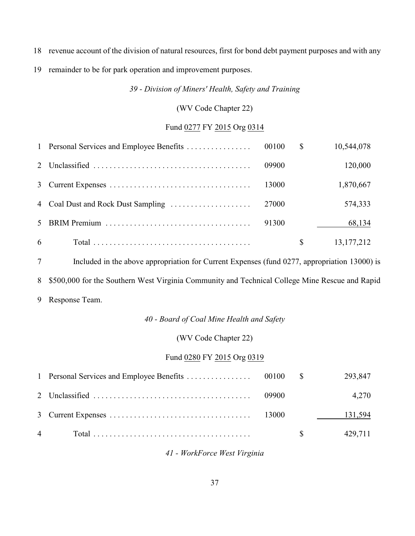- revenue account of the division of natural resources, first for bond debt payment purposes and with any
- remainder to be for park operation and improvement purposes.

*39 - Division of Miners' Health, Safety and Training*

## (WV Code Chapter 22)

## Fund 0277 FY 2015 Org 0314

|   |                                    |       | $\mathbb{S}$ | 10,544,078   |
|---|------------------------------------|-------|--------------|--------------|
|   |                                    | 09900 |              | 120,000      |
|   |                                    | 13000 |              | 1,870,667    |
|   | 4 Coal Dust and Rock Dust Sampling | 27000 |              | 574,333      |
|   |                                    | 91300 |              | 68,134       |
| 6 |                                    |       | \$           | 13, 177, 212 |

 Included in the above appropriation for Current Expenses (fund 0277, appropriation 13000) is \$500,000 for the Southern West Virginia Community and Technical College Mine Rescue and Rapid Response Team.

### *40 - Board of Coal Mine Health and Safety*

### (WV Code Chapter 22)

## Fund 0280 FY 2015 Org 0319

|  |  | 293,847 |
|--|--|---------|
|  |  | 4.270   |
|  |  | 131,594 |
|  |  | 429,711 |

## *41 - WorkForce West Virginia*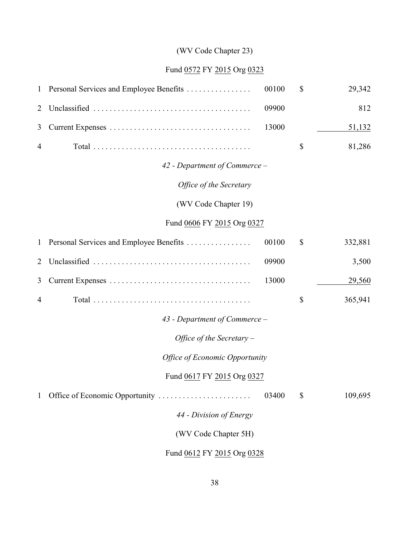# (WV Code Chapter 23)

# Fund 0572 FY 2015 Org 0323

| $\mathbf{1}$ | Personal Services and Employee Benefits | 00100 | \$ | 29,342  |  |  |
|--------------|-----------------------------------------|-------|----|---------|--|--|
| 2            |                                         | 09900 |    | 812     |  |  |
| 3            |                                         | 13000 |    | 51,132  |  |  |
| 4            |                                         |       | \$ | 81,286  |  |  |
|              | 42 - Department of Commerce -           |       |    |         |  |  |
|              | Office of the Secretary                 |       |    |         |  |  |
|              | (WV Code Chapter 19)                    |       |    |         |  |  |
|              | Fund 0606 FY 2015 Org 0327              |       |    |         |  |  |
| $\mathbf{1}$ | Personal Services and Employee Benefits | 00100 | \$ | 332,881 |  |  |
| 2            |                                         | 09900 |    | 3,500   |  |  |
| 3            |                                         | 13000 |    | 29,560  |  |  |
| 4            |                                         |       | \$ | 365,941 |  |  |
|              | 43 - Department of Commerce -           |       |    |         |  |  |
|              | Office of the Secretary $-$             |       |    |         |  |  |
|              | <b>Office of Economic Opportunity</b>   |       |    |         |  |  |
|              | Fund 0617 FY 2015 Org 0327              |       |    |         |  |  |
| $\mathbf{1}$ | Office of Economic Opportunity          | 03400 | \$ | 109,695 |  |  |
|              | 44 - Division of Energy                 |       |    |         |  |  |
|              | (WV Code Chapter 5H)                    |       |    |         |  |  |
|              | Fund 0612 FY 2015 Org 0328              |       |    |         |  |  |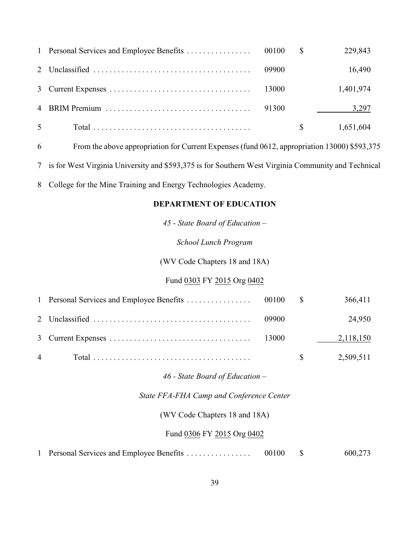|                |       |              | 229,843   |
|----------------|-------|--------------|-----------|
|                | 09900 |              | 16,490    |
|                | 13000 |              | 1,401,974 |
|                | 91300 |              | 3,297     |
| 5 <sup>5</sup> |       | $\mathbb{S}$ | 1,651,604 |

From the above appropriation for Current Expenses (fund 0612, appropriation 13000) \$593,375

is for West Virginia University and \$593,375 is for Southern West Virginia Community and Technical

College for the Mine Training and Energy Technologies Academy.

### **DEPARTMENT OF EDUCATION**

*45 - State Board of Education –*

*School Lunch Program*

(WV Code Chapters 18 and 18A)

## Fund 0303 FY 2015 Org 0402

|                |       |             | 366,411   |
|----------------|-------|-------------|-----------|
|                | 09900 |             | 24,950    |
|                |       |             | 2,118,150 |
| $\overline{4}$ |       | $\mathbf S$ | 2,509,511 |

*46 - State Board of Education –*

*State FFA-FHA Camp and Conference Center*

(WV Code Chapters 18 and 18A)

### Fund 0306 FY 2015 Org 0402

| 1 Personal Services and Employee Benefits | 00100 |  | 600,273 |
|-------------------------------------------|-------|--|---------|
|-------------------------------------------|-------|--|---------|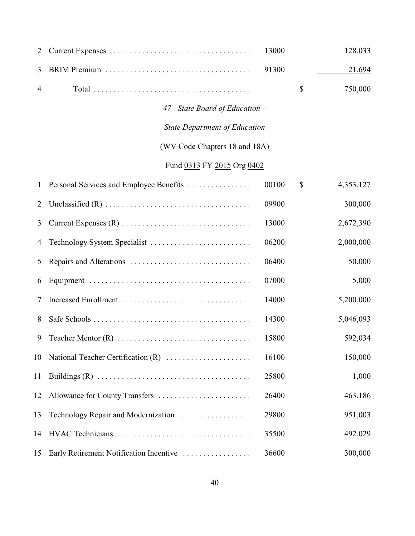| 2            |                                         | 13000 |              | 128,033   |
|--------------|-----------------------------------------|-------|--------------|-----------|
| 3            |                                         | 91300 |              | 21,694    |
| 4            |                                         |       | $\mathbb{S}$ | 750,000   |
|              | 47 - State Board of Education -         |       |              |           |
|              | <b>State Department of Education</b>    |       |              |           |
|              | (WV Code Chapters 18 and 18A)           |       |              |           |
|              | Fund 0313 FY 2015 Org 0402              |       |              |           |
| $\mathbf{1}$ | Personal Services and Employee Benefits | 00100 | \$           | 4,353,127 |
| 2            |                                         | 09900 |              | 300,000   |
| 3            |                                         | 13000 |              | 2,672,390 |
| 4            | Technology System Specialist            | 06200 |              | 2,000,000 |
| 5            |                                         | 06400 |              | 50,000    |
| 6            |                                         | 07000 |              | 5,000     |
| 7            |                                         | 14000 |              | 5,200,000 |
| 8            |                                         | 14300 |              | 5,046,093 |
| 9            |                                         | 15800 |              | 592,034   |
| 10           | National Teacher Certification (R)      | 16100 |              | 150,000   |
| 11           |                                         | 25800 |              | 1,000     |
| 12           | Allowance for County Transfers          | 26400 |              | 463,186   |
| 13           | Technology Repair and Modernization     | 29800 |              | 951,003   |
| 14           | HVAC Technicians                        | 35500 |              | 492,029   |
| 15           | Early Retirement Notification Incentive | 36600 |              | 300,000   |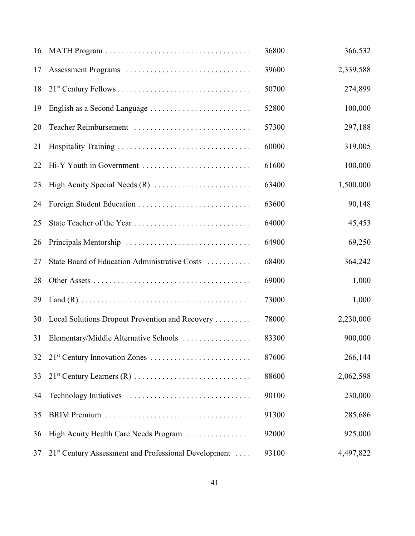| 16 |                                                                  | 36800 | 366,532   |
|----|------------------------------------------------------------------|-------|-----------|
| 17 | Assessment Programs                                              | 39600 | 2,339,588 |
| 18 |                                                                  | 50700 | 274,899   |
| 19 |                                                                  | 52800 | 100,000   |
| 20 | Teacher Reimbursement                                            | 57300 | 297,188   |
| 21 |                                                                  | 60000 | 319,005   |
| 22 | Hi-Y Youth in Government                                         | 61600 | 100,000   |
| 23 |                                                                  | 63400 | 1,500,000 |
| 24 |                                                                  | 63600 | 90,148    |
| 25 |                                                                  | 64000 | 45,453    |
| 26 |                                                                  | 64900 | 69,250    |
| 27 | State Board of Education Administrative Costs                    | 68400 | 364,242   |
| 28 |                                                                  | 69000 | 1,000     |
| 29 |                                                                  | 73000 | 1,000     |
| 30 | Local Solutions Dropout Prevention and Recovery                  | 78000 | 2,230,000 |
| 31 | Elementary/Middle Alternative Schools                            | 83300 | 900,000   |
| 32 | $21^{st}$ Century Innovation Zones                               | 87600 | 266,144   |
| 33 |                                                                  | 88600 | 2,062,598 |
| 34 |                                                                  | 90100 | 230,000   |
| 35 |                                                                  | 91300 | 285,686   |
| 36 | High Acuity Health Care Needs Program                            | 92000 | 925,000   |
| 37 | 21 <sup>st</sup> Century Assessment and Professional Development | 93100 | 4,497,822 |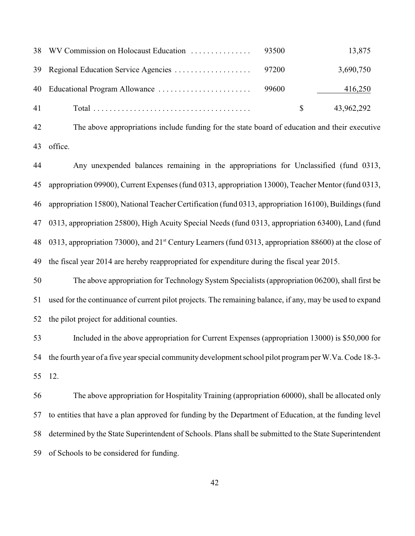|    |  |              | 13,875     |
|----|--|--------------|------------|
|    |  |              | 3,690,750  |
|    |  |              | 416,250    |
| 41 |  | $\mathbb{S}$ | 43,962,292 |

 The above appropriations include funding for the state board of education and their executive office.

 Any unexpended balances remaining in the appropriations for Unclassified (fund 0313, appropriation 09900), Current Expenses (fund 0313, appropriation 13000), Teacher Mentor (fund 0313, appropriation 15800), National Teacher Certification (fund 0313, appropriation 16100), Buildings (fund 0313, appropriation 25800), High Acuity Special Needs (fund 0313, appropriation 63400), Land (fund 48 0313, appropriation 73000), and 21<sup>st</sup> Century Learners (fund 0313, appropriation 88600) at the close of the fiscal year 2014 are hereby reappropriated for expenditure during the fiscal year 2015.

 The above appropriation for Technology System Specialists (appropriation 06200), shall first be used for the continuance of current pilot projects. The remaining balance, if any, may be used to expand the pilot project for additional counties.

 Included in the above appropriation for Current Expenses (appropriation 13000) is \$50,000 for the fourth year of a five year special community development school pilot program per W.Va. Code 18-3- 12.

 The above appropriation for Hospitality Training (appropriation 60000), shall be allocated only to entities that have a plan approved for funding by the Department of Education, at the funding level determined by the State Superintendent of Schools. Plans shall be submitted to the State Superintendent of Schools to be considered for funding.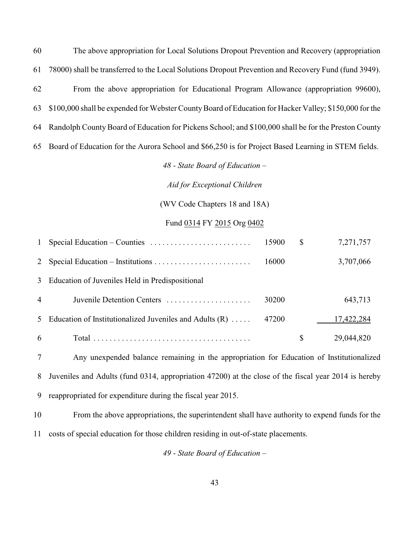The above appropriation for Local Solutions Dropout Prevention and Recovery (appropriation 78000) shall be transferred to the Local Solutions Dropout Prevention and Recovery Fund (fund 3949). From the above appropriation for Educational Program Allowance (appropriation 99600), \$100,000 shall be expended for Webster County Board of Education for Hacker Valley; \$150,000 for the Randolph County Board of Education for Pickens School; and \$100,000 shall be for the Preston County Board of Education for the Aurora School and \$66,250 is for Project Based Learning in STEM fields.

*48 - State Board of Education –*

*Aid for Exceptional Children*

(WV Code Chapters 18 and 18A)

### Fund 0314 FY 2015 Org 0402

|                | Special Education – Counties $\dots \dots \dots \dots \dots \dots \dots$ | 15900 | \$<br>7,271,757  |
|----------------|--------------------------------------------------------------------------|-------|------------------|
|                |                                                                          | 16000 | 3,707,066        |
|                | 3 Education of Juveniles Held in Predispositional                        |       |                  |
| $\overline{4}$ | Juvenile Detention Centers                                               | 30200 | 643,713          |
| 5 <sup>7</sup> | Education of Institutionalized Juveniles and Adults $(R)$                | 47200 | 17,422,284       |
| 6              |                                                                          |       | \$<br>29,044,820 |

 Any unexpended balance remaining in the appropriation for Education of Institutionalized Juveniles and Adults (fund 0314, appropriation 47200) at the close of the fiscal year 2014 is hereby reappropriated for expenditure during the fiscal year 2015.

 From the above appropriations, the superintendent shall have authority to expend funds for the costs of special education for those children residing in out-of-state placements.

*49 - State Board of Education –*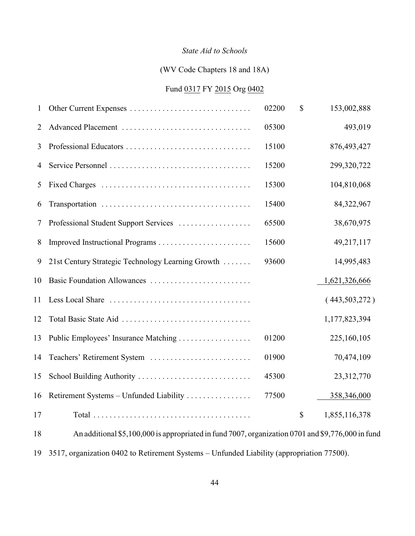### *State Aid to Schools*

## (WV Code Chapters 18 and 18A)

## Fund 0317 FY 2015 Org 0402

| 1              | Other Current Expenses                                                                                                      | 02200 | $\mathcal{S}$ | 153,002,888     |
|----------------|-----------------------------------------------------------------------------------------------------------------------------|-------|---------------|-----------------|
| 2              | Advanced Placement                                                                                                          | 05300 |               | 493,019         |
| 3              |                                                                                                                             | 15100 |               | 876,493,427     |
| $\overline{4}$ |                                                                                                                             | 15200 |               | 299,320,722     |
| 5              |                                                                                                                             | 15300 |               | 104,810,068     |
| 6              |                                                                                                                             | 15400 |               | 84,322,967      |
| 7              | Professional Student Support Services                                                                                       | 65500 |               | 38,670,975      |
| 8              |                                                                                                                             | 15600 |               | 49,217,117      |
| 9              | 21st Century Strategic Technology Learning Growth                                                                           | 93600 |               | 14,995,483      |
| 10             |                                                                                                                             |       |               | 1,621,326,666   |
| 11             |                                                                                                                             |       |               | (443, 503, 272) |
| 12             |                                                                                                                             |       |               | 1,177,823,394   |
| 13             |                                                                                                                             | 01200 |               | 225,160,105     |
| 14             | Teachers' Retirement System                                                                                                 | 01900 |               | 70,474,109      |
| 15             | School Building Authority                                                                                                   | 45300 |               | 23,312,770      |
| 16             | Retirement Systems - Unfunded Liability                                                                                     | 77500 |               | 358,346,000     |
| 17             |                                                                                                                             |       | \$            | 1,855,116,378   |
| 1 O            | $A_{11}$ = 1,1; $A_{11}$ = 1,000,000 is consequent to 1; $A_{11}$ = 1,7007 consequent to 0,701 cm 1,000,776,000 in $A_{11}$ |       |               |                 |

 An additional \$5,100,000 is appropriated in fund 7007, organization 0701 and \$9,776,000 in fund 3517, organization 0402 to Retirement Systems – Unfunded Liability (appropriation 77500).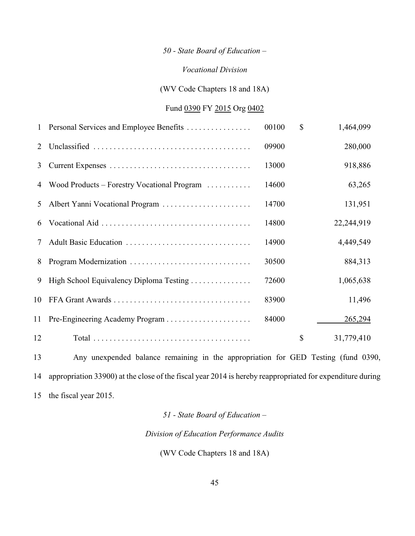## *50 - State Board of Education –*

### *Vocational Division*

(WV Code Chapters 18 and 18A)

# Fund 0390 FY 2015 Org 0402

| $\mathbf{1}$ | Personal Services and Employee Benefits       | 00100 | \$<br>1,464,099  |
|--------------|-----------------------------------------------|-------|------------------|
| 2            |                                               | 09900 | 280,000          |
| 3            |                                               | 13000 | 918,886          |
|              | 4 Wood Products – Forestry Vocational Program | 14600 | 63,265           |
| 5            | Albert Yanni Vocational Program               | 14700 | 131,951          |
| 6            |                                               | 14800 | 22,244,919       |
| 7            |                                               | 14900 | 4,449,549        |
| 8            |                                               | 30500 | 884,313          |
| 9            | High School Equivalency Diploma Testing       | 72600 | 1,065,638        |
| 10           |                                               | 83900 | 11,496           |
| 11           |                                               | 84000 | 265,294          |
| 12           |                                               |       | \$<br>31,779,410 |

 Any unexpended balance remaining in the appropriation for GED Testing (fund 0390, appropriation 33900) at the close of the fiscal year 2014 is hereby reappropriated for expenditure during the fiscal year 2015.

# *51 - State Board of Education –*

*Division of Education Performance Audits*

(WV Code Chapters 18 and 18A)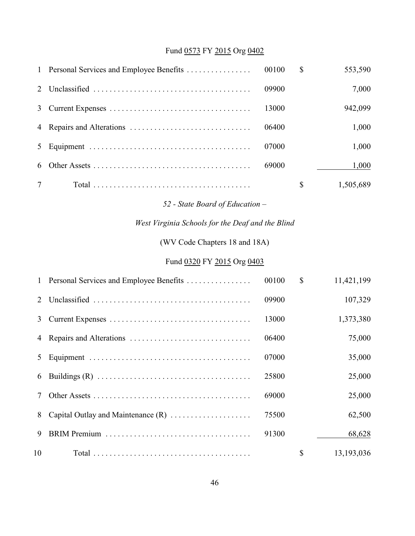# Fund 0573 FY 2015 Org 0402

|  |       | <sup>\$</sup> | 553,590   |
|--|-------|---------------|-----------|
|  | 09900 |               | 7,000     |
|  | 13000 |               | 942,099   |
|  | 06400 |               | 1,000     |
|  | 07000 |               | 1,000     |
|  | 69000 |               | 1,000     |
|  |       |               | 1,505,689 |

*52 - State Board of Education –*

# *West Virginia Schools for the Deaf and the Blind*

(WV Code Chapters 18 and 18A)

# Fund 0320 FY 2015 Org 0403

|                | 1 Personal Services and Employee Benefits | 00100 | $\mathbb{S}$ | 11,421,199 |
|----------------|-------------------------------------------|-------|--------------|------------|
| 2 <sub>1</sub> |                                           | 09900 |              | 107,329    |
| 3              |                                           | 13000 |              | 1,373,380  |
| 4              |                                           | 06400 |              | 75,000     |
| 5              |                                           | 07000 |              | 35,000     |
| 6              |                                           | 25800 |              | 25,000     |
|                |                                           | 69000 |              | 25,000     |
| 8              |                                           | 75500 |              | 62,500     |
| 9              |                                           | 91300 |              | 68,628     |
| 10             |                                           |       | \$           | 13,193,036 |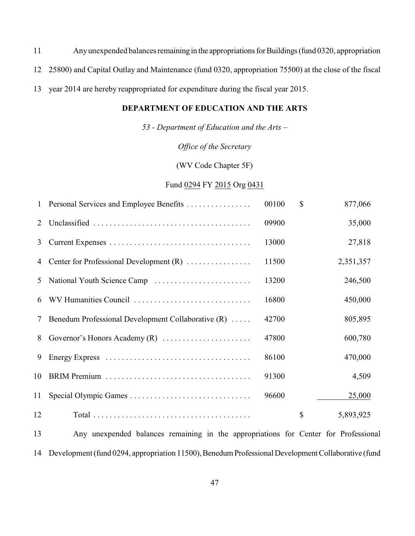Any unexpended balances remaining in the appropriations for Buildings (fund 0320, appropriation 25800) and Capital Outlay and Maintenance (fund 0320, appropriation 75500) at the close of the fiscal year 2014 are hereby reappropriated for expenditure during the fiscal year 2015.

## **DEPARTMENT OF EDUCATION AND THE ARTS**

*53 - Department of Education and the Arts –*

*Office of the Secretary*

(WV Code Chapter 5F)

#### Fund 0294 FY 2015 Org 0431

| $\mathbf{1}$ | Personal Services and Employee Benefits            | 00100 | $\mathbb{S}$  | 877,066   |
|--------------|----------------------------------------------------|-------|---------------|-----------|
| 2            |                                                    | 09900 |               | 35,000    |
| 3            |                                                    | 13000 |               | 27,818    |
| 4            | Center for Professional Development $(R)$          | 11500 |               | 2,351,357 |
| 5            |                                                    | 13200 |               | 246,500   |
| 6            | WV Humanities Council                              | 16800 |               | 450,000   |
| 7            | Benedum Professional Development Collaborative (R) | 42700 |               | 805,895   |
| 8            |                                                    | 47800 |               | 600,780   |
| 9            |                                                    | 86100 |               | 470,000   |
| 10           |                                                    | 91300 |               | 4,509     |
| 11           |                                                    | 96600 |               | 25,000    |
| 12           |                                                    |       | $\mathcal{S}$ | 5,893,925 |
|              |                                                    |       |               |           |

 Any unexpended balances remaining in the appropriations for Center for Professional Development (fund 0294, appropriation 11500), Benedum Professional Development Collaborative (fund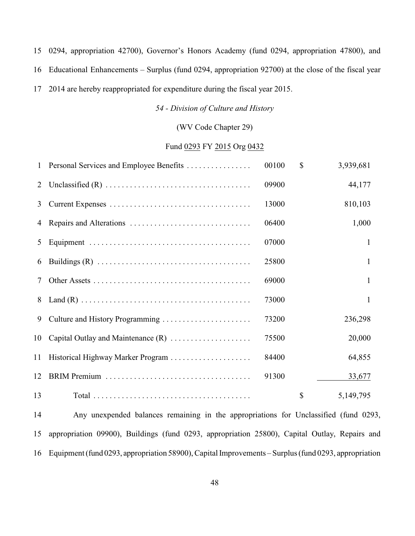0294, appropriation 42700), Governor's Honors Academy (fund 0294, appropriation 47800), and

Educational Enhancements *–* Surplus (fund 0294, appropriation 92700) at the close of the fiscal year

2014 are hereby reappropriated for expenditure during the fiscal year 2015.

*54 - Division of Culture and History*

(WV Code Chapter 29)

### Fund 0293 FY 2015 Org 0432

| 1  | Personal Services and Employee Benefits                                                          | 00100 | $\mathcal{S}$ | 3,939,681     |
|----|--------------------------------------------------------------------------------------------------|-------|---------------|---------------|
| 2  |                                                                                                  | 09900 |               | 44,177        |
| 3  |                                                                                                  | 13000 |               | 810,103       |
| 4  |                                                                                                  | 06400 |               | 1,000         |
| 5  |                                                                                                  | 07000 |               | $\mathbf{1}$  |
| 6  |                                                                                                  | 25800 |               | $\mathbf{1}$  |
| 7  |                                                                                                  | 69000 |               | $\mathbf{1}$  |
|    | 8 Land (R) $\dots \dots \dots \dots \dots \dots \dots \dots \dots \dots \dots \dots \dots \dots$ | 73000 |               | 1             |
| 9  |                                                                                                  | 73200 |               | 236,298       |
| 10 | Capital Outlay and Maintenance $(R)$                                                             | 75500 |               | 20,000        |
| 11 |                                                                                                  | 84400 |               | 64,855        |
| 12 |                                                                                                  | 91300 |               | <u>33,677</u> |
| 13 |                                                                                                  |       | \$            | 5,149,795     |

 Any unexpended balances remaining in the appropriations for Unclassified (fund 0293, appropriation 09900), Buildings (fund 0293, appropriation 25800), Capital Outlay, Repairs and Equipment (fund 0293, appropriation 58900), Capital Improvements – Surplus (fund 0293, appropriation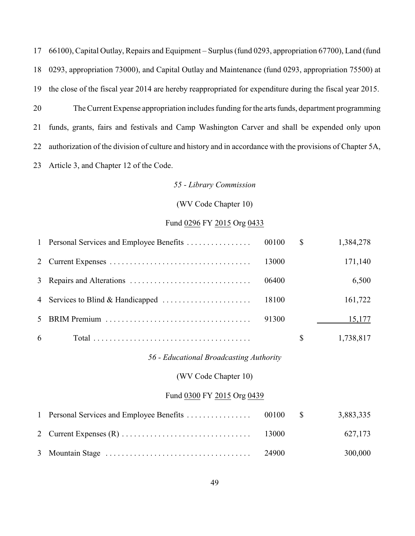66100), Capital Outlay, Repairs and Equipment *–* Surplus (fund 0293, appropriation 67700), Land (fund 0293, appropriation 73000), and Capital Outlay and Maintenance (fund 0293, appropriation 75500) at the close of the fiscal year 2014 are hereby reappropriated for expenditure during the fiscal year 2015. The Current Expense appropriation includes funding for the arts funds, department programming funds, grants, fairs and festivals and Camp Washington Carver and shall be expended only upon authorization of the division of culture and history and in accordance with the provisions of Chapter 5A, Article 3, and Chapter 12 of the Code.

### *55 - Library Commission*

### (WV Code Chapter 10)

### Fund 0296 FY 2015 Org 0433

|              | 1 Personal Services and Employee Benefits | 00100 | $\mathbb{S}$  | 1,384,278 |
|--------------|-------------------------------------------|-------|---------------|-----------|
|              |                                           | 13000 |               | 171,140   |
|              |                                           | 06400 |               | 6,500     |
|              | 4 Services to Blind & Handicapped         | 18100 |               | 161,722   |
| 5            |                                           | 91300 |               | 15,177    |
| 6            |                                           |       | $\mathbb{S}$  | 1,738,817 |
|              | 56 - Educational Broadcasting Authority   |       |               |           |
|              | (WV Code Chapter 10)                      |       |               |           |
|              | Fund 0300 FY 2015 Org 0439                |       |               |           |
| $\mathbf{1}$ | Personal Services and Employee Benefits   | 00100 | $\mathcal{S}$ | 3,883,335 |
| 2            |                                           | 13000 |               | 627,173   |

Mountain Stage .................................... 24900 300,000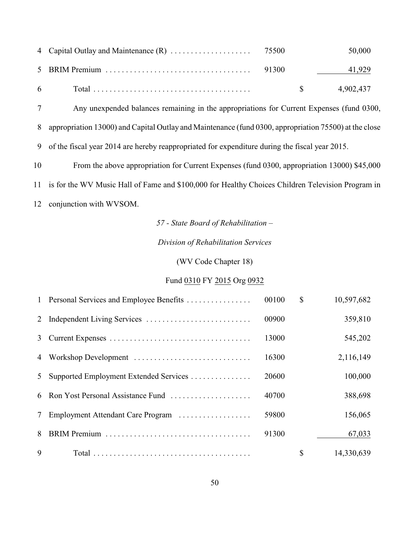|  |  | 50,000           |
|--|--|------------------|
|  |  | 41,929           |
|  |  | $\$\,$ 4,902,437 |

Any unexpended balances remaining in the appropriations for Current Expenses (fund 0300,

appropriation 13000) and Capital Outlay and Maintenance (fund 0300, appropriation 75500) at the close

of the fiscal year 2014 are hereby reappropriated for expenditure during the fiscal year 2015.

From the above appropriation for Current Expenses (fund 0300, appropriation 13000) \$45,000

is for the WV Music Hall of Fame and \$100,000 for Healthy Choices Children Television Program in

conjunction with WVSOM.

*57 - State Board of Rehabilitation –*

*Division of Rehabilitation Services*

(WV Code Chapter 18)

# Fund 0310 FY 2015 Org 0932

|                 | 1 Personal Services and Employee Benefits | 00100 | $\mathbb{S}$ | 10,597,682 |
|-----------------|-------------------------------------------|-------|--------------|------------|
|                 |                                           | 00900 |              | 359,810    |
| 3               |                                           | 13000 |              | 545,202    |
|                 |                                           | 16300 |              | 2,116,149  |
| 5               | Supported Employment Extended Services    | 20600 |              | 100,000    |
|                 | 6 Ron Yost Personal Assistance Fund       | 40700 |              | 388,698    |
| $7\phantom{.0}$ | Employment Attendant Care Program         | 59800 |              | 156,065    |
| 8               |                                           | 91300 |              | 67,033     |
| 9               |                                           |       | $\mathbb{S}$ | 14,330,639 |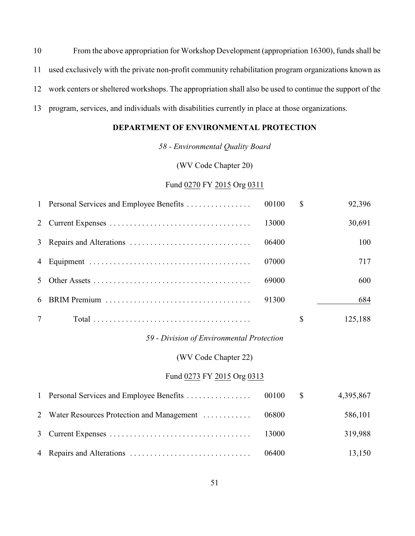From the above appropriation for Workshop Development (appropriation 16300), funds shall be used exclusively with the private non-profit community rehabilitation program organizations known as work centers or sheltered workshops. The appropriation shall also be used to continue the support of the program, services, and individuals with disabilities currently in place at those organizations.

## **DEPARTMENT OF ENVIRONMENTAL PROTECTION**

*58 - Environmental Quality Board*

(WV Code Chapter 20)

Fund 0270 FY 2015 Org 0311

|                |       | \$ | 92,396  |
|----------------|-------|----|---------|
|                | 13000 |    | 30,691  |
|                | 06400 |    | 100     |
|                | 07000 |    | 717     |
| 5 <sup>7</sup> | 69000 |    | 600     |
|                | 91300 |    | 684     |
|                |       | S  | 125,188 |

*59 - Division of Environmental Protection*

(WV Code Chapter 22)

## Fund 0273 FY 2015 Org 0313

|                                                    |       | 4,395,867 |
|----------------------------------------------------|-------|-----------|
| 2 Water Resources Protection and Management  06800 |       | 586,101   |
|                                                    | 13000 | 319,988   |
|                                                    | 06400 | 13,150    |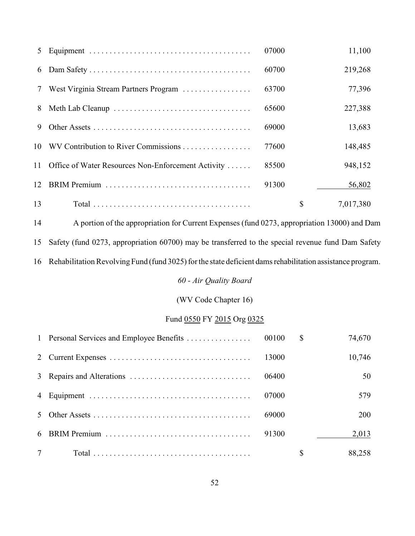| 5      |                                                       | 07000 | 11,100          |
|--------|-------------------------------------------------------|-------|-----------------|
| 6      |                                                       | 60700 | 219,268         |
| $\tau$ | West Virginia Stream Partners Program                 | 63700 | 77,396          |
| 8      |                                                       | 65600 | 227,388         |
| 9      |                                                       | 69000 | 13,683          |
|        |                                                       | 77600 | 148,485         |
|        | 11 Office of Water Resources Non-Enforcement Activity | 85500 | 948,152         |
| 12     |                                                       | 91300 | 56,802          |
| 13     |                                                       |       | \$<br>7,017,380 |

 A portion of the appropriation for Current Expenses (fund 0273, appropriation 13000) and Dam Safety (fund 0273, appropriation 60700) may be transferred to the special revenue fund Dam Safety Rehabilitation Revolving Fund (fund 3025) for the state deficient dams rehabilitation assistance program.

*60 - Air Quality Board*

(WV Code Chapter 16)

# Fund 0550 FY 2015 Org 0325

|  |       | \$<br>74,670 |
|--|-------|--------------|
|  | 13000 | 10,746       |
|  | 06400 | 50           |
|  | 07000 | 579          |
|  | 69000 | 200          |
|  | 91300 | 2,013        |
|  |       | \$<br>88,258 |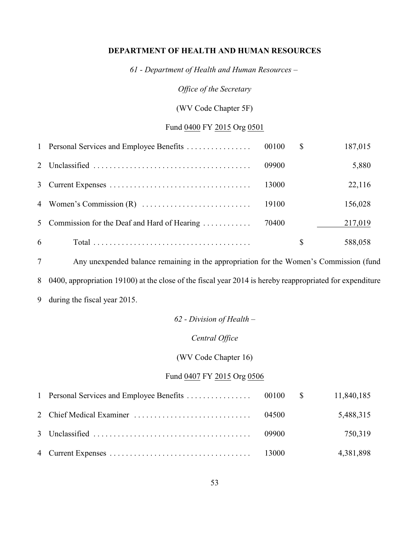### **DEPARTMENT OF HEALTH AND HUMAN RESOURCES**

*61 - Department of Health and Human Resources –*

*Office of the Secretary*

(WV Code Chapter 5F)

# Fund 0400 FY 2015 Org 0501

|   | 1 Personal Services and Employee Benefits     | 00100 | S  | 187,015 |
|---|-----------------------------------------------|-------|----|---------|
|   |                                               | 09900 |    | 5,880   |
|   |                                               | 13000 |    | 22,116  |
|   |                                               | 19100 |    | 156,028 |
|   | 5 Commission for the Deaf and Hard of Hearing | 70400 |    | 217,019 |
| 6 |                                               |       | \$ | 588,058 |

 Any unexpended balance remaining in the appropriation for the Women's Commission (fund 0400, appropriation 19100) at the close of the fiscal year 2014 is hereby reappropriated for expenditure during the fiscal year 2015.

### *62 - Division of Health –*

### *Central Office*

(WV Code Chapter 16)

## Fund 0407 FY 2015 Org 0506

|  |  | 5,488,315 |
|--|--|-----------|
|  |  | 750,319   |
|  |  | 4,381,898 |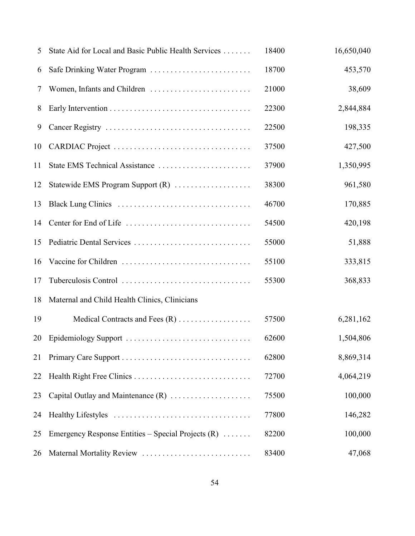| 5  | State Aid for Local and Basic Public Health Services | 18400 | 16,650,040 |
|----|------------------------------------------------------|-------|------------|
| 6  | Safe Drinking Water Program                          | 18700 | 453,570    |
| 7  |                                                      | 21000 | 38,609     |
| 8  |                                                      | 22300 | 2,844,884  |
| 9  |                                                      | 22500 | 198,335    |
| 10 |                                                      | 37500 | 427,500    |
| 11 | State EMS Technical Assistance                       | 37900 | 1,350,995  |
| 12 | Statewide EMS Program Support (R)                    | 38300 | 961,580    |
| 13 |                                                      | 46700 | 170,885    |
| 14 |                                                      | 54500 | 420,198    |
| 15 | Pediatric Dental Services                            | 55000 | 51,888     |
| 16 |                                                      | 55100 | 333,815    |
| 17 | Tuberculosis Control                                 | 55300 | 368,833    |
| 18 | Maternal and Child Health Clinics, Clinicians        |       |            |
| 19 |                                                      | 57500 | 6,281,162  |
| 20 | Epidemiology Support                                 | 62600 | 1,504,806  |
| 21 |                                                      | 62800 | 8,869,314  |
| 22 |                                                      | 72700 | 4,064,219  |
| 23 | Capital Outlay and Maintenance (R)                   | 75500 | 100,000    |
| 24 |                                                      | 77800 | 146,282    |
| 25 | Emergency Response Entities – Special Projects $(R)$ | 82200 | 100,000    |
| 26 | Maternal Mortality Review                            | 83400 | 47,068     |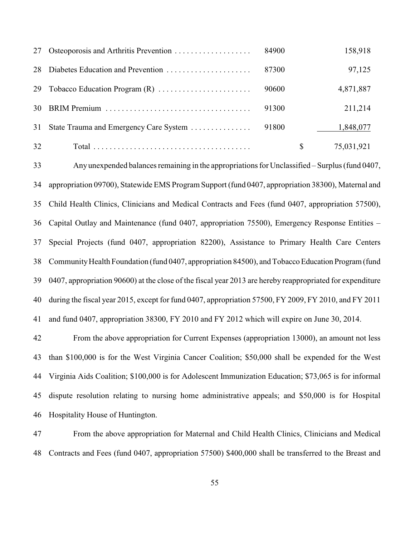| 27 | Osteoporosis and Arthritis Prevention  | 84900 | 158,918    |
|----|----------------------------------------|-------|------------|
| 28 | Diabetes Education and Prevention      | 87300 | 97,125     |
| 29 |                                        | 90600 | 4,871,887  |
| 30 |                                        | 91300 | 211,214    |
| 31 | State Trauma and Emergency Care System | 91800 | 1,848,077  |
| 32 |                                        |       | 75,031,921 |

 Any unexpended balances remaining in the appropriations for Unclassified *–* Surplus (fund 0407, appropriation 09700), Statewide EMS Program Support (fund 0407, appropriation 38300), Maternal and Child Health Clinics, Clinicians and Medical Contracts and Fees (fund 0407, appropriation 57500), Capital Outlay and Maintenance (fund 0407, appropriation 75500), Emergency Response Entities – Special Projects (fund 0407, appropriation 82200), Assistance to Primary Health Care Centers Community Health Foundation (fund 0407, appropriation 84500), and Tobacco Education Program (fund 0407, appropriation 90600) at the close of the fiscal year 2013 are hereby reappropriated for expenditure during the fiscal year 2015, except for fund 0407, appropriation 57500, FY 2009, FY 2010, and FY 2011 and fund 0407, appropriation 38300, FY 2010 and FY 2012 which will expire on June 30, 2014.

 From the above appropriation for Current Expenses (appropriation 13000), an amount not less than \$100,000 is for the West Virginia Cancer Coalition; \$50,000 shall be expended for the West Virginia Aids Coalition; \$100,000 is for Adolescent Immunization Education; \$73,065 is for informal dispute resolution relating to nursing home administrative appeals; and \$50,000 is for Hospital Hospitality House of Huntington.

 From the above appropriation for Maternal and Child Health Clinics, Clinicians and Medical Contracts and Fees (fund 0407, appropriation 57500) \$400,000 shall be transferred to the Breast and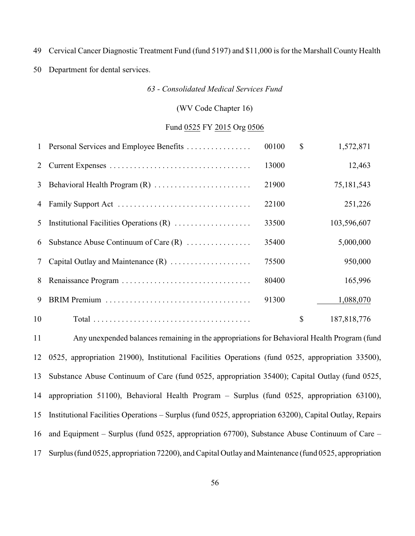Cervical Cancer Diagnostic Treatment Fund (fund 5197) and \$11,000 is for the Marshall County Health

Department for dental services.

*63 - Consolidated Medical Services Fund*

## (WV Code Chapter 16)

### Fund 0525 FY 2015 Org 0506

|    | 1 Personal Services and Employee Benefits | 00100 | $\mathbb{S}$ | 1,572,871   |
|----|-------------------------------------------|-------|--------------|-------------|
| 2  |                                           | 13000 |              | 12,463      |
| 3  |                                           | 21900 |              | 75,181,543  |
| 4  |                                           | 22100 |              | 251,226     |
| 5  |                                           | 33500 |              | 103,596,607 |
| 6  | Substance Abuse Continuum of Care $(R)$   | 35400 |              | 5,000,000   |
| 7  |                                           | 75500 |              | 950,000     |
| 8  |                                           | 80400 |              | 165,996     |
| 9  |                                           | 91300 |              | 1,088,070   |
| 10 |                                           |       | \$           | 187,818,776 |

 Any unexpended balances remaining in the appropriations for Behavioral Health Program (fund 0525, appropriation 21900), Institutional Facilities Operations (fund 0525, appropriation 33500), Substance Abuse Continuum of Care (fund 0525, appropriation 35400); Capital Outlay (fund 0525, appropriation 51100), Behavioral Health Program – Surplus (fund 0525, appropriation 63100), Institutional Facilities Operations *–* Surplus (fund 0525, appropriation 63200), Capital Outlay, Repairs and Equipment – Surplus (fund 0525, appropriation 67700), Substance Abuse Continuum of Care – Surplus (fund 0525, appropriation 72200), and Capital Outlay and Maintenance (fund 0525, appropriation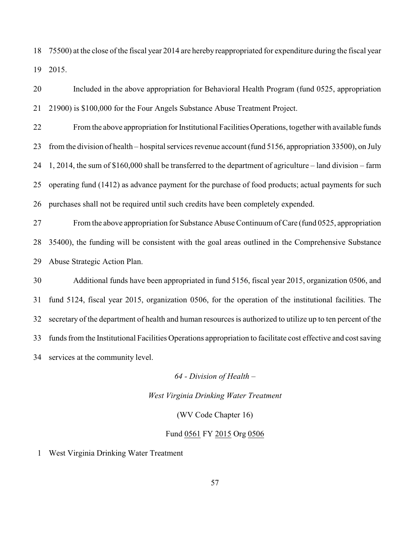75500) at the close of the fiscal year 2014 are hereby reappropriated for expenditure during the fiscal year 2015.

 Included in the above appropriation for Behavioral Health Program (fund 0525, appropriation 21900) is \$100,000 for the Four Angels Substance Abuse Treatment Project.

 From the above appropriation for Institutional Facilities Operations, together with available funds from the division of health *–* hospital services revenue account (fund 5156, appropriation 33500), on July 1, 2014, the sum of \$160,000 shall be transferred to the department of agriculture *–* land division *–* farm operating fund (1412) as advance payment for the purchase of food products; actual payments for such purchases shall not be required until such credits have been completely expended.

 From the above appropriation for Substance Abuse Continuum of Care (fund 0525, appropriation 35400), the funding will be consistent with the goal areas outlined in the Comprehensive Substance Abuse Strategic Action Plan.

 Additional funds have been appropriated in fund 5156, fiscal year 2015, organization 0506, and fund 5124, fiscal year 2015, organization 0506, for the operation of the institutional facilities. The secretary of the department of health and human resources is authorized to utilize up to ten percent of the funds from the Institutional Facilities Operations appropriation to facilitate cost effective and cost saving services at the community level.

*64 - Division of Health –*

*West Virginia Drinking Water Treatment*

(WV Code Chapter 16)

### Fund 0561 FY 2015 Org 0506

West Virginia Drinking Water Treatment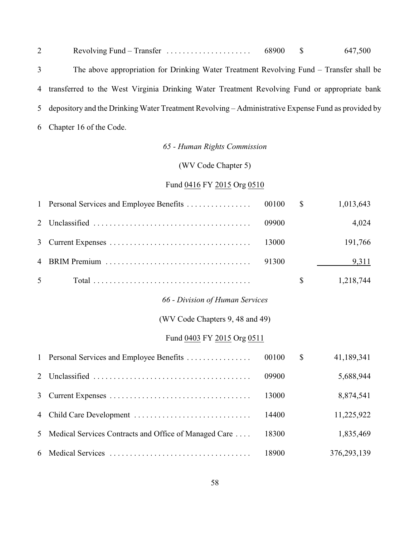| $\overline{2}$ | Revolving Fund – Transfer $\dots \dots \dots \dots \dots \dots \dots$ 68900                          |  | 647,500 |
|----------------|------------------------------------------------------------------------------------------------------|--|---------|
| $\mathfrak{Z}$ | The above appropriation for Drinking Water Treatment Revolving Fund – Transfer shall be              |  |         |
|                | 4 transferred to the West Virginia Drinking Water Treatment Revolving Fund or appropriate bank       |  |         |
|                | 5 depository and the Drinking Water Treatment Revolving – Administrative Expense Fund as provided by |  |         |
|                | 6 Chapter 16 of the Code.                                                                            |  |         |

# *65 - Human Rights Commission*

# (WV Code Chapter 5)

# Fund 0416 FY 2015 Org 0510

| $\mathbf{1}$                    | Personal Services and Employee Benefits               | 00100 | $\mathcal{S}$ | 1,013,643   |
|---------------------------------|-------------------------------------------------------|-------|---------------|-------------|
| 2                               |                                                       | 09900 |               | 4,024       |
| 3                               |                                                       | 13000 |               | 191,766     |
| 4                               |                                                       | 91300 |               | 9,311       |
| 5                               |                                                       |       | $\mathbb{S}$  | 1,218,744   |
|                                 | 66 - Division of Human Services                       |       |               |             |
| (WV Code Chapters 9, 48 and 49) |                                                       |       |               |             |
|                                 | Fund 0403 FY 2015 Org 0511                            |       |               |             |
| $\mathbf{1}$                    | Personal Services and Employee Benefits               | 00100 | $\mathcal{S}$ | 41,189,341  |
| 2                               |                                                       | 09900 |               | 5,688,944   |
| $\overline{3}$                  |                                                       | 13000 |               | 8,874,541   |
| 4                               |                                                       | 14400 |               | 11,225,922  |
| 5                               | Medical Services Contracts and Office of Managed Care | 18300 |               | 1,835,469   |
| 6                               |                                                       | 18900 |               | 376,293,139 |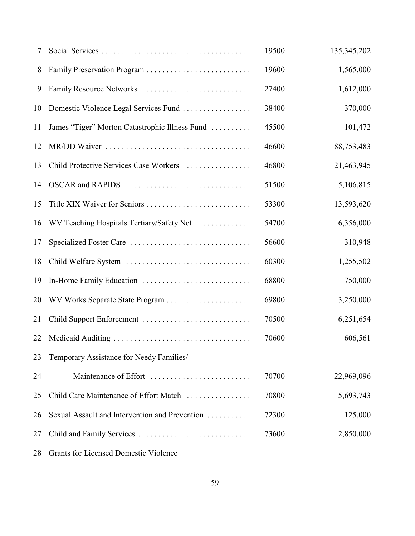| 7  |                                                | 19500 | 135, 345, 202 |
|----|------------------------------------------------|-------|---------------|
| 8  |                                                | 19600 | 1,565,000     |
| 9  | Family Resource Networks                       | 27400 | 1,612,000     |
| 10 | Domestic Violence Legal Services Fund          | 38400 | 370,000       |
| 11 | James "Tiger" Morton Catastrophic Illness Fund | 45500 | 101,472       |
| 12 |                                                | 46600 | 88,753,483    |
| 13 | Child Protective Services Case Workers         | 46800 | 21,463,945    |
| 14 | OSCAR and RAPIDS                               | 51500 | 5,106,815     |
| 15 | Title XIX Waiver for Seniors                   | 53300 | 13,593,620    |
| 16 | WV Teaching Hospitals Tertiary/Safety Net      | 54700 | 6,356,000     |
| 17 |                                                | 56600 | 310,948       |
| 18 | Child Welfare System                           | 60300 | 1,255,502     |
| 19 |                                                | 68800 | 750,000       |
| 20 | WV Works Separate State Program                | 69800 | 3,250,000     |
| 21 | Child Support Enforcement                      | 70500 | 6,251,654     |
| 22 |                                                | 70600 | 606,561       |
| 23 | Temporary Assistance for Needy Families/       |       |               |
| 24 | Maintenance of Effort                          | 70700 | 22,969,096    |
| 25 | Child Care Maintenance of Effort Match         | 70800 | 5,693,743     |
| 26 | Sexual Assault and Intervention and Prevention | 72300 | 125,000       |
| 27 | Child and Family Services                      | 73600 | 2,850,000     |
|    |                                                |       |               |

Grants for Licensed Domestic Violence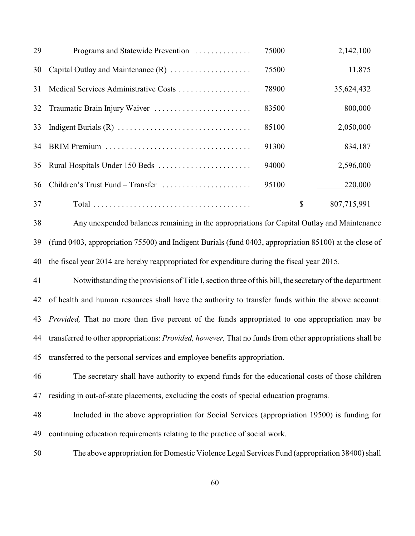| 29 | Programs and Statewide Prevention     | 75000 | 2,142,100         |
|----|---------------------------------------|-------|-------------------|
| 30 |                                       | 75500 | 11,875            |
| 31 | Medical Services Administrative Costs | 78900 | 35,624,432        |
| 32 |                                       | 83500 | 800,000           |
| 33 |                                       | 85100 | 2,050,000         |
| 34 |                                       | 91300 | 834,187           |
| 35 |                                       | 94000 | 2,596,000         |
| 36 | Children's Trust Fund – Transfer      | 95100 | 220,000           |
| 37 |                                       |       | \$<br>807,715,991 |

 Any unexpended balances remaining in the appropriations for Capital Outlay and Maintenance (fund 0403, appropriation 75500) and Indigent Burials (fund 0403, appropriation 85100) at the close of the fiscal year 2014 are hereby reappropriated for expenditure during the fiscal year 2015.

 Notwithstanding the provisions of Title I, section three of this bill, the secretary of the department of health and human resources shall have the authority to transfer funds within the above account: *Provided,* That no more than five percent of the funds appropriated to one appropriation may be transferred to other appropriations: *Provided, however,* That no funds from other appropriations shall be transferred to the personal services and employee benefits appropriation.

 The secretary shall have authority to expend funds for the educational costs of those children residing in out-of-state placements, excluding the costs of special education programs.

- Included in the above appropriation for Social Services (appropriation 19500) is funding for continuing education requirements relating to the practice of social work.
- The above appropriation for Domestic Violence Legal Services Fund (appropriation 38400) shall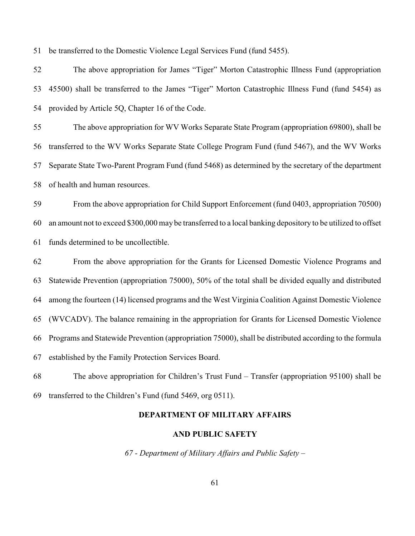be transferred to the Domestic Violence Legal Services Fund (fund 5455).

 The above appropriation for James "Tiger" Morton Catastrophic Illness Fund (appropriation 45500) shall be transferred to the James "Tiger" Morton Catastrophic Illness Fund (fund 5454) as provided by Article 5Q, Chapter 16 of the Code.

 The above appropriation for WV Works Separate State Program (appropriation 69800), shall be transferred to the WV Works Separate State College Program Fund (fund 5467), and the WV Works Separate State Two-Parent Program Fund (fund 5468) as determined by the secretary of the department of health and human resources.

 From the above appropriation for Child Support Enforcement (fund 0403, appropriation 70500) an amount not to exceed \$300,000 may be transferred to a local banking depository to be utilized to offset funds determined to be uncollectible.

 From the above appropriation for the Grants for Licensed Domestic Violence Programs and Statewide Prevention (appropriation 75000), 50% of the total shall be divided equally and distributed among the fourteen (14) licensed programs and the West Virginia Coalition Against Domestic Violence (WVCADV). The balance remaining in the appropriation for Grants for Licensed Domestic Violence 66 Programs and Statewide Prevention (appropriation 75000), shall be distributed according to the formula established by the Family Protection Services Board.

 The above appropriation for Children's Trust Fund *–* Transfer (appropriation 95100) shall be transferred to the Children's Fund (fund 5469, org 0511).

### **DEPARTMENT OF MILITARY AFFAIRS**

#### **AND PUBLIC SAFETY**

*67 - Department of Military Affairs and Public Safety –*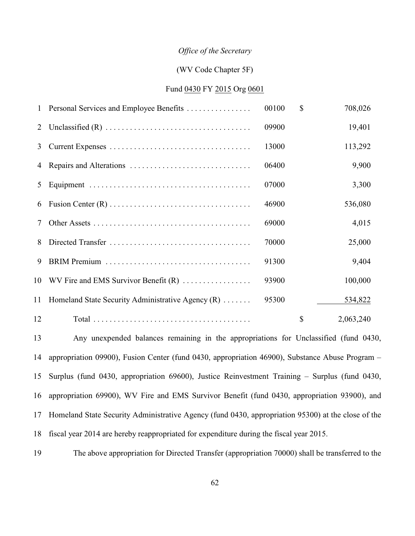#### *Office of the Secretary*

### (WV Code Chapter 5F)

### Fund 0430 FY 2015 Org 0601

| $\mathbf{1}$ | Personal Services and Employee Benefits             | 00100 | $\mathbb{S}$ | 708,026   |
|--------------|-----------------------------------------------------|-------|--------------|-----------|
| 2            |                                                     | 09900 |              | 19,401    |
| 3            |                                                     | 13000 |              | 113,292   |
| 4            |                                                     | 06400 |              | 9,900     |
| 5            |                                                     | 07000 |              | 3,300     |
| 6            |                                                     | 46900 |              | 536,080   |
| 7            |                                                     | 69000 |              | 4,015     |
| 8            |                                                     | 70000 |              | 25,000    |
| 9            |                                                     | 91300 |              | 9,404     |
|              | 10 WV Fire and EMS Survivor Benefit (R)             | 93900 |              | 100,000   |
| 11           | Homeland State Security Administrative Agency $(R)$ | 95300 |              | 534,822   |
| 12           |                                                     |       | \$           | 2,063,240 |

 Any unexpended balances remaining in the appropriations for Unclassified (fund 0430, appropriation 09900), Fusion Center (fund 0430, appropriation 46900), Substance Abuse Program – Surplus (fund 0430, appropriation 69600), Justice Reinvestment Training – Surplus (fund 0430, appropriation 69900), WV Fire and EMS Survivor Benefit (fund 0430, appropriation 93900), and Homeland State Security Administrative Agency (fund 0430, appropriation 95300) at the close of the fiscal year 2014 are hereby reappropriated for expenditure during the fiscal year 2015.

The above appropriation for Directed Transfer (appropriation 70000) shall be transferred to the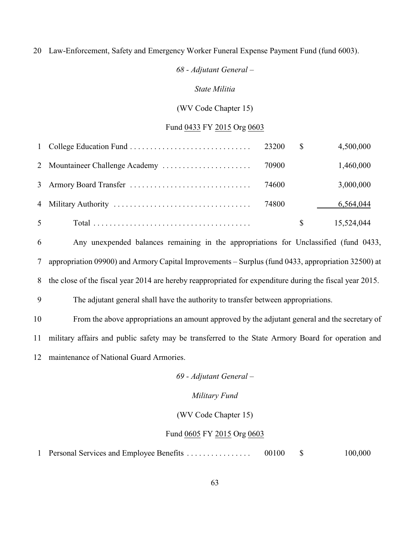#### Law-Enforcement, Safety and Emergency Worker Funeral Expense Payment Fund (fund 6003).

# *68 - Adjutant General –*

### *State Militia*

## (WV Code Chapter 15)

### Fund 0433 FY 2015 Org 0603

|                | 23200 | $\mathbb{S}$ | 4,500,000  |
|----------------|-------|--------------|------------|
|                |       |              | 1,460,000  |
|                | 74600 |              | 3,000,000  |
|                |       |              | 6,564,044  |
| 5 <sup>5</sup> |       | S.           | 15,524,044 |

 Any unexpended balances remaining in the appropriations for Unclassified (fund 0433, appropriation 09900) and Armory Capital Improvements *–* Surplus (fund 0433, appropriation 32500) at

the close of the fiscal year 2014 are hereby reappropriated for expenditure during the fiscal year 2015.

The adjutant general shall have the authority to transfer between appropriations.

 From the above appropriations an amount approved by the adjutant general and the secretary of military affairs and public safety may be transferred to the State Armory Board for operation and maintenance of National Guard Armories.

*69 - Adjutant General –*

## *Military Fund*

(WV Code Chapter 15)

#### Fund 0605 FY 2015 Org 0603

Personal Services and Employee Benefits . . . . . . . . . . . . . . . . 00100 \$ 100,000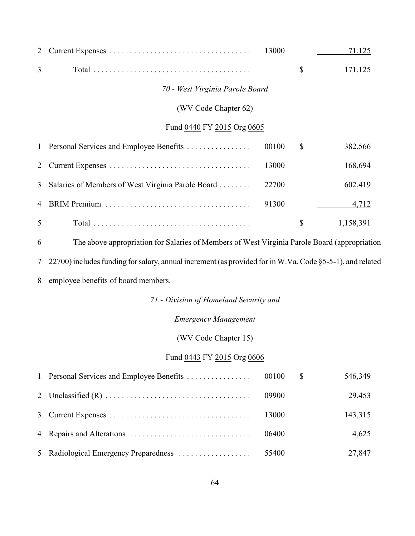| 2              |                                                                                                          | 13000 | 71,125          |
|----------------|----------------------------------------------------------------------------------------------------------|-------|-----------------|
| 3              |                                                                                                          |       | \$<br>171,125   |
|                | 70 - West Virginia Parole Board                                                                          |       |                 |
|                | (WV Code Chapter 62)                                                                                     |       |                 |
|                | Fund 0440 FY 2015 Org 0605                                                                               |       |                 |
| 1              | Personal Services and Employee Benefits                                                                  | 00100 | \$<br>382,566   |
| 2              |                                                                                                          | 13000 | 168,694         |
| 3              | Salaries of Members of West Virginia Parole Board                                                        | 22700 | 602,419         |
| 4              |                                                                                                          | 91300 | 4,712           |
| 5              |                                                                                                          |       | \$<br>1,158,391 |
| 6              | The above appropriation for Salaries of Members of West Virginia Parole Board (appropriation             |       |                 |
| 7              | 22700) includes funding for salary, annual increment (as provided for in W.Va. Code §5-5-1), and related |       |                 |
| 8              | employee benefits of board members.                                                                      |       |                 |
|                | 71 - Division of Homeland Security and                                                                   |       |                 |
|                | <b>Emergency Management</b>                                                                              |       |                 |
|                | (WV Code Chapter 15)                                                                                     |       |                 |
|                | Fund 0443 FY 2015 Org 0606                                                                               |       |                 |
| 1              | Personal Services and Employee Benefits                                                                  | 00100 | \$<br>546,349   |
| $\overline{2}$ |                                                                                                          | 09900 | 29,453          |
| 3              |                                                                                                          | 13000 | 143,315         |
| 4              |                                                                                                          | 06400 | 4,625           |
| 5              | Radiological Emergency Preparedness                                                                      | 55400 | 27,847          |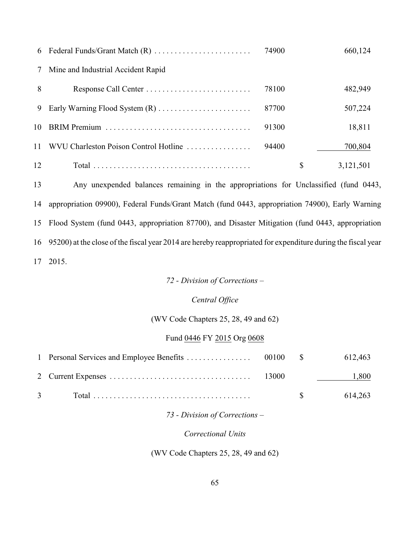|    |                                       | 74900 | 660,124         |
|----|---------------------------------------|-------|-----------------|
| 7  | Mine and Industrial Accident Rapid    |       |                 |
| 8  | Response Call Center                  | 78100 | 482,949         |
| 9  |                                       | 87700 | 507,224         |
|    |                                       | 91300 | 18,811          |
| 11 | WVU Charleston Poison Control Hotline | 94400 | 700,804         |
| 12 |                                       |       | \$<br>3,121,501 |

 Any unexpended balances remaining in the appropriations for Unclassified (fund 0443, appropriation 09900), Federal Funds/Grant Match (fund 0443, appropriation 74900), Early Warning Flood System (fund 0443, appropriation 87700), and Disaster Mitigation (fund 0443, appropriation 95200) at the close of the fiscal year 2014 are hereby reappropriated for expenditure during the fiscal year 2015.

## *72 - Division of Corrections –*

### *Central Office*

### (WV Code Chapters 25, 28, 49 and 62)

### Fund 0446 FY 2015 Org 0608

|                                |             | 612,463                          |
|--------------------------------|-------------|----------------------------------|
|                                |             | 1,800<br><u> 1999 - Jan Jawa</u> |
| $3 \left( \frac{1}{2} \right)$ | $\mathbf S$ | 614.263                          |

## *73 - Division of Corrections –*

## *Correctional Units*

# (WV Code Chapters 25, 28, 49 and 62)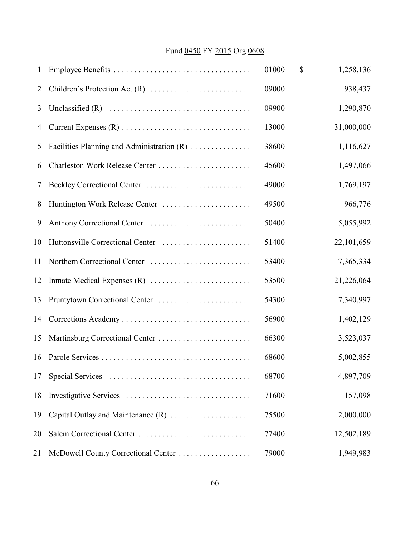# Fund 0450 FY 2015 Org 0608

| 1              |                                            | 01000 | \$<br>1,258,136 |
|----------------|--------------------------------------------|-------|-----------------|
| $\overline{2}$ |                                            | 09000 | 938,437         |
| 3              |                                            | 09900 | 1,290,870       |
| 4              |                                            | 13000 | 31,000,000      |
| 5              | Facilities Planning and Administration (R) | 38600 | 1,116,627       |
| 6              | Charleston Work Release Center             | 45600 | 1,497,066       |
| 7              |                                            | 49000 | 1,769,197       |
| 8              | Huntington Work Release Center             | 49500 | 966,776         |
| 9              |                                            | 50400 | 5,055,992       |
| 10             |                                            | 51400 | 22,101,659      |
| 11             |                                            | 53400 | 7,365,334       |
| 12             |                                            | 53500 | 21,226,064      |
| 13             | Pruntytown Correctional Center             | 54300 | 7,340,997       |
| 14             |                                            | 56900 | 1,402,129       |
| 15             | Martinsburg Correctional Center            | 66300 | 3,523,037       |
| 16             |                                            | 68600 | 5,002,855       |
| 17             |                                            | 68700 | 4,897,709       |
| 18             |                                            | 71600 | 157,098         |
| 19             | Capital Outlay and Maintenance (R)         | 75500 | 2,000,000       |
| 20             | Salem Correctional Center                  | 77400 | 12,502,189      |
| 21             | McDowell County Correctional Center        | 79000 | 1,949,983       |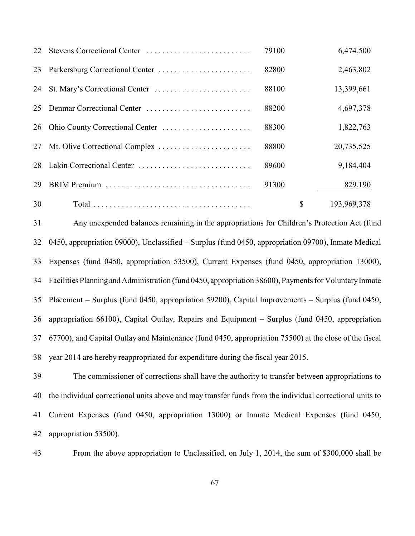| 22 | Stevens Correctional Center | 79100 |               | 6,474,500   |
|----|-----------------------------|-------|---------------|-------------|
| 23 |                             | 82800 |               | 2,463,802   |
| 24 |                             | 88100 |               | 13,399,661  |
| 25 | Denmar Correctional Center  | 88200 |               | 4,697,378   |
| 26 |                             | 88300 |               | 1,822,763   |
| 27 |                             | 88800 |               | 20,735,525  |
| 28 | Lakin Correctional Center   | 89600 |               | 9,184,404   |
| 29 |                             | 91300 |               | 829,190     |
| 30 |                             |       | $\mathcal{S}$ | 193,969,378 |

 Any unexpended balances remaining in the appropriations for Children's Protection Act (fund 0450, appropriation 09000), Unclassified *–* Surplus (fund 0450, appropriation 09700), Inmate Medical Expenses (fund 0450, appropriation 53500), Current Expenses (fund 0450, appropriation 13000), Facilities Planning and Administration (fund 0450, appropriation 38600), Payments for Voluntary Inmate Placement – Surplus (fund 0450, appropriation 59200), Capital Improvements *–* Surplus (fund 0450, appropriation 66100), Capital Outlay, Repairs and Equipment *–* Surplus (fund 0450, appropriation 67700), and Capital Outlay and Maintenance (fund 0450, appropriation 75500) at the close of the fiscal year 2014 are hereby reappropriated for expenditure during the fiscal year 2015.

 The commissioner of corrections shall have the authority to transfer between appropriations to the individual correctional units above and may transfer funds from the individual correctional units to Current Expenses (fund 0450, appropriation 13000) or Inmate Medical Expenses (fund 0450, appropriation 53500).

From the above appropriation to Unclassified, on July 1, 2014, the sum of \$300,000 shall be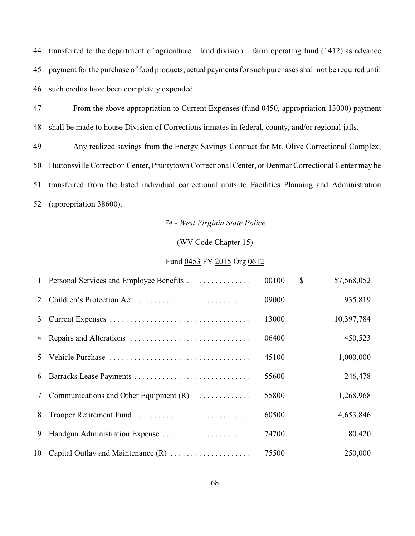transferred to the department of agriculture *–* land division *–* farm operating fund (1412) as advance 45 payment for the purchase of food products; actual payments for such purchases shall not be required until such credits have been completely expended.

 From the above appropriation to Current Expenses (fund 0450, appropriation 13000) payment shall be made to house Division of Corrections inmates in federal, county, and/or regional jails.

 Any realized savings from the Energy Savings Contract for Mt. Olive Correctional Complex, Huttonsville Correction Center, Pruntytown Correctional Center, or Denmar Correctional Center may be transferred from the listed individual correctional units to Facilities Planning and Administration (appropriation 38600).

## *74 - West Virginia State Police*

## (WV Code Chapter 15)

### Fund 0453 FY 2015 Org 0612

|               | 1 Personal Services and Employee Benefits | 00100 | $\mathbb{S}$ | 57,568,052 |
|---------------|-------------------------------------------|-------|--------------|------------|
| $\mathcal{L}$ | Children's Protection Act                 | 09000 |              | 935,819    |
| 3             |                                           | 13000 |              | 10,397,784 |
| 4             |                                           | 06400 |              | 450,523    |
| 5.            |                                           | 45100 |              | 1,000,000  |
| 6             |                                           | 55600 |              | 246,478    |
| 7             | Communications and Other Equipment $(R)$  | 55800 |              | 1,268,968  |
| 8             |                                           | 60500 |              | 4,653,846  |
| 9             |                                           | 74700 |              | 80,420     |
|               | 10 Capital Outlay and Maintenance (R)     | 75500 |              | 250,000    |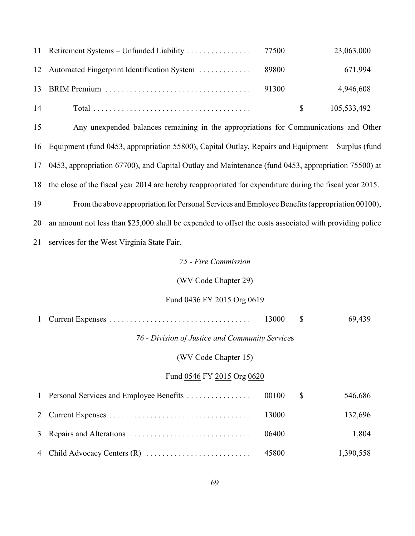|    |       | 23,063,000  |
|----|-------|-------------|
|    |       | 671,994     |
|    | 91300 | 4,946,608   |
| 14 |       | 105,533,492 |

 Any unexpended balances remaining in the appropriations for Communications and Other Equipment (fund 0453, appropriation 55800), Capital Outlay, Repairs and Equipment *–* Surplus (fund 0453, appropriation 67700), and Capital Outlay and Maintenance (fund 0453, appropriation 75500) at the close of the fiscal year 2014 are hereby reappropriated for expenditure during the fiscal year 2015.

From the above appropriation for Personal Services and Employee Benefits (appropriation 00100),

an amount not less than \$25,000 shall be expended to offset the costs associated with providing police

services for the West Virginia State Fair.

# *75 - Fire Commission*

## (WV Code Chapter 29)

## Fund 0436 FY 2015 Org 0619

|                                                 | 13000 | <sup>\$</sup> | 69,439    |
|-------------------------------------------------|-------|---------------|-----------|
| 76 - Division of Justice and Community Services |       |               |           |
| (WV Code Chapter 15)                            |       |               |           |
| Fund 0546 FY 2015 Org 0620                      |       |               |           |
| 1 Personal Services and Employee Benefits       | 00100 | S             | 546,686   |
|                                                 | 13000 |               | 132,696   |
|                                                 | 06400 |               | 1,804     |
|                                                 | 45800 |               | 1,390,558 |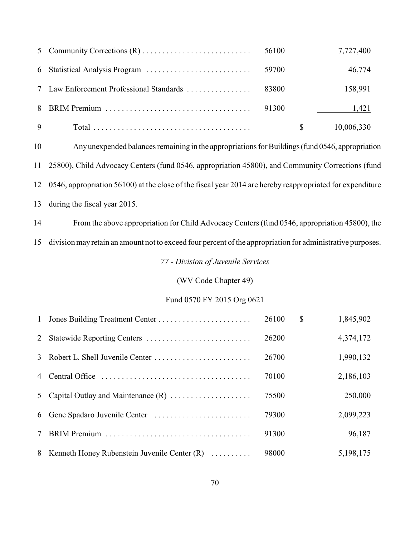|   | 56100 | 7,727,400  |
|---|-------|------------|
|   | 59700 | 46,774     |
|   | 83800 | 158,991    |
|   | 91300 | 1,421      |
| 9 |       | 10,006,330 |

 Any unexpended balances remaining in the appropriations for Buildings (fund 0546, appropriation 25800), Child Advocacy Centers (fund 0546, appropriation 45800), and Community Corrections (fund 0546, appropriation 56100) at the close of the fiscal year 2014 are hereby reappropriated for expenditure during the fiscal year 2015.

From the above appropriation for Child AdvocacyCenters (fund 0546, appropriation 45800), the

division may retain an amount not to exceed four percent of the appropriation for administrative purposes.

*77 - Division of Juvenile Services*

(WV Code Chapter 49)

## Fund 0570 FY 2015 Org 0621

|                 |                                                | 26100 | $\mathbb{S}$ | 1,845,902 |
|-----------------|------------------------------------------------|-------|--------------|-----------|
| 2               |                                                | 26200 |              | 4,374,172 |
|                 |                                                | 26700 |              | 1,990,132 |
|                 |                                                | 70100 |              | 2,186,103 |
|                 | 5 Capital Outlay and Maintenance $(R)$         | 75500 |              | 250,000   |
|                 |                                                | 79300 |              | 2,099,223 |
| $7\overline{ }$ |                                                | 91300 |              | 96,187    |
|                 | 8 Kenneth Honey Rubenstein Juvenile Center (R) | 98000 |              | 5,198,175 |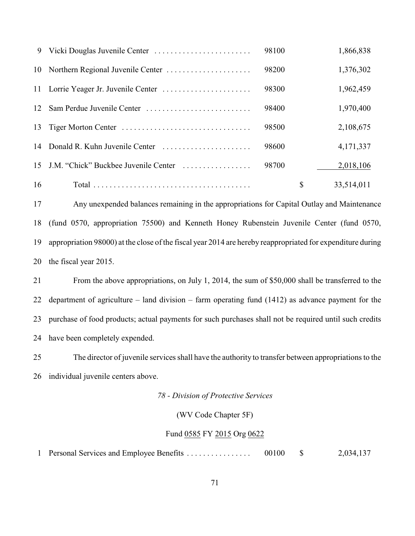| 9               |                                         | 98100 | 1,866,838        |
|-----------------|-----------------------------------------|-------|------------------|
|                 |                                         | 98200 | 1,376,302        |
|                 |                                         | 98300 | 1,962,459        |
| 12 <sup>1</sup> | Sam Perdue Juvenile Center              | 98400 | 1,970,400        |
| 13              |                                         | 98500 | 2,108,675        |
|                 | 14 Donald R. Kuhn Juvenile Center       | 98600 | 4,171,337        |
|                 | 15 J.M. "Chick" Buckbee Juvenile Center | 98700 | 2,018,106        |
| 16              |                                         |       | \$<br>33,514,011 |

 Any unexpended balances remaining in the appropriations for Capital Outlay and Maintenance (fund 0570, appropriation 75500) and Kenneth Honey Rubenstein Juvenile Center (fund 0570, appropriation 98000) at the close of the fiscal year 2014 are hereby reappropriated for expenditure during the fiscal year 2015.

 From the above appropriations, on July 1, 2014, the sum of \$50,000 shall be transferred to the department of agriculture *–* land division – farm operating fund (1412) as advance payment for the purchase of food products; actual payments for such purchases shall not be required until such credits have been completely expended.

 The director of juvenile services shall have the authority to transfer between appropriations to the individual juvenile centers above.

*78 - Division of Protective Services*

(WV Code Chapter 5F)

### Fund 0585 FY 2015 Org 0622

Personal Services and Employee Benefits . . . . . . . . . . . . . . . . 00100 \$ 2,034,137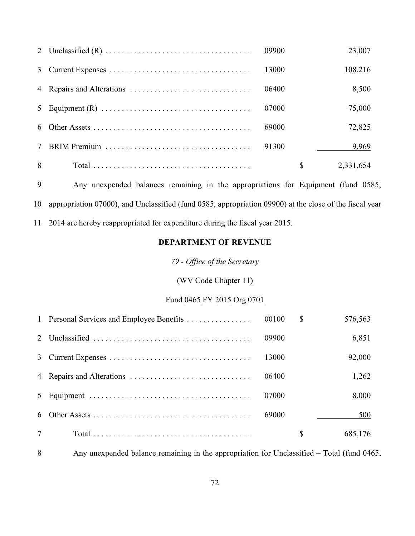|        | 09900 | 23,007          |
|--------|-------|-----------------|
|        | 13000 | 108,216         |
|        | 06400 | 8,500           |
|        | 07000 | 75,000          |
| 6      | 69000 | 72,825          |
| $\tau$ | 91300 | 9,969           |
| 8      |       | \$<br>2,331,654 |

Any unexpended balances remaining in the appropriations for Equipment (fund 0585,

appropriation 07000), and Unclassified (fund 0585, appropriation 09900) at the close of the fiscal year

2014 are hereby reappropriated for expenditure during the fiscal year 2015.

## **DEPARTMENT OF REVENUE**

*79 - Office of the Secretary*

# (WV Code Chapter 11)

## Fund 0465 FY 2015 Org 0701

|        | 1 Personal Services and Employee Benefits | 00100 | $\mathbb{S}$ | 576,563 |
|--------|-------------------------------------------|-------|--------------|---------|
|        |                                           | 09900 |              | 6,851   |
|        |                                           | 13000 |              | 92,000  |
|        |                                           | 06400 |              | 1,262   |
|        |                                           | 07000 |              | 8,000   |
| 6      |                                           | 69000 |              | 500     |
| $\tau$ |                                           |       | \$           | 685,176 |

Any unexpended balance remaining in the appropriation for Unclassified *–* Total (fund 0465,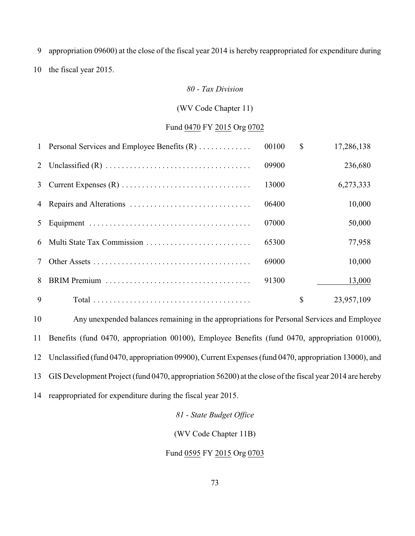appropriation 09600) at the close of the fiscal year 2014 is hereby reappropriated for expenditure during

the fiscal year 2015.

#### *80 - Tax Division*

#### (WV Code Chapter 11)

#### Fund 0470 FY 2015 Org 0702

|             | 1 Personal Services and Employee Benefits (R) | 00100 | $\mathcal{S}$ | 17,286,138 |
|-------------|-----------------------------------------------|-------|---------------|------------|
|             |                                               | 09900 |               | 236,680    |
| 3           |                                               | 13000 |               | 6,273,333  |
|             |                                               | 06400 |               | 10,000     |
| 5           |                                               | 07000 |               | 50,000     |
| 6           | Multi State Tax Commission                    | 65300 |               | 77,958     |
|             |                                               | 69000 |               | 10,000     |
| 8           |                                               | 91300 |               | 13,000     |
| $\mathbf Q$ |                                               |       | \$            | 23,957,109 |

 Any unexpended balances remaining in the appropriations for Personal Services and Employee Benefits (fund 0470, appropriation 00100), Employee Benefits (fund 0470, appropriation 01000), Unclassified (fund 0470, appropriation 09900), Current Expenses (fund 0470, appropriation 13000), and GIS Development Project (fund 0470, appropriation 56200) at the close of the fiscal year 2014 are hereby reappropriated for expenditure during the fiscal year 2015.

## *81 - State Budget Office*

(WV Code Chapter 11B)

#### Fund 0595 FY 2015 Org 0703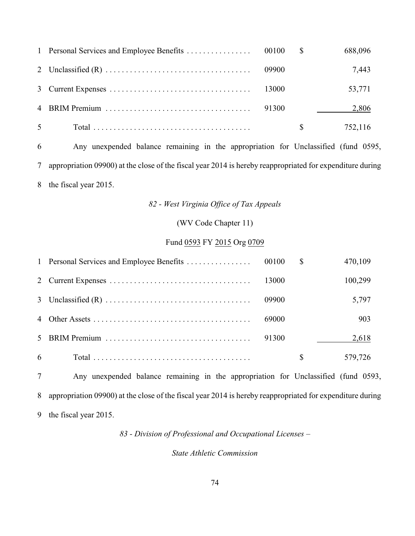|                |       |              | 688,096 |
|----------------|-------|--------------|---------|
|                |       |              | 7,443   |
|                |       |              | 53,771  |
|                | 91300 |              | 2,806   |
| 5 <sup>5</sup> |       | <sup>S</sup> | 752,116 |

 Any unexpended balance remaining in the appropriation for Unclassified (fund 0595, appropriation 09900) at the close of the fiscal year 2014 is hereby reappropriated for expenditure during the fiscal year 2015.

## *82 - West Virginia Office of Tax Appeals*

## (WV Code Chapter 11)

## Fund 0593 FY 2015 Org 0709

|   |       | S  | 470,109 |
|---|-------|----|---------|
|   | 13000 |    | 100,299 |
|   | 09900 |    | 5,797   |
|   | 69000 |    | 903     |
|   | 91300 |    | 2,618   |
| 6 |       | \$ | 579,726 |

 Any unexpended balance remaining in the appropriation for Unclassified (fund 0593, appropriation 09900) at the close of the fiscal year 2014 is hereby reappropriated for expenditure during the fiscal year 2015.

*83 - Division of Professional and Occupational Licenses –*

#### *State Athletic Commission*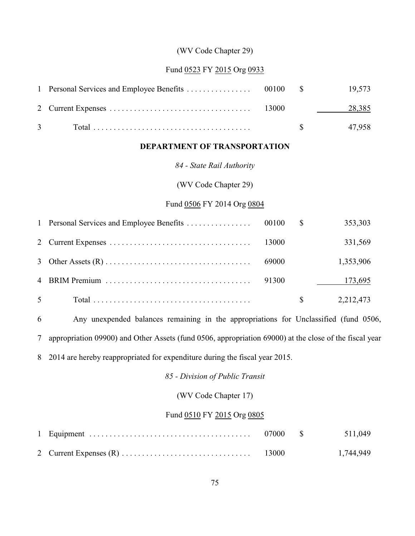## (WV Code Chapter 29)

#### Fund 0523 FY 2015 Org 0933

|  |  | 28,385               |
|--|--|----------------------|
|  |  | $\frac{1}{2}$ 47,958 |

## **DEPARTMENT OF TRANSPORTATION**

#### *84 - State Rail Authority*

## (WV Code Chapter 29)

## Fund 0506 FY 2014 Org 0804

|                |       | 353,303   |
|----------------|-------|-----------|
|                |       | 331,569   |
|                | 69000 | 1,353,906 |
|                | 91300 | 173,695   |
| 5 <sup>5</sup> |       | 2,212,473 |

 Any unexpended balances remaining in the appropriations for Unclassified (fund 0506, appropriation 09900) and Other Assets (fund 0506, appropriation 69000) at the close of the fiscal year

2014 are hereby reappropriated for expenditure during the fiscal year 2015.

*85 - Division of Public Transit*

## (WV Code Chapter 17)

## Fund 0510 FY 2015 Org 0805

|  |  | 1,744,949 |
|--|--|-----------|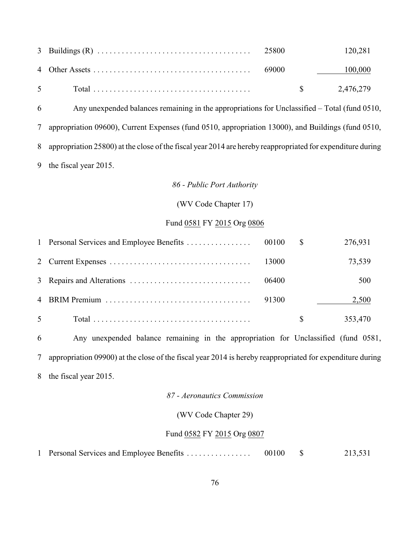| 3 Buildings (R) $\ldots$ $\ldots$ $\ldots$ $\ldots$ $\ldots$ $\ldots$ $\ldots$ $\ldots$ $\ldots$ $25800$ |  | 120,281                |
|----------------------------------------------------------------------------------------------------------|--|------------------------|
|                                                                                                          |  | 100,000                |
|                                                                                                          |  | $\frac{1}{2}$ ,476,279 |

 Any unexpended balances remaining in the appropriations for Unclassified *–* Total (fund 0510, appropriation 09600), Current Expenses (fund 0510, appropriation 13000), and Buildings (fund 0510, appropriation 25800) at the close of the fiscal year 2014 are hereby reappropriated for expenditure during the fiscal year 2015.

#### *86 - Public Port Authority*

#### (WV Code Chapter 17)

## Fund 0581 FY 2015 Org 0806

|                |       |              | 276,931 |
|----------------|-------|--------------|---------|
|                | 13000 |              | 73,539  |
|                | 06400 |              | 500     |
|                | 91300 |              | 2,500   |
| 5 <sup>5</sup> |       | <sup>S</sup> | 353,470 |

 Any unexpended balance remaining in the appropriation for Unclassified (fund 0581, appropriation 09900) at the close of the fiscal year 2014 is hereby reappropriated for expenditure during the fiscal year 2015.

#### *87 - Aeronautics Commission*

#### (WV Code Chapter 29)

#### Fund 0582 FY 2015 Org 0807

1 Personal Services and Employee Benefits . . . . . . . . . . . . . . . 00100 \$ 213,531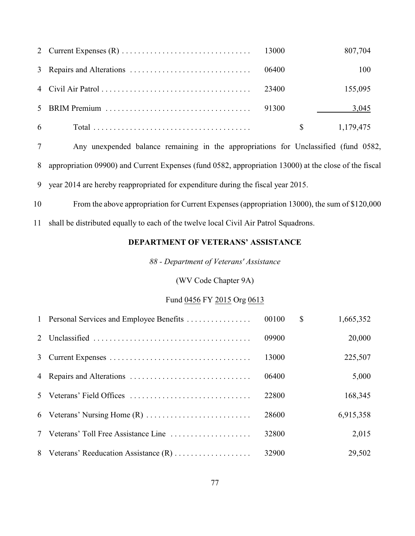|            |       |                                                                                                                                                                                                                                | 807,704   |
|------------|-------|--------------------------------------------------------------------------------------------------------------------------------------------------------------------------------------------------------------------------------|-----------|
|            | 06400 |                                                                                                                                                                                                                                | 100       |
|            |       |                                                                                                                                                                                                                                | 155,095   |
|            |       |                                                                                                                                                                                                                                | 3,045     |
| $6\degree$ |       | S and the set of the set of the set of the set of the set of the set of the set of the set of the set of the set of the set of the set of the set of the set of the set of the set of the set of the set of the set of the set | 1,179,475 |

 Any unexpended balance remaining in the appropriations for Unclassified (fund 0582, appropriation 09900) and Current Expenses (fund 0582, appropriation 13000) at the close of the fiscal year 2014 are hereby reappropriated for expenditure during the fiscal year 2015.

From the above appropriation for Current Expenses (appropriation 13000), the sum of \$120,000

shall be distributed equally to each of the twelve local Civil Air Patrol Squadrons.

## **DEPARTMENT OF VETERANS' ASSISTANCE**

*88 - Department of Veterans' Assistance*

## (WV Code Chapter 9A)

## Fund 0456 FY 2015 Org 0613

| 1 Personal Services and Employee Benefits | 00100 | \$<br>1,665,352 |
|-------------------------------------------|-------|-----------------|
|                                           | 09900 | 20,000          |
|                                           | 13000 | 225,507         |
|                                           | 06400 | 5,000           |
| 5 Veterans' Field Offices                 | 22800 | 168,345         |
|                                           | 28600 | 6,915,358       |
| 7 Veterans' Toll Free Assistance Line     | 32800 | 2,015           |
| 8 Veterans' Reeducation Assistance (R)    | 32900 | 29,502          |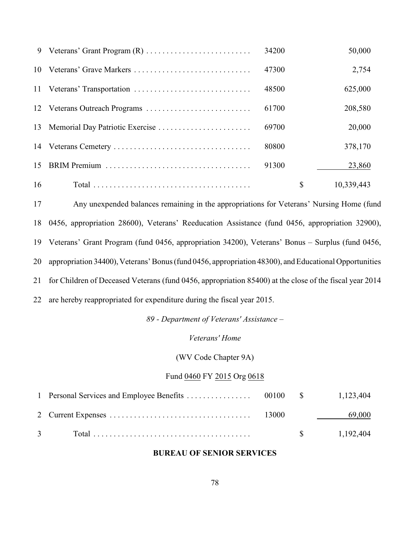| 9  |                            | 34200 | 50,000           |
|----|----------------------------|-------|------------------|
|    | 10 Veterans' Grave Markers | 47300 | 2,754            |
|    |                            | 48500 | 625,000          |
|    |                            | 61700 | 208,580          |
|    |                            | 69700 | 20,000           |
|    |                            | 80800 | 378,170          |
| 15 |                            | 91300 | 23,860           |
| 16 |                            |       | \$<br>10,339,443 |

 Any unexpended balances remaining in the appropriations for Veterans' Nursing Home (fund 0456, appropriation 28600), Veterans' Reeducation Assistance (fund 0456, appropriation 32900), Veterans' Grant Program (fund 0456, appropriation 34200), Veterans' Bonus – Surplus (fund 0456, appropriation 34400), Veterans' Bonus (fund 0456, appropriation 48300), and Educational Opportunities for Children of Deceased Veterans (fund 0456, appropriation 85400) at the close of the fiscal year 2014 are hereby reappropriated for expenditure during the fiscal year 2015.

*89 - Department of Veterans' Assistance –*

#### *Veterans' Home*

(WV Code Chapter 9A)

## Fund 0460 FY 2015 Org 0618

|  |  | 69,000                |
|--|--|-----------------------|
|  |  | $\frac{1,192,404}{2}$ |

#### **BUREAU OF SENIOR SERVICES**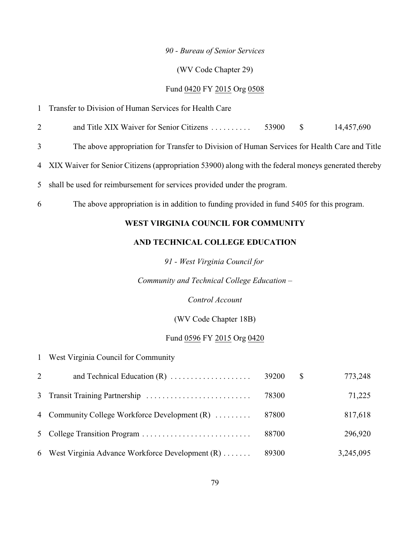#### *90 - Bureau of Senior Services*

#### (WV Code Chapter 29)

## Fund 0420 FY 2015 Org 0508

| Transfer to Division of Human Services for Health Care |  |
|--------------------------------------------------------|--|
|--------------------------------------------------------|--|

2 and Title XIX Waiver for Senior Citizens . . . . . . . . . . . 53900 \$ 14,457,690

3 The above appropriation for Transfer to Division of Human Services for Health Care and Title

4 XIX Waiver for Senior Citizens (appropriation 53900) along with the federal moneys generated thereby

- 5 shall be used for reimbursement for services provided under the program.
- 6 The above appropriation is in addition to funding provided in fund 5405 for this program.

## **WEST VIRGINIA COUNCIL FOR COMMUNITY**

## **AND TECHNICAL COLLEGE EDUCATION**

*91 - West Virginia Council for*

*Community and Technical College Education –*

*Control Account*

(WV Code Chapter 18B)

#### Fund 0596 FY 2015 Org 0420

1 West Virginia Council for Community

| $\overline{2}$ | and Technical Education $(R)$                     | 39200 | <sup>S</sup> | 773,248   |
|----------------|---------------------------------------------------|-------|--------------|-----------|
|                |                                                   | 78300 |              | 71,225    |
|                | 4 Community College Workforce Development $(R)$   | 87800 |              | 817,618   |
|                |                                                   | 88700 |              | 296,920   |
|                | 6 West Virginia Advance Workforce Development (R) | 89300 |              | 3,245,095 |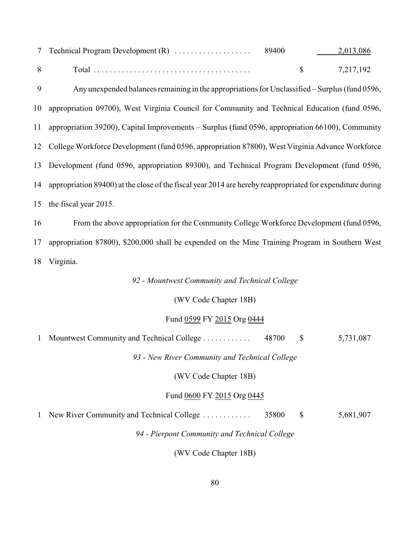| 7 Technical Program Development (R) | 89400 | 2,013,086 |
|-------------------------------------|-------|-----------|
| Total                               |       | 7.217.192 |

 Any unexpended balances remaining in the appropriations for Unclassified – Surplus (fund 0596, appropriation 09700), West Virginia Council for Community and Technical Education (fund 0596, appropriation 39200), Capital Improvements – Surplus (fund 0596, appropriation 66100), Community College Workforce Development (fund 0596, appropriation 87800), West Virginia Advance Workforce Development (fund 0596, appropriation 89300), and Technical Program Development (fund 0596, appropriation 89400) at the close of the fiscal year 2014 are hereby reappropriated for expenditure during the fiscal year 2015.

 From the above appropriation for the Community College Workforce Development (fund 0596, appropriation 87800), \$200,000 shall be expended on the Mine Training Program in Southern West Virginia.

*92 - Mountwest Community and Technical College*

(WV Code Chapter 18B)

#### Fund 0599 FY 2015 Org 0444

| $\mathbf{1}$ | Mountwest Community and Technical College      | 48700 | \$           | 5,731,087 |
|--------------|------------------------------------------------|-------|--------------|-----------|
|              | 93 - New River Community and Technical College |       |              |           |
|              | (WV Code Chapter 18B)                          |       |              |           |
|              | Fund 0600 FY 2015 Org 0445                     |       |              |           |
| $\mathbf{1}$ | New River Community and Technical College      | 35800 | $\mathbb{S}$ | 5,681,907 |
|              | 94 - Pierpont Community and Technical College  |       |              |           |
|              |                                                |       |              |           |

(WV Code Chapter 18B)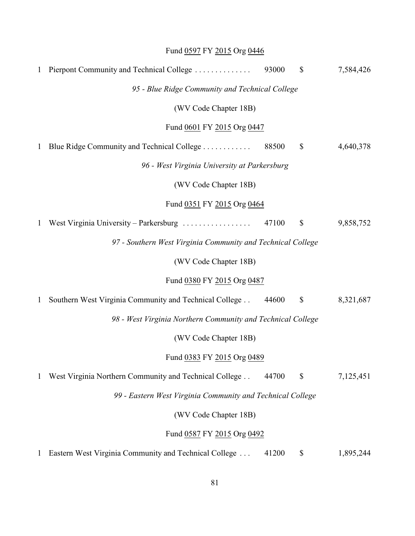|              | Fund 0597 FY 2015 Org 0446                                         |       |                           |           |
|--------------|--------------------------------------------------------------------|-------|---------------------------|-----------|
| $\mathbf{1}$ | Pierpont Community and Technical College                           | 93000 | $\boldsymbol{\mathsf{S}}$ | 7,584,426 |
|              | 95 - Blue Ridge Community and Technical College                    |       |                           |           |
|              | (WV Code Chapter 18B)                                              |       |                           |           |
|              | Fund 0601 FY 2015 Org 0447                                         |       |                           |           |
| $\mathbf{1}$ | Blue Ridge Community and Technical College                         | 88500 | \$                        | 4,640,378 |
|              | 96 - West Virginia University at Parkersburg                       |       |                           |           |
|              | (WV Code Chapter 18B)                                              |       |                           |           |
|              | Fund 0351 FY 2015 Org 0464                                         |       |                           |           |
| 1            | West Virginia University – Parkersburg $\dots\dots\dots\dots\dots$ | 47100 | \$                        | 9,858,752 |
|              | 97 - Southern West Virginia Community and Technical College        |       |                           |           |
|              | (WV Code Chapter 18B)                                              |       |                           |           |
|              | Fund 0380 FY 2015 Org 0487                                         |       |                           |           |
| $\mathbf{1}$ | Southern West Virginia Community and Technical College             | 44600 | $\boldsymbol{\mathsf{S}}$ | 8,321,687 |
|              | 98 - West Virginia Northern Community and Technical College        |       |                           |           |
|              | (WV Code Chapter 18B)                                              |       |                           |           |
|              | Fund 0383 FY 2015 Org 0489                                         |       |                           |           |
| 1            | West Virginia Northern Community and Technical College             | 44700 | \$                        | 7,125,451 |
|              | 99 - Eastern West Virginia Community and Technical College         |       |                           |           |
|              | (WV Code Chapter 18B)                                              |       |                           |           |
|              | Fund 0587 FY 2015 Org 0492                                         |       |                           |           |
|              | Eastern West Virginia Community and Technical College              | 41200 | \$                        | 1,895,244 |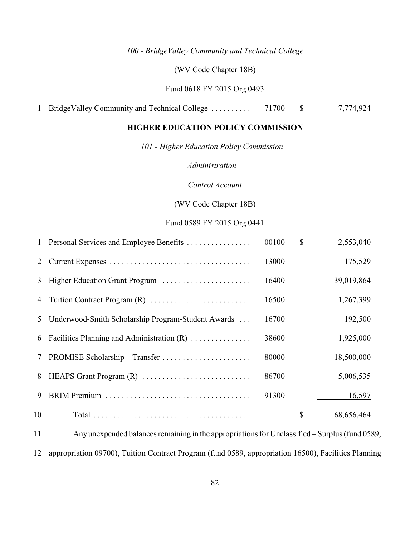## *100 - BridgeValley Community and Technical College*

(WV Code Chapter 18B)

## Fund 0618 FY 2015 Org 0493

#### **HIGHER EDUCATION POLICY COMMISSION**

*101 - Higher Education Policy Commission –*

*Administration –*

*Control Account*

(WV Code Chapter 18B)

#### Fund 0589 FY 2015 Org 0441

| $\mathbf{1}$ | Personal Services and Employee Benefits            | 00100 | $\mathcal{S}$ | 2,553,040  |
|--------------|----------------------------------------------------|-------|---------------|------------|
| 2            |                                                    | 13000 |               | 175,529    |
| 3            | Higher Education Grant Program                     | 16400 |               | 39,019,864 |
| 4            |                                                    | 16500 |               | 1,267,399  |
| 5            | Underwood-Smith Scholarship Program-Student Awards | 16700 |               | 192,500    |
| 6            | Facilities Planning and Administration (R)         | 38600 |               | 1,925,000  |
| $\tau$       |                                                    | 80000 |               | 18,500,000 |
| 8            | HEAPS Grant Program (R)                            | 86700 |               | 5,006,535  |
| 9            |                                                    | 91300 |               | 16,597     |
| 10           |                                                    |       | \$            | 68,656,464 |
|              |                                                    |       |               |            |

 Any unexpended balances remaining in the appropriations for Unclassified *–* Surplus (fund 0589, appropriation 09700), Tuition Contract Program (fund 0589, appropriation 16500), Facilities Planning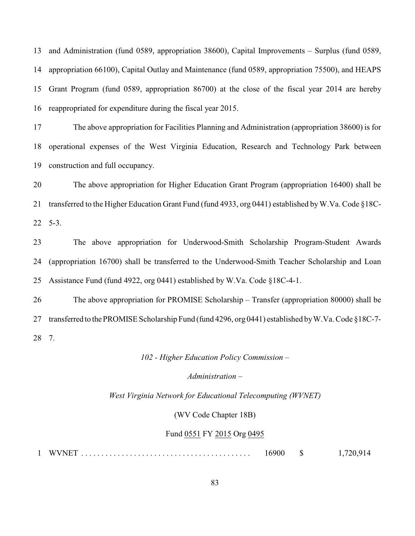and Administration (fund 0589, appropriation 38600), Capital Improvements *–* Surplus (fund 0589, appropriation 66100), Capital Outlay and Maintenance (fund 0589, appropriation 75500), and HEAPS Grant Program (fund 0589, appropriation 86700) at the close of the fiscal year 2014 are hereby reappropriated for expenditure during the fiscal year 2015.

 The above appropriation for Facilities Planning and Administration (appropriation 38600) is for operational expenses of the West Virginia Education, Research and Technology Park between construction and full occupancy.

 The above appropriation for Higher Education Grant Program (appropriation 16400) shall be transferred to the Higher Education Grant Fund (fund 4933, org 0441) established by W.Va. Code §18C-5-3.

 The above appropriation for Underwood-Smith Scholarship Program-Student Awards (appropriation 16700) shall be transferred to the Underwood-Smith Teacher Scholarship and Loan Assistance Fund (fund 4922, org 0441) established by W.Va. Code §18C-4-1.

 The above appropriation for PROMISE Scholarship *–* Transfer (appropriation 80000) shall be transferred to the PROMISE Scholarship Fund (fund 4296, org 0441) established by W.Va. Code §18C-7- 7.

*102 - Higher Education Policy Commission –*

*Administration –*

*West Virginia Network for Educational Telecomputing (WVNET)*

(WV Code Chapter 18B)

#### Fund 0551 FY 2015 Org 0495

WVNET .......................................... 16900 \$ 1,720,914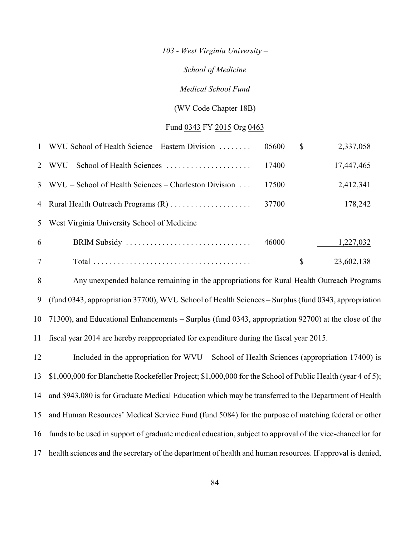*103 - West Virginia University –*

*School of Medicine*

*Medical School Fund*

(WV Code Chapter 18B)

#### Fund 0343 FY 2015 Org 0463

|   | 1 WVU School of Health Science – Eastern Division       | 05600 | S | 2,337,058  |
|---|---------------------------------------------------------|-------|---|------------|
|   | 2 WVU – School of Health Sciences                       | 17400 |   | 17,447,465 |
|   | 3 WVU – School of Health Sciences – Charleston Division | 17500 |   | 2,412,341  |
|   | 4 Rural Health Outreach Programs (R)                    | 37700 |   | 178,242    |
|   | 5 West Virginia University School of Medicine           |       |   |            |
| 6 | BRIM Subsidy                                            | 46000 |   | 1,227,032  |
| 7 |                                                         |       |   | 23,602,138 |

 Any unexpended balance remaining in the appropriations for Rural Health Outreach Programs (fund 0343, appropriation 37700), WVU School of Health Sciences – Surplus (fund 0343, appropriation 71300), and Educational Enhancements – Surplus (fund 0343, appropriation 92700) at the close of the fiscal year 2014 are hereby reappropriated for expenditure during the fiscal year 2015.

 Included in the appropriation for WVU *–* School of Health Sciences (appropriation 17400) is \$1,000,000 for Blanchette Rockefeller Project; \$1,000,000 for the School of Public Health (year 4 of 5); and \$943,080 is for Graduate Medical Education which may be transferred to the Department of Health and Human Resources' Medical Service Fund (fund 5084) for the purpose of matching federal or other funds to be used in support of graduate medical education, subject to approval of the vice-chancellor for health sciences and the secretary of the department of health and human resources. If approval is denied,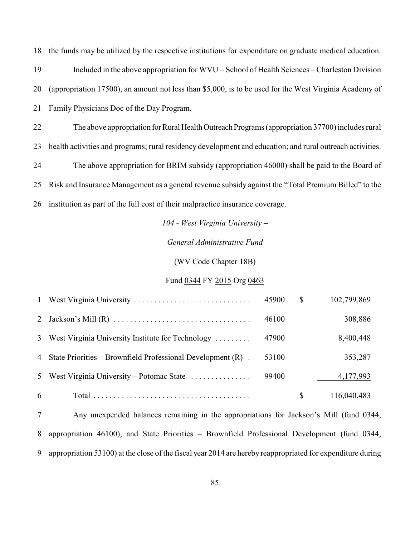the funds may be utilized by the respective institutions for expenditure on graduate medical education. Included in the above appropriation for WVU *–* School of Health Sciences *–* Charleston Division (appropriation 17500), an amount not less than \$5,000, is to be used for the West Virginia Academy of Family Physicians Doc of the Day Program.

 The above appropriation for Rural Health Outreach Programs (appropriation 37700) includes rural health activities and programs; rural residency development and education; and rural outreach activities. The above appropriation for BRIM subsidy (appropriation 46000) shall be paid to the Board of Risk and Insurance Management as a general revenue subsidy against the "Total Premium Billed" to the institution as part of the full cost of their malpractice insurance coverage.

*104 - West Virginia University –*

*General Administrative Fund*

(WV Code Chapter 18B)

#### Fund 0344 FY 2015 Org 0463

| 6 |                                                                  |       | S  | 116,040,483 |
|---|------------------------------------------------------------------|-------|----|-------------|
|   | 5 West Virginia University – Potomac State                       | 99400 |    | 4, 177, 993 |
|   | 4 State Priorities – Brownfield Professional Development $(R)$ . | 53100 |    | 353,287     |
|   | 3 West Virginia University Institute for Technology              | 47900 |    | 8,400,448   |
|   |                                                                  | 46100 |    | 308,886     |
|   |                                                                  | 45900 | \$ | 102,799,869 |

 Any unexpended balances remaining in the appropriations for Jackson's Mill (fund 0344, appropriation 46100), and State Priorities – Brownfield Professional Development (fund 0344, appropriation 53100) at the close of the fiscal year 2014 are hereby reappropriated for expenditure during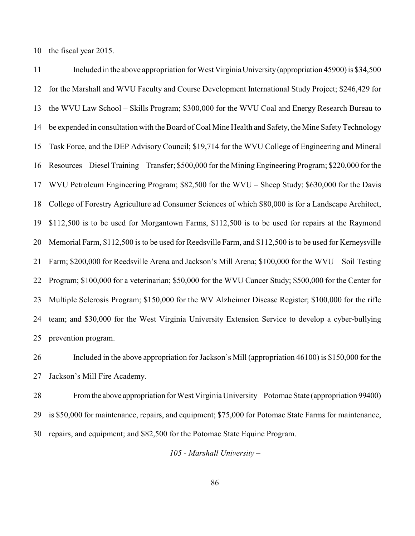the fiscal year 2015.

 Included in the above appropriation for West Virginia University (appropriation 45900) is \$34,500 for the Marshall and WVU Faculty and Course Development International Study Project; \$246,429 for the WVU Law School – Skills Program; \$300,000 for the WVU Coal and Energy Research Bureau to be expended in consultation with the Board of Coal Mine Health and Safety, the Mine Safety Technology Task Force, and the DEP Advisory Council; \$19,714 for the WVU College of Engineering and Mineral Resources – Diesel Training – Transfer; \$500,000 for the Mining Engineering Program; \$220,000 for the WVU Petroleum Engineering Program; \$82,500 for the WVU – Sheep Study; \$630,000 for the Davis College of Forestry Agriculture ad Consumer Sciences of which \$80,000 is for a Landscape Architect, \$112,500 is to be used for Morgantown Farms, \$112,500 is to be used for repairs at the Raymond Memorial Farm, \$112,500 is to be used for Reedsville Farm, and \$112,500 is to be used for Kerneysville Farm; \$200,000 for Reedsville Arena and Jackson's Mill Arena; \$100,000 for the WVU – Soil Testing Program; \$100,000 for a veterinarian; \$50,000 for the WVU Cancer Study; \$500,000 for the Center for Multiple Sclerosis Program; \$150,000 for the WV Alzheimer Disease Register; \$100,000 for the rifle team; and \$30,000 for the West Virginia University Extension Service to develop a cyber-bullying prevention program.

 Included in the above appropriation for Jackson's Mill (appropriation 46100) is \$150,000 for the Jackson's Mill Fire Academy.

 From the above appropriation for West Virginia University – Potomac State (appropriation 99400) is \$50,000 for maintenance, repairs, and equipment; \$75,000 for Potomac State Farms for maintenance, repairs, and equipment; and \$82,500 for the Potomac State Equine Program.

*105 - Marshall University –*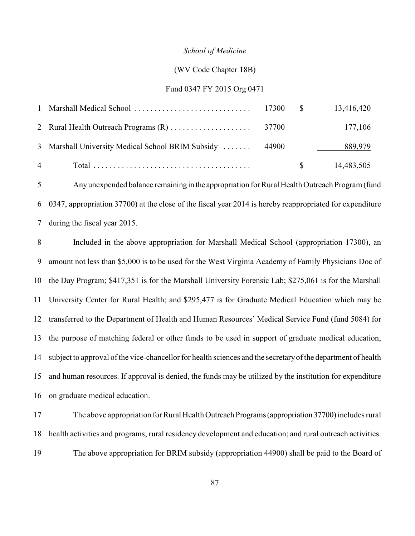#### *School of Medicine*

#### (WV Code Chapter 18B)

#### Fund 0347 FY 2015 Org 0471

| $\overline{4}$                                           |  | 14,483,505 |
|----------------------------------------------------------|--|------------|
| 3 Marshall University Medical School BRIM Subsidy  44900 |  | 889,979    |
|                                                          |  | 177,106    |
|                                                          |  | 13,416,420 |

 Any unexpended balance remaining in the appropriation for Rural Health Outreach Program (fund 0347, appropriation 37700) at the close of the fiscal year 2014 is hereby reappropriated for expenditure during the fiscal year 2015.

 Included in the above appropriation for Marshall Medical School (appropriation 17300), an amount not less than \$5,000 is to be used for the West Virginia Academy of Family Physicians Doc of the Day Program; \$417,351 is for the Marshall University Forensic Lab; \$275,061 is for the Marshall University Center for Rural Health; and \$295,477 is for Graduate Medical Education which may be transferred to the Department of Health and Human Resources' Medical Service Fund (fund 5084) for the purpose of matching federal or other funds to be used in support of graduate medical education, subject to approval of the vice-chancellor for health sciences and the secretary of the department of health and human resources. If approval is denied, the funds may be utilized by the institution for expenditure on graduate medical education.

 The above appropriation for Rural Health Outreach Programs (appropriation 37700) includes rural health activities and programs; rural residency development and education; and rural outreach activities. The above appropriation for BRIM subsidy (appropriation 44900) shall be paid to the Board of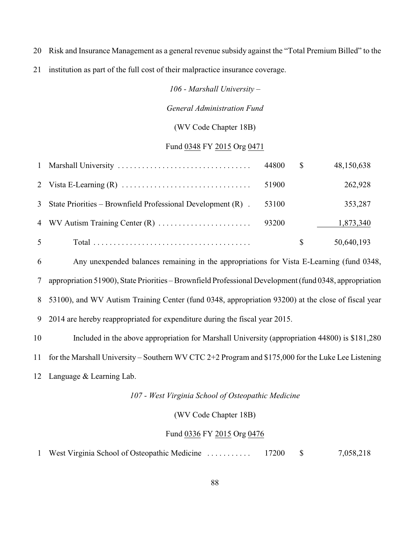- Risk and Insurance Management as a general revenue subsidy against the "Total Premium Billed" to the
- institution as part of the full cost of their malpractice insurance coverage.

*106 - Marshall University –*

#### *General Administration Fund*

#### (WV Code Chapter 18B)

#### Fund 0348 FY 2015 Org 0471

|                |                                                                  | 44800 | $\mathbb{S}$ | 48,150,638 |
|----------------|------------------------------------------------------------------|-------|--------------|------------|
|                |                                                                  | 51900 |              | 262,928    |
|                | 3 State Priorities – Brownfield Professional Development $(R)$ . | 53100 |              | 353,287    |
|                |                                                                  |       |              | 1,873,340  |
| 5 <sup>5</sup> |                                                                  |       | S            | 50,640,193 |

 Any unexpended balances remaining in the appropriations for Vista E-Learning (fund 0348, appropriation 51900), State Priorities – Brownfield Professional Development (fund 0348, appropriation 53100), and WV Autism Training Center (fund 0348, appropriation 93200) at the close of fiscal year 2014 are hereby reappropriated for expenditure during the fiscal year 2015.

Included in the above appropriation for Marshall University (appropriation 44800) is \$181,280

for the Marshall University – Southern WV CTC 2+2 Program and \$175,000 for the Luke Lee Listening

Language & Learning Lab.

#### *107 - West Virginia School of Osteopathic Medicine*

#### (WV Code Chapter 18B)

#### Fund 0336 FY 2015 Org 0476

West Virginia School of Osteopathic Medicine . . . . . . . . . . . 17200 \$ 7,058,218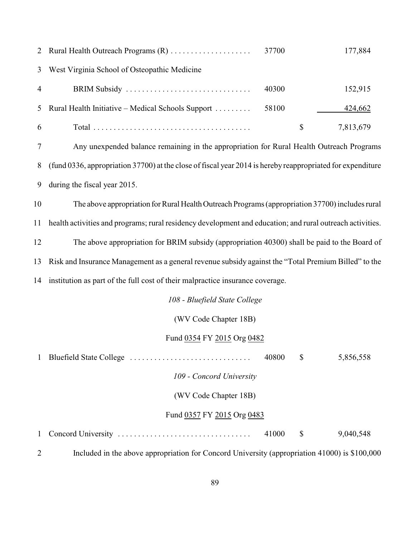|                | 2 Rural Health Outreach Programs (R)                | 37700 |   | 177,884   |
|----------------|-----------------------------------------------------|-------|---|-----------|
|                | 3 West Virginia School of Osteopathic Medicine      |       |   |           |
| $\overline{4}$ | BRIM Subsidy                                        | 40300 |   | 152,915   |
|                | 5 Rural Health Initiative – Medical Schools Support | 58100 |   | 424,662   |
| 6              |                                                     |       | S | 7,813,679 |

 Any unexpended balance remaining in the appropriation for Rural Health Outreach Programs (fund 0336, appropriation 37700) at the close of fiscal year 2014 is hereby reappropriated for expenditure during the fiscal year 2015.

 The above appropriation for Rural Health Outreach Programs (appropriation 37700) includes rural health activities and programs; rural residency development and education; and rural outreach activities. The above appropriation for BRIM subsidy (appropriation 40300) shall be paid to the Board of Risk and Insurance Management as a general revenue subsidy against the "Total Premium Billed" to the institution as part of the full cost of their malpractice insurance coverage.

*108 - Bluefield State College*

(WV Code Chapter 18B)

#### Fund 0354 FY 2015 Org 0482

| 1 |                            | 40800 | \$ | 5,856,558 |
|---|----------------------------|-------|----|-----------|
|   | 109 - Concord University   |       |    |           |
|   | (WV Code Chapter 18B)      |       |    |           |
|   | Fund 0357 FY 2015 Org 0483 |       |    |           |
|   |                            | 41000 | S  | 9,040,548 |

Included in the above appropriation for Concord University (appropriation 41000) is \$100,000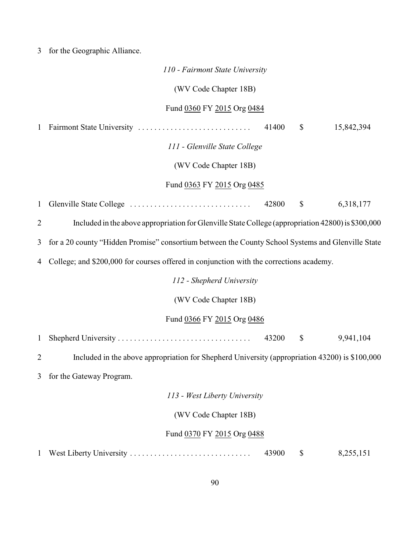3 for the Geographic Alliance.

|                | 110 - Fairmont State University                                                                    |
|----------------|----------------------------------------------------------------------------------------------------|
|                | (WV Code Chapter 18B)                                                                              |
|                | Fund 0360 FY 2015 Org 0484                                                                         |
| $\mathbf{1}$   | 15,842,394<br>41400<br>$\mathbb{S}$                                                                |
|                | 111 - Glenville State College                                                                      |
|                | (WV Code Chapter 18B)                                                                              |
|                | Fund 0363 FY 2015 Org 0485                                                                         |
| $\mathbf{1}$   | $\boldsymbol{\mathsf{S}}$<br>42800<br>6,318,177                                                    |
| $\overline{2}$ | Included in the above appropriation for Glenville State College (appropriation 42800) is \$300,000 |
| 3              | for a 20 county "Hidden Promise" consortium between the County School Systems and Glenville State  |
| 4              | College; and \$200,000 for courses offered in conjunction with the corrections academy.            |
|                | 112 - Shepherd University                                                                          |
|                | (WV Code Chapter 18B)                                                                              |
|                | Fund 0366 FY 2015 Org 0486                                                                         |
| $\mathbf{1}$   | 43200<br>$\boldsymbol{\mathsf{S}}$<br>9,941,104                                                    |
| $\overline{2}$ | Included in the above appropriation for Shepherd University (appropriation 43200) is \$100,000     |
| 3              | for the Gateway Program.                                                                           |
|                | 113 - West Liberty University                                                                      |
|                | (WV Code Chapter 18B)                                                                              |
|                | Fund 0370 FY 2015 Org 0488                                                                         |
| $\mathbf{1}$   | 43900<br>West Liberty University<br>\$<br>8,255,151                                                |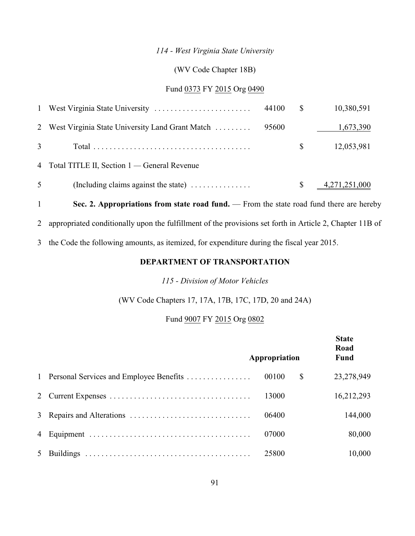## *114 - West Virginia State University*

## (WV Code Chapter 18B)

## Fund 0373 FY 2015 Org 0490

| $\overline{1}$ |                                                                | 44100 | <sup>S</sup> | 10,380,591       |
|----------------|----------------------------------------------------------------|-------|--------------|------------------|
| 2              | West Virginia State University Land Grant Match                | 95600 |              | 1,673,390        |
|                |                                                                |       |              | 12,053,981       |
|                | 4 Total TITLE II, Section 1 — General Revenue                  |       |              |                  |
| 5              | (Including claims against the state) $\dots \dots \dots \dots$ |       |              | $-4,271,251,000$ |
|                |                                                                |       |              |                  |

1 **Sec. 2. Appropriations from state road fund.** — From the state road fund there are hereby 2 appropriated conditionally upon the fulfillment of the provisions set forth in Article 2, Chapter 11B of

3 the Code the following amounts, as itemized, for expenditure during the fiscal year 2015.

## **DEPARTMENT OF TRANSPORTATION**

#### *115 - Division of Motor Vehicles*

(WV Code Chapters 17, 17A, 17B, 17C, 17D, 20 and 24A)

## Fund 9007 FY 2015 Org 0802

|   |                                           | Appropriation | <b>State</b><br>Road<br>Fund |
|---|-------------------------------------------|---------------|------------------------------|
|   | 1 Personal Services and Employee Benefits | 00100         | \$<br>23,278,949             |
|   |                                           | 13000         | 16,212,293                   |
|   |                                           | 06400         | 144,000                      |
|   |                                           | 07000         | 80,000                       |
| 5 |                                           | 25800         | 10,000                       |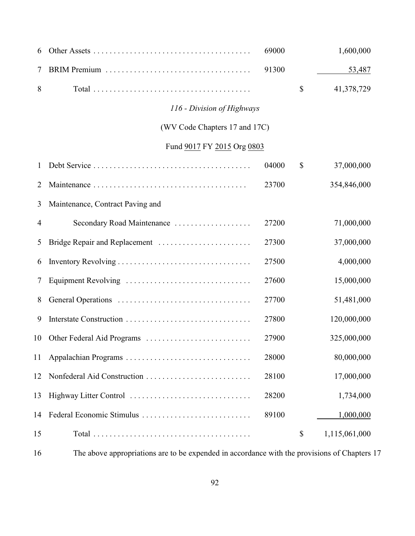| 6  |                                  | 69000 | 1,600,000           |
|----|----------------------------------|-------|---------------------|
| 7  |                                  | 91300 | 53,487              |
| 8  |                                  |       | \$<br>41,378,729    |
|    | 116 - Division of Highways       |       |                     |
|    | (WV Code Chapters 17 and 17C)    |       |                     |
|    | Fund 9017 FY 2015 Org 0803       |       |                     |
| 1  |                                  | 04000 | \$<br>37,000,000    |
| 2  |                                  | 23700 | 354,846,000         |
| 3  | Maintenance, Contract Paving and |       |                     |
| 4  | Secondary Road Maintenance       | 27200 | 71,000,000          |
| 5  |                                  | 27300 | 37,000,000          |
| 6  |                                  | 27500 | 4,000,000           |
| 7  | Equipment Revolving              | 27600 | 15,000,000          |
| 8  |                                  | 27700 | 51,481,000          |
| 9  |                                  | 27800 | 120,000,000         |
| 10 | Other Federal Aid Programs       | 27900 | 325,000,000         |
| 11 |                                  | 28000 | 80,000,000          |
| 12 |                                  | 28100 | 17,000,000          |
| 13 |                                  | 28200 | 1,734,000           |
| 14 | Federal Economic Stimulus        | 89100 | 1,000,000           |
| 15 |                                  |       | \$<br>1,115,061,000 |

The above appropriations are to be expended in accordance with the provisions of Chapters 17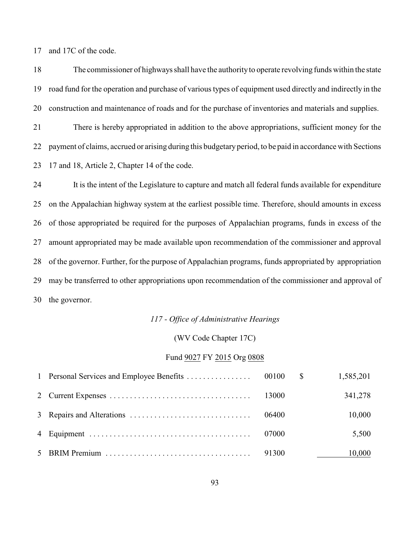and 17C of the code.

 The commissioner of highways shall have the authorityto operate revolving funds within the state road fund for the operation and purchase of various types of equipment used directly and indirectly in the construction and maintenance of roads and for the purchase of inventories and materials and supplies.

 There is hereby appropriated in addition to the above appropriations, sufficient money for the payment of claims, accrued or arising during this budgetaryperiod, to be paid in accordance with Sections 17 and 18, Article 2, Chapter 14 of the code.

 It is the intent of the Legislature to capture and match all federal funds available for expenditure on the Appalachian highway system at the earliest possible time. Therefore, should amounts in excess of those appropriated be required for the purposes of Appalachian programs, funds in excess of the amount appropriated may be made available upon recommendation of the commissioner and approval of the governor. Further, for the purpose of Appalachian programs, funds appropriated by appropriation may be transferred to other appropriations upon recommendation of the commissioner and approval of the governor.

#### *117 - Office of Administrative Hearings*

#### (WV Code Chapter 17C)

## Fund 9027 FY 2015 Org 0808

|  |       | 1,585,201 |
|--|-------|-----------|
|  | 13000 | 341,278   |
|  | 06400 | 10,000    |
|  | 07000 | 5,500     |
|  | 91300 | 10,000    |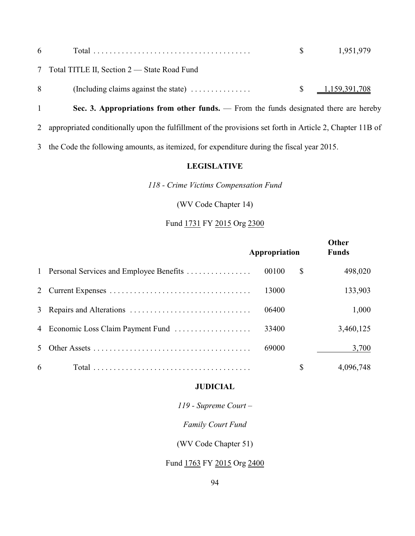| 6 |                                                                                         | 1,951,979                             |
|---|-----------------------------------------------------------------------------------------|---------------------------------------|
|   | 7 Total TITLE II, Section 2 — State Road Fund                                           |                                       |
|   | (Including claims against the state) $\dots \dots \dots \dots$<br>8                     | $\frac{1,159,391,708}{1,159,391,708}$ |
|   | Sec. 3. Appropriations from other funds. $-$ From the funds designated there are hereby |                                       |

2 appropriated conditionally upon the fulfillment of the provisions set forth in Article 2, Chapter 11B of

3 the Code the following amounts, as itemized, for expenditure during the fiscal year 2015.

#### **LEGISLATIVE**

*118 - Crime Victims Compensation Fund*

(WV Code Chapter 14)

## Fund 1731 FY 2015 Org 2300

|   |                                           | Appropriation |   | Other<br><b>Funds</b> |  |
|---|-------------------------------------------|---------------|---|-----------------------|--|
|   | 1 Personal Services and Employee Benefits | 00100         | S | 498,020               |  |
|   |                                           | 13000         |   | 133,903               |  |
|   |                                           | 06400         |   | 1,000                 |  |
|   | 4 Economic Loss Claim Payment Fund        | 33400         |   | 3,460,125             |  |
| 5 |                                           | 69000         |   | 3,700                 |  |
| 6 |                                           |               | S | 4,096,748             |  |

#### **JUDICIAL**

*119 - Supreme Court –*

*Family Court Fund*

(WV Code Chapter 51)

## Fund 1763 FY 2015 Org 2400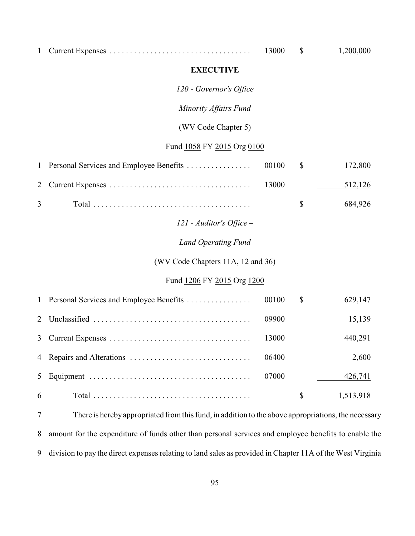|  | .3000 |  | 1.200.000 |
|--|-------|--|-----------|
|--|-------|--|-----------|

#### **EXECUTIVE**

*120 - Governor's Office*

#### *Minority Affairs Fund*

#### (WV Code Chapter 5)

## Fund 1058 FY 2015 Org 0100

|  |  | 512,126        |
|--|--|----------------|
|  |  | $\$\,$ 684,926 |

## *121 - Auditor's Office –*

#### *Land Operating Fund*

## (WV Code Chapters 11A, 12 and 36)

## Fund 1206 FY 2015 Org 1200

|   |       | S | 629,147   |
|---|-------|---|-----------|
|   | 09900 |   | 15,139    |
|   | 13000 |   | 440,291   |
|   | 06400 |   | 2,600     |
|   | 07000 |   | 426,741   |
| 6 |       |   | 1,513,918 |

 There is herebyappropriated from this fund, in addition to the above appropriations, the necessary amount for the expenditure of funds other than personal services and employee benefits to enable the division to pay the direct expenses relating to land sales as provided in Chapter 11A of the West Virginia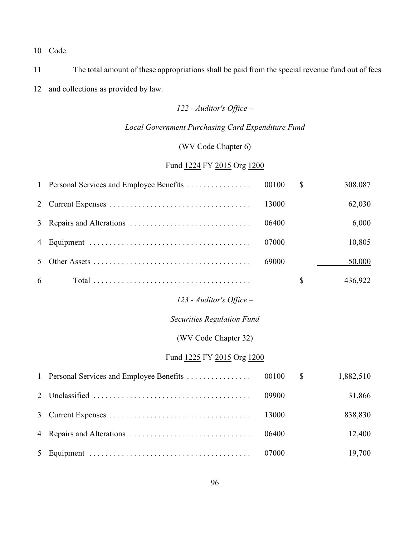Code.

 The total amount of these appropriations shall be paid from the special revenue fund out of fees and collections as provided by law.

## *122 - Auditor's Office –*

## *Local Government Purchasing Card Expenditure Fund*

(WV Code Chapter 6)

## Fund 1224 FY 2015 Org 1200

| $\mathbf{1}$   | Personal Services and Employee Benefits | 00100 | $\mathcal{S}$ | 308,087   |
|----------------|-----------------------------------------|-------|---------------|-----------|
| $\overline{2}$ |                                         | 13000 |               | 62,030    |
| 3              |                                         | 06400 |               | 6,000     |
| 4              |                                         | 07000 |               | 10,805    |
| 5              |                                         | 69000 |               | 50,000    |
| 6              |                                         |       | \$            | 436,922   |
|                | 123 - Auditor's Office $-$              |       |               |           |
|                | <b>Securities Regulation Fund</b>       |       |               |           |
|                | (WV Code Chapter 32)                    |       |               |           |
|                | Fund 1225 FY 2015 Org 1200              |       |               |           |
| $\mathbf{1}$   | Personal Services and Employee Benefits | 00100 | $\mathbb{S}$  | 1,882,510 |
| $\overline{2}$ |                                         | 09900 |               | 31,866    |
| 3              |                                         | 13000 |               | 838,830   |
| 4              |                                         | 06400 |               | 12,400    |
| 5              |                                         | 07000 |               | 19,700    |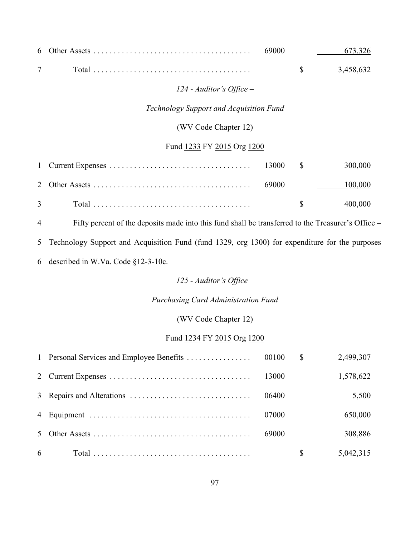|  |  | 673.326   |
|--|--|-----------|
|  |  | 3,458,632 |

*124 - Auditor's Office –*

*Technology Support and Acquisition Fund*

(WV Code Chapter 12)

## Fund 1233 FY 2015 Org 1200

|                                                                             |  | 100,000 |
|-----------------------------------------------------------------------------|--|---------|
| 3 Total $\dots \dots \dots \dots \dots \dots \dots \dots \dots \dots \dots$ |  | 400.000 |

Fifty percent of the deposits made into this fund shall be transferred to the Treasurer's Office *–*

Technology Support and Acquisition Fund (fund 1329, org 1300) for expenditure for the purposes

described in W.Va. Code §12-3-10c.

*125 - Auditor's Office –*

*Purchasing Card Administration Fund*

(WV Code Chapter 12)

#### Fund 1234 FY 2015 Org 1200

|   |       | $\mathbb{S}$ | 2,499,307 |
|---|-------|--------------|-----------|
|   | 13000 |              | 1,578,622 |
|   | 06400 |              | 5,500     |
|   | 07000 |              | 650,000   |
|   | 69000 |              | 308,886   |
| 6 |       | <sup>S</sup> | 5,042,315 |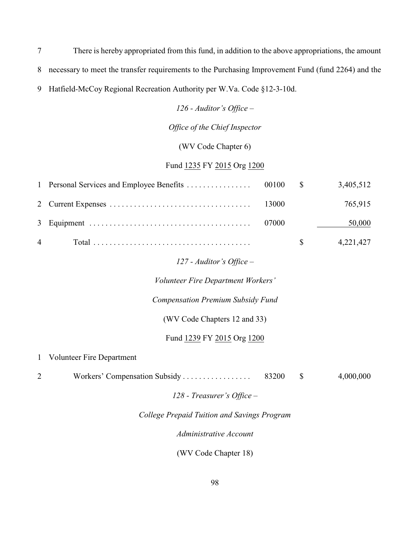7 There is hereby appropriated from this fund, in addition to the above appropriations, the amount 8 necessary to meet the transfer requirements to the Purchasing Improvement Fund (fund 2264) and the 9 Hatfield*-*McCoy Regional Recreation Authority per W.Va. Code §12-3-10d.

*126 - Auditor's Office –*

*Office of the Chief Inspector*

(WV Code Chapter 6)

## Fund 1235 FY 2015 Org 1200

|                |       |               | 3,405,512 |
|----------------|-------|---------------|-----------|
|                |       |               | 765,915   |
|                | 07000 |               | 50,000    |
| $\overline{4}$ |       | $\mathcal{S}$ | 4,221,427 |

### *127 - Auditor's Office –*

*Volunteer Fire Department Workers'*

*Compensation Premium Subsidy Fund*

(WV Code Chapters 12 and 33)

Fund 1239 FY 2015 Org 1200

1 Volunteer Fire Department

2 Workers' Compensation Subsidy . . . . . . . . . . . . . . . . 83200 \$ 4,000,000

*128 - Treasurer's Office –*

#### *College Prepaid Tuition and Savings Program*

*Administrative Account*

(WV Code Chapter 18)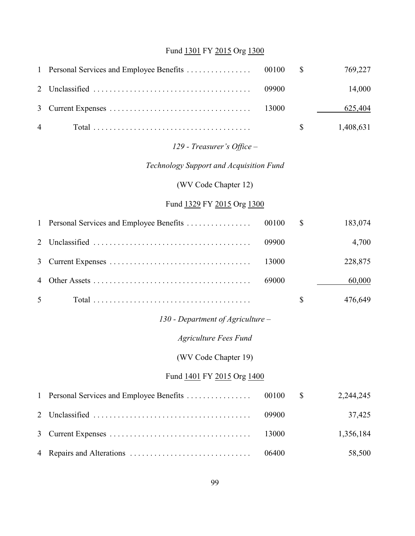# Fund 1301 FY 2015 Org 1300

| $\mathbf{1}$   | Personal Services and Employee Benefits | 00100 | \$<br>769,227   |
|----------------|-----------------------------------------|-------|-----------------|
| $\overline{2}$ |                                         | 09900 | 14,000          |
| 3              |                                         | 13000 | 625,404         |
| 4              |                                         |       | \$<br>1,408,631 |
|                | 129 - Treasurer's Office -              |       |                 |
|                | Technology Support and Acquisition Fund |       |                 |
|                | (WV Code Chapter 12)                    |       |                 |
|                | Fund 1329 FY 2015 Org 1300              |       |                 |
| $\mathbf{1}$   | Personal Services and Employee Benefits | 00100 | \$<br>183,074   |
| $\overline{2}$ |                                         | 09900 | 4,700           |
| 3              |                                         | 13000 | 228,875         |
| 4              |                                         | 69000 | 60,000          |
| 5              |                                         |       | \$<br>476,649   |
|                | 130 - Department of Agriculture $-$     |       |                 |
|                | <b>Agriculture Fees Fund</b>            |       |                 |
|                | (WV Code Chapter 19)                    |       |                 |
|                | Fund 1401 FY 2015 Org 1400              |       |                 |
| 1              | Personal Services and Employee Benefits | 00100 | \$<br>2,244,245 |
| $\overline{2}$ |                                         | 09900 | 37,425          |
| 3              |                                         | 13000 | 1,356,184       |
| 4              |                                         | 06400 | 58,500          |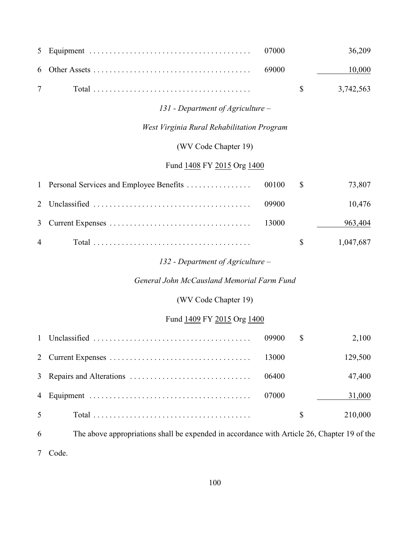| 5              |                                                                                             | 07000 |                           | 36,209    |
|----------------|---------------------------------------------------------------------------------------------|-------|---------------------------|-----------|
| 6              |                                                                                             | 69000 |                           | 10,000    |
| $\overline{7}$ |                                                                                             |       | $\mathcal{S}$             | 3,742,563 |
|                | 131 - Department of Agriculture –                                                           |       |                           |           |
|                | West Virginia Rural Rehabilitation Program                                                  |       |                           |           |
|                | (WV Code Chapter 19)                                                                        |       |                           |           |
|                | Fund 1408 FY 2015 Org 1400                                                                  |       |                           |           |
| 1              | Personal Services and Employee Benefits                                                     | 00100 | $\mathcal{S}$             | 73,807    |
| 2              |                                                                                             | 09900 |                           | 10,476    |
| 3              |                                                                                             | 13000 |                           | 963,404   |
| 4              |                                                                                             |       | $\boldsymbol{\mathsf{S}}$ | 1,047,687 |
|                | 132 - Department of Agriculture –                                                           |       |                           |           |
|                | General John McCausland Memorial Farm Fund                                                  |       |                           |           |
|                | (WV Code Chapter 19)                                                                        |       |                           |           |
|                | Fund 1409 FY 2015 Org 1400                                                                  |       |                           |           |
| 1              |                                                                                             | 09900 | \$                        | 2,100     |
| 2              |                                                                                             | 13000 |                           | 129,500   |
| 3              |                                                                                             | 06400 |                           | 47,400    |
| 4              |                                                                                             | 07000 |                           | 31,000    |
| 5              |                                                                                             |       | \$                        | 210,000   |
| 6              | The above appropriations shall be expended in accordance with Article 26, Chapter 19 of the |       |                           |           |
| 7              | Code.                                                                                       |       |                           |           |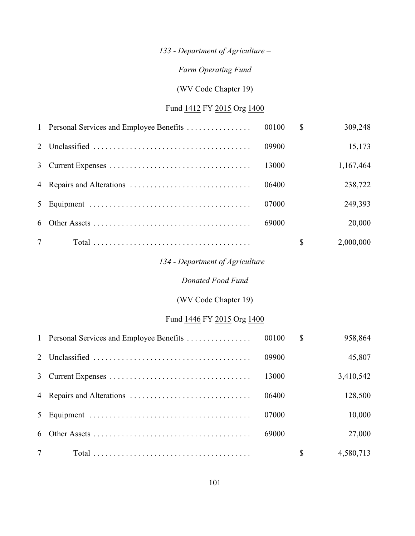## *133 - Department of Agriculture –*

## *Farm Operating Fund*

## (WV Code Chapter 19)

## Fund 1412 FY 2015 Org 1400

|  |       | \$<br>309,248   |
|--|-------|-----------------|
|  | 09900 | 15,173          |
|  | 13000 | 1,167,464       |
|  | 06400 | 238,722         |
|  | 07000 | 249,393         |
|  | 69000 | 20,000          |
|  |       | \$<br>2,000,000 |

## *134 - Department of Agriculture –*

## *Donated Food Fund*

## (WV Code Chapter 19)

## Fund 1446 FY 2015 Org 1400

|  |       | \$ | 958,864   |
|--|-------|----|-----------|
|  | 09900 |    | 45,807    |
|  | 13000 |    | 3,410,542 |
|  | 06400 |    | 128,500   |
|  | 07000 |    | 10,000    |
|  | 69000 |    | 27,000    |
|  |       | \$ | 4,580,713 |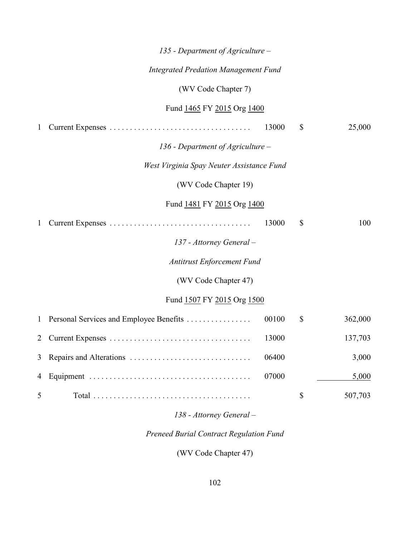|                | 135 - Department of Agriculture –           |       |                           |         |
|----------------|---------------------------------------------|-------|---------------------------|---------|
|                | <b>Integrated Predation Management Fund</b> |       |                           |         |
|                | (WV Code Chapter 7)                         |       |                           |         |
|                | Fund 1465 FY 2015 Org 1400                  |       |                           |         |
| $\mathbf{1}$   |                                             | 13000 | $\mathcal{S}$             | 25,000  |
|                | 136 - Department of Agriculture $-$         |       |                           |         |
|                | West Virginia Spay Neuter Assistance Fund   |       |                           |         |
|                | (WV Code Chapter 19)                        |       |                           |         |
|                | Fund 1481 FY 2015 Org 1400                  |       |                           |         |
| $\mathbf{1}$   |                                             | 13000 | \$                        | 100     |
|                | 137 - Attorney General -                    |       |                           |         |
|                | <b>Antitrust Enforcement Fund</b>           |       |                           |         |
|                | (WV Code Chapter 47)                        |       |                           |         |
|                | Fund 1507 FY 2015 Org 1500                  |       |                           |         |
| $\mathbf{1}$   | Personal Services and Employee Benefits     | 00100 | $\boldsymbol{\mathsf{S}}$ | 362,000 |
| 2              |                                             | 13000 |                           | 137,703 |
| 3              |                                             | 06400 |                           | 3,000   |
| $\overline{4}$ |                                             | 07000 |                           | 5,000   |
| 5              |                                             |       | $\boldsymbol{\mathsf{S}}$ | 507,703 |
|                |                                             |       |                           |         |

# *138 - Attorney General –*

# *Preneed Burial Contract Regulation Fund*

(WV Code Chapter 47)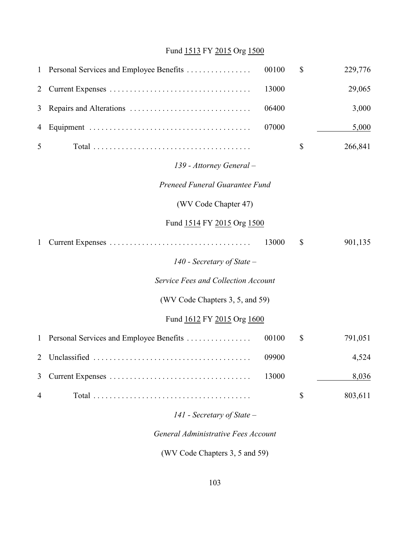## Fund 1513 FY 2015 Org 1500

| $\mathbf{1}$ | Personal Services and Employee Benefits | 00100 | \$<br>229,776 |
|--------------|-----------------------------------------|-------|---------------|
| 2            |                                         | 13000 | 29,065        |
| 3            |                                         | 06400 | 3,000         |
| 4            |                                         | 07000 | 5,000         |
| 5            |                                         |       | \$<br>266,841 |
|              | 139 - Attorney General –                |       |               |
|              | Preneed Funeral Guarantee Fund          |       |               |
|              | (WV Code Chapter 47)                    |       |               |
|              | Fund 1514 FY 2015 Org 1500              |       |               |
| 1            |                                         | 13000 | \$<br>901,135 |
|              | 140 - Secretary of State $-$            |       |               |
|              | Service Fees and Collection Account     |       |               |
|              | (WV Code Chapters 3, 5, and 59)         |       |               |
|              | Fund 1612 FY 2015 Org 1600              |       |               |
| $\mathbf{1}$ | Personal Services and Employee Benefits | 00100 | \$<br>791,051 |
| 2            |                                         | 09900 | 4,524         |
| 3            |                                         | 13000 | 8,036         |
| 4            |                                         |       | \$<br>803,611 |
|              | $141$ - Secretary of State -            |       |               |
|              | General Administrative Fees Account     |       |               |

(WV Code Chapters 3, 5 and 59)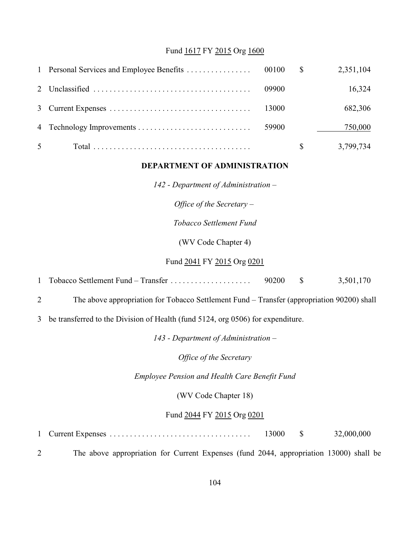### Fund 1617 FY 2015 Org 1600

|                |       | 2,351,104 |
|----------------|-------|-----------|
|                | 09900 | 16,324    |
|                | 13000 | 682,306   |
|                | 59900 | 750,000   |
| 5 <sup>5</sup> |       | 3,799,734 |

### **DEPARTMENT OF ADMINISTRATION**

*142 - Department of Administration –*

*Office of the Secretary –* 

*Tobacco Settlement Fund*

(WV Code Chapter 4)

#### Fund 2041 FY 2015 Org 0201

1 Tobacco Settlement Fund – Transfer . . . . . . . . . . . . . . . . . . . . 90200 \$ 3,501,170

2 The above appropriation for Tobacco Settlement Fund – Transfer (appropriation 90200) shall

3 be transferred to the Division of Health (fund 5124, org 0506) for expenditure.

*143 - Department of Administration –*

*Office of the Secretary*

*Employee Pension and Health Care Benefit Fund*

(WV Code Chapter 18)

#### Fund 2044 FY 2015 Org 0201

|  | 13000 |  | 32,000,000 |
|--|-------|--|------------|
|--|-------|--|------------|

2 The above appropriation for Current Expenses (fund 2044, appropriation 13000) shall be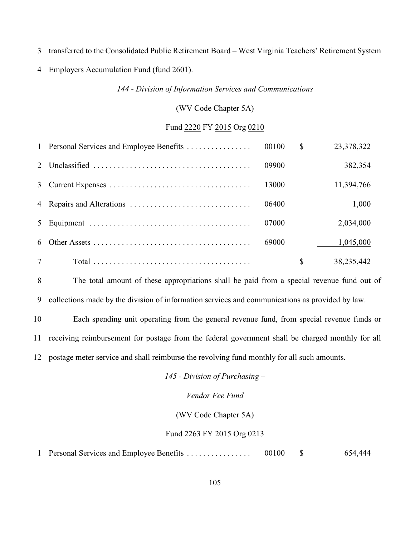transferred to the Consolidated Public Retirement Board *–* West Virginia Teachers' Retirement System

Employers Accumulation Fund (fund 2601).

*144 - Division of Information Services and Communications*

(WV Code Chapter 5A)

#### Fund 2220 FY 2015 Org 0210

|   | 1 Personal Services and Employee Benefits | 00100 | $\mathbb{S}$  | 23,378,322 |
|---|-------------------------------------------|-------|---------------|------------|
|   |                                           | 09900 |               | 382,354    |
|   |                                           | 13000 |               | 11,394,766 |
|   |                                           | 06400 |               | 1,000      |
| 5 |                                           | 07000 |               | 2,034,000  |
| 6 |                                           | 69000 |               | 1,045,000  |
| 7 |                                           |       | <sup>\$</sup> | 38,235,442 |

 The total amount of these appropriations shall be paid from a special revenue fund out of collections made by the division of information services and communications as provided by law.

 Each spending unit operating from the general revenue fund, from special revenue funds or receiving reimbursement for postage from the federal government shall be charged monthly for all postage meter service and shall reimburse the revolving fund monthly for all such amounts.

*145 - Division of Purchasing –*

#### *Vendor Fee Fund*

(WV Code Chapter 5A)

#### Fund 2263 FY 2015 Org 0213

Personal Services and Employee Benefits . . . . . . . . . . . . . . . . 00100 \$ 654,444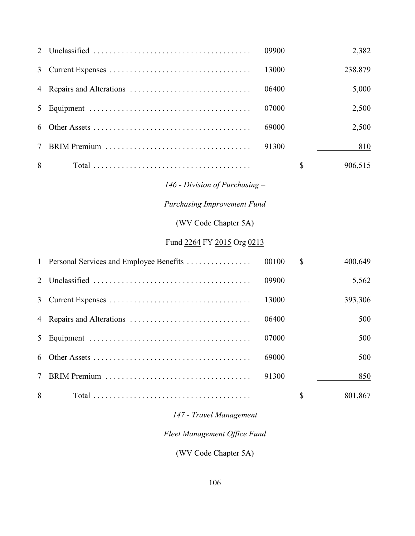| 2                    |                                         | 09900 |    | 2,382   |
|----------------------|-----------------------------------------|-------|----|---------|
| 3                    |                                         | 13000 |    | 238,879 |
| 4                    |                                         | 06400 |    | 5,000   |
| 5                    |                                         | 07000 |    | 2,500   |
| 6                    |                                         | 69000 |    | 2,500   |
| 7                    |                                         | 91300 |    | 810     |
| 8                    |                                         |       | \$ | 906,515 |
|                      | 146 - Division of Purchasing $-$        |       |    |         |
|                      | <b>Purchasing Improvement Fund</b>      |       |    |         |
| (WV Code Chapter 5A) |                                         |       |    |         |
|                      | Fund 2264 FY 2015 Org 0213              |       |    |         |
| $\mathbf{1}$         | Personal Services and Employee Benefits | 00100 | \$ | 400,649 |
| $\overline{2}$       |                                         | 09900 |    | 5,562   |
| 3                    |                                         | 13000 |    | 393,306 |
| 4                    |                                         | 06400 |    | 500     |
| 5                    |                                         | 07000 |    | 500     |
| 6                    |                                         | 69000 |    | 500     |
| 7                    |                                         | 91300 |    | 850     |
| 8                    |                                         |       | \$ | 801,867 |

## *147 - Travel Management*

# *Fleet Management Office Fund*

(WV Code Chapter 5A)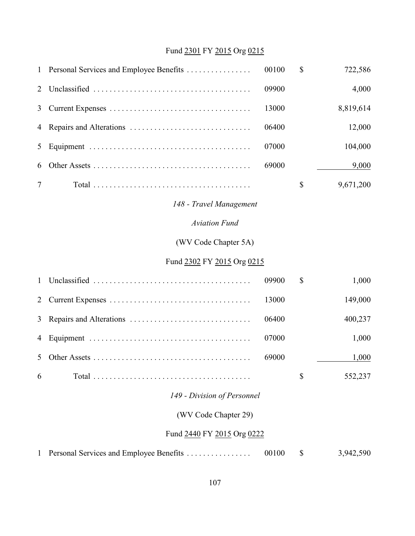# Fund 2301 FY 2015 Org 0215

| $\mathbf{1}$ | Personal Services and Employee Benefits | 00100 | \$           | 722,586   |
|--------------|-----------------------------------------|-------|--------------|-----------|
| 2            |                                         | 09900 |              | 4,000     |
| 3            |                                         | 13000 |              | 8,819,614 |
| 4            |                                         | 06400 |              | 12,000    |
| 5            |                                         | 07000 |              | 104,000   |
| 6            |                                         | 69000 |              | 9,000     |
| 7            |                                         |       | $\mathbb{S}$ | 9,671,200 |
|              | 148 - Travel Management                 |       |              |           |
|              | <b>Aviation Fund</b>                    |       |              |           |
|              | (WV Code Chapter 5A)                    |       |              |           |
|              | Fund 2302 FY 2015 Org 0215              |       |              |           |
| 1            |                                         | 09900 | \$           | 1,000     |
| 2            |                                         | 13000 |              | 149,000   |
| 3            |                                         | 06400 |              | 400,237   |
| 4            |                                         | 07000 |              | 1,000     |
| 5            |                                         | 69000 |              | 1,000     |
| 6            |                                         |       | \$           | 552,237   |
|              | 149 - Division of Personnel             |       |              |           |
|              | (WV Code Chapter 29)                    |       |              |           |
|              | Fund 2440 FY 2015 Org 0222              |       |              |           |
| $\mathbf{1}$ | Personal Services and Employee Benefits | 00100 | \$           | 3,942,590 |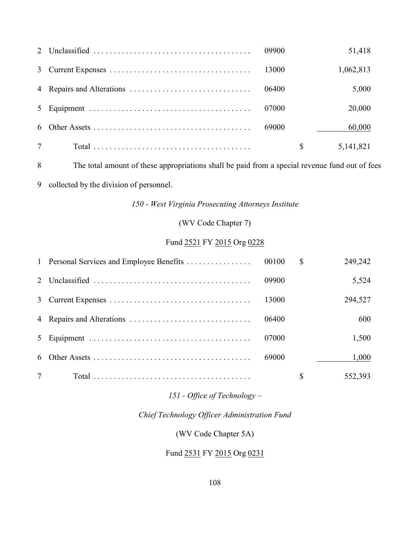|  | 09900 | 51,418          |
|--|-------|-----------------|
|  |       | 1,062,813       |
|  | 06400 | 5,000           |
|  | 07000 | 20,000          |
|  | 69000 | 60,000          |
|  |       | \$<br>5,141,821 |

The total amount of these appropriations shall be paid from a special revenue fund out of fees

collected by the division of personnel.

*150 - West Virginia Prosecuting Attorneys Institute*

(WV Code Chapter 7)

## Fund 2521 FY 2015 Org 0228

|  |       | $\mathbb{S}$ | 249,242 |
|--|-------|--------------|---------|
|  | 09900 |              | 5,524   |
|  | 13000 |              | 294,527 |
|  | 06400 |              | 600     |
|  | 07000 |              | 1,500   |
|  | 69000 |              | 1,000   |
|  |       |              | 552,393 |

## *151 - Office of Technology –*

## *Chief Technology Officer Administration Fund*

## (WV Code Chapter 5A)

## Fund 2531 FY 2015 Org 0231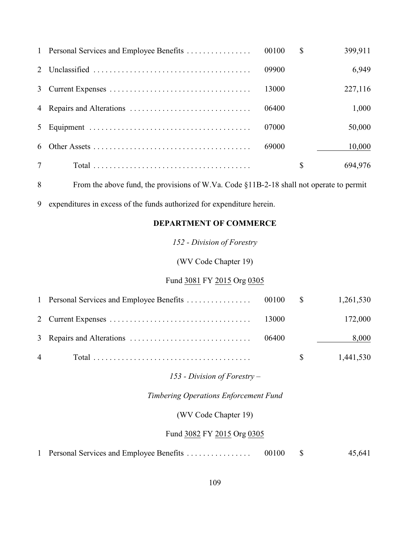|                |       | \$ | 399,911 |
|----------------|-------|----|---------|
|                | 09900 |    | 6,949   |
|                | 13000 |    | 227,116 |
|                | 06400 |    | 1,000   |
|                | 07000 |    | 50,000  |
| 6              | 69000 |    | 10,000  |
| $\overline{7}$ |       | S  | 694,976 |

From the above fund, the provisions of W.Va. Code §11B-2-18 shall not operate to permit

expenditures in excess of the funds authorized for expenditure herein.

### **DEPARTMENT OF COMMERCE**

*152 - Division of Forestry*

(WV Code Chapter 19)

## Fund 3081 FY 2015 Org 0305

|                |  | 1,261,530 |
|----------------|--|-----------|
|                |  | 172,000   |
|                |  | 8,000     |
| $\overline{4}$ |  | 1,441,530 |

#### *153 - Division of Forestry –*

*Timbering Operations Enforcement Fund*

(WV Code Chapter 19)

### Fund 3082 FY 2015 Org 0305

| 1 Personal Services and Employee Benefits | 00100 |  | 45,641 |
|-------------------------------------------|-------|--|--------|
|-------------------------------------------|-------|--|--------|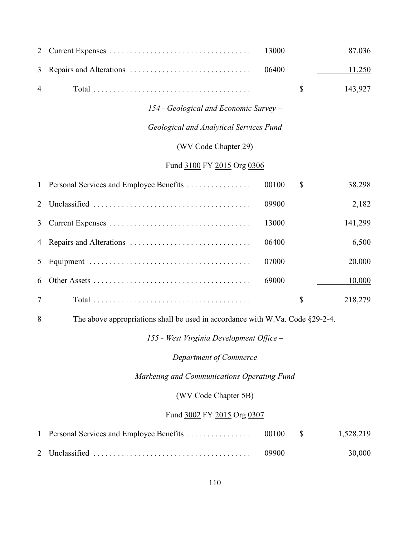| 2                          |                                         | 13000 |    | 87,036  |
|----------------------------|-----------------------------------------|-------|----|---------|
| 3                          |                                         | 06400 |    | 11,250  |
| $\overline{4}$             |                                         |       | \$ | 143,927 |
|                            | 154 - Geological and Economic Survey -  |       |    |         |
|                            | Geological and Analytical Services Fund |       |    |         |
|                            | (WV Code Chapter 29)                    |       |    |         |
| Fund 3100 FY 2015 Org 0306 |                                         |       |    |         |
| $\mathbf{1}$               | Personal Services and Employee Benefits | 00100 | \$ | 38,298  |
| 2                          |                                         | 09900 |    | 2,182   |
| 3                          |                                         | 13000 |    | 141,299 |
| 4                          |                                         | 06400 |    | 6,500   |
| 5                          |                                         | 07000 |    | 20,000  |
| 6                          |                                         | 69000 |    | 10,000  |
| $\tau$                     |                                         |       | \$ | 218,279 |

The above appropriations shall be used in accordance with W.Va. Code §29-2-4.

*155 - West Virginia Development Office –*

*Department of Commerce*

*Marketing and Communications Operating Fund*

(WV Code Chapter 5B)

### Fund 3002 FY 2015 Org 0307

|  |  | 30,000 |
|--|--|--------|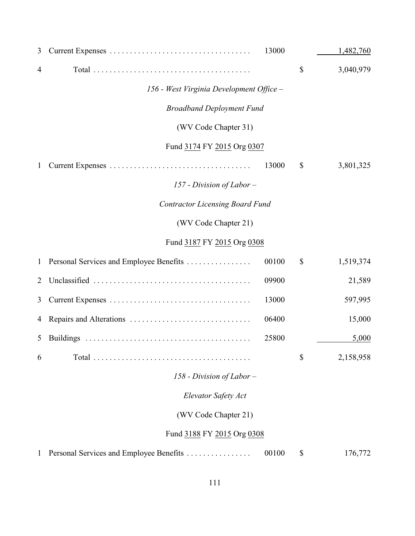| 3              |                                          | 13000 | 1,482,760       |
|----------------|------------------------------------------|-------|-----------------|
| 4              |                                          |       | \$<br>3,040,979 |
|                | 156 - West Virginia Development Office - |       |                 |
|                | <b>Broadband Deployment Fund</b>         |       |                 |
|                | (WV Code Chapter 31)                     |       |                 |
|                | Fund 3174 FY 2015 Org 0307               |       |                 |
| $\mathbf{1}$   |                                          | 13000 | \$<br>3,801,325 |
|                | 157 - Division of Labor -                |       |                 |
|                | <b>Contractor Licensing Board Fund</b>   |       |                 |
|                | (WV Code Chapter 21)                     |       |                 |
|                | Fund 3187 FY 2015 Org 0308               |       |                 |
| $\mathbf{1}$   | Personal Services and Employee Benefits  | 00100 | \$<br>1,519,374 |
| $\overline{2}$ |                                          | 09900 | 21,589          |
| 3              |                                          | 13000 | 597,995         |
| 4              |                                          | 06400 | 15,000          |
| 5              |                                          | 25800 | 5,000           |
| 6              |                                          |       | \$<br>2,158,958 |
|                | 158 - Division of Labor $-$              |       |                 |
|                | Elevator Safety Act                      |       |                 |
|                | (WV Code Chapter 21)                     |       |                 |
|                | Fund 3188 FY 2015 Org 0308               |       |                 |
| 1              | Personal Services and Employee Benefits  | 00100 | \$<br>176,772   |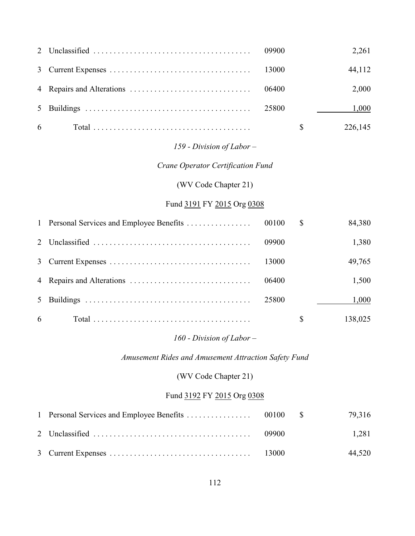|            | 2,261   |
|------------|---------|
|            | 44,112  |
|            | 2,000   |
|            | 1,000   |
| $6\degree$ | 226,145 |

# *159 - Division of Labor –*

# *Crane Operator Certification Fund*

### (WV Code Chapter 21)

#### Fund 3191 FY 2015 Org 0308

|                |       | <sup>S</sup> | 84,380  |
|----------------|-------|--------------|---------|
|                | 09900 |              | 1,380   |
|                | 13000 |              | 49,765  |
|                | 06400 |              | 1,500   |
| 5 <sup>5</sup> | 25800 |              | 1,000   |
| 6              |       |              | 138,025 |

### *160 - Division of Labor –*

*Amusement Rides and Amusement Attraction Safety Fund*

### (WV Code Chapter 21)

### Fund 3192 FY 2015 Org 0308

|  | 09900 | 1.281  |
|--|-------|--------|
|  |       | 44,520 |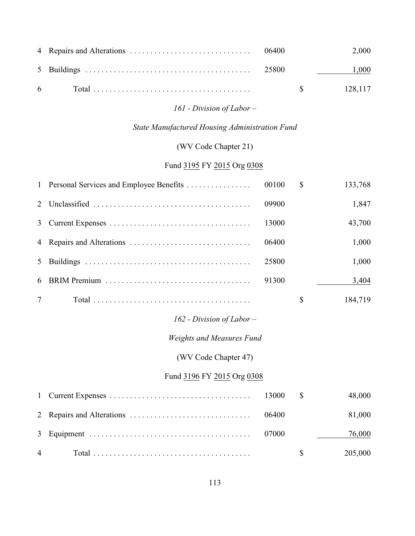|  |  | 2.000               |
|--|--|---------------------|
|  |  | 1,000               |
|  |  | $\frac{128.117}{ }$ |

# *161 - Division of Labor –*

# *State Manufactured Housing Administration Fund*

# (WV Code Chapter 21)

# Fund 3195 FY 2015 Org 0308

| $\mathbf{1}$   | Personal Services and Employee Benefits | 00100 | $\mathbb{S}$ | 133,768 |
|----------------|-----------------------------------------|-------|--------------|---------|
| 2              |                                         | 09900 |              | 1,847   |
| 3              |                                         | 13000 |              | 43,700  |
| 4              |                                         | 06400 |              | 1,000   |
| 5              |                                         | 25800 |              | 1,000   |
| 6              |                                         | 91300 |              | 3,404   |
| 7              |                                         |       | \$           | 184,719 |
|                | $162$ - Division of Labor -             |       |              |         |
|                | <b>Weights and Measures Fund</b>        |       |              |         |
|                | (WV Code Chapter 47)                    |       |              |         |
|                | Fund 3196 FY 2015 Org 0308              |       |              |         |
| $\mathbf{1}$   |                                         | 13000 | \$           | 48,000  |
| 2              |                                         | 06400 |              | 81,000  |
| 3              |                                         | 07000 |              | 76,000  |
| $\overline{4}$ |                                         |       | \$           | 205,000 |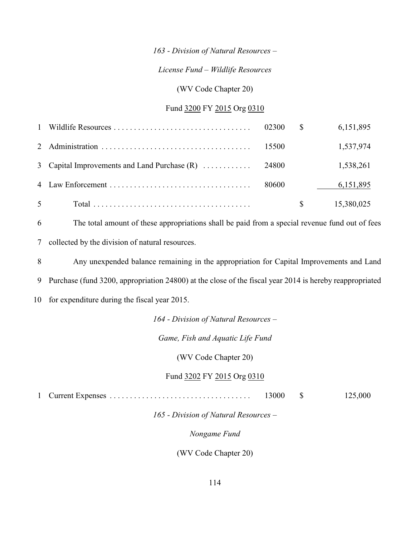#### *163 - Division of Natural Resources –*

#### *License Fund – Wildlife Resources*

#### (WV Code Chapter 20)

#### Fund 3200 FY 2015 Org 0310

|        |       | 6, 151, 895 |
|--------|-------|-------------|
|        |       | 1,537,974   |
|        |       | 1,538,261   |
|        | 80600 | 6,151,895   |
| $\sim$ |       | 15,380,025  |

6 The total amount of these appropriations shall be paid from a special revenue fund out of fees 7 collected by the division of natural resources.

8 Any unexpended balance remaining in the appropriation for Capital Improvements and Land

9 Purchase (fund 3200, appropriation 24800) at the close of the fiscal year 2014 is hereby reappropriated

10 for expenditure during the fiscal year 2015.

#### *164 - Division of Natural Resources –*

#### *Game, Fish and Aquatic Life Fund*

(WV Code Chapter 20)

#### Fund 3202 FY 2015 Org 0310

1 Current Expenses ................................... 13000 \$ 125,000

*165 - Division of Natural Resources –*

*Nongame Fund*

(WV Code Chapter 20)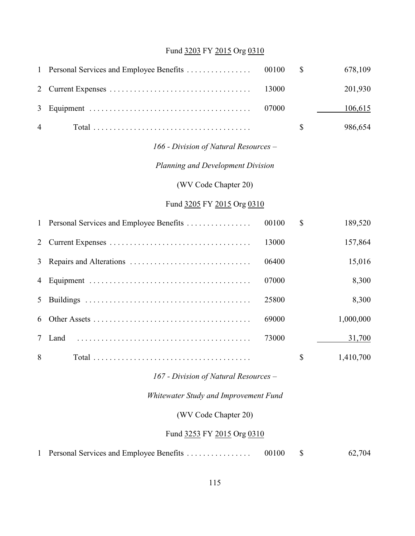# Fund 3203 FY 2015 Org 0310

| $\mathbf{1}$ | Personal Services and Employee Benefits | 00100 | \$ | 678,109   |  |  |
|--------------|-----------------------------------------|-------|----|-----------|--|--|
| 2            |                                         | 13000 |    | 201,930   |  |  |
| 3            |                                         | 07000 |    | 106,615   |  |  |
| 4            |                                         |       | \$ | 986,654   |  |  |
|              | 166 - Division of Natural Resources –   |       |    |           |  |  |
|              | Planning and Development Division       |       |    |           |  |  |
|              | (WV Code Chapter 20)                    |       |    |           |  |  |
|              | Fund 3205 FY 2015 Org 0310              |       |    |           |  |  |
| $\mathbf{1}$ | Personal Services and Employee Benefits | 00100 | \$ | 189,520   |  |  |
| 2            |                                         | 13000 |    | 157,864   |  |  |
| 3            |                                         | 06400 |    | 15,016    |  |  |
| 4            |                                         | 07000 |    | 8,300     |  |  |
| 5            |                                         | 25800 |    | 8,300     |  |  |
| 6            |                                         | 69000 |    | 1,000,000 |  |  |
| 7            | Land                                    | 73000 |    | 31,700    |  |  |
| 8            |                                         |       | \$ | 1,410,700 |  |  |
|              | 167 - Division of Natural Resources -   |       |    |           |  |  |
|              | Whitewater Study and Improvement Fund   |       |    |           |  |  |
|              | (WV Code Chapter 20)                    |       |    |           |  |  |
|              | Fund 3253 FY 2015 Org 0310              |       |    |           |  |  |
|              |                                         |       |    |           |  |  |

| 1 Personal Services and Employee Benefits | 00100 |  | 62,704 |
|-------------------------------------------|-------|--|--------|
|-------------------------------------------|-------|--|--------|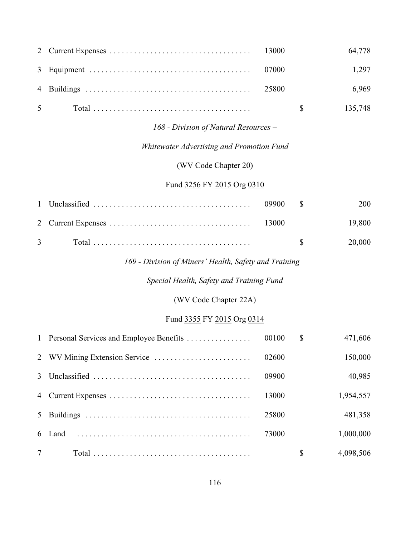|                |  | 64,778              |
|----------------|--|---------------------|
|                |  | 1.297               |
|                |  | 6,969               |
| 5 <sup>5</sup> |  | $\frac{135,748}{ }$ |

#### *168 - Division of Natural Resources –*

# *Whitewater Advertising and Promotion Fund*

# (WV Code Chapter 20)

# Fund 3256 FY 2015 Org 0310

|                |  | 200<br>09900 S         |
|----------------|--|------------------------|
|                |  | - 19.800 -             |
| $\overline{3}$ |  | 20.000<br>$\mathbb{S}$ |

# *169 - Division of Miners' Health, Safety and Training –*

## *Special Health, Safety and Training Fund*

(WV Code Chapter 22A)

# Fund 3355 FY 2015 Org 0314

|                 |        | 00100 | \$ | 471,606   |
|-----------------|--------|-------|----|-----------|
|                 |        | 02600 |    | 150,000   |
|                 |        | 09900 |    | 40,985    |
|                 |        | 13000 |    | 1,954,557 |
|                 |        | 25800 |    | 481,358   |
|                 | 6 Land | 73000 |    | 1,000,000 |
| $7\overline{ }$ |        |       | S  | 4,098,506 |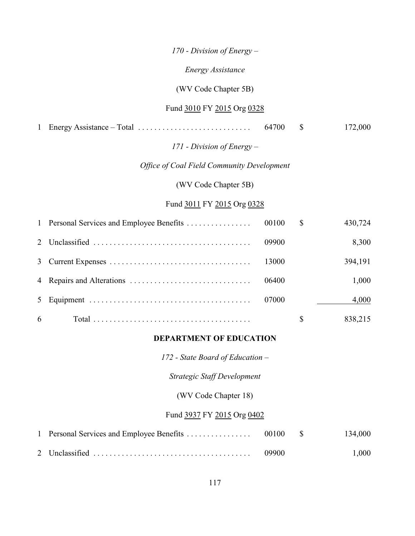*170 - Division of Energy –*

*Energy Assistance*

(WV Code Chapter 5B)

#### Fund 3010 FY 2015 Org 0328

1 Energy Assistance – Total ............................ 64700 \$ 172,000

### *171 - Division of Energy –*

#### *Office of Coal Field Community Development*

#### (WV Code Chapter 5B)

#### Fund 3011 FY 2015 Org 0328

|    |       | <sup>S</sup> | 430,724 |
|----|-------|--------------|---------|
|    | 09900 |              | 8,300   |
|    | 13000 |              | 394,191 |
|    | 06400 |              | 1,000   |
|    | 07000 |              | 4,000   |
| -6 |       | \$           | 838,215 |

#### **DEPARTMENT OF EDUCATION**

*172 - State Board of Education –*

*Strategic Staff Development*

(WV Code Chapter 18)

### Fund 3937 FY 2015 Org 0402

|  | 09900 | 1,000 |
|--|-------|-------|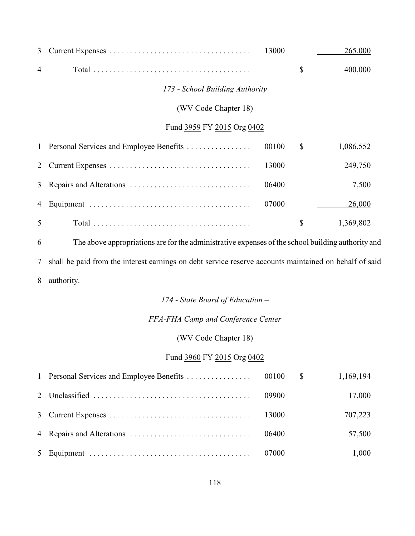| 3              |                                                                                                   | 13000 | 265,000         |
|----------------|---------------------------------------------------------------------------------------------------|-------|-----------------|
| $\overline{4}$ |                                                                                                   |       | \$<br>400,000   |
|                | 173 - School Building Authority                                                                   |       |                 |
|                | (WV Code Chapter 18)                                                                              |       |                 |
|                | Fund 3959 FY 2015 Org 0402                                                                        |       |                 |
|                | 1 Personal Services and Employee Benefits                                                         | 00100 | \$<br>1,086,552 |
| 2              |                                                                                                   | 13000 | 249,750         |
| $\mathfrak{Z}$ |                                                                                                   | 06400 | 7,500           |
| 4              |                                                                                                   | 07000 | 26,000          |
| 5              |                                                                                                   |       | \$<br>1,369,802 |
| 6              | The above appropriations are for the administrative expenses of the school building authority are |       |                 |

 The above appropriations are for the administrative expenses of the school building authority and shall be paid from the interest earnings on debt service reserve accounts maintained on behalf of said authority.

# *174 - State Board of Education –*

### *FFA-FHA Camp and Conference Center*

### (WV Code Chapter 18)

#### Fund 3960 FY 2015 Org 0402

|  |        | 1,169,194 |
|--|--------|-----------|
|  |        | 17,000    |
|  |        | 707,223   |
|  | -06400 | 57,500    |
|  |        | 1,000     |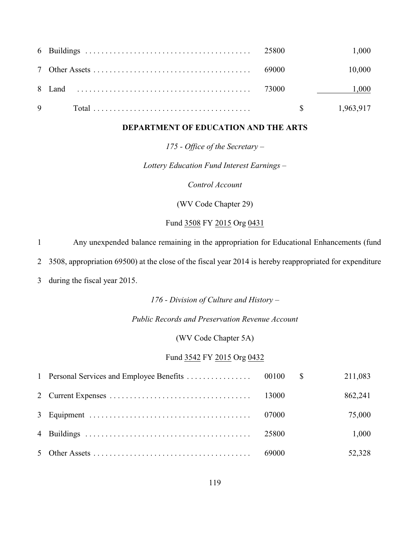|  |  | 1.000                 |
|--|--|-----------------------|
|  |  | 10,000                |
|  |  | 1,000                 |
|  |  | $\frac{1,963,917}{2}$ |

#### **DEPARTMENT OF EDUCATION AND THE ARTS**

*175 - Office of the Secretary –*

*Lottery Education Fund Interest Earnings –*

*Control Account*

(WV Code Chapter 29)

Fund 3508 FY 2015 Org 0431

1 Any unexpended balance remaining in the appropriation for Educational Enhancements (fund

2 3508, appropriation 69500) at the close of the fiscal year 2014 is hereby reappropriated for expenditure

3 during the fiscal year 2015.

*176 - Division of Culture and History –*

*Public Records and Preservation Revenue Account*

(WV Code Chapter 5A)

#### Fund 3542 FY 2015 Org 0432

|  |       | 211,083 |
|--|-------|---------|
|  |       | 862,241 |
|  | 07000 | 75,000  |
|  | 25800 | 1,000   |
|  |       | 52,328  |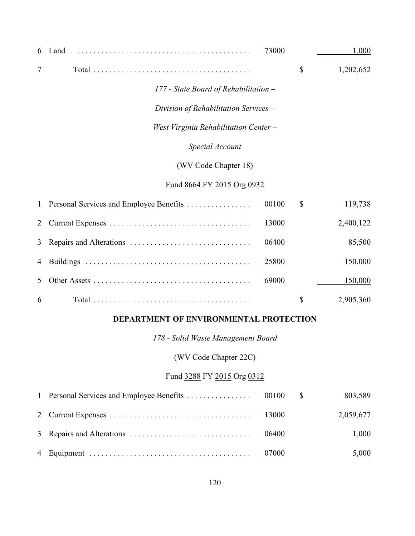| 6              | Land                                    | 73000 |               | 1,000     |
|----------------|-----------------------------------------|-------|---------------|-----------|
| $\overline{7}$ |                                         |       | $\mathbb{S}$  | 1,202,652 |
|                | 177 - State Board of Rehabilitation -   |       |               |           |
|                | Division of Rehabilitation Services -   |       |               |           |
|                | West Virginia Rehabilitation Center -   |       |               |           |
|                | Special Account                         |       |               |           |
|                | (WV Code Chapter 18)                    |       |               |           |
|                | Fund 8664 FY 2015 Org 0932              |       |               |           |
| $\mathbf{1}$   | Personal Services and Employee Benefits | 00100 | $\mathcal{S}$ | 119,738   |
| 2              |                                         | 13000 |               | 2,400,122 |
| 3              |                                         | 06400 |               | 85,500    |
| 4              |                                         | 25800 |               | 150,000   |
| 5              |                                         | 69000 |               | 150,000   |
| 6              |                                         |       | \$            | 2,905,360 |

### **DEPARTMENT OF ENVIRONMENTAL PROTECTION**

*178 - Solid Waste Management Board*

(WV Code Chapter 22C)

# Fund 3288 FY 2015 Org 0312

|  |  | 803,589   |
|--|--|-----------|
|  |  | 2,059,677 |
|  |  | 1,000     |
|  |  | 5,000     |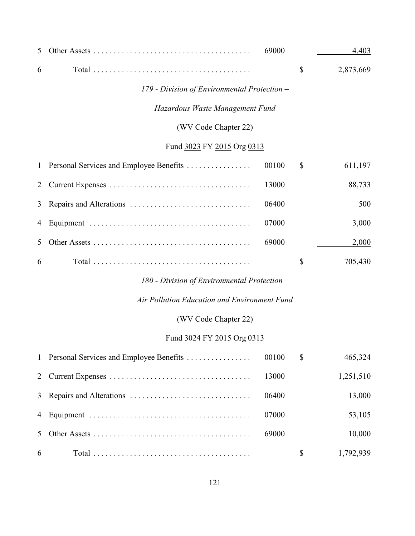| 5              |                                              | 69000 | 4,403           |
|----------------|----------------------------------------------|-------|-----------------|
| 6              |                                              |       | \$<br>2,873,669 |
|                | 179 - Division of Environmental Protection - |       |                 |
|                | Hazardous Waste Management Fund              |       |                 |
|                | (WV Code Chapter 22)                         |       |                 |
|                | Fund 3023 FY 2015 Org 0313                   |       |                 |
| $\mathbf{1}$   | Personal Services and Employee Benefits      | 00100 | \$<br>611,197   |
| $\overline{2}$ |                                              | 13000 | 88,733          |
| 3              |                                              | 06400 | 500             |
| 4              |                                              | 07000 | 3,000           |
| 5              |                                              | 69000 | 2,000           |
| 6              |                                              |       | \$<br>705,430   |
|                | 180 - Division of Environmental Protection – |       |                 |
|                | Air Pollution Education and Environment Fund |       |                 |
|                | (WV Code Chapter 22)                         |       |                 |
|                | Fund 3024 FY 2015 Org 0313                   |       |                 |
| $\mathbf{1}$   | Personal Services and Employee Benefits      | 00100 | \$<br>465,324   |
| $\overline{2}$ |                                              | 13000 | 1,251,510       |
| 3              |                                              | 06400 | 13,000          |
| 4              |                                              | 07000 | 53,105          |
| 5              |                                              | 69000 | 10,000          |
| 6              |                                              |       | \$<br>1,792,939 |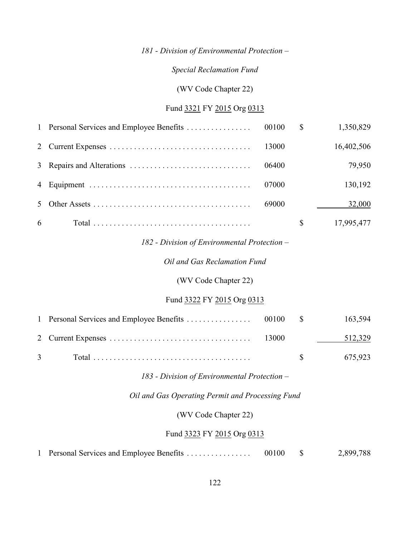#### *Special Reclamation Fund*

(WV Code Chapter 22)

#### Fund 3321 FY 2015 Org 0313

|   |       | $\mathbb{S}$ | 1,350,829  |
|---|-------|--------------|------------|
|   | 13000 |              | 16,402,506 |
|   | 06400 |              | 79,950     |
|   | 07000 |              | 130,192    |
|   | 69000 |              | 32,000     |
| 6 |       |              | 17,995,477 |

#### *182 - Division of Environmental Protection –*

#### *Oil and Gas Reclamation Fund*

#### (WV Code Chapter 22)

### Fund 3322 FY 2015 Org 0313

|                |  | 512,329               |
|----------------|--|-----------------------|
| $\overline{3}$ |  | $\frac{1}{2}$ 675.923 |

#### *183 - Division of Environmental Protection –*

#### *Oil and Gas Operating Permit and Processing Fund*

(WV Code Chapter 22)

#### Fund 3323 FY 2015 Org 0313

| 1 Personal Services and Employee Benefits | 00100 |  | 2,899,788 |
|-------------------------------------------|-------|--|-----------|
|-------------------------------------------|-------|--|-----------|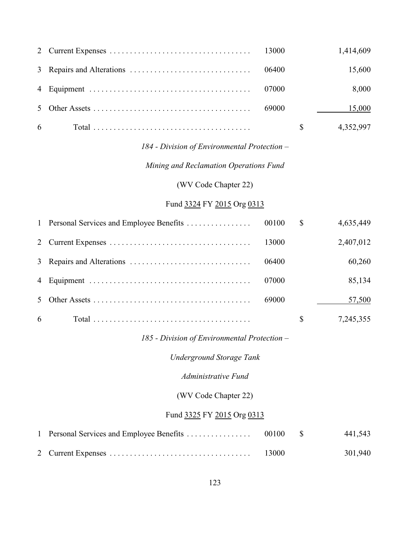|            |        | 1,414,609 |
|------------|--------|-----------|
|            |        | 15,600    |
|            |        | 8,000     |
|            | -69000 | 15,000    |
| $6\degree$ |        | 4,352,997 |

# *Mining and Reclamation Operations Fund*

(WV Code Chapter 22)

#### Fund 3324 FY 2015 Org 0313

|   |       | $\mathbb{S}$ | 4,635,449 |
|---|-------|--------------|-----------|
|   | 13000 |              | 2,407,012 |
|   | 06400 |              | 60,260    |
|   | 07000 |              | 85,134    |
|   | 69000 |              | 57,500    |
| 6 |       | \$           | 7,245,355 |

#### *185 - Division of Environmental Protection –*

*Underground Storage Tank*

*Administrative Fund*

# (WV Code Chapter 22)

### Fund 3325 FY 2015 Org 0313

|  |       | 441,543 |
|--|-------|---------|
|  | 13000 | 301,940 |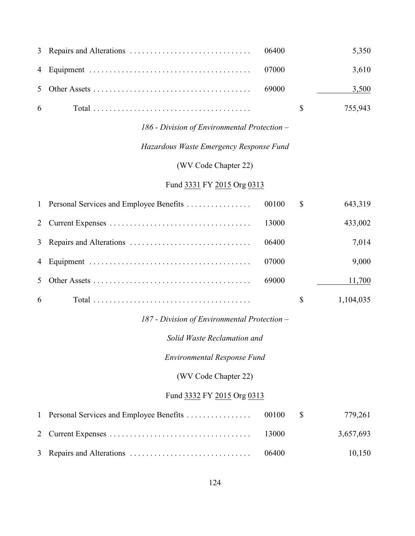|  |  | 5,350                 |
|--|--|-----------------------|
|  |  | 3,610                 |
|  |  | 3,500                 |
|  |  | $\frac{1}{2}$ 755,943 |

### *Hazardous Waste Emergency Response Fund*

(WV Code Chapter 22)

# Fund 3331 FY 2015 Org 0313

|    |       | <sup>\$</sup> | 643,319   |
|----|-------|---------------|-----------|
|    | 13000 |               | 433,002   |
|    | 06400 |               | 7,014     |
|    | 07000 |               | 9,000     |
|    | 69000 |               | 11,700    |
| -6 |       |               | 1,104,035 |

### *187 - Division of Environmental Protection –*

*Solid Waste Reclamation and*

*Environmental Response Fund*

(WV Code Chapter 22)

### Fund 3332 FY 2015 Org 0313

|  |         | 779,261   |
|--|---------|-----------|
|  | -13000- | 3,657,693 |
|  | 06400   | 10,150    |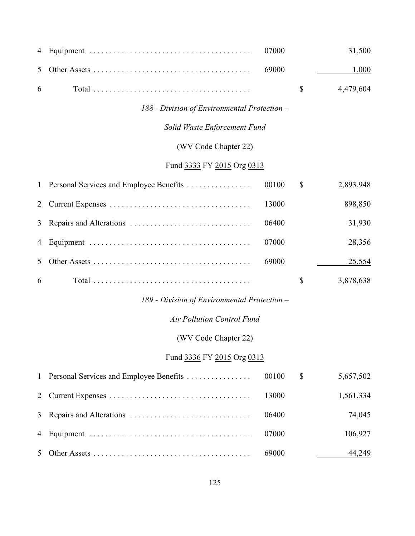| 4            |                                              | 07000 | 31,500          |
|--------------|----------------------------------------------|-------|-----------------|
| 5            |                                              | 69000 | 1,000           |
| 6            |                                              |       | \$<br>4,479,604 |
|              | 188 - Division of Environmental Protection – |       |                 |
|              | Solid Waste Enforcement Fund                 |       |                 |
|              | (WV Code Chapter 22)                         |       |                 |
|              | Fund 3333 FY 2015 Org 0313                   |       |                 |
| $\mathbf{1}$ | Personal Services and Employee Benefits      | 00100 | \$<br>2,893,948 |
| 2            |                                              | 13000 | 898,850         |
| 3            |                                              | 06400 | 31,930          |
| 4            |                                              | 07000 | 28,356          |
| 5            |                                              | 69000 | 25,554          |
| 6            |                                              |       | \$<br>3,878,638 |
|              | 189 - Division of Environmental Protection - |       |                 |
|              | <b>Air Pollution Control Fund</b>            |       |                 |
|              | (WV Code Chapter 22)                         |       |                 |
|              | Fund 3336 FY 2015 Org 0313                   |       |                 |
| $\mathbf{1}$ | Personal Services and Employee Benefits      | 00100 | \$<br>5,657,502 |
| 2            |                                              | 13000 | 1,561,334       |
| 3            |                                              | 06400 | 74,045          |
| 4            |                                              | 07000 | 106,927         |
| 5            |                                              | 69000 | 44,249          |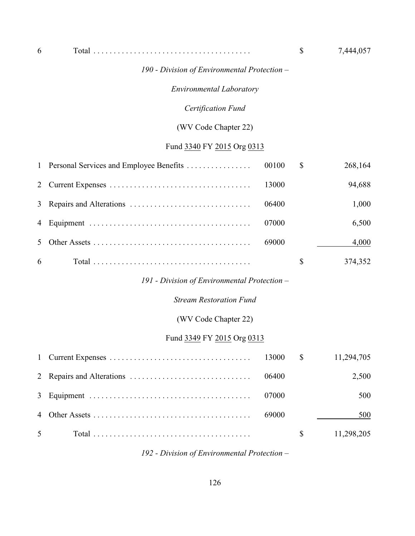| b | <u>т</u><br>Total |  | $\overline{a}$ |
|---|-------------------|--|----------------|
|---|-------------------|--|----------------|

#### *Environmental Laboratory*

#### *Certification Fund*

#### (WV Code Chapter 22)

# Fund 3340 FY 2015 Org 0313

|   |       | $\mathbb{S}$ | 268,164 |
|---|-------|--------------|---------|
|   | 13000 |              | 94,688  |
|   | 06400 |              | 1,000   |
|   | 07000 |              | 6,500   |
|   | 69000 |              | 4,000   |
| 6 |       | \$           | 374,352 |

### *191 - Division of Environmental Protection –*

#### *Stream Restoration Fund*

### (WV Code Chapter 22)

#### Fund 3349 FY 2015 Org 0313

|                |       | 11,294,705 |
|----------------|-------|------------|
|                |       | 2,500      |
|                | 07000 | 500        |
|                |       | 500        |
| 5 <sup>5</sup> |       | 11,298,205 |

*192 - Division of Environmental Protection –*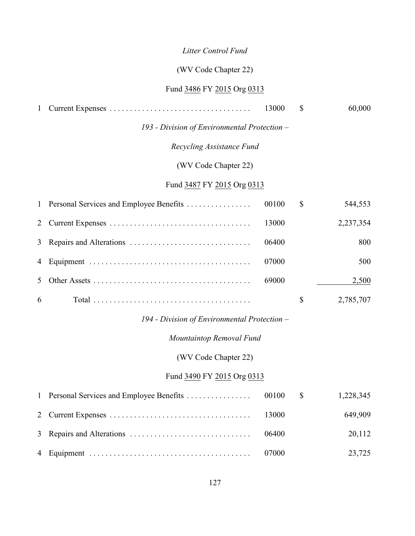# *Litter Control Fund*

# (WV Code Chapter 22)

# Fund 3486 FY 2015 Org 0313

|              |                                              | 13000 | \$<br>60,000    |
|--------------|----------------------------------------------|-------|-----------------|
|              | 193 - Division of Environmental Protection – |       |                 |
|              | Recycling Assistance Fund                    |       |                 |
|              | (WV Code Chapter 22)                         |       |                 |
|              | Fund 3487 FY 2015 Org 0313                   |       |                 |
| $\mathbf{1}$ | Personal Services and Employee Benefits      | 00100 | \$<br>544,553   |
| 2            |                                              | 13000 | 2,237,354       |
| 3            |                                              | 06400 | 800             |
| 4            |                                              | 07000 | 500             |
| 5            |                                              | 69000 | 2,500           |
| 6            |                                              |       | \$<br>2,785,707 |
|              | 194 - Division of Environmental Protection - |       |                 |
|              | Mountaintop Removal Fund                     |       |                 |
|              | (WV Code Chapter 22)                         |       |                 |
|              | Fund 3490 FY 2015 Org 0313                   |       |                 |
| $\mathbf{1}$ | Personal Services and Employee Benefits      | 00100 | \$<br>1,228,345 |
| 2            |                                              | 13000 | 649,909         |
| 3            |                                              | 06400 | 20,112          |
| 4            |                                              | 07000 | 23,725          |
|              |                                              |       |                 |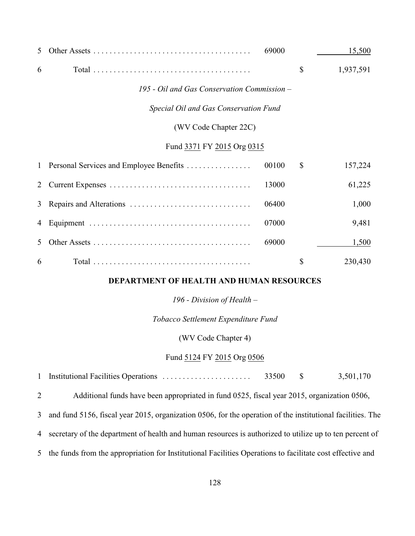| 5                          |                                             | 69000 |               | 15,500    |
|----------------------------|---------------------------------------------|-------|---------------|-----------|
| 6                          |                                             |       | \$            | 1,937,591 |
|                            | 195 - Oil and Gas Conservation Commission - |       |               |           |
|                            | Special Oil and Gas Conservation Fund       |       |               |           |
|                            | (WV Code Chapter 22C)                       |       |               |           |
| Fund 3371 FY 2015 Org 0315 |                                             |       |               |           |
| $\mathbf{1}$               | Personal Services and Employee Benefits     | 00100 | $\mathcal{S}$ | 157,224   |
| 2                          |                                             | 13000 |               | 61,225    |
| 3                          |                                             | 06400 |               | 1,000     |
| 4                          |                                             | 07000 |               | 9,481     |
| 5                          |                                             | 69000 |               | 1,500     |
| 6                          |                                             |       | \$            | 230,430   |

#### **DEPARTMENT OF HEALTH AND HUMAN RESOURCES**

*196 - Division of Health –*

*Tobacco Settlement Expenditure Fund*

(WV Code Chapter 4)

#### Fund 5124 FY 2015 Org 0506

Institutional Facilities Operations . . . . . . . . . . . . . . . . . . . . . . 33500 \$ 3,501,170

Additional funds have been appropriated in fund 0525, fiscal year 2015, organization 0506,

and fund 5156, fiscal year 2015, organization 0506, for the operation of the institutional facilities. The

- secretary of the department of health and human resources is authorized to utilize up to ten percent of
- the funds from the appropriation for Institutional Facilities Operations to facilitate cost effective and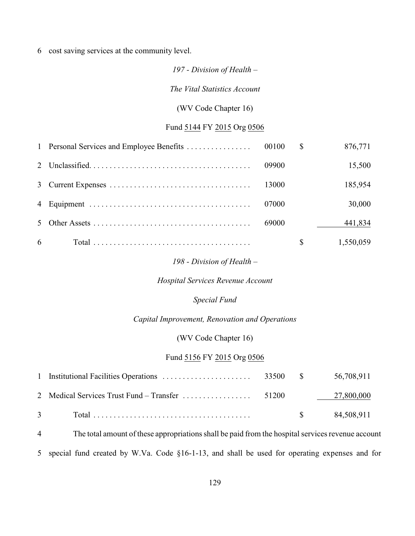6 cost saving services at the community level.

#### *197 - Division of Health –*

*The Vital Statistics Account*

#### (WV Code Chapter 16)

#### Fund 5144 FY 2015 Org 0506

| 441,834<br>69000  |  |       |              |         |
|-------------------|--|-------|--------------|---------|
| 30,000<br>07000   |  |       |              |         |
|                   |  |       |              |         |
|                   |  | 09900 |              |         |
| 15,500<br>185,954 |  |       | <sup>S</sup> | 876,771 |

#### *198 - Division of Health –*

#### *Hospital Services Revenue Account*

#### *Special Fund*

#### *Capital Improvement, Renovation and Operations*

#### (WV Code Chapter 16)

#### Fund 5156 FY 2015 Org 0506

| $3 \qquad \qquad \text{Total} \ldots \ldots \ldots \ldots \ldots \ldots \ldots \ldots \ldots \ldots$ |  | $\$\$$ 84,508,911 |
|------------------------------------------------------------------------------------------------------|--|-------------------|

4 The total amount of these appropriations shall be paid from the hospital services revenue account 5 special fund created by W.Va. Code §16-1-13, and shall be used for operating expenses and for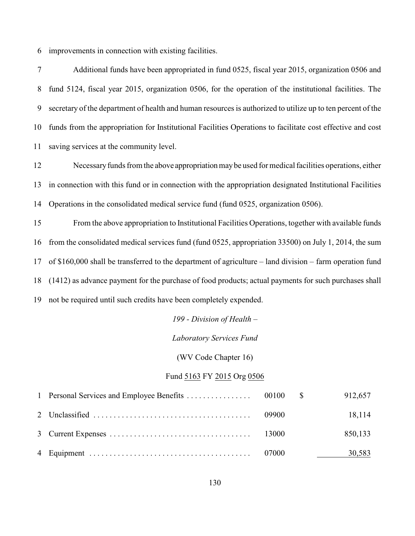improvements in connection with existing facilities.

 Additional funds have been appropriated in fund 0525, fiscal year 2015, organization 0506 and fund 5124, fiscal year 2015, organization 0506, for the operation of the institutional facilities. The secretary of the department of health and human resources is authorized to utilize up to ten percent of the funds from the appropriation for Institutional Facilities Operations to facilitate cost effective and cost saving services at the community level.

 Necessary funds from the above appropriation may be used for medical facilities operations, either in connection with this fund or in connection with the appropriation designated Institutional Facilities Operations in the consolidated medical service fund (fund 0525, organization 0506).

 From the above appropriation to Institutional Facilities Operations, together with available funds from the consolidated medical services fund (fund 0525, appropriation 33500) on July 1, 2014, the sum of \$160,000 shall be transferred to the department of agriculture – land division – farm operation fund (1412) as advance payment for the purchase of food products; actual payments for such purchases shall not be required until such credits have been completely expended.

#### *199 - Division of Health –*

#### *Laboratory Services Fund*

(WV Code Chapter 16)

#### Fund 5163 FY 2015 Org 0506

|  |       | 912,657 |
|--|-------|---------|
|  | 09900 | 18,114  |
|  |       | 850,133 |
|  | 07000 | 30,583  |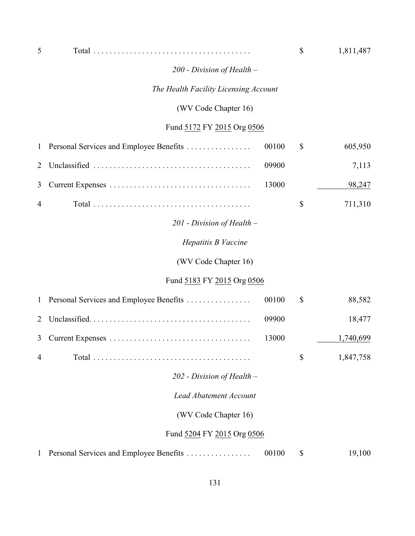| 5            |                                         |       | \$<br>1,811,487 |
|--------------|-----------------------------------------|-------|-----------------|
|              | 200 - Division of Health -              |       |                 |
|              | The Health Facility Licensing Account   |       |                 |
|              | (WV Code Chapter 16)                    |       |                 |
|              | Fund 5172 FY 2015 Org 0506              |       |                 |
| 1            | Personal Services and Employee Benefits | 00100 | \$<br>605,950   |
| 2            |                                         | 09900 | 7,113           |
| 3            |                                         | 13000 | 98,247          |
| 4            |                                         |       | \$<br>711,310   |
|              | $201$ - Division of Health –            |       |                 |
|              | Hepatitis B Vaccine                     |       |                 |
|              | (WV Code Chapter 16)                    |       |                 |
|              | Fund 5183 FY 2015 Org 0506              |       |                 |
| $\mathbf{1}$ | Personal Services and Employee Benefits | 00100 | \$<br>88,582    |
| 2            |                                         | 09900 | 18,477          |
| 3            |                                         | 13000 | 1,740,699       |
| 4            |                                         |       | \$<br>1,847,758 |
|              | $202$ - Division of Health –            |       |                 |
|              | <b>Lead Abatement Account</b>           |       |                 |
|              | (WV Code Chapter 16)                    |       |                 |
|              | Fund 5204 FY 2015 Org 0506              |       |                 |
| 1            | Personal Services and Employee Benefits | 00100 | \$<br>19,100    |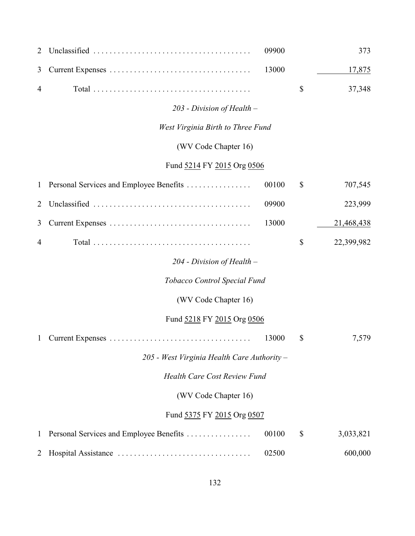| 2              |                                             | 09900 |              | 373        |
|----------------|---------------------------------------------|-------|--------------|------------|
| 3              |                                             | 13000 |              | 17,875     |
| 4              |                                             |       | \$           | 37,348     |
|                | 203 - Division of Health -                  |       |              |            |
|                | West Virginia Birth to Three Fund           |       |              |            |
|                | (WV Code Chapter 16)                        |       |              |            |
|                | Fund 5214 FY 2015 Org 0506                  |       |              |            |
| $\mathbf{1}$   | Personal Services and Employee Benefits     | 00100 | \$           | 707,545    |
| $\overline{2}$ |                                             | 09900 |              | 223,999    |
| 3              |                                             | 13000 |              | 21,468,438 |
| $\overline{4}$ |                                             |       | \$           | 22,399,982 |
|                | 204 - Division of Health -                  |       |              |            |
|                | Tobacco Control Special Fund                |       |              |            |
|                | (WV Code Chapter 16)                        |       |              |            |
|                | Fund 5218 FY 2015 Org 0506                  |       |              |            |
| $\mathbf{1}$   |                                             | 13000 | \$           | 7,579      |
|                | 205 - West Virginia Health Care Authority - |       |              |            |
|                | <b>Health Care Cost Review Fund</b>         |       |              |            |
|                | (WV Code Chapter 16)                        |       |              |            |
|                | Fund 5375 FY 2015 Org 0507                  |       |              |            |
| 1              | Personal Services and Employee Benefits     | 00100 | $\mathbb{S}$ | 3,033,821  |
| 2              |                                             | 02500 |              | 600,000    |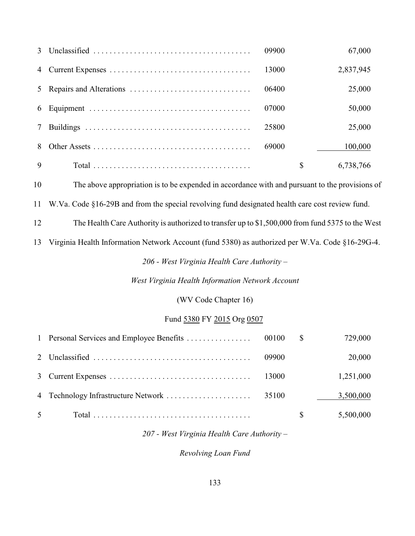| $\mathcal{E}$ | 09900 | 67,000          |
|---------------|-------|-----------------|
| 4             | 13000 | 2,837,945       |
| 5             | 06400 | 25,000          |
| 6             | 07000 | 50,000          |
|               | 25800 | 25,000          |
| 8             | 69000 | 100,000         |
| 9             |       | \$<br>6,738,766 |

The above appropriation is to be expended in accordance with and pursuant to the provisions of

W.Va. Code §16-29B and from the special revolving fund designated health care cost review fund.

The Health Care Authority is authorized to transfer up to \$1,500,000 from fund 5375 to the West

Virginia Health Information Network Account (fund 5380) as authorized per W.Va. Code §16-29G-4.

*206 - West Virginia Health Care Authority –*

*West Virginia Health Information Network Account*

(WV Code Chapter 16)

#### Fund 5380 FY 2015 Org 0507

|                |       | 729,000   |
|----------------|-------|-----------|
|                | 09900 | 20,000    |
|                | 13000 | 1,251,000 |
|                |       | 3,500,000 |
| 5 <sup>5</sup> |       | 5,500,000 |

*207 - West Virginia Health Care Authority –*

*Revolving Loan Fund*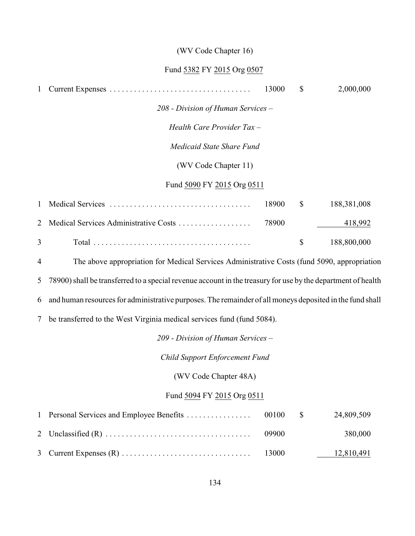#### (WV Code Chapter 16)

#### Fund 5382 FY 2015 Org 0507

| $\mathbf{1}$   |                                                                                             | 13000 | $\mathbb{S}$ | 2,000,000   |
|----------------|---------------------------------------------------------------------------------------------|-------|--------------|-------------|
|                | 208 - Division of Human Services –                                                          |       |              |             |
|                | Health Care Provider Tax -                                                                  |       |              |             |
|                | Medicaid State Share Fund                                                                   |       |              |             |
|                | (WV Code Chapter 11)                                                                        |       |              |             |
|                | Fund 5090 FY 2015 Org 0511                                                                  |       |              |             |
| 1              |                                                                                             | 18900 | \$           | 188,381,008 |
| 2              | Medical Services Administrative Costs                                                       | 78900 |              | 418,992     |
| $\overline{3}$ |                                                                                             |       | \$           | 188,800,000 |
| $\overline{4}$ | The above appropriation for Medical Services Administrative Costs (fund 5090, appropriation |       |              |             |

5 78900) shall be transferred to a special revenue account in the treasury for use by the department of health

6 and human resources for administrative purposes. The remainder of all moneys deposited in the fund shall

7 be transferred to the West Virginia medical services fund (fund 5084).

*209 - Division of Human Services –*

*Child Support Enforcement Fund*

(WV Code Chapter 48A)

### Fund 5094 FY 2015 Org 0511

|  |       | 24,809,509 |
|--|-------|------------|
|  | 09900 | 380,000    |
|  |       | 12,810,491 |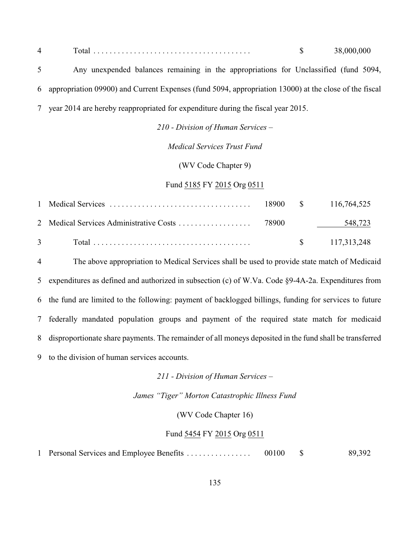|                                                                                      |  | 38,000,000 |  |
|--------------------------------------------------------------------------------------|--|------------|--|
| Any unexpended balances remaining in the appropriations for Unclassified (fund 5094, |  |            |  |

 appropriation 09900) and Current Expenses (fund 5094, appropriation 13000) at the close of the fiscal year 2014 are hereby reappropriated for expenditure during the fiscal year 2015.

*210 - Division of Human Services –*

*Medical Services Trust Fund*

(WV Code Chapter 9)

Fund 5185 FY 2015 Org 0511

|                                                                                                      |  | 548,723                 |
|------------------------------------------------------------------------------------------------------|--|-------------------------|
| $3 \qquad \qquad \text{Total} \ldots \ldots \ldots \ldots \ldots \ldots \ldots \ldots \ldots \ldots$ |  | $\frac{117,313,248}{5}$ |

 The above appropriation to Medical Services shall be used to provide state match of Medicaid expenditures as defined and authorized in subsection (c) of W.Va. Code §9-4A-2a. Expenditures from the fund are limited to the following: payment of backlogged billings, funding for services to future federally mandated population groups and payment of the required state match for medicaid disproportionate share payments. The remainder of all moneys deposited in the fund shall be transferred to the division of human services accounts.

*211 - Division of Human Services –*

*James "Tiger" Morton Catastrophic Illness Fund*

(WV Code Chapter 16)

#### Fund 5454 FY 2015 Org 0511

1 Personal Services and Employee Benefits . . . . . . . . . . . . . . . 00100 \$ 89,392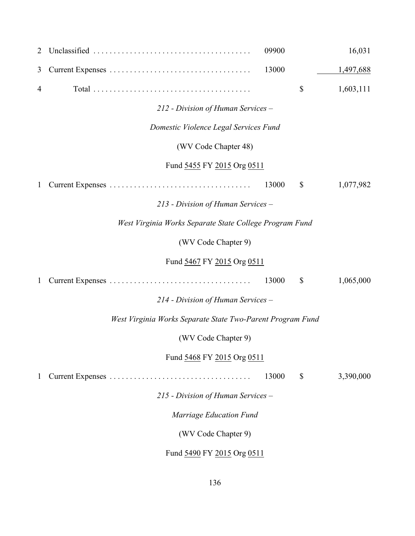| 2              |                                                            | 09900 | 16,031          |
|----------------|------------------------------------------------------------|-------|-----------------|
| 3              |                                                            | 13000 | 1,497,688       |
| $\overline{4}$ |                                                            |       | \$<br>1,603,111 |
|                | 212 - Division of Human Services -                         |       |                 |
|                | Domestic Violence Legal Services Fund                      |       |                 |
|                | (WV Code Chapter 48)                                       |       |                 |
|                | Fund 5455 FY 2015 Org 0511                                 |       |                 |
| 1              |                                                            | 13000 | \$<br>1,077,982 |
|                | 213 - Division of Human Services -                         |       |                 |
|                | West Virginia Works Separate State College Program Fund    |       |                 |
|                | (WV Code Chapter 9)                                        |       |                 |
|                | Fund 5467 FY 2015 Org 0511                                 |       |                 |
| 1              |                                                            | 13000 | \$<br>1,065,000 |
|                | 214 - Division of Human Services -                         |       |                 |
|                | West Virginia Works Separate State Two-Parent Program Fund |       |                 |
|                | (WV Code Chapter 9)                                        |       |                 |
|                | Fund 5468 FY 2015 Org 0511                                 |       |                 |
| 1              |                                                            | 13000 | \$<br>3,390,000 |
|                | 215 - Division of Human Services -                         |       |                 |
|                | Marriage Education Fund                                    |       |                 |
|                | (WV Code Chapter 9)                                        |       |                 |
|                | Fund 5490 FY 2015 Org 0511                                 |       |                 |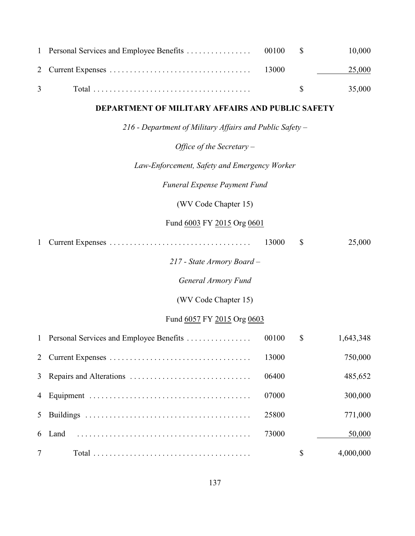| $\mathbf{1}$ | Personal Services and Employee Benefits                  | 00100 | \$<br>10,000    |
|--------------|----------------------------------------------------------|-------|-----------------|
| 2            |                                                          | 13000 | 25,000          |
| 3            |                                                          |       | \$<br>35,000    |
|              | DEPARTMENT OF MILITARY AFFAIRS AND PUBLIC SAFETY         |       |                 |
|              | 216 - Department of Military Affairs and Public Safety - |       |                 |
|              | Office of the Secretary $-$                              |       |                 |
|              | Law-Enforcement, Safety and Emergency Worker             |       |                 |
|              | <b>Funeral Expense Payment Fund</b>                      |       |                 |
|              | (WV Code Chapter 15)                                     |       |                 |
|              | Fund 6003 FY 2015 Org 0601                               |       |                 |
| $\mathbf{1}$ |                                                          | 13000 | \$<br>25,000    |
|              | 217 - State Armory Board -                               |       |                 |
|              | <b>General Armory Fund</b>                               |       |                 |
|              | (WV Code Chapter 15)                                     |       |                 |
|              | Fund 6057 FY 2015 Org 0603                               |       |                 |
| $\mathbf{1}$ | Personal Services and Employee Benefits                  | 00100 | \$<br>1,643,348 |
| 2            |                                                          | 13000 | 750,000         |
| 3            |                                                          | 06400 | 485,652         |
| 4            |                                                          | 07000 | 300,000         |
| 5            |                                                          | 25800 | 771,000         |
| 6            | Land                                                     | 73000 | 50,000          |
| 7            |                                                          |       | \$<br>4,000,000 |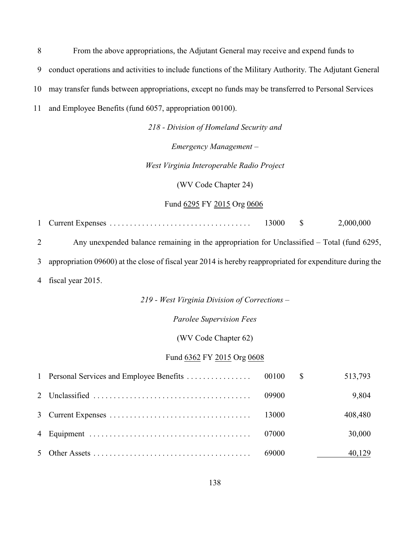From the above appropriations, the Adjutant General may receive and expend funds to

conduct operations and activities to include functions of the Military Authority. The Adjutant General

may transfer funds between appropriations, except no funds may be transferred to Personal Services

and Employee Benefits (fund 6057, appropriation 00100).

*218 - Division of Homeland Security and*

*Emergency Management –*

*West Virginia Interoperable Radio Project*

(WV Code Chapter 24)

Fund 6295 FY 2015 Org 0606

Current Expenses ................................... 13000 \$ 2,000,000

Any unexpended balance remaining in the appropriation for Unclassified *–* Total (fund 6295,

appropriation 09600) at the close of fiscal year 2014 is hereby reappropriated for expenditure during the

fiscal year 2015.

*219 - West Virginia Division of Corrections –*

*Parolee Supervision Fees*

(WV Code Chapter 62)

#### Fund 6362 FY 2015 Org 0608

|  |       | 513,793 |
|--|-------|---------|
|  |       | 9,804   |
|  |       | 408,480 |
|  | 07000 | 30,000  |
|  |       | 40,129  |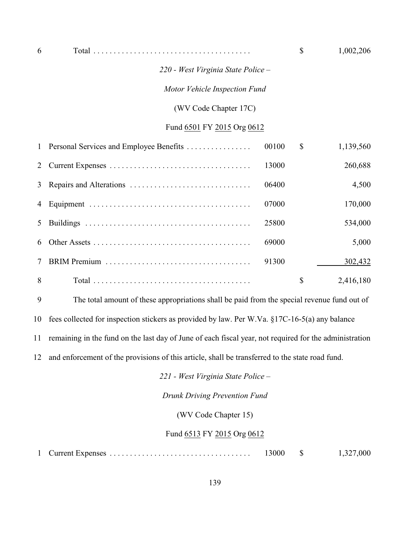| 6            |                                         |       | \$           | 1,002,206 |
|--------------|-----------------------------------------|-------|--------------|-----------|
|              | 220 - West Virginia State Police -      |       |              |           |
|              | Motor Vehicle Inspection Fund           |       |              |           |
|              | (WV Code Chapter 17C)                   |       |              |           |
|              | Fund 6501 FY 2015 Org 0612              |       |              |           |
| $\mathbf{1}$ | Personal Services and Employee Benefits | 00100 | $\mathbb{S}$ | 1,139,560 |
| 2            |                                         | 13000 |              | 260,688   |
| 3            |                                         | 06400 |              | 4,500     |
| 4            |                                         | 07000 |              | 170,000   |
| 5            |                                         | 25800 |              | 534,000   |
| 6            |                                         | 69000 |              | 5,000     |
| 7            |                                         | 91300 |              | 302,432   |
| 8            |                                         |       | \$           | 2,416,180 |

The total amount of these appropriations shall be paid from the special revenue fund out of

fees collected for inspection stickers as provided by law. Per W.Va. §17C-16-5(a) any balance

remaining in the fund on the last day of June of each fiscal year, not required for the administration

and enforcement of the provisions of this article, shall be transferred to the state road fund.

*221 - West Virginia State Police –*

*Drunk Driving Prevention Fund*

(WV Code Chapter 15)

#### Fund 6513 FY 2015 Org 0612

| 1 Current Expenses | 13000 |  | 1,327,000 |
|--------------------|-------|--|-----------|
|--------------------|-------|--|-----------|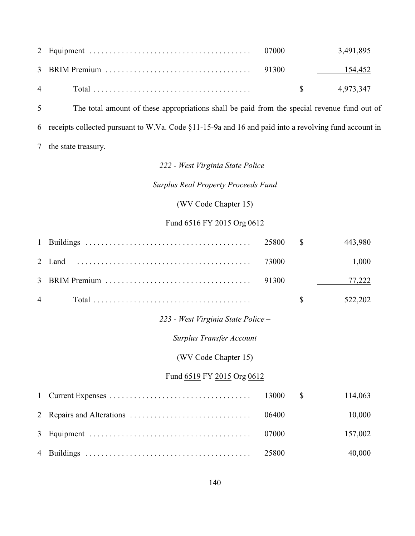|                |  | 3,491,895        |
|----------------|--|------------------|
|                |  |                  |
| $\overline{4}$ |  | $\$\,$ 4,973,347 |

 The total amount of these appropriations shall be paid from the special revenue fund out of receipts collected pursuant to W.Va. Code §11-15-9a and 16 and paid into a revolving fund account in the state treasury.

### *222 - West Virginia State Police –*

*Surplus Real Property Proceeds Fund*

(WV Code Chapter 15)

### Fund 6516 FY 2015 Org 0612

| $\mathbf{1}$   |                                    | 25800 | $\mathbb{S}$ | 443,980 |
|----------------|------------------------------------|-------|--------------|---------|
| 2              | Land                               | 73000 |              | 1,000   |
| 3              |                                    | 91300 |              | 77,222  |
| $\overline{4}$ |                                    |       | \$           | 522,202 |
|                | 223 - West Virginia State Police - |       |              |         |
|                | <b>Surplus Transfer Account</b>    |       |              |         |
|                | (WV Code Chapter 15)               |       |              |         |
|                | Fund 6519 FY 2015 Org 0612         |       |              |         |
| $\mathbf{1}$   |                                    | 13000 | $\mathbb{S}$ | 114,063 |
| 2              |                                    | 06400 |              | 10,000  |
| 3              |                                    | 07000 |              | 157,002 |
| $\overline{4}$ |                                    | 25800 |              | 40,000  |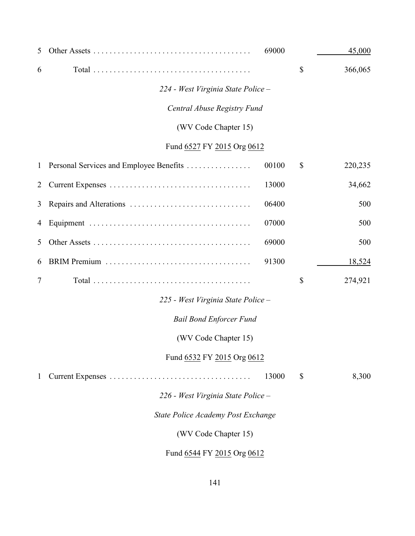| 5            |                                         | 69000 |               | 45,000  |
|--------------|-----------------------------------------|-------|---------------|---------|
| 6            |                                         |       | \$            | 366,065 |
|              | 224 - West Virginia State Police -      |       |               |         |
|              | Central Abuse Registry Fund             |       |               |         |
|              | (WV Code Chapter 15)                    |       |               |         |
|              | Fund 6527 FY 2015 Org 0612              |       |               |         |
| $\mathbf{1}$ | Personal Services and Employee Benefits | 00100 | \$            | 220,235 |
| 2            |                                         | 13000 |               | 34,662  |
| 3            |                                         | 06400 |               | 500     |
| 4            |                                         | 07000 |               | 500     |
| 5            |                                         | 69000 |               | 500     |
| 6            |                                         | 91300 |               | 18,524  |
| 7            |                                         |       | \$            | 274,921 |
|              | 225 - West Virginia State Police -      |       |               |         |
|              | <b>Bail Bond Enforcer Fund</b>          |       |               |         |
|              | (WV Code Chapter 15)                    |       |               |         |
|              | Fund 6532 FY 2015 Org 0612              |       |               |         |
| 1            |                                         | 13000 | $\mathcal{S}$ | 8,300   |
|              | 226 - West Virginia State Police -      |       |               |         |
|              | State Police Academy Post Exchange      |       |               |         |
|              | (WV Code Chapter 15)                    |       |               |         |
|              | Fund 6544 FY 2015 Org 0612              |       |               |         |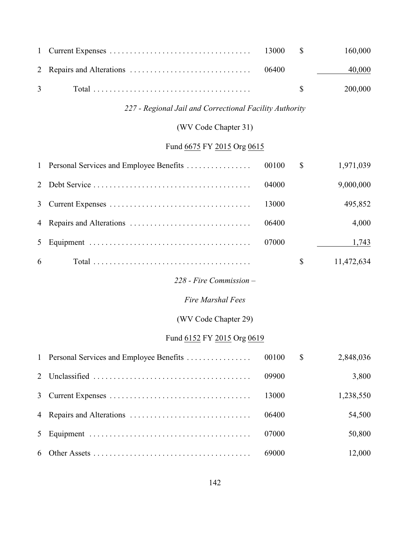|                                                                                         |  | 40,000         |
|-----------------------------------------------------------------------------------------|--|----------------|
| 3 $Total \dots \dots \dots \dots \dots \dots \dots \dots \dots \dots \dots \dots \dots$ |  | $\$\,$ 200,000 |

### *227 - Regional Jail and Correctional Facility Authority*

# (WV Code Chapter 31)

# Fund 6675 FY 2015 Org 0615

|   |       | $\mathbb{S}$ | 1,971,039  |
|---|-------|--------------|------------|
|   | 04000 |              | 9,000,000  |
|   | 13000 |              | 495,852    |
|   | 06400 |              | 4,000      |
|   | 07000 |              | 1,743      |
| 6 |       | S.           | 11,472,634 |

# *228 - Fire Commission –*

#### *Fire Marshal Fees*

### (WV Code Chapter 29)

### Fund 6152 FY 2015 Org 0619

|  |       | $\mathbb{S}$ | 2,848,036 |
|--|-------|--------------|-----------|
|  | 09900 |              | 3,800     |
|  | 13000 |              | 1,238,550 |
|  | 06400 |              | 54,500    |
|  | 07000 |              | 50,800    |
|  |       |              | 12,000    |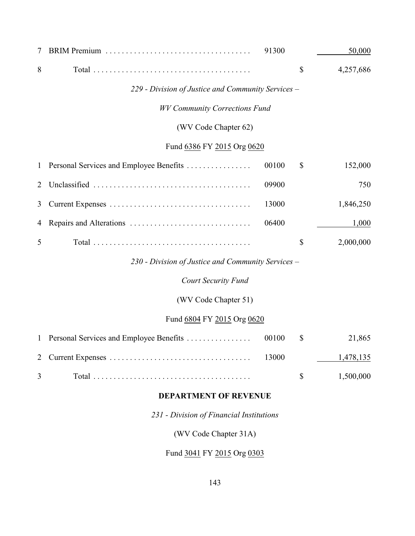| 7            |                                                    | 91300 | 50,000          |
|--------------|----------------------------------------------------|-------|-----------------|
| 8            |                                                    |       | \$<br>4,257,686 |
|              | 229 - Division of Justice and Community Services - |       |                 |
|              | <b>WV Community Corrections Fund</b>               |       |                 |
|              | (WV Code Chapter 62)                               |       |                 |
|              | Fund 6386 FY 2015 Org 0620                         |       |                 |
| $\mathbf{1}$ | Personal Services and Employee Benefits            | 00100 | \$<br>152,000   |
| 2            |                                                    | 09900 | 750             |
| 3            |                                                    | 13000 | 1,846,250       |
| 4            |                                                    | 06400 | 1,000           |
| 5            |                                                    |       | \$<br>2,000,000 |
|              | 230 - Division of Justice and Community Services – |       |                 |
|              | <b>Court Security Fund</b>                         |       |                 |
|              | (WV Code Chapter 51)                               |       |                 |
|              | Fund 6804 FY 2015 Org 0620                         |       |                 |
| $\mathbf{1}$ | Personal Services and Employee Benefits            | 00100 | \$<br>21,865    |
| 2            |                                                    | 13000 | 1,478,135       |
| 3            |                                                    |       | \$<br>1,500,000 |
|              | <b>DEPARTMENT OF REVENUE</b>                       |       |                 |
|              |                                                    |       |                 |

*231 - Division of Financial Institutions*

(WV Code Chapter 31A)

Fund 3041 FY 2015 Org 0303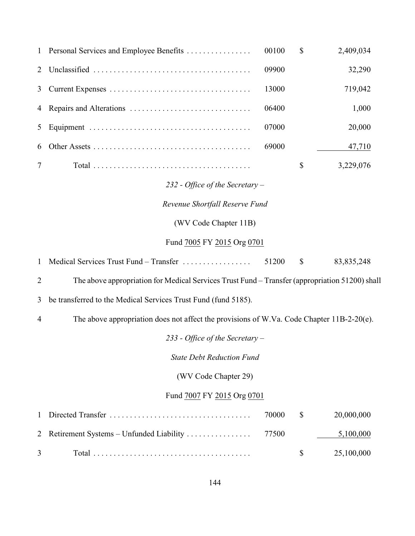| $\mathbf{1}$   | Personal Services and Employee Benefits                                                        | 00100 | \$                        | 2,409,034    |
|----------------|------------------------------------------------------------------------------------------------|-------|---------------------------|--------------|
| 2              |                                                                                                | 09900 |                           | 32,290       |
| 3              |                                                                                                | 13000 |                           | 719,042      |
| 4              |                                                                                                | 06400 |                           | 1,000        |
| 5              |                                                                                                | 07000 |                           | 20,000       |
| 6              |                                                                                                | 69000 |                           | 47,710       |
| 7              |                                                                                                |       | \$                        | 3,229,076    |
|                | 232 - Office of the Secretary -                                                                |       |                           |              |
|                | Revenue Shortfall Reserve Fund                                                                 |       |                           |              |
|                | (WV Code Chapter 11B)                                                                          |       |                           |              |
|                | Fund 7005 FY 2015 Org 0701                                                                     |       |                           |              |
| $\mathbf{1}$   | Medical Services Trust Fund – Transfer                                                         | 51200 | $\boldsymbol{\mathsf{S}}$ | 83, 835, 248 |
| $\overline{2}$ | The above appropriation for Medical Services Trust Fund – Transfer (appropriation 51200) shall |       |                           |              |
|                |                                                                                                |       |                           |              |
| 3              | be transferred to the Medical Services Trust Fund (fund 5185).                                 |       |                           |              |
| 4              | The above appropriation does not affect the provisions of W.Va. Code Chapter 11B-2-20(e).      |       |                           |              |
|                | 233 - Office of the Secretary –                                                                |       |                           |              |
|                | <b>State Debt Reduction Fund</b>                                                               |       |                           |              |
|                | (WV Code Chapter 29)                                                                           |       |                           |              |
|                | Fund 7007 FY 2015 Org 0701                                                                     |       |                           |              |
| 1              | Directed Transfer                                                                              | 70000 | \$                        | 20,000,000   |
| 2              | Retirement Systems - Unfunded Liability                                                        | 77500 |                           | 5,100,000    |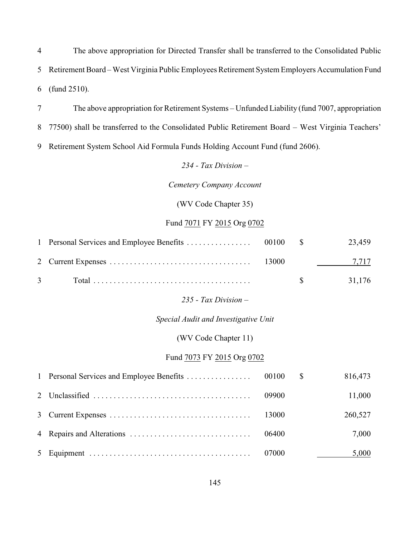The above appropriation for Directed Transfer shall be transferred to the Consolidated Public Retirement Board *–* West Virginia Public Employees Retirement System Employers Accumulation Fund (fund 2510).

 The above appropriation for Retirement Systems – Unfunded Liability (fund 7007, appropriation 77500) shall be transferred to the Consolidated Public Retirement Board – West Virginia Teachers' Retirement System School Aid Formula Funds Holding Account Fund (fund 2606).

*234 - Tax Division –*

*Cemetery Company Account*

(WV Code Chapter 35)

## Fund 7071 FY 2015 Org 0702

|               |  | 23.459              |
|---------------|--|---------------------|
|               |  | 7,717               |
| $\mathcal{R}$ |  | $\frac{\$}{31.176}$ |

*235 - Tax Division –*

#### *Special Audit and Investigative Unit*

#### (WV Code Chapter 11)

## Fund 7073 FY 2015 Org 0702

|  |       | 816,473 |
|--|-------|---------|
|  |       | 11,000  |
|  |       | 260,527 |
|  | 06400 | 7,000   |
|  |       | 5,000   |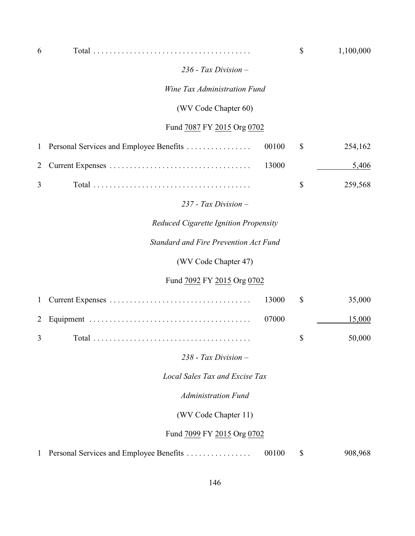| 6            |                                                  | \$                        | 1,100,000 |
|--------------|--------------------------------------------------|---------------------------|-----------|
|              | $236$ - Tax Division $-$                         |                           |           |
|              | Wine Tax Administration Fund                     |                           |           |
|              | (WV Code Chapter 60)                             |                           |           |
|              | Fund 7087 FY 2015 Org 0702                       |                           |           |
| $\mathbf{1}$ | Personal Services and Employee Benefits<br>00100 | $\mathcal{S}$             | 254,162   |
| 2            | 13000                                            |                           | 5,406     |
| 3            |                                                  | $\boldsymbol{\mathsf{S}}$ | 259,568   |
|              | $237$ - Tax Division $-$                         |                           |           |
|              | Reduced Cigarette Ignition Propensity            |                           |           |
|              | <b>Standard and Fire Prevention Act Fund</b>     |                           |           |
|              | (WV Code Chapter 47)                             |                           |           |
|              | Fund 7092 FY 2015 Org 0702                       |                           |           |
| $\mathbf{1}$ | 13000                                            | $\mathbb{S}$              | 35,000    |
| 2            | 07000                                            |                           | 15,000    |
| 3            |                                                  | \$                        | 50,000    |
|              | $238$ - Tax Division $-$                         |                           |           |
|              | <b>Local Sales Tax and Excise Tax</b>            |                           |           |
|              | <b>Administration Fund</b>                       |                           |           |
|              | (WV Code Chapter 11)                             |                           |           |
|              | Fund 7099 FY 2015 Org 0702                       |                           |           |
| 1            | 00100<br>Personal Services and Employee Benefits | \$                        | 908,968   |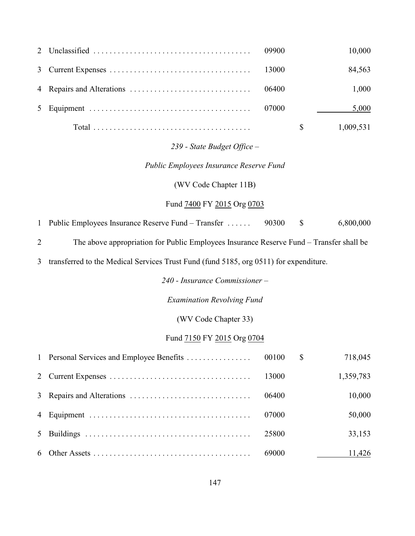|  |       | 10,000    |
|--|-------|-----------|
|  |       | 84,563    |
|  | 06400 | 1,000     |
|  | 07000 | 5,000     |
|  |       | 1,009,531 |

# *239 - State Budget Office –*

## *Public Employees Insurance Reserve Fund*

(WV Code Chapter 11B)

#### Fund 7400 FY 2015 Org 0703

Public Employees Insurance Reserve Fund *–* Transfer . . . . . . 90300 \$ 6,800,000

The above appropriation for Public Employees Insurance Reserve Fund *–* Transfer shall be

transferred to the Medical Services Trust Fund (fund 5185, org 0511) for expenditure.

*240 - Insurance Commissioner –*

*Examination Revolving Fund*

(WV Code Chapter 33)

## Fund 7150 FY 2015 Org 0704

|  |       | $\mathbb{S}$ | 718,045   |
|--|-------|--------------|-----------|
|  | 13000 |              | 1,359,783 |
|  | 06400 |              | 10,000    |
|  | 07000 |              | 50,000    |
|  | 25800 |              | 33,153    |
|  | 69000 |              | 11,426    |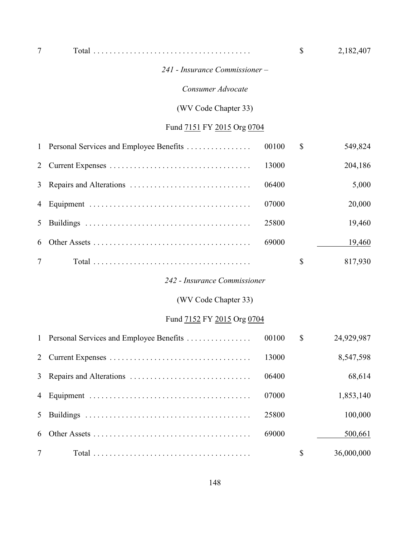| 7            |                                         |       | \$<br>2,182,407  |
|--------------|-----------------------------------------|-------|------------------|
|              | 241 - Insurance Commissioner -          |       |                  |
|              | Consumer Advocate                       |       |                  |
|              | (WV Code Chapter 33)                    |       |                  |
|              | Fund 7151 FY 2015 Org 0704              |       |                  |
| 1            | Personal Services and Employee Benefits | 00100 | \$<br>549,824    |
| 2            |                                         | 13000 | 204,186          |
| 3            |                                         | 06400 | 5,000            |
| 4            |                                         | 07000 | 20,000           |
| 5            |                                         | 25800 | 19,460           |
| 6            |                                         | 69000 | 19,460           |
| 7            |                                         |       | \$<br>817,930    |
|              | 242 - Insurance Commissioner            |       |                  |
|              | (WV Code Chapter 33)                    |       |                  |
|              | Fund 7152 FY 2015 Org 0704              |       |                  |
| $\mathbf{1}$ | Personal Services and Employee Benefits | 00100 | \$<br>24,929,987 |
| 2            |                                         | 13000 | 8,547,598        |
| 3            |                                         | 06400 | 68,614           |
| 4            |                                         | 07000 | 1,853,140        |
| 5            |                                         | 25800 | 100,000          |
| 6            |                                         | 69000 | 500,661          |
| 7            |                                         |       | \$<br>36,000,000 |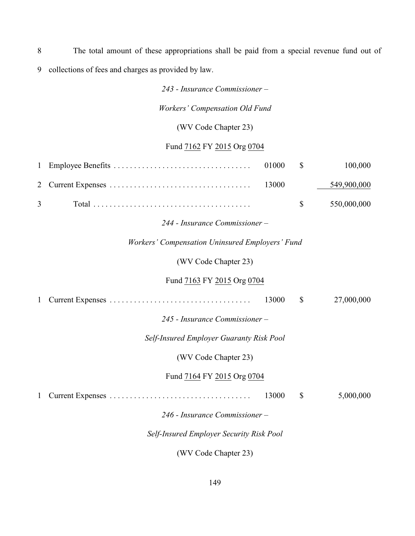8 The total amount of these appropriations shall be paid from a special revenue fund out of 9 collections of fees and charges as provided by law.

*243 - Insurance Commissioner –*

*Workers' Compensation Old Fund*

(WV Code Chapter 23)

# Fund 7162 FY 2015 Org 0704

| 1 |                                                        | 01000 | $\mathcal{S}$ | 100,000     |
|---|--------------------------------------------------------|-------|---------------|-------------|
| 2 |                                                        | 13000 |               | 549,900,000 |
| 3 |                                                        |       | \$            | 550,000,000 |
|   | 244 - Insurance Commissioner –                         |       |               |             |
|   | <b>Workers' Compensation Uninsured Employers' Fund</b> |       |               |             |
|   | (WV Code Chapter 23)                                   |       |               |             |
|   | Fund 7163 FY 2015 Org 0704                             |       |               |             |
|   |                                                        | 13000 | $\mathbb{S}$  | 27,000,000  |
|   | 245 - Insurance Commissioner –                         |       |               |             |
|   | Self-Insured Employer Guaranty Risk Pool               |       |               |             |
|   | (WV Code Chapter 23)                                   |       |               |             |
|   | Fund 7164 FY 2015 Org 0704                             |       |               |             |
|   |                                                        | 13000 | \$            | 5,000,000   |
|   | 246 - Insurance Commissioner -                         |       |               |             |
|   | Self-Insured Employer Security Risk Pool               |       |               |             |

(WV Code Chapter 23)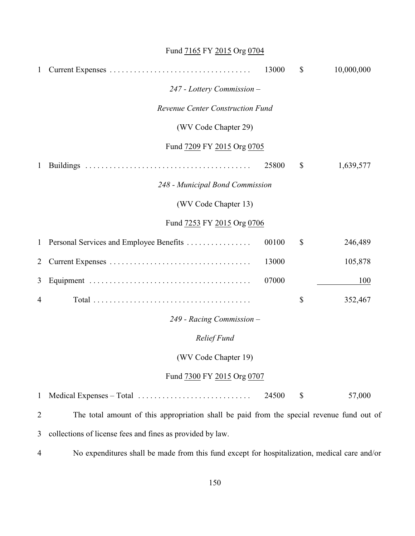# Fund **7165** FY 2015 Org 0704

| $\mathbf{1}$ |                                                                                              | 13000 | $\mathbb{S}$ | 10,000,000 |
|--------------|----------------------------------------------------------------------------------------------|-------|--------------|------------|
|              | 247 - Lottery Commission -                                                                   |       |              |            |
|              | <b>Revenue Center Construction Fund</b>                                                      |       |              |            |
|              | (WV Code Chapter 29)                                                                         |       |              |            |
|              | Fund 7209 FY 2015 Org 0705                                                                   |       |              |            |
| $\mathbf{1}$ |                                                                                              | 25800 | \$           | 1,639,577  |
|              | 248 - Municipal Bond Commission                                                              |       |              |            |
|              | (WV Code Chapter 13)                                                                         |       |              |            |
|              | Fund 7253 FY 2015 Org 0706                                                                   |       |              |            |
| $\mathbf{1}$ | Personal Services and Employee Benefits                                                      | 00100 | \$           | 246,489    |
| 2            |                                                                                              | 13000 |              | 105,878    |
| 3            |                                                                                              | 07000 |              | 100        |
| 4            |                                                                                              |       | \$           | 352,467    |
|              | 249 - Racing Commission -                                                                    |       |              |            |
|              | Relief Fund                                                                                  |       |              |            |
|              | (WV Code Chapter 19)                                                                         |       |              |            |
|              | Fund 7300 FY 2015 Org 0707                                                                   |       |              |            |
| $\mathbf{1}$ |                                                                                              | 24500 | \$           | 57,000     |
| 2            | The total amount of this appropriation shall be paid from the special revenue fund out of    |       |              |            |
| 3            | collections of license fees and fines as provided by law.                                    |       |              |            |
| 4            | No expenditures shall be made from this fund except for hospitalization, medical care and/or |       |              |            |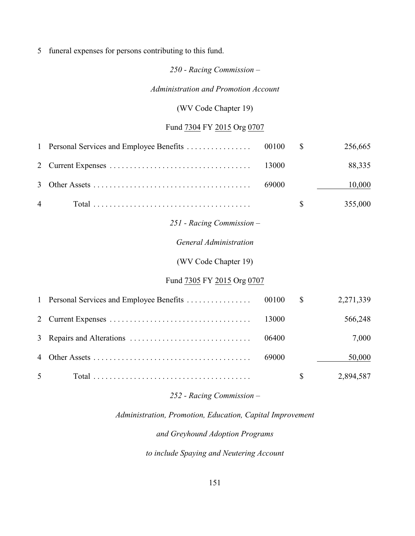5 funeral expenses for persons contributing to this fund.

## *250 - Racing Commission –*

*Administration and Promotion Account*

## (WV Code Chapter 19)

# Fund 7304 FY 2015 Org 0707

|                | 1 Personal Services and Employee Benefits | 00100 | $\mathbb{S}$ | 256,665   |
|----------------|-------------------------------------------|-------|--------------|-----------|
| 2              |                                           | 13000 |              | 88,335    |
| 3              |                                           | 69000 |              | 10,000    |
| $\overline{4}$ |                                           |       | $\mathbb{S}$ | 355,000   |
|                | $251$ - Racing Commission -               |       |              |           |
|                | <b>General Administration</b>             |       |              |           |
|                | (WV Code Chapter 19)                      |       |              |           |
|                | Fund 7305 FY 2015 Org 0707                |       |              |           |
|                | 1 Personal Services and Employee Benefits | 00100 | $\mathbb{S}$ | 2,271,339 |
| 2              |                                           | 13000 |              | 566,248   |
| 3              |                                           | 06400 |              | 7,000     |
| 4              |                                           | 69000 |              | 50,000    |
| 5              |                                           |       | \$           | 2,894,587 |

## *252 - Racing Commission –*

# *Administration, Promotion, Education, Capital Improvement*

## *and Greyhound Adoption Programs*

*to include Spaying and Neutering Account*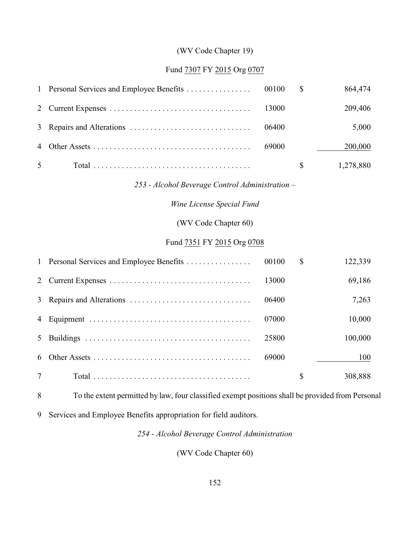# (WV Code Chapter 19)

## Fund 7307 FY 2015 Org 0707

| 1            | Personal Services and Employee Benefits         | 00100 | \$ | 864,474   |  |  |  |
|--------------|-------------------------------------------------|-------|----|-----------|--|--|--|
| 2            |                                                 | 13000 |    | 209,406   |  |  |  |
| 3            |                                                 | 06400 |    | 5,000     |  |  |  |
| 4            |                                                 | 69000 |    | 200,000   |  |  |  |
| 5            |                                                 |       | \$ | 1,278,880 |  |  |  |
|              | 253 - Alcohol Beverage Control Administration - |       |    |           |  |  |  |
|              | Wine License Special Fund                       |       |    |           |  |  |  |
|              | (WV Code Chapter 60)                            |       |    |           |  |  |  |
|              | Fund 7351 FY 2015 Org 0708                      |       |    |           |  |  |  |
| $\mathbf{1}$ | Personal Services and Employee Benefits         | 00100 | \$ | 122,339   |  |  |  |
| 2            |                                                 | 13000 |    | 69,186    |  |  |  |
| 3            | Repairs and Alterations                         | 06400 |    | 7,263     |  |  |  |
| 4            |                                                 | 07000 |    | 10,000    |  |  |  |
| 5            |                                                 | 25800 |    | 100,000   |  |  |  |
| 6            |                                                 | 69000 |    | 100       |  |  |  |
| 7            |                                                 |       | \$ | 308,888   |  |  |  |
|              |                                                 |       |    |           |  |  |  |

To the extent permitted by law, four classified exempt positions shall be provided from Personal

Services and Employee Benefits appropriation for field auditors.

*254 - Alcohol Beverage Control Administration*

(WV Code Chapter 60)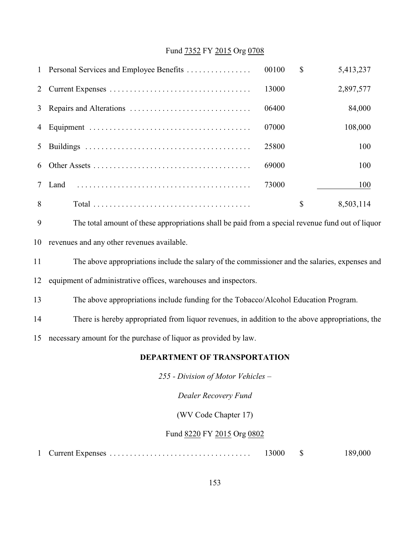### Fund 7352 FY 2015 Org 0708

|   | 1 Personal Services and Employee Benefits | 00100 | \$<br>5,413,237 |
|---|-------------------------------------------|-------|-----------------|
| 2 |                                           | 13000 | 2,897,577       |
| 3 |                                           | 06400 | 84,000          |
| 4 |                                           | 07000 | 108,000         |
|   |                                           | 25800 | 100             |
| 6 |                                           | 69000 | 100             |
|   | Land                                      | 73000 | 100             |
| 8 |                                           |       | \$<br>8,503,114 |



- revenues and any other revenues available.
- The above appropriations include the salary of the commissioner and the salaries, expenses and
- equipment of administrative offices, warehouses and inspectors.
- The above appropriations include funding for the Tobacco/Alcohol Education Program.
- There is hereby appropriated from liquor revenues, in addition to the above appropriations, the
- necessary amount for the purchase of liquor as provided by law.

#### **DEPARTMENT OF TRANSPORTATION**

*255 - Division of Motor Vehicles –*

*Dealer Recovery Fund*

(WV Code Chapter 17)

#### Fund 8220 FY 2015 Org 0802

|  | 13000 |  | 189,000 |
|--|-------|--|---------|
|--|-------|--|---------|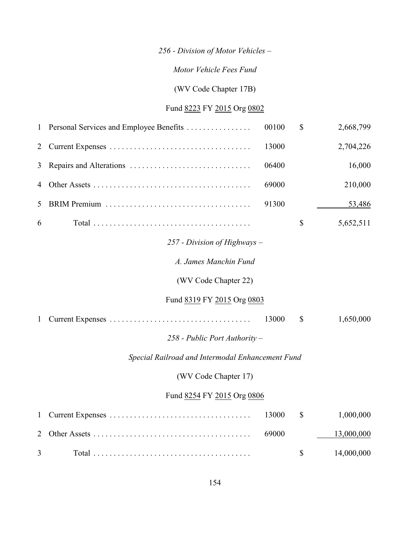# *256 - Division of Motor Vehicles –*

# *Motor Vehicle Fees Fund*

(WV Code Chapter 17B)

# Fund 8223 FY 2015 Org 0802

| $\mathbf{1}$   | Personal Services and Employee Benefits          | 00100 | $\mathbb{S}$ | 2,668,799  |
|----------------|--------------------------------------------------|-------|--------------|------------|
| $\overline{2}$ |                                                  | 13000 |              | 2,704,226  |
| 3              |                                                  | 06400 |              | 16,000     |
| 4              |                                                  | 69000 |              | 210,000    |
| 5              |                                                  | 91300 |              | 53,486     |
| 6              |                                                  |       | $\mathbb{S}$ | 5,652,511  |
|                | $257$ - Division of Highways -                   |       |              |            |
|                | A. James Manchin Fund                            |       |              |            |
|                | (WV Code Chapter 22)                             |       |              |            |
|                | Fund 8319 FY 2015 Org 0803                       |       |              |            |
| 1              |                                                  | 13000 | $\mathbb{S}$ | 1,650,000  |
|                | $258$ - Public Port Authority –                  |       |              |            |
|                | Special Railroad and Intermodal Enhancement Fund |       |              |            |
|                | (WV Code Chapter 17)                             |       |              |            |
|                | Fund 8254 FY 2015 Org 0806                       |       |              |            |
| $\mathbf{1}$   |                                                  | 13000 | \$           | 1,000,000  |
| $\overline{2}$ |                                                  | 69000 |              | 13,000,000 |
| 3              |                                                  |       | \$           | 14,000,000 |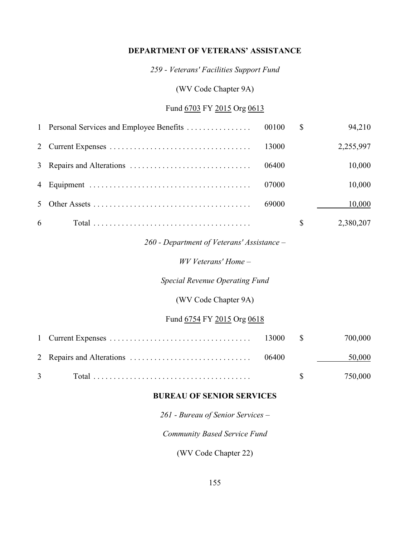#### **DEPARTMENT OF VETERANS' ASSISTANCE**

*259 - Veterans' Facilities Support Fund*

(WV Code Chapter 9A)

## Fund 6703 FY 2015 Org 0613

|   |       | $\mathbb{S}$ | 94,210    |
|---|-------|--------------|-----------|
|   | 13000 |              | 2,255,997 |
|   | 06400 |              | 10,000    |
|   | 07000 |              | 10,000    |
|   | 69000 |              | 10,000    |
| 6 |       |              | 2,380,207 |

## *260 - Department of Veterans' Assistance –*

*WV Veterans' Home –*

*Special Revenue Operating Fund*

(WV Code Chapter 9A)

## Fund 6754 FY 2015 Org 0618

|                                                                                                      |  | 50,000                 |
|------------------------------------------------------------------------------------------------------|--|------------------------|
| $3 \qquad \qquad \text{Total} \ldots \ldots \ldots \ldots \ldots \ldots \ldots \ldots \ldots \ldots$ |  | $\$\frac{\$}{750,000}$ |

#### **BUREAU OF SENIOR SERVICES**

*261 - Bureau of Senior Services –*

*Community Based Service Fund*

(WV Code Chapter 22)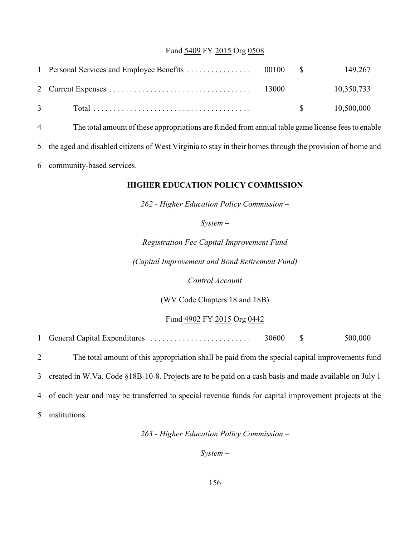### Fund 5409 FY 2015 Org 0508

|                                |             | 149,267    |
|--------------------------------|-------------|------------|
|                                |             | 10,350,733 |
| $3 \left( \frac{1}{2} \right)$ | $\mathbf S$ | 10,500,000 |

4 The total amount of these appropriations are funded from annual table game license fees to enable

5 the aged and disabled citizens of West Virginia to stay in their homes through the provision of home and

6 community-based services.

#### **HIGHER EDUCATION POLICY COMMISSION**

*262 - Higher Education Policy Commission –*

*System –*

*Registration Fee Capital Improvement Fund (Capital Improvement and Bond Retirement Fund)*

*Control Account*

(WV Code Chapters 18 and 18B)

Fund 4902 FY 2015 Org 0442

1 General Capital Expenditures . . . . . . . . . . . . . . . . . . . . . . . . . 30600 \$ 500,000

 The total amount of this appropriation shall be paid from the special capital improvements fund created in W.Va. Code §18B-10-8. Projects are to be paid on a cash basis and made available on July 1 of each year and may be transferred to special revenue funds for capital improvement projects at the institutions.

*263 - Higher Education Policy Commission –*

*System –*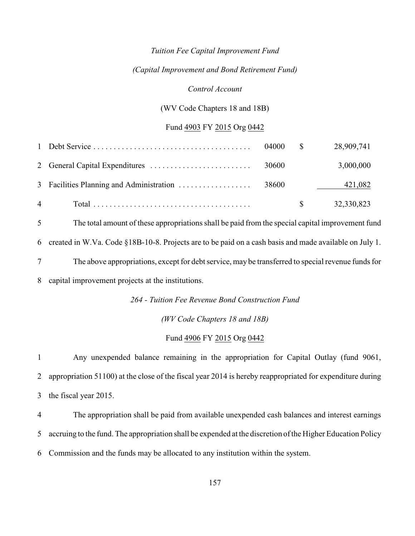#### *Tuition Fee Capital Improvement Fund*

#### *(Capital Improvement and Bond Retirement Fund)*

#### *Control Account*

#### (WV Code Chapters 18 and 18B)

#### Fund 4903 FY 2015 Org 0442

|                | 04000 \$ |              | 28,909,741 |
|----------------|----------|--------------|------------|
|                | 30600    |              | 3,000,000  |
|                |          |              | 421,082    |
| $\overline{4}$ |          | $\mathbb{S}$ | 32,330,823 |

The total amount of these appropriations shall be paid from the special capital improvement fund

created in W.Va. Code §18B-10-8. Projects are to be paid on a cash basis and made available on July 1.

The above appropriations, except for debt service, may be transferred to special revenue funds for

capital improvement projects at the institutions.

### *264 - Tuition Fee Revenue Bond Construction Fund*

*(WV Code Chapters 18 and 18B)*

#### Fund 4906 FY 2015 Org 0442

 Any unexpended balance remaining in the appropriation for Capital Outlay (fund 9061, appropriation 51100) at the close of the fiscal year 2014 is hereby reappropriated for expenditure during the fiscal year 2015.

 The appropriation shall be paid from available unexpended cash balances and interest earnings accruing to the fund. The appropriation shall be expended at the discretion of the Higher Education Policy Commission and the funds may be allocated to any institution within the system.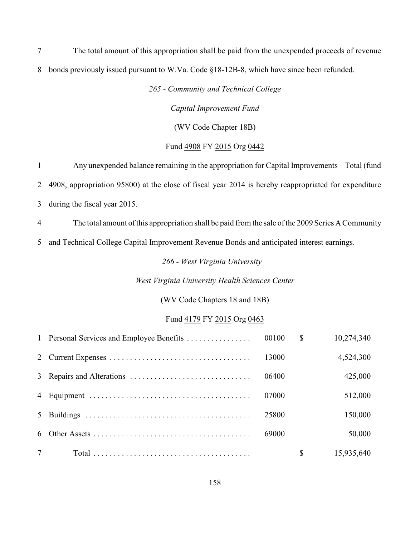The total amount of this appropriation shall be paid from the unexpended proceeds of revenue bonds previously issued pursuant to W.Va. Code §18-12B-8, which have since been refunded.

*265 - Community and Technical College*

*Capital Improvement Fund*

(WV Code Chapter 18B)

## Fund 4908 FY 2015 Org 0442

 Any unexpended balance remaining in the appropriation for Capital Improvements *–* Total (fund 4908, appropriation 95800) at the close of fiscal year 2014 is hereby reappropriated for expenditure during the fiscal year 2015.

The total amount of this appropriation shall be paid from the sale ofthe 2009 Series A Community

and Technical College Capital Improvement Revenue Bonds and anticipated interest earnings.

*266 - West Virginia University –*

*West Virginia University Health Sciences Center*

(WV Code Chapters 18 and 18B)

#### Fund 4179 FY 2015 Org 0463

| $\tau$ |       |              | 15,935,640 |
|--------|-------|--------------|------------|
| 6      | 69000 |              | 50,000     |
|        | 25800 |              | 150,000    |
|        | 07000 |              | 512,000    |
|        | 06400 |              | 425,000    |
|        | 13000 |              | 4,524,300  |
|        |       | $\mathbb{S}$ | 10,274,340 |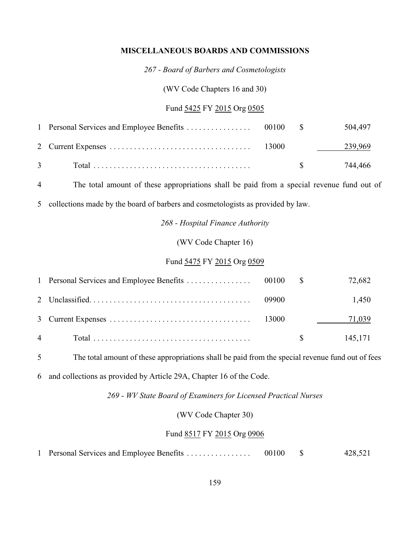#### **MISCELLANEOUS BOARDS AND COMMISSIONS**

*267 - Board of Barbers and Cosmetologists*

(WV Code Chapters 16 and 30)

## Fund 5425 FY 2015 Org 0505

|                |  | 504,497    |
|----------------|--|------------|
|                |  | 239,969    |
| $\overline{3}$ |  | \$ 744,466 |

4 The total amount of these appropriations shall be paid from a special revenue fund out of

5 collections made by the board of barbers and cosmetologists as provided by law.

*268 - Hospital Finance Authority*

(WV Code Chapter 16)

## Fund 5475 FY 2015 Org 0509

|  |       | 72,682                  |
|--|-------|-------------------------|
|  | 09900 | 1,450<br>71,039         |
|  |       | 145,171<br>$\mathbb{S}$ |
|  |       |                         |

5 The total amount of these appropriations shall be paid from the special revenue fund out of fees

6 and collections as provided by Article 29A, Chapter 16 of the Code.

*269 - WV State Board of Examiners for Licensed Practical Nurses*

(WV Code Chapter 30)

#### Fund 8517 FY 2015 Org 0906

|  | 1 Personal Services and Employee Benefits | 00100 |  | 428,521 |
|--|-------------------------------------------|-------|--|---------|
|--|-------------------------------------------|-------|--|---------|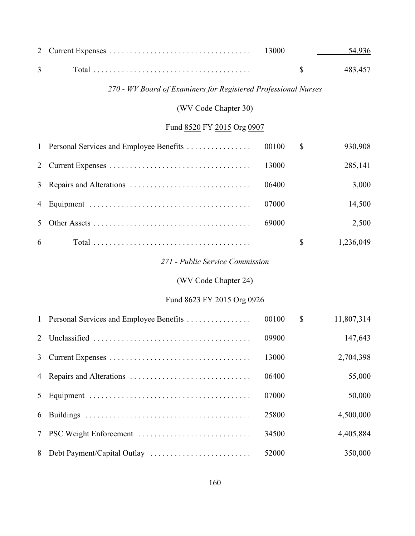| 2 |                                                                | 13000 |               | 54,936     |
|---|----------------------------------------------------------------|-------|---------------|------------|
| 3 |                                                                |       | \$            | 483,457    |
|   | 270 - WV Board of Examiners for Registered Professional Nurses |       |               |            |
|   | (WV Code Chapter 30)                                           |       |               |            |
|   | Fund 8520 FY 2015 Org 0907                                     |       |               |            |
| 1 | Personal Services and Employee Benefits                        | 00100 | $\mathcal{S}$ | 930,908    |
| 2 |                                                                | 13000 |               | 285,141    |
| 3 |                                                                | 06400 |               | 3,000      |
| 4 |                                                                | 07000 |               | 14,500     |
| 5 |                                                                | 69000 |               | 2,500      |
| 6 |                                                                |       | \$            | 1,236,049  |
|   | 271 - Public Service Commission                                |       |               |            |
|   | (WV Code Chapter 24)                                           |       |               |            |
|   | Fund 8623 FY 2015 Org 0926                                     |       |               |            |
| 1 | Personal Services and Employee Benefits                        | 00100 | $\mathbb{S}$  | 11,807,314 |
| 2 |                                                                | 09900 |               | 147,643    |
| 3 |                                                                | 13000 |               | 2,704,398  |
| 4 |                                                                | 06400 |               | 55,000     |
| 5 |                                                                | 07000 |               | 50,000     |
| 6 |                                                                | 25800 |               | 4,500,000  |
| 7 | PSC Weight Enforcement                                         | 34500 |               | 4,405,884  |
| 8 |                                                                | 52000 |               | 350,000    |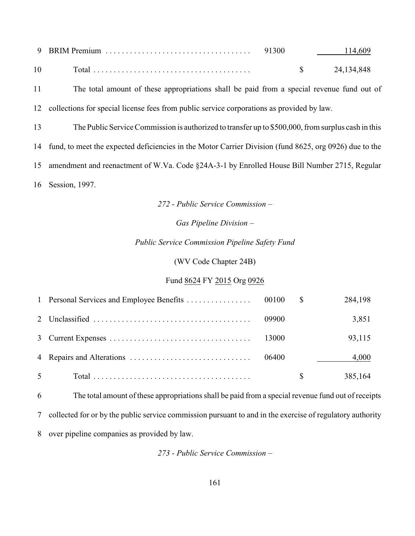|    | 9 BRIM Premium |  |            |
|----|----------------|--|------------|
| 10 | Total          |  | 24,134,848 |

 The total amount of these appropriations shall be paid from a special revenue fund out of collections for special license fees from public service corporations as provided by law.

The Public Service Commission is authorized to transfer up to \$500,000, from surplus cash in this

fund, to meet the expected deficiencies in the Motor Carrier Division (fund 8625, org 0926) due to the

amendment and reenactment of W.Va. Code §24A-3-1 by Enrolled House Bill Number 2715, Regular

Session, 1997.

*272 - Public Service Commission –*

*Gas Pipeline Division –*

#### *Public Service Commission Pipeline Safety Fund*

(WV Code Chapter 24B)

#### Fund 8624 FY 2015 Org 0926

|                |       | $^{\circ}$ | 284,198 |
|----------------|-------|------------|---------|
|                | 09900 |            | 3,851   |
|                | 13000 |            | 93,115  |
|                | 06400 |            | 4,000   |
| 5 <sup>5</sup> |       |            | 385,164 |

The total amount of these appropriations shall be paid from a special revenue fund out of receipts

collected for or by the public service commission pursuant to and in the exercise of regulatory authority

over pipeline companies as provided by law.

*273 - Public Service Commission –*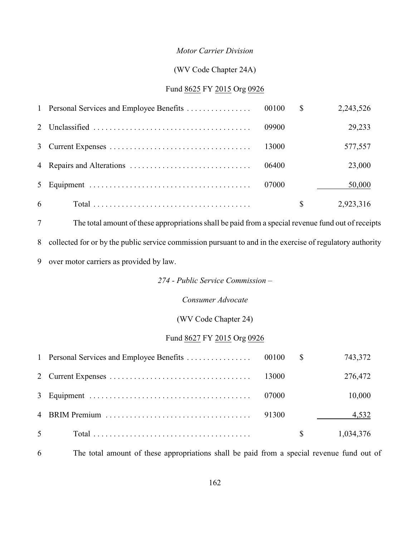#### *Motor Carrier Division*

#### (WV Code Chapter 24A)

## Fund 8625 FY 2015 Org 0926

|                | 1 Personal Services and Employee Benefits | 00100 | $\mathbb{S}$ | 2,243,526 |
|----------------|-------------------------------------------|-------|--------------|-----------|
|                |                                           | 09900 |              | 29,233    |
|                |                                           | 13000 |              | 577,557   |
|                |                                           | 06400 |              | 23,000    |
| 5 <sup>5</sup> |                                           | 07000 |              | 50,000    |
| 6              |                                           |       | S            | 2,923,316 |

The total amount of these appropriationsshall be paid from a special revenue fund out of receipts

collected for or by the public service commission pursuant to and in the exercise of regulatory authority

over motor carriers as provided by law.

*274 - Public Service Commission –*

*Consumer Advocate*

(WV Code Chapter 24)

## Fund 8627 FY 2015 Org 0926

|                |       |              | 743,372   |
|----------------|-------|--------------|-----------|
|                |       |              | 276,472   |
|                | 07000 |              | 10,000    |
|                | 91300 |              | 4,532     |
| 5 <sup>5</sup> |       | <sup>S</sup> | 1,034,376 |

The total amount of these appropriations shall be paid from a special revenue fund out of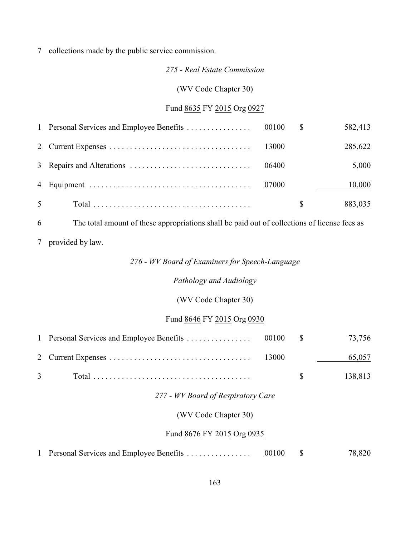## 7 collections made by the public service commission.

#### *275 - Real Estate Commission*

(WV Code Chapter 30)

## Fund 8635 FY 2015 Org 0927

|                |       |    | 582,413 |
|----------------|-------|----|---------|
|                |       |    | 285,622 |
|                |       |    | 5,000   |
|                | 07000 |    | 10,000  |
| 5 <sup>5</sup> |       | S. | 883,035 |

6 The total amount of these appropriations shall be paid out of collections of license fees as

7 provided by law.

## *276 - WV Board of Examiners for Speech-Language*

## *Pathology and Audiology*

# (WV Code Chapter 30)

# Fund 8646 FY 2015 Org 0930

|                                                                                                      |  | 65,057     |
|------------------------------------------------------------------------------------------------------|--|------------|
| $3 \qquad \qquad \text{Total} \ldots \ldots \ldots \ldots \ldots \ldots \ldots \ldots \ldots \ldots$ |  | \$ 138,813 |

# *277 - WV Board of Respiratory Care*

# (WV Code Chapter 30)

# Fund 8676 FY 2015 Org 0935

| 1 Personal Services and Employee Benefits | 00100 |  | 78,820 |
|-------------------------------------------|-------|--|--------|
|-------------------------------------------|-------|--|--------|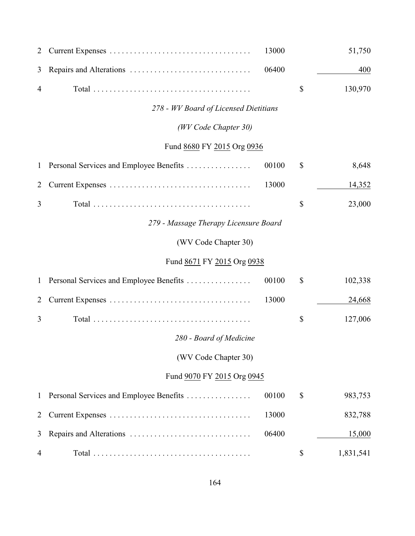| 2              |                                         | 13000 |              | 51,750    |
|----------------|-----------------------------------------|-------|--------------|-----------|
| 3              |                                         | 06400 |              | 400       |
| 4              |                                         |       | \$           | 130,970   |
|                | 278 - WV Board of Licensed Dietitians   |       |              |           |
|                | (WV Code Chapter 30)                    |       |              |           |
|                | Fund 8680 FY 2015 Org 0936              |       |              |           |
| $\mathbf{1}$   | Personal Services and Employee Benefits | 00100 | \$           | 8,648     |
| $\overline{2}$ |                                         | 13000 |              | 14,352    |
| 3              |                                         |       | $\mathbb{S}$ | 23,000    |
|                | 279 - Massage Therapy Licensure Board   |       |              |           |
|                | (WV Code Chapter 30)                    |       |              |           |
|                | Fund 8671 FY 2015 Org 0938              |       |              |           |
| $\mathbf{1}$   | Personal Services and Employee Benefits | 00100 | \$           | 102,338   |
| $\overline{2}$ |                                         | 13000 |              | 24,668    |
| 3              |                                         |       | \$           | 127,006   |
|                | 280 - Board of Medicine                 |       |              |           |
|                | (WV Code Chapter 30)                    |       |              |           |
|                | Fund 9070 FY 2015 Org 0945              |       |              |           |
| $\mathbf{1}$   | Personal Services and Employee Benefits | 00100 | \$           | 983,753   |
| $\overline{2}$ |                                         | 13000 |              | 832,788   |
| 3              |                                         | 06400 |              | 15,000    |
| $\overline{4}$ |                                         |       | \$           | 1,831,541 |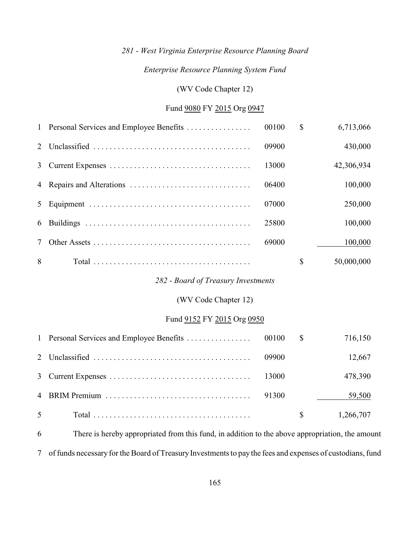# *281 - West Virginia Enterprise Resource Planning Board*

## *Enterprise Resource Planning System Fund*

(WV Code Chapter 12)

## Fund 9080 FY 2015 Org 0947

| $\mathbf{1}$   | Personal Services and Employee Benefits | 00100 | $\mathcal{S}$ | 6,713,066  |
|----------------|-----------------------------------------|-------|---------------|------------|
| 2              |                                         | 09900 |               | 430,000    |
| $\overline{3}$ |                                         | 13000 |               | 42,306,934 |
| 4              |                                         | 06400 |               | 100,000    |
| 5              |                                         | 07000 |               | 250,000    |
| 6              |                                         | 25800 |               | 100,000    |
| $\tau$         |                                         | 69000 |               | 100,000    |
| 8              |                                         |       | $\mathbb{S}$  | 50,000,000 |
|                | 282 - Board of Treasury Investments     |       |               |            |
|                | (WV Code Chapter 12)                    |       |               |            |
|                | Fund 9152 FY 2015 Org 0950              |       |               |            |
| $\mathbf{1}$   | Personal Services and Employee Benefits | 00100 | $\mathbb{S}$  | 716,150    |
| 2              |                                         | 09900 |               | 12,667     |
| 3              |                                         | 13000 |               | 478,390    |
| 4              |                                         | 91300 |               | 59,500     |
|                |                                         |       |               |            |

 There is hereby appropriated from this fund, in addition to the above appropriation, the amount of funds necessary for the Board of Treasury Investments to pay the fees and expenses of custodians, fund

Total ....................................... \$ 1,266,707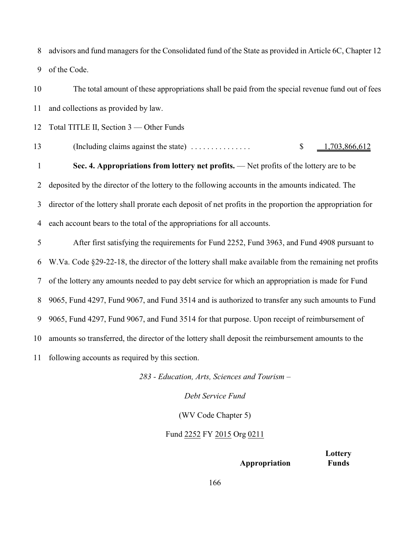advisors and fund managers for the Consolidated fund of the State as provided in Article 6C, Chapter 12 of the Code.

 The total amount of these appropriations shall be paid from the special revenue fund out of fees and collections as provided by law.

12 Total TITLE II, Section 3 — Other Funds

(Including claims against the state) . . . . . . . . . . . . . . . \$ 1,703,866,612

 **Sec. 4. Appropriations from lottery net profits.** — Net profits of the lottery are to be deposited by the director of the lottery to the following accounts in the amounts indicated. The director of the lottery shall prorate each deposit of net profits in the proportion the appropriation for each account bears to the total of the appropriations for all accounts.

 After first satisfying the requirements for Fund 2252, Fund 3963, and Fund 4908 pursuant to W.Va. Code §29-22-18, the director of the lottery shall make available from the remaining net profits of the lottery any amounts needed to pay debt service for which an appropriation is made for Fund 9065, Fund 4297, Fund 9067, and Fund 3514 and is authorized to transfer any such amounts to Fund 9065, Fund 4297, Fund 9067, and Fund 3514 for that purpose. Upon receipt of reimbursement of amounts so transferred, the director of the lottery shall deposit the reimbursement amounts to the following accounts as required by this section.

*283 - Education, Arts, Sciences and Tourism –*

*Debt Service Fund*

(WV Code Chapter 5)

Fund 2252 FY 2015 Org 0211

**Lottery Appropriation Funds**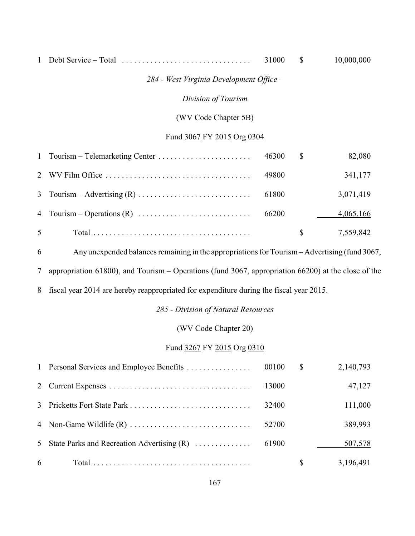## Debt Service *–* Total ................................ 31000 \$ 10,000,000

## *284 - West Virginia Development Office –*

## *Division of Tourism*

## (WV Code Chapter 5B)

#### Fund 3067 FY 2015 Org 0304

|                | 46300 | -S  | 82,080    |
|----------------|-------|-----|-----------|
|                | 49800 |     | 341,177   |
|                | 61800 |     | 3,071,419 |
|                |       |     | 4,065,166 |
| 5 <sup>5</sup> |       | S — | 7,559,842 |

Any unexpended balances remaining in the appropriations for Tourism *–* Advertising (fund 3067,

appropriation 61800), and Tourism *–* Operations (fund 3067, appropriation 66200) at the close of the

fiscal year 2014 are hereby reappropriated for expenditure during the fiscal year 2015.

#### *285 - Division of Natural Resources*

## (WV Code Chapter 20)

## Fund 3267 FY 2015 Org 0310

|   | 1 Personal Services and Employee Benefits    | 00100 | $\mathbb{S}$ | 2,140,793 |
|---|----------------------------------------------|-------|--------------|-----------|
|   |                                              | 13000 |              | 47,127    |
|   |                                              | 32400 |              | 111,000   |
|   |                                              | 52700 |              | 389,993   |
|   | 5 State Parks and Recreation Advertising (R) | 61900 |              | 507,578   |
| 6 |                                              |       | <sup>S</sup> | 3,196,491 |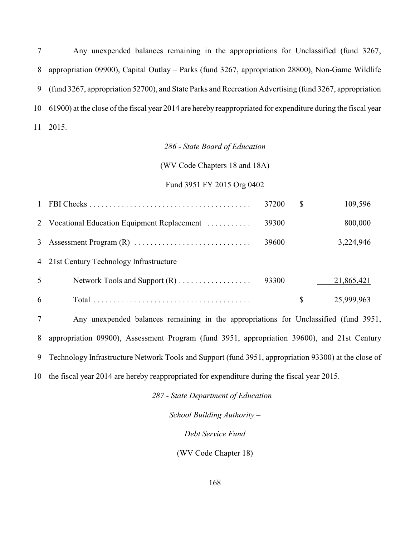Any unexpended balances remaining in the appropriations for Unclassified (fund 3267, appropriation 09900), Capital Outlay *–* Parks (fund 3267, appropriation 28800), Non-Game Wildlife (fund 3267, appropriation 52700), and State Parks and Recreation Advertising (fund 3267, appropriation 61900) at the close of the fiscal year 2014 are hereby reappropriated for expenditure during the fiscal year 2015.

### *286 - State Board of Education*

(WV Code Chapters 18 and 18A)

#### Fund 3951 FY 2015 Org 0402

| $\mathbf{1}$ |                                              | 37200 | \$<br>109,596    |
|--------------|----------------------------------------------|-------|------------------|
|              | 2 Vocational Education Equipment Replacement | 39300 | 800,000          |
| 3            |                                              | 39600 | 3,224,946        |
|              | 4 21st Century Technology Infrastructure     |       |                  |
| 5            |                                              | 93300 | 21,865,421       |
| 6            |                                              |       | \$<br>25,999,963 |
|              |                                              |       |                  |

 Any unexpended balances remaining in the appropriations for Unclassified (fund 3951, appropriation 09900), Assessment Program (fund 3951, appropriation 39600), and 21st Century Technology Infrastructure Network Tools and Support (fund 3951, appropriation 93300) at the close of the fiscal year 2014 are hereby reappropriated for expenditure during the fiscal year 2015.

*287 - State Department of Education –*

*School Building Authority –*

*Debt Service Fund*

(WV Code Chapter 18)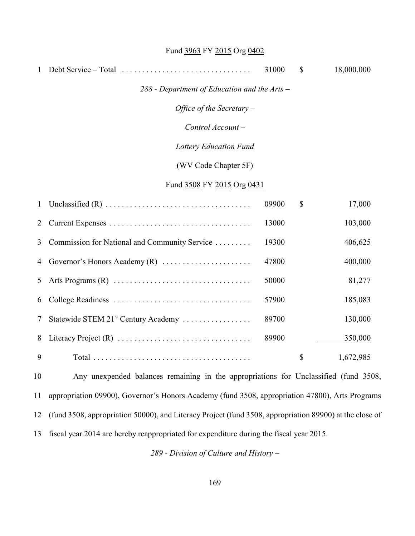# Fund 3963 FY 2015 Org 0402

| 1  |                                                                                                 | 31000 | $\mathbb{S}$              | 18,000,000 |
|----|-------------------------------------------------------------------------------------------------|-------|---------------------------|------------|
|    | $288$ - Department of Education and the Arts –                                                  |       |                           |            |
|    | Office of the Secretary $-$                                                                     |       |                           |            |
|    | Control Account-                                                                                |       |                           |            |
|    | <b>Lottery Education Fund</b>                                                                   |       |                           |            |
|    | (WV Code Chapter 5F)                                                                            |       |                           |            |
|    | Fund 3508 FY 2015 Org 0431                                                                      |       |                           |            |
| 1  |                                                                                                 | 09900 | $\mathbb{S}$              | 17,000     |
| 2  |                                                                                                 | 13000 |                           | 103,000    |
| 3  | Commission for National and Community Service                                                   | 19300 |                           | 406,625    |
| 4  | Governor's Honors Academy (R)                                                                   | 47800 |                           | 400,000    |
| 5  |                                                                                                 | 50000 |                           | 81,277     |
| 6  |                                                                                                 | 57900 |                           | 185,083    |
| 7  | Statewide STEM 21 <sup>st</sup> Century Academy                                                 | 89700 |                           | 130,000    |
| 8  |                                                                                                 | 89900 |                           | 350,000    |
| 9  |                                                                                                 |       | $\boldsymbol{\mathsf{S}}$ | 1,672,985  |
| 10 | Any unexpended balances remaining in the appropriations for Unclassified (fund 3508,            |       |                           |            |
| 11 | appropriation 09900), Governor's Honors Academy (fund 3508, appropriation 47800), Arts Programs |       |                           |            |
|    |                                                                                                 |       |                           |            |

(fund 3508, appropriation 50000), and Literacy Project (fund 3508, appropriation 89900) at the close of

fiscal year 2014 are hereby reappropriated for expenditure during the fiscal year 2015.

*289 - Division of Culture and History –*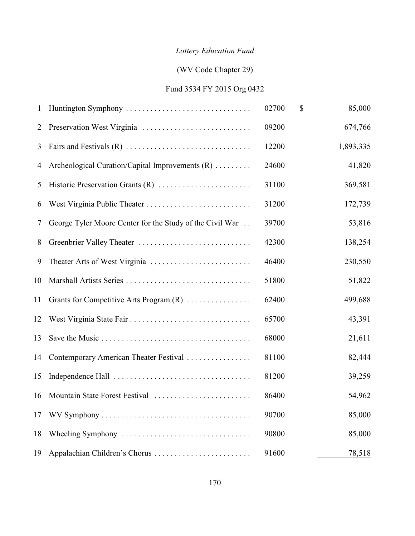# *Lottery Education Fund*

# (WV Code Chapter 29)

# Fund 3534 FY 2015 Org 0432

| 1  | Huntington Symphony                                      | 02700 | \$<br>85,000 |
|----|----------------------------------------------------------|-------|--------------|
| 2  |                                                          | 09200 | 674,766      |
| 3  |                                                          | 12200 | 1,893,335    |
| 4  | Archeological Curation/Capital Improvements (R)          | 24600 | 41,820       |
| 5  | Historic Preservation Grants (R)                         | 31100 | 369,581      |
| 6  |                                                          | 31200 | 172,739      |
| 7  | George Tyler Moore Center for the Study of the Civil War | 39700 | 53,816       |
| 8  | Greenbrier Valley Theater                                | 42300 | 138,254      |
| 9  | Theater Arts of West Virginia                            | 46400 | 230,550      |
| 10 |                                                          | 51800 | 51,822       |
| 11 | Grants for Competitive Arts Program (R)                  | 62400 | 499,688      |
| 12 |                                                          | 65700 | 43,391       |
| 13 |                                                          | 68000 | 21,611       |
| 14 | Contemporary American Theater Festival                   | 81100 | 82,444       |
| 15 |                                                          | 81200 | 39,259       |
| 16 | Mountain State Forest Festival                           | 86400 | 54,962       |
| 17 |                                                          | 90700 | 85,000       |
| 18 |                                                          | 90800 | 85,000       |
| 19 | Appalachian Children's Chorus                            | 91600 | 78,518       |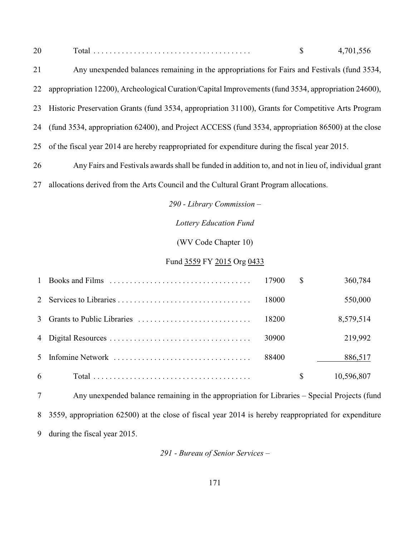| $\sim$<br>-viai<br>∠∪ |  |  |
|-----------------------|--|--|
|-----------------------|--|--|

| 21 | Any unexpended balances remaining in the appropriations for Fairs and Festivals (fund 3534,           |
|----|-------------------------------------------------------------------------------------------------------|
| 22 | appropriation 12200), Archeological Curation/Capital Improvements (fund 3534, appropriation 24600),   |
| 23 | Historic Preservation Grants (fund 3534, appropriation 31100), Grants for Competitive Arts Program    |
|    | 24 (fund 3534, appropriation 62400), and Project ACCESS (fund 3534, appropriation 86500) at the close |
| 25 | of the fiscal year 2014 are hereby reappropriated for expenditure during the fiscal year 2015.        |
| 26 | Any Fairs and Festivals awards shall be funded in addition to, and not in lieu of, individual grant   |
|    |                                                                                                       |

allocations derived from the Arts Council and the Cultural Grant Program allocations.

*290 - Library Commission –*

*Lottery Education Fund*

(WV Code Chapter 10)

## Fund 3559 FY 2015 Org 0433

|   |       | S | 360,784    |
|---|-------|---|------------|
|   | 18000 |   | 550,000    |
|   | 18200 |   | 8,579,514  |
|   | 30900 |   | 219,992    |
|   | 88400 |   | 886,517    |
| 6 |       | S | 10,596,807 |

 Any unexpended balance remaining in the appropriation for Libraries *–* Special Projects (fund 3559, appropriation 62500) at the close of fiscal year 2014 is hereby reappropriated for expenditure during the fiscal year 2015.

*291 - Bureau of Senior Services –*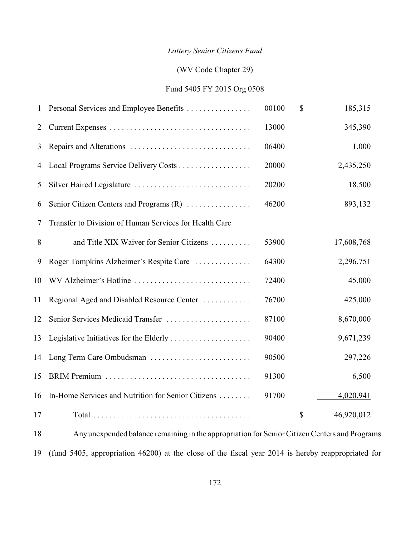# *Lottery Senior Citizens Fund*

## (WV Code Chapter 29)

## Fund 5405 FY 2015 Org 0508

| 1  | Personal Services and Employee Benefits                | 00100 | $\mathbb{S}$ | 185,315    |
|----|--------------------------------------------------------|-------|--------------|------------|
| 2  |                                                        | 13000 |              | 345,390    |
| 3  |                                                        | 06400 |              | 1,000      |
| 4  |                                                        | 20000 |              | 2,435,250  |
| 5  |                                                        | 20200 |              | 18,500     |
| 6  | Senior Citizen Centers and Programs (R)                | 46200 |              | 893,132    |
| 7  | Transfer to Division of Human Services for Health Care |       |              |            |
| 8  | and Title XIX Waiver for Senior Citizens               | 53900 |              | 17,608,768 |
| 9  | Roger Tompkins Alzheimer's Respite Care                | 64300 |              | 2,296,751  |
| 10 | WV Alzheimer's Hotline                                 | 72400 |              | 45,000     |
| 11 | Regional Aged and Disabled Resource Center             | 76700 |              | 425,000    |
| 12 | Senior Services Medicaid Transfer                      | 87100 |              | 8,670,000  |
| 13 | Legislative Initiatives for the Elderly                | 90400 |              | 9,671,239  |
| 14 | Long Term Care Ombudsman                               | 90500 |              | 297,226    |
| 15 |                                                        | 91300 |              | 6,500      |
| 16 | In-Home Services and Nutrition for Senior Citizens     | 91700 |              | 4,020,941  |
| 17 |                                                        |       | \$           | 46,920,012 |
|    |                                                        |       |              |            |

 Anyunexpended balance remaining in the appropriation for Senior Citizen Centers and Programs (fund 5405, appropriation 46200) at the close of the fiscal year 2014 is hereby reappropriated for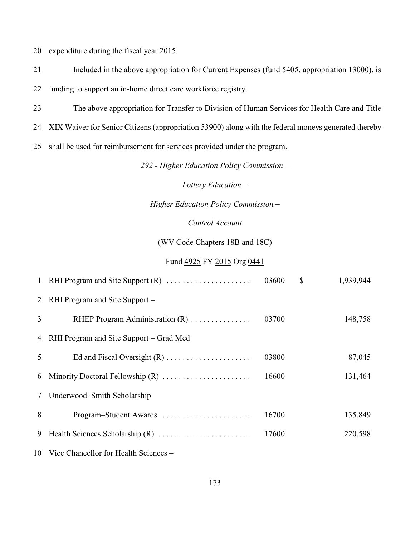expenditure during the fiscal year 2015.

Included in the above appropriation for Current Expenses (fund 5405, appropriation 13000), is

funding to support an in-home direct care workforce registry.

The above appropriation for Transfer to Division of Human Services for Health Care and Title

XIX Waiver for Senior Citizens (appropriation 53900) along with the federal moneys generated thereby

shall be used for reimbursement for services provided under the program.

*292 - Higher Education Policy Commission –*

*Lottery Education –*

*Higher Education Policy Commission –*

## *Control Account*

(WV Code Chapters 18B and 18C)

#### Fund 4925 FY 2015 Org 0441

|   | 1 RHI Program and Site Support (R)       | 03600 | $\mathbb{S}$ | 1,939,944 |
|---|------------------------------------------|-------|--------------|-----------|
| 2 | RHI Program and Site Support –           |       |              |           |
| 3 | RHEP Program Administration (R)          | 03700 |              | 148,758   |
| 4 | RHI Program and Site Support – Grad Med  |       |              |           |
| 5 |                                          | 03800 |              | 87,045    |
| 6 |                                          | 16600 |              | 131,464   |
| 7 | Underwood-Smith Scholarship              |       |              |           |
| 8 | Program-Student Awards                   | 16700 |              | 135,849   |
| 9 |                                          | 17600 |              | 220,598   |
|   | 10 Vice Chancellor for Health Sciences – |       |              |           |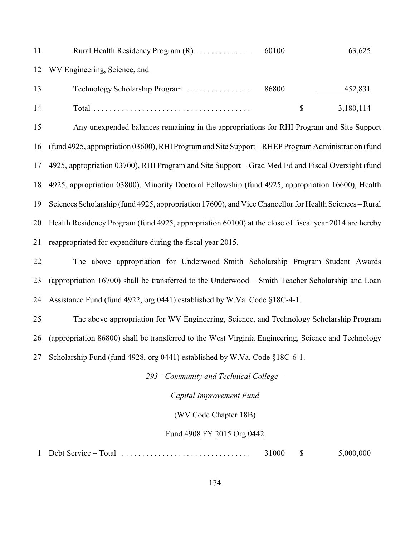| 11 | 60100<br>63,625<br>Rural Health Residency Program $(R)$                                                |  |  |  |  |
|----|--------------------------------------------------------------------------------------------------------|--|--|--|--|
| 12 | WV Engineering, Science, and                                                                           |  |  |  |  |
| 13 | Technology Scholarship Program<br>86800<br>452,831                                                     |  |  |  |  |
| 14 | $\mathbb{S}$<br>3,180,114                                                                              |  |  |  |  |
| 15 | Any unexpended balances remaining in the appropriations for RHI Program and Site Support               |  |  |  |  |
| 16 | (fund 4925, appropriation 03600), RHI Program and Site Support - RHEP Program Administration (fund     |  |  |  |  |
| 17 | 4925, appropriation 03700), RHI Program and Site Support – Grad Med Ed and Fiscal Oversight (fund      |  |  |  |  |
| 18 | 4925, appropriation 03800), Minority Doctoral Fellowship (fund 4925, appropriation 16600), Health      |  |  |  |  |
| 19 | Sciences Scholarship (fund 4925, appropriation 17600), and Vice Chancellor for Health Sciences – Rural |  |  |  |  |
| 20 | Health Residency Program (fund 4925, appropriation 60100) at the close of fiscal year 2014 are hereby  |  |  |  |  |
| 21 | reappropriated for expenditure during the fiscal year 2015.                                            |  |  |  |  |
| 22 | The above appropriation for Underwood–Smith Scholarship Program–Student Awards                         |  |  |  |  |
| 23 | (appropriation 16700) shall be transferred to the Underwood – Smith Teacher Scholarship and Loan       |  |  |  |  |
| 24 | Assistance Fund (fund 4922, org 0441) established by W.Va. Code §18C-4-1.                              |  |  |  |  |
| 25 | The above appropriation for WV Engineering, Science, and Technology Scholarship Program                |  |  |  |  |
| 26 | (appropriation 86800) shall be transferred to the West Virginia Engineering, Science and Technology    |  |  |  |  |
| 27 | Scholarship Fund (fund 4928, org 0441) established by W.Va. Code §18C-6-1.                             |  |  |  |  |
|    | 293 - Community and Technical College -                                                                |  |  |  |  |
|    | Capital Improvement Fund                                                                               |  |  |  |  |
|    | (WV Code Chapter 18B)                                                                                  |  |  |  |  |

# Fund  $\frac{4908}{11}$  FY 2015 Org 0442

Debt Service *–* Total ................................ 31000 \$ 5,000,000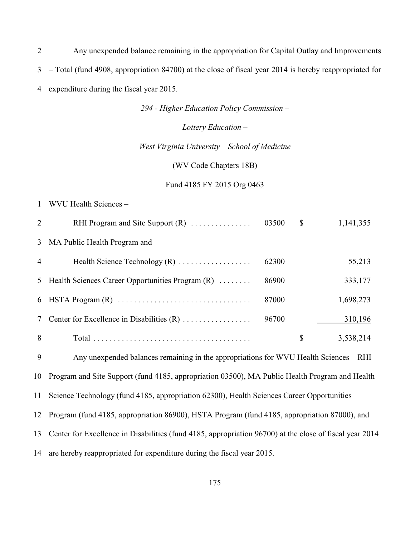Any unexpended balance remaining in the appropriation for Capital Outlay and Improvements *–* Total (fund 4908, appropriation 84700) at the close of fiscal year 2014 is hereby reappropriated for expenditure during the fiscal year 2015.

*294 - Higher Education Policy Commission –*

*Lottery Education –*

#### *West Virginia University – School of Medicine*

(WV Code Chapters 18B)

#### Fund 4185 FY 2015 Org 0463

#### WVU Health Sciences –

| 2              | RHI Program and Site Support $(R)$                 | 03500 | \$ | 1,141,355 |
|----------------|----------------------------------------------------|-------|----|-----------|
|                | 3 MA Public Health Program and                     |       |    |           |
| $\overline{4}$ | Health Science Technology $(R)$                    | 62300 |    | 55,213    |
|                | 5 Health Sciences Career Opportunities Program (R) | 86900 |    | 333,177   |
| 6              |                                                    | 87000 |    | 1,698,273 |
| 7              |                                                    | 96700 |    | 310,196   |
| 8              |                                                    |       | S  | 3,538,214 |

Any unexpended balances remaining in the appropriations for WVU Health Sciences – RHI

Program and Site Support (fund 4185, appropriation 03500), MA Public Health Program and Health

Science Technology (fund 4185, appropriation 62300), Health Sciences Career Opportunities

Program (fund 4185, appropriation 86900), HSTA Program (fund 4185, appropriation 87000), and

Center for Excellence in Disabilities (fund 4185, appropriation 96700) at the close of fiscal year 2014

are hereby reappropriated for expenditure during the fiscal year 2015.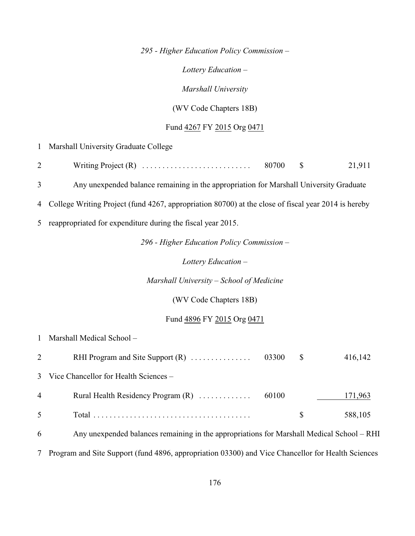*295 - Higher Education Policy Commission –*

*Lottery Education –*

*Marshall University*

(WV Code Chapters 18B)

# Fund 4267 FY 2015 Org 0471

|                | 1 Marshall University Graduate College                                                              |  |  |  |  |  |
|----------------|-----------------------------------------------------------------------------------------------------|--|--|--|--|--|
| $\overline{c}$ | 80700<br>21,911<br>$\boldsymbol{\mathsf{S}}$                                                        |  |  |  |  |  |
| 3              | Any unexpended balance remaining in the appropriation for Marshall University Graduate              |  |  |  |  |  |
| 4              | College Writing Project (fund 4267, appropriation 80700) at the close of fiscal year 2014 is hereby |  |  |  |  |  |
|                | 5 reappropriated for expenditure during the fiscal year 2015.                                       |  |  |  |  |  |
|                | 296 - Higher Education Policy Commission -                                                          |  |  |  |  |  |
|                | Lottery Education $-$                                                                               |  |  |  |  |  |
|                | Marshall University – School of Medicine                                                            |  |  |  |  |  |
|                | (WV Code Chapters 18B)                                                                              |  |  |  |  |  |
|                | Fund 4896 FY 2015 Org 0471                                                                          |  |  |  |  |  |
| $\mathbf{1}$   | Marshall Medical School-                                                                            |  |  |  |  |  |
| $\overline{2}$ | RHI Program and Site Support (R)<br>03300<br>\$<br>416,142                                          |  |  |  |  |  |
| $\overline{3}$ | Vice Chancellor for Health Sciences -                                                               |  |  |  |  |  |
| 4              | Rural Health Residency Program (R)<br>60100<br>171,963                                              |  |  |  |  |  |
| 5              | $\mathcal{S}$<br>588,105                                                                            |  |  |  |  |  |
| 6              | Any unexpended balances remaining in the appropriations for Marshall Medical School - RHI           |  |  |  |  |  |

7 Program and Site Support (fund 4896, appropriation 03300) and Vice Chancellor for Health Sciences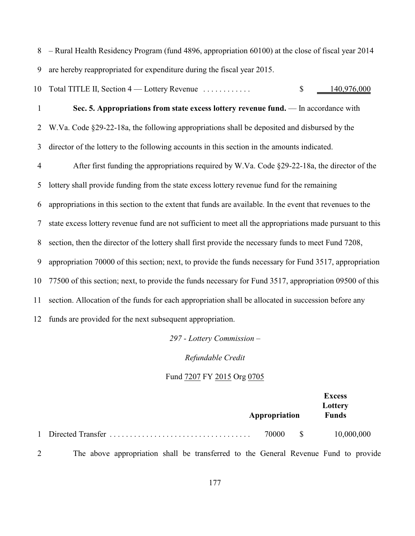– Rural Health Residency Program (fund 4896, appropriation 60100) at the close of fiscal year 2014 are hereby reappropriated for expenditure during the fiscal year 2015.

10 Total TITLE II, Section 4 — Lottery Revenue . . . . . . . . . . . . . . \$ 140,976,000

 **Sec. 5. Appropriations from state excess lottery revenue fund.** — In accordance with W.Va. Code §29-22-18a, the following appropriations shall be deposited and disbursed by the director of the lottery to the following accounts in this section in the amounts indicated. After first funding the appropriations required by W.Va. Code §29-22-18a, the director of the lottery shall provide funding from the state excess lottery revenue fund for the remaining appropriations in this section to the extent that funds are available. In the event that revenues to the state excess lottery revenue fund are not sufficient to meet all the appropriations made pursuant to this section, then the director of the lottery shall first provide the necessary funds to meet Fund 7208, appropriation 70000 of this section; next, to provide the funds necessary for Fund 3517, appropriation 77500 of this section; next, to provide the funds necessary for Fund 3517, appropriation 09500 of this section. Allocation of the funds for each appropriation shall be allocated in succession before any funds are provided for the next subsequent appropriation.

*297 - Lottery Commission –*

*Refundable Credit*

#### Fund 7207 FY 2015 Org 0705

|  | Appropriation |              | <b>Excess</b><br>Lottery<br><b>Funds</b> |
|--|---------------|--------------|------------------------------------------|
|  | 70000         | $\mathbb{S}$ | 10,000,000                               |

The above appropriation shall be transferred to the General Revenue Fund to provide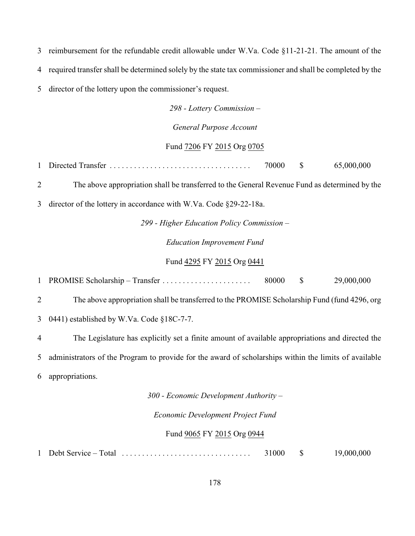reimbursement for the refundable credit allowable under W.Va. Code §11-21-21. The amount of the required transfer shall be determined solely by the state tax commissioner and shall be completed by the director of the lottery upon the commissioner's request.

*298 - Lottery Commission –*

*General Purpose Account*

#### Fund 7206 FY 2015 Org 0705

Directed Transfer ................................... 70000 \$ 65,000,000

The above appropriation shall be transferred to the General Revenue Fund as determined by the

director of the lottery in accordance with W.Va. Code §29-22-18a.

*299 - Higher Education Policy Commission – Education Improvement Fund*

Fund 4295 FY 2015 Org 0441

PROMISE Scholarship – Transfer . . . . . . . . . . . . . . . . . . . . . . 80000 \$ 29,000,000

The above appropriation shall be transferred to the PROMISE Scholarship Fund (fund 4296, org

0441) established by W.Va. Code §18C-7-7.

The Legislature has explicitly set a finite amount of available appropriations and directed the

administrators of the Program to provide for the award of scholarships within the limits of available

appropriations.

*300 - Economic Development Authority –*

*Economic Development Project Fund*

#### Fund 9065 FY 2015 Org 0944

Debt Service *–* Total ................................ 31000 \$ 19,000,000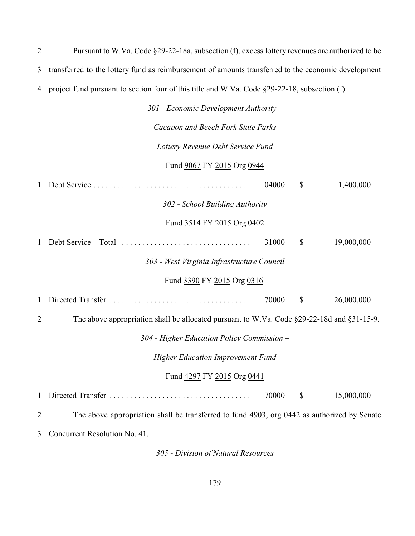| 2 | Pursuant to W.Va. Code §29-22-18a, subsection (f), excess lottery revenues are authorized to be     |  |  |  |
|---|-----------------------------------------------------------------------------------------------------|--|--|--|
| 3 | transferred to the lottery fund as reimbursement of amounts transferred to the economic development |  |  |  |
| 4 | project fund pursuant to section four of this title and W.Va. Code $\S29-22-18$ , subsection (f).   |  |  |  |
|   | $301$ - Economic Development Authority –                                                            |  |  |  |
|   | Cacapon and Beech Fork State Parks                                                                  |  |  |  |
|   | Lottery Revenue Debt Service Fund                                                                   |  |  |  |
|   |                                                                                                     |  |  |  |

#### Fund 9067 FY 2015 Org 0944

1 Debt Service ....................................... 04000 \$ 1,400,000

*302 - School Building Authority*

# Fund 3514 FY 2015 Org 0402

1 Debt Service *–* Total ................................ 31000 \$ 19,000,000

## *303 - West Virginia Infrastructure Council*

#### Fund 3390 FY 2015 Org 0316

1 Directed Transfer ................................... 70000 \$ 26,000,000

2 The above appropriation shall be allocated pursuant to W.Va. Code §29-22-18d and §31-15-9.

*304 - Higher Education Policy Commission –*

*Higher Education Improvement Fund*

#### Fund 4297 FY 2015 Org 0441

1 Directed Transfer ................................... 70000 \$ 15,000,000

2 The above appropriation shall be transferred to fund 4903, org 0442 as authorized by Senate

3 Concurrent Resolution No. 41.

*305 - Division of Natural Resources*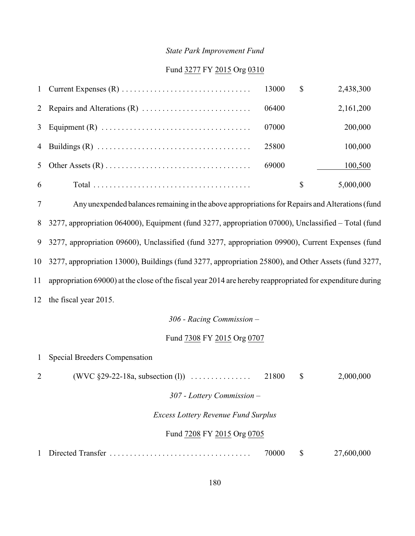#### *State Park Improvement Fund*

#### Fund 3277 FY 2015 Org 0310

|   |       | <sup>S</sup> | 2,438,300 |
|---|-------|--------------|-----------|
|   | 06400 |              | 2,161,200 |
|   | 07000 |              | 200,000   |
|   | 25800 |              | 100,000   |
|   | 69000 |              | 100,500   |
| 6 |       | $\mathbb{S}$ | 5,000,000 |

 Any unexpended balances remaining in the above appropriations for Repairs and Alterations (fund 3277, appropriation 064000), Equipment (fund 3277, appropriation 07000), Unclassified – Total (fund 3277, appropriation 09600), Unclassified (fund 3277, appropriation 09900), Current Expenses (fund 3277, appropriation 13000), Buildings (fund 3277, appropriation 25800), and Other Assets (fund 3277, appropriation 69000) at the close of the fiscal year 2014 are hereby reappropriated for expenditure during the fiscal year 2015.

*306 - Racing Commission –* 

Fund 7308 FY 2015 Org 0707

 Special Breeders Compensation 2 (WVC §29-22-18a, subsection (l)) . . . . . . . . . . . . . . . . 21800 \$ 2,000,000 *307 - Lottery Commission – Excess Lottery Revenue Fund Surplus* Fund 7208 FY 2015 Org 0705 Directed Transfer ................................... 70000 \$ 27,600,000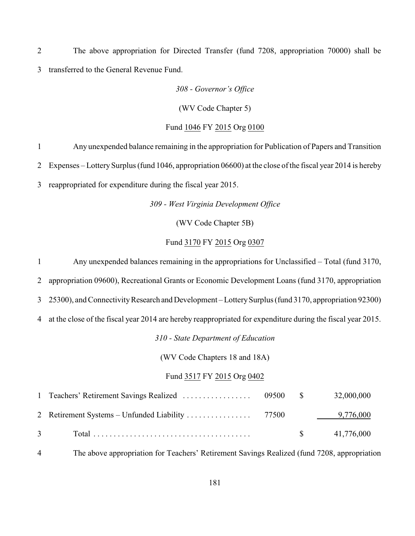The above appropriation for Directed Transfer (fund 7208, appropriation 70000) shall be transferred to the General Revenue Fund.

*308 - Governor's Office*

(WV Code Chapter 5)

Fund 1046 FY 2015 Org 0100

 Any unexpended balance remaining in the appropriation for Publication of Papers and Transition Expenses *–* Lottery Surplus (fund 1046, appropriation 06600) at the close of the fiscal year 2014 is hereby reappropriated for expenditure during the fiscal year 2015.

*309 - West Virginia Development Office*

(WV Code Chapter 5B)

#### Fund 3170 FY 2015 Org 0307

Any unexpended balances remaining in the appropriations for Unclassified *–* Total (fund 3170,

appropriation 09600), Recreational Grants or Economic Development Loans (fund 3170, appropriation

25300), and Connectivity Research and Development *–* Lottery Surplus (fund 3170, appropriation 92300)

at the close of the fiscal year 2014 are hereby reappropriated for expenditure during the fiscal year 2015.

*310 - State Department of Education*

(WV Code Chapters 18 and 18A)

#### Fund 3517 FY 2015 Org 0402

| $\overline{3}$ |  | $\$\,$ 41,776,000 |
|----------------|--|-------------------|

The above appropriation for Teachers' Retirement Savings Realized (fund 7208, appropriation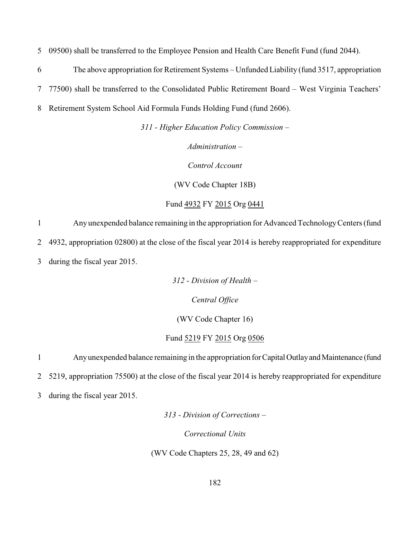5 09500) shall be transferred to the Employee Pension and Health Care Benefit Fund (fund 2044).

6 The above appropriation for Retirement Systems – Unfunded Liability (fund 3517, appropriation

7 77500) shall be transferred to the Consolidated Public Retirement Board – West Virginia Teachers'

8 Retirement System School Aid Formula Funds Holding Fund (fund 2606).

*311 - Higher Education Policy Commission –*

*Administration –*

*Control Account*

(WV Code Chapter 18B)

Fund 4932 FY 2015 Org 0441

1 Any unexpended balance remaining in the appropriation for Advanced Technology Centers (fund 2 4932, appropriation 02800) at the close of the fiscal year 2014 is hereby reappropriated for expenditure

3 during the fiscal year 2015.

*312 - Division of Health –*

*Central Office*

(WV Code Chapter 16)

#### Fund 5219 FY 2015 Org 0506

1 Any unexpended balance remaining in the appropriation for Capital Outlay and Maintenance (fund

2 5219, appropriation 75500) at the close of the fiscal year 2014 is hereby reappropriated for expenditure

3 during the fiscal year 2015.

*313 - Division of Corrections –*

*Correctional Units*

(WV Code Chapters 25, 28, 49 and 62)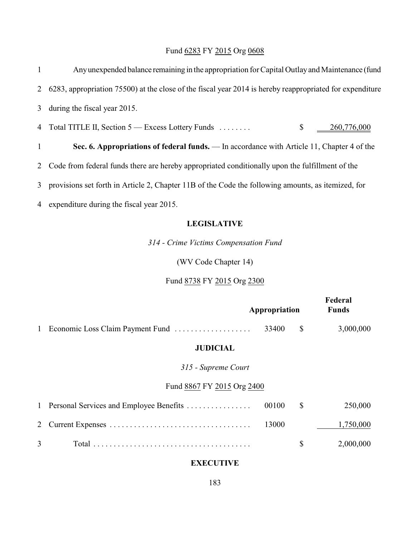# Fund 6283 FY 2015 Org 0608

| $\mathbf{1}$ | Any unexpended balance remaining in the appropriation for Capital Outlay and Maintenance (fund             |
|--------------|------------------------------------------------------------------------------------------------------------|
|              | 2 6283, appropriation 75500) at the close of the fiscal year 2014 is hereby reappropriated for expenditure |
|              | 3 during the fiscal year 2015.                                                                             |
|              | 4 Total TITLE II, Section 5 – Excess Lottery Funds<br>$\mathbb{S}$<br>260,776,000                          |
| $\mathbf{1}$ | Sec. 6. Appropriations of federal funds. — In accordance with Article 11, Chapter 4 of the                 |
|              | 2 Code from federal funds there are hereby appropriated conditionally upon the fulfillment of the          |
|              | 3 provisions set forth in Article 2, Chapter 11B of the Code the following amounts, as itemized, for       |
|              | 4 expenditure during the fiscal year 2015.                                                                 |
|              | <b>LEGISLATIVE</b>                                                                                         |

*314 - Crime Victims Compensation Fund*

(WV Code Chapter 14)

Fund 8738 FY 2015 Org 2300

|   |                                           | Appropriation | Federal<br><b>Funds</b> |
|---|-------------------------------------------|---------------|-------------------------|
| 1 | Economic Loss Claim Payment Fund          | 33400         | \$<br>3,000,000         |
|   | <b>JUDICIAL</b>                           |               |                         |
|   | 315 - Supreme Court                       |               |                         |
|   | Fund 8867 FY 2015 Org 2400                |               |                         |
|   | 1 Personal Services and Employee Benefits | 00100         | \$<br>250,000           |
| 2 |                                           | 13000         | 1,750,000               |
| 3 |                                           |               | \$<br>2,000,000         |

## **EXECUTIVE**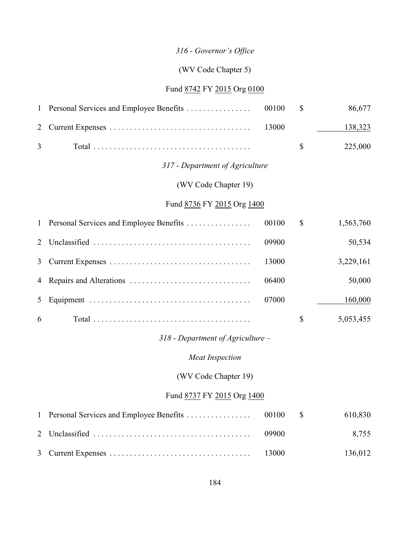# *316 - Governor's Office*

## (WV Code Chapter 5)

## Fund 8742 FY 2015 Org 0100

| $\mathbf{1}$   | Personal Services and Employee Benefits | 00100 | \$<br>86,677    |
|----------------|-----------------------------------------|-------|-----------------|
| 2              |                                         | 13000 | 138,323         |
| 3              |                                         |       | \$<br>225,000   |
|                | 317 - Department of Agriculture         |       |                 |
|                | (WV Code Chapter 19)                    |       |                 |
|                | Fund 8736 FY 2015 Org 1400              |       |                 |
| $\mathbf{1}$   | Personal Services and Employee Benefits | 00100 | \$<br>1,563,760 |
| 2              |                                         | 09900 | 50,534          |
| 3              |                                         | 13000 | 3,229,161       |
| 4              |                                         | 06400 | 50,000          |
| 5              |                                         | 07000 | 160,000         |
| 6              |                                         |       | \$<br>5,053,455 |
|                | $318$ - Department of Agriculture –     |       |                 |
|                | <b>Meat Inspection</b>                  |       |                 |
|                | (WV Code Chapter 19)                    |       |                 |
|                | Fund 8737 FY 2015 Org 1400              |       |                 |
| $\mathbf{1}$   | Personal Services and Employee Benefits | 00100 | \$<br>610,830   |
| $\overline{2}$ |                                         | 09900 | 8,755           |
| 3              |                                         | 13000 | 136,012         |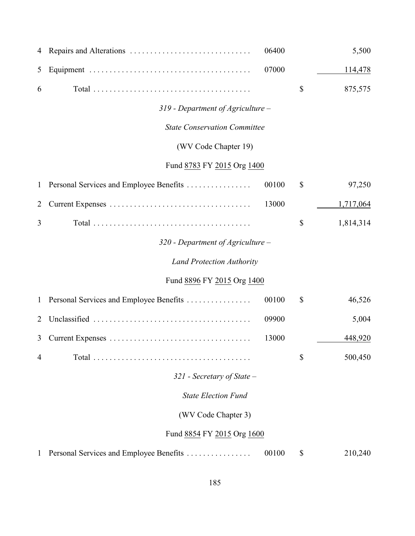| 4              |                                         | 06400 | 5,500           |
|----------------|-----------------------------------------|-------|-----------------|
| 5              |                                         | 07000 | 114,478         |
| 6              |                                         |       | \$<br>875,575   |
|                | $319$ - Department of Agriculture –     |       |                 |
|                | <b>State Conservation Committee</b>     |       |                 |
|                | (WV Code Chapter 19)                    |       |                 |
|                | Fund 8783 FY 2015 Org 1400              |       |                 |
| $\mathbf{1}$   | Personal Services and Employee Benefits | 00100 | \$<br>97,250    |
| $\overline{2}$ |                                         | 13000 | 1,717,064       |
| 3              |                                         |       | \$<br>1,814,314 |
|                | $320$ - Department of Agriculture –     |       |                 |
|                | <b>Land Protection Authority</b>        |       |                 |
|                | Fund 8896 FY 2015 Org 1400              |       |                 |
| $\mathbf{1}$   | Personal Services and Employee Benefits | 00100 | \$<br>46,526    |
| 2              |                                         | 09900 | 5,004           |
| 3              |                                         | 13000 | 448,920         |
| 4              |                                         |       | \$<br>500,450   |
|                | $321$ - Secretary of State -            |       |                 |
|                | <b>State Election Fund</b>              |       |                 |
|                | (WV Code Chapter 3)                     |       |                 |
|                | Fund 8854 FY 2015 Org 1600              |       |                 |
| 1              | Personal Services and Employee Benefits | 00100 | \$<br>210,240   |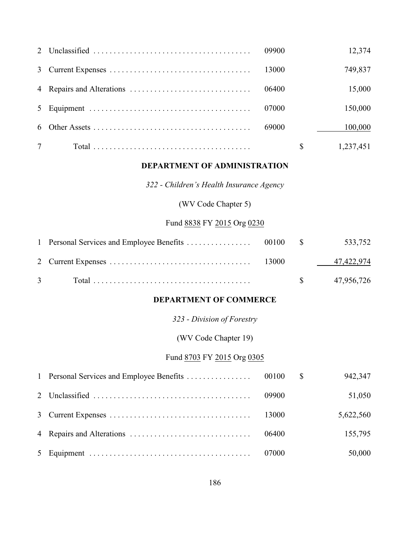|   |       | 12,374          |
|---|-------|-----------------|
|   |       | 749,837         |
|   |       | 15,000          |
|   | 07000 | 150,000         |
|   | 69000 | 100,000         |
| 7 |       | \$<br>1,237,451 |

#### **DEPARTMENT OF ADMINISTRATION**

*322 - Children's Health Insurance Agency*

(WV Code Chapter 5)

### Fund 8838 FY 2015 Org 0230

|  |  | $\frac{1}{2}$ 47,956,726 |
|--|--|--------------------------|

#### **DEPARTMENT OF COMMERCE**

*323 - Division of Forestry*

(WV Code Chapter 19)

#### Fund 8703 FY 2015 Org 0305

|  |       | 942,347   |
|--|-------|-----------|
|  | 09900 | 51,050    |
|  |       | 5,622,560 |
|  |       | 155,795   |
|  |       | 50,000    |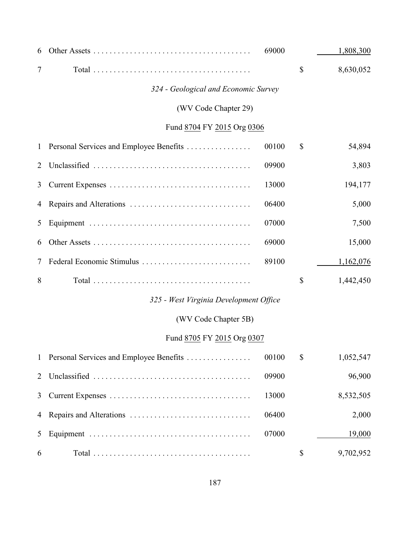| 6              |                                         | 69000 | 1,808,300       |
|----------------|-----------------------------------------|-------|-----------------|
| 7              |                                         |       | \$<br>8,630,052 |
|                | 324 - Geological and Economic Survey    |       |                 |
|                | (WV Code Chapter 29)                    |       |                 |
|                | Fund 8704 FY 2015 Org 0306              |       |                 |
| $\mathbf{1}$   | Personal Services and Employee Benefits | 00100 | \$<br>54,894    |
| 2              |                                         | 09900 | 3,803           |
| 3              |                                         | 13000 | 194,177         |
| 4              |                                         | 06400 | 5,000           |
| 5              |                                         | 07000 | 7,500           |
| 6              |                                         | 69000 | 15,000          |
| 7              | Federal Economic Stimulus               | 89100 | 1,162,076       |
| 8              |                                         |       | \$<br>1,442,450 |
|                | 325 - West Virginia Development Office  |       |                 |
|                | (WV Code Chapter 5B)                    |       |                 |
|                | Fund 8705 FY 2015 Org 0307              |       |                 |
| $\mathbf{1}$   | Personal Services and Employee Benefits | 00100 | \$<br>1,052,547 |
| $\overline{2}$ |                                         | 09900 | 96,900          |
| 3              |                                         | 13000 | 8,532,505       |
| 4              |                                         | 06400 | 2,000           |
| 5              |                                         | 07000 | 19,000          |
| 6              |                                         |       | \$<br>9,702,952 |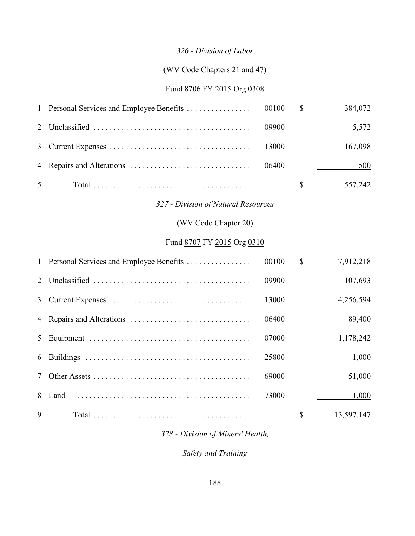# *326 - Division of Labor*

## (WV Code Chapters 21 and 47)

### Fund 8706 FY 2015 Org 0308

| $\mathbf{1}$   | Personal Services and Employee Benefits | 00100 | $\mathbb{S}$ | 384,072    |
|----------------|-----------------------------------------|-------|--------------|------------|
| $\overline{2}$ |                                         | 09900 |              | 5,572      |
| 3              |                                         | 13000 |              | 167,098    |
| 4              |                                         | 06400 |              | 500        |
| 5              |                                         |       | $\mathbb{S}$ | 557,242    |
|                | 327 - Division of Natural Resources     |       |              |            |
|                | (WV Code Chapter 20)                    |       |              |            |
|                | Fund 8707 FY 2015 Org 0310              |       |              |            |
| $\mathbf{1}$   | Personal Services and Employee Benefits | 00100 | $\mathbb{S}$ | 7,912,218  |
| $\overline{2}$ |                                         | 09900 |              | 107,693    |
| 3              |                                         | 13000 |              | 4,256,594  |
| $\overline{4}$ | Repairs and Alterations                 | 06400 |              | 89,400     |
| 5              |                                         | 07000 |              | 1,178,242  |
| 6              |                                         | 25800 |              | 1,000      |
| 7              |                                         | 69000 |              | 51,000     |
| 8              | Land                                    | 73000 |              | 1,000      |
| 9              |                                         |       | $\mathbb{S}$ | 13,597,147 |

## *328 - Division of Miners' Health,*

*Safety and Training*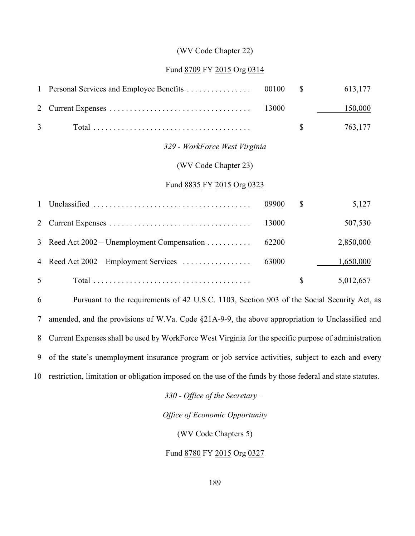#### (WV Code Chapter 22)

#### Fund 8709 FY 2015 Org 0314

|              | 1 Personal Services and Employee Benefits   | 00100 | $\mathbb{S}$ | 613,177   |
|--------------|---------------------------------------------|-------|--------------|-----------|
| 2            |                                             | 13000 |              | 150,000   |
| 3            |                                             |       | $\mathbb{S}$ | 763,177   |
|              | 329 - WorkForce West Virginia               |       |              |           |
|              | (WV Code Chapter 23)                        |       |              |           |
|              | Fund 8835 FY 2015 Org 0323                  |       |              |           |
| $\mathbf{1}$ |                                             | 09900 | $\mathbb{S}$ | 5,127     |
| 2            |                                             | 13000 |              | 507,530   |
| 3            | Reed Act $2002$ – Unemployment Compensation | 62200 |              | 2,850,000 |
| 4            | Reed Act $2002$ – Employment Services       | 63000 |              | 1,650,000 |
| 5            |                                             |       | \$           | 5,012,657 |
|              |                                             |       |              |           |

 Pursuant to the requirements of 42 U.S.C. 1103, Section 903 of the Social Security Act, as amended, and the provisions of W.Va. Code §21A-9-9, the above appropriation to Unclassified and Current Expenses shall be used by WorkForce West Virginia for the specific purpose of administration of the state's unemployment insurance program or job service activities, subject to each and every restriction, limitation or obligation imposed on the use of the funds by those federal and state statutes.

*330 - Office of the Secretary –* 

*Office of Economic Opportunity*

(WV Code Chapters 5)

Fund 8780 FY 2015 Org 0327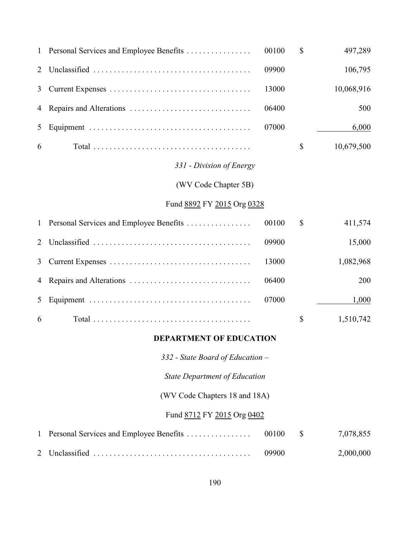| $\mathbf{1}$ | Personal Services and Employee Benefits | 00100 | \$            | 497,289    |
|--------------|-----------------------------------------|-------|---------------|------------|
| 2            |                                         | 09900 |               | 106,795    |
| 3            |                                         | 13000 |               | 10,068,916 |
| 4            |                                         | 06400 |               | 500        |
| 5            |                                         | 07000 |               | 6,000      |
| 6            |                                         |       | \$            | 10,679,500 |
|              | 331 - Division of Energy                |       |               |            |
|              | (WV Code Chapter 5B)                    |       |               |            |
|              | Fund 8892 FY 2015 Org 0328              |       |               |            |
| $\mathbf{1}$ | Personal Services and Employee Benefits | 00100 | $\mathcal{S}$ | 411,574    |
| 2            |                                         | 09900 |               | 15,000     |
| 3            |                                         | 13000 |               | 1,082,968  |
| 4            |                                         | 06400 |               | 200        |
| 5            |                                         | 07000 |               | 1,000      |
| 6            |                                         |       | $\mathcal{S}$ | 1,510,742  |
|              | <b>DEPARTMENT OF EDUCATION</b>          |       |               |            |
|              | 332 - State Board of Education -        |       |               |            |
|              | <b>State Department of Education</b>    |       |               |            |
|              | (WV Code Chapters 18 and 18A)           |       |               |            |
|              | Fund 8712 FY 2015 Org 0402              |       |               |            |
| 1            | Personal Services and Employee Benefits | 00100 | \$            | 7,078,855  |
| 2            |                                         | 09900 |               | 2,000,000  |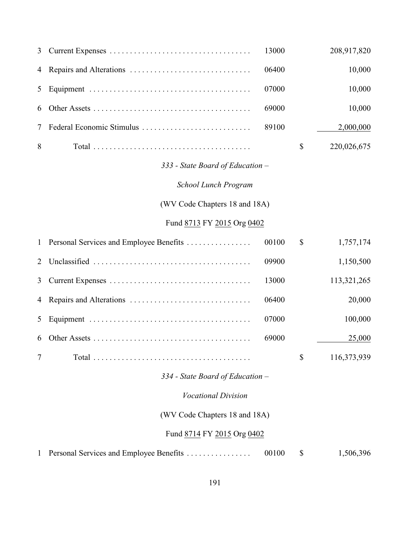| 3              |                                         | 13000 | 208,917,820       |
|----------------|-----------------------------------------|-------|-------------------|
| 4              |                                         | 06400 | 10,000            |
| 5              |                                         | 07000 | 10,000            |
| 6              |                                         | 69000 | 10,000            |
| 7              | Federal Economic Stimulus               | 89100 | 2,000,000         |
| 8              |                                         |       | \$<br>220,026,675 |
|                | 333 - State Board of Education -        |       |                   |
|                | School Lunch Program                    |       |                   |
|                | (WV Code Chapters 18 and 18A)           |       |                   |
|                | Fund 8713 FY 2015 Org 0402              |       |                   |
| $\mathbf{1}$   | Personal Services and Employee Benefits | 00100 | \$<br>1,757,174   |
| $\overline{2}$ |                                         | 09900 | 1,150,500         |
| 3              |                                         | 13000 | 113,321,265       |
| 4              |                                         | 06400 | 20,000            |
| 5              |                                         | 07000 | 100,000           |
| 6              |                                         | 69000 | 25,000            |
| 7              |                                         |       | \$<br>116,373,939 |
|                | 334 - State Board of Education -        |       |                   |
|                | <b>Vocational Division</b>              |       |                   |
|                | (WV Code Chapters 18 and 18A)           |       |                   |
|                | Fund 8714 FY 2015 Org 0402              |       |                   |
|                | Personal Services and Employee Benefits | 00100 | \$<br>1,506,396   |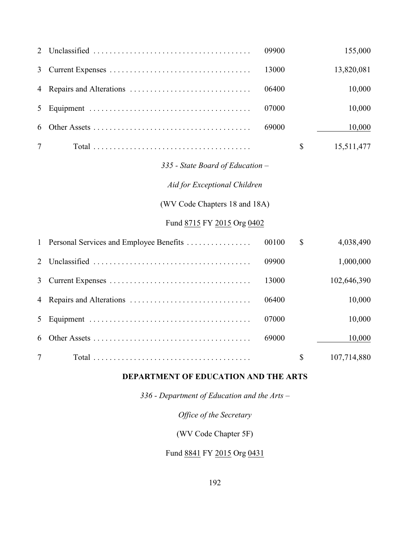| $\overline{2}$ |                                         | 09900 |               | 155,000     |  |
|----------------|-----------------------------------------|-------|---------------|-------------|--|
| 3              |                                         | 13000 |               | 13,820,081  |  |
| 4              |                                         | 06400 |               | 10,000      |  |
| 5              |                                         | 07000 |               | 10,000      |  |
| 6              |                                         | 69000 |               | 10,000      |  |
| 7              |                                         |       | $\mathbb{S}$  | 15,511,477  |  |
|                | 335 - State Board of Education -        |       |               |             |  |
|                | Aid for Exceptional Children            |       |               |             |  |
|                | (WV Code Chapters 18 and 18A)           |       |               |             |  |
|                | Fund 8715 FY 2015 Org 0402              |       |               |             |  |
| $\mathbf{1}$   | Personal Services and Employee Benefits | 00100 | $\mathcal{S}$ | 4,038,490   |  |
| $\overline{2}$ |                                         | 09900 |               | 1,000,000   |  |
| 3              |                                         | 13000 |               | 102,646,390 |  |
| 4              |                                         | 06400 |               | 10,000      |  |
| 5              |                                         | 07000 |               | 10,000      |  |
| 6              |                                         | 69000 |               | 10,000      |  |
| $\overline{7}$ |                                         |       | \$            | 107,714,880 |  |

## **DEPARTMENT OF EDUCATION AND THE ARTS**

*336 - Department of Education and the Arts –*

*Office of the Secretary*

(WV Code Chapter 5F)

## Fund 8841 FY 2015 Org 0431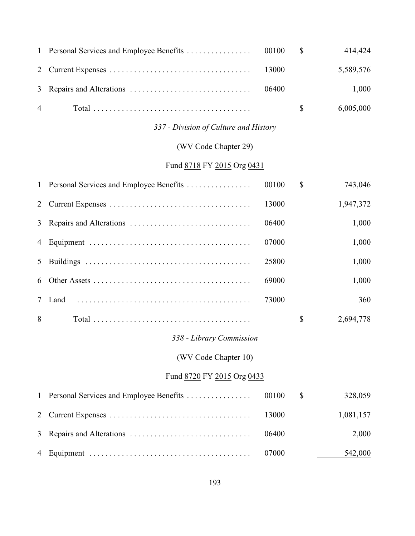|                |  | 414,424   |
|----------------|--|-----------|
|                |  | 5,589,576 |
|                |  | 1,000     |
| $\overline{4}$ |  | 6,005,000 |

### *337 - Division of Culture and History*

## (WV Code Chapter 29)

# Fund 8718 FY 2015 Org 0431

|   | 1 Personal Services and Employee Benefits | 00100 | $\mathbb{S}$ | 743,046   |
|---|-------------------------------------------|-------|--------------|-----------|
|   |                                           | 13000 |              | 1,947,372 |
|   |                                           | 06400 |              | 1,000     |
| 4 |                                           | 07000 |              | 1,000     |
| 5 |                                           | 25800 |              | 1,000     |
| 6 |                                           | 69000 |              | 1,000     |
| 7 | Land                                      | 73000 |              | 360       |
| 8 |                                           |       | \$           | 2,694,778 |

### *338 - Library Commission*

(WV Code Chapter 10)

### Fund 8720 FY 2015 Org 0433

|  |       | 328,059   |
|--|-------|-----------|
|  |       | 1,081,157 |
|  | 06400 | 2,000     |
|  |       | 542,000   |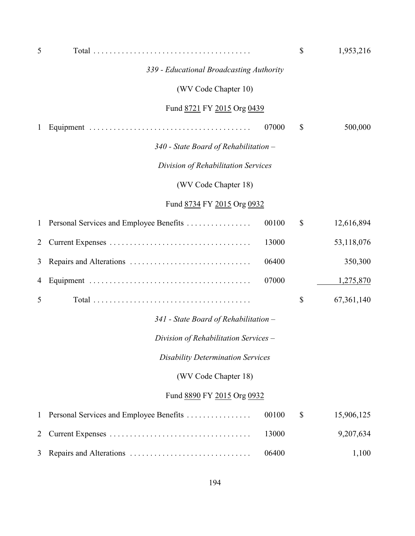| 5              |                                          |       | \$           | 1,953,216  |
|----------------|------------------------------------------|-------|--------------|------------|
|                | 339 - Educational Broadcasting Authority |       |              |            |
|                | (WV Code Chapter 10)                     |       |              |            |
|                | Fund 8721 FY 2015 Org 0439               |       |              |            |
| $\mathbf{1}$   |                                          | 07000 | \$           | 500,000    |
|                | $340$ - State Board of Rehabilitation –  |       |              |            |
|                | Division of Rehabilitation Services      |       |              |            |
|                | (WV Code Chapter 18)                     |       |              |            |
|                | Fund 8734 FY 2015 Org 0932               |       |              |            |
| $\mathbf{1}$   | Personal Services and Employee Benefits  | 00100 | $\mathbb{S}$ | 12,616,894 |
| $\overline{2}$ |                                          | 13000 |              | 53,118,076 |
| 3              |                                          | 06400 |              | 350,300    |
| 4              |                                          | 07000 |              | 1,275,870  |
| 5              |                                          |       | \$           | 67,361,140 |
|                | $341$ - State Board of Rehabilitation –  |       |              |            |
|                | Division of Rehabilitation Services -    |       |              |            |
|                | <b>Disability Determination Services</b> |       |              |            |
|                | (WV Code Chapter 18)                     |       |              |            |
|                | Fund 8890 FY 2015 Org 0932               |       |              |            |
| 1              | Personal Services and Employee Benefits  | 00100 | \$           | 15,906,125 |
| 2              |                                          | 13000 |              | 9,207,634  |
| 3              |                                          | 06400 |              | 1,100      |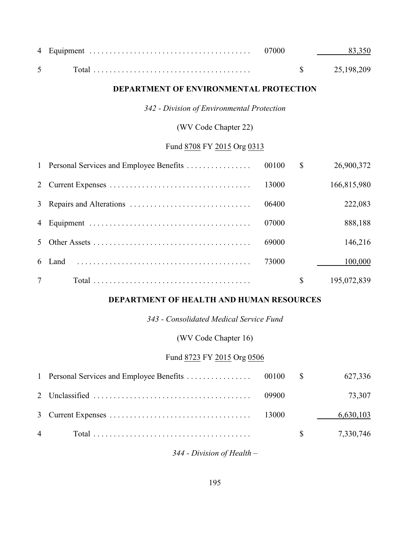#### **DEPARTMENT OF ENVIRONMENTAL PROTECTION**

*342 - Division of Environmental Protection*

(WV Code Chapter 22)

### Fund 8708 FY 2015 Org 0313

|                 | 00100 | $\mathbb{S}$ | 26,900,372  |
|-----------------|-------|--------------|-------------|
|                 | 13000 |              | 166,815,980 |
|                 | 06400 |              | 222,083     |
|                 | 07000 |              | 888,188     |
| 5 <sup>1</sup>  | 69000 |              | 146,216     |
|                 | 73000 |              | 100,000     |
| $7\overline{ }$ |       | \$           | 195,072,839 |

#### **DEPARTMENT OF HEALTH AND HUMAN RESOURCES**

*343 - Consolidated Medical Service Fund*

(WV Code Chapter 16)

#### Fund 8723 FY 2015 Org 0506

|  |       | 627,336                 |
|--|-------|-------------------------|
|  | 09900 | 73,307                  |
|  |       | 6,630,103               |
|  |       | $\frac{1}{2}$ 7,330,746 |

*344 - Division of Health –*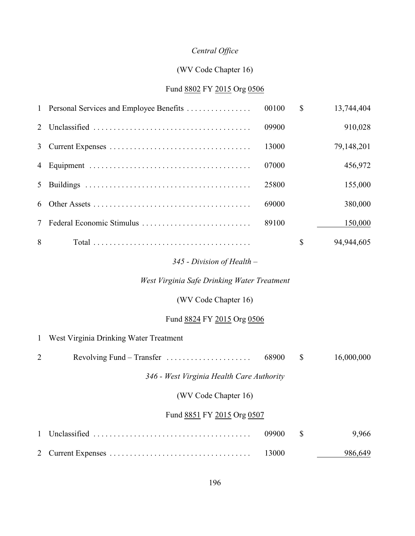## *Central Office*

### (WV Code Chapter 16)

### Fund 8802 FY 2015 Org 0506

|             | 1 Personal Services and Employee Benefits | 00100 | $\mathbb{S}$ | 13,744,404 |
|-------------|-------------------------------------------|-------|--------------|------------|
| $2^{\circ}$ |                                           | 09900 |              | 910,028    |
| 3           |                                           | 13000 |              | 79,148,201 |
| 4           |                                           | 07000 |              | 456,972    |
| 5           |                                           | 25800 |              | 155,000    |
| 6           |                                           | 69000 |              | 380,000    |
| 7           | Federal Economic Stimulus                 | 89100 |              | 150,000    |
| 8           |                                           |       | \$           | 94,944,605 |

### *345 - Division of Health –*

*West Virginia Safe Drinking Water Treatment*

(WV Code Chapter 16)

### Fund 8824 FY 2015 Org 0506

|                            | 1 West Virginia Drinking Water Treatment                        |       |              |            |
|----------------------------|-----------------------------------------------------------------|-------|--------------|------------|
| $\overline{2}$             | Revolving Fund – Transfer $\dots \dots \dots \dots \dots \dots$ | 68900 | $\mathbb{S}$ | 16,000,000 |
|                            | 346 - West Virginia Health Care Authority                       |       |              |            |
| (WV Code Chapter 16)       |                                                                 |       |              |            |
| Fund 8851 FY 2015 Org 0507 |                                                                 |       |              |            |
| $\mathbf{1}$               |                                                                 | 09900 | \$           | 9,966      |
|                            |                                                                 | 13000 |              | 986,649    |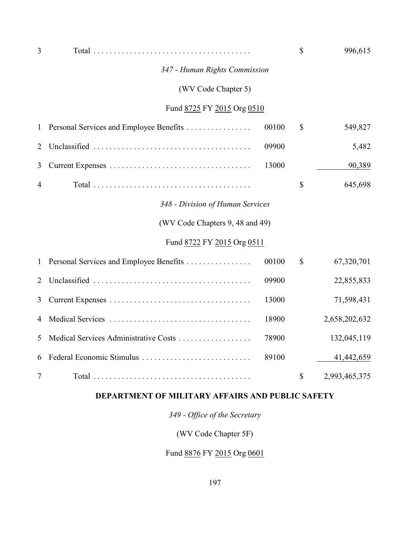| 3              |                                         |       | \$            | 996,615       |
|----------------|-----------------------------------------|-------|---------------|---------------|
|                | 347 - Human Rights Commission           |       |               |               |
|                | (WV Code Chapter 5)                     |       |               |               |
|                | Fund 8725 FY 2015 Org 0510              |       |               |               |
| $\mathbf{1}$   | Personal Services and Employee Benefits | 00100 | $\mathbb{S}$  | 549,827       |
| $\overline{2}$ |                                         | 09900 |               | 5,482         |
| 3              |                                         | 13000 |               | 90,389        |
| 4              |                                         |       | $\mathcal{S}$ | 645,698       |
|                | 348 - Division of Human Services        |       |               |               |
|                | (WV Code Chapters 9, 48 and 49)         |       |               |               |
|                | Fund 8722 FY 2015 Org 0511              |       |               |               |
| $\mathbf{1}$   | Personal Services and Employee Benefits | 00100 | $\mathcal{S}$ | 67,320,701    |
| $\overline{2}$ |                                         | 09900 |               | 22,855,833    |
| 3              |                                         | 13000 |               | 71,598,431    |
| 4              |                                         | 18900 |               | 2,658,202,632 |
| 5              | Medical Services Administrative Costs   | 78900 |               | 132,045,119   |
| 6              | Federal Economic Stimulus               | 89100 |               | 41,442,659    |
| 7              |                                         |       | \$            | 2,993,465,375 |

## **DEPARTMENT OF MILITARY AFFAIRS AND PUBLIC SAFETY**

*349 - Office of the Secretary*

(WV Code Chapter 5F)

Fund 8876 FY 2015 Org 0601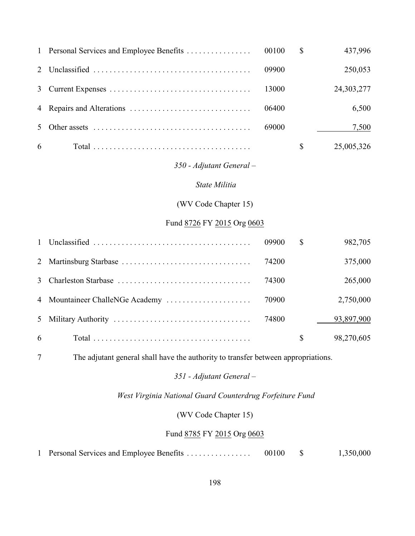|   |                                                                                                |       | <sup>\$</sup> | 437,996    |
|---|------------------------------------------------------------------------------------------------|-------|---------------|------------|
|   |                                                                                                | 09900 |               | 250,053    |
|   |                                                                                                | 13000 |               | 24,303,277 |
|   |                                                                                                | 06400 |               | 6,500      |
|   | 5 Other assets $\dots \dots \dots \dots \dots \dots \dots \dots \dots \dots \dots \dots \dots$ | 69000 |               | 7,500      |
| 6 |                                                                                                |       |               | 25,005,326 |

### *350 - Adjutant General –*

#### *State Militia*

(WV Code Chapter 15)

#### Fund 8726 FY 2015 Org 0603

|   |                                 | 09900 | \$           | 982,705    |
|---|---------------------------------|-------|--------------|------------|
|   |                                 | 74200 |              | 375,000    |
|   |                                 | 74300 |              | 265,000    |
|   | 4 Mountaineer ChalleNGe Academy | 70900 |              | 2,750,000  |
|   |                                 | 74800 |              | 93,897,900 |
| 6 |                                 |       | $\mathbb{S}$ | 98,270,605 |

The adjutant general shall have the authority to transfer between appropriations.

#### *351 - Adjutant General –*

 *West Virginia National Guard Counterdrug Forfeiture Fund*

(WV Code Chapter 15)

### Fund 8785 FY 2015 Org 0603

1 Personal Services and Employee Benefits . . . . . . . . . . . . . . . 00100 \$ 1,350,000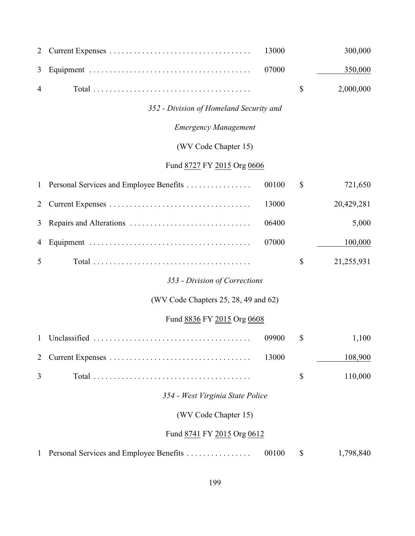| 2            |                                         | 13000 | 300,000          |
|--------------|-----------------------------------------|-------|------------------|
| 3            |                                         | 07000 | 350,000          |
| 4            |                                         |       | \$<br>2,000,000  |
|              | 352 - Division of Homeland Security and |       |                  |
|              | <b>Emergency Management</b>             |       |                  |
|              | (WV Code Chapter 15)                    |       |                  |
|              | Fund 8727 FY 2015 Org 0606              |       |                  |
| $\mathbf{1}$ | Personal Services and Employee Benefits | 00100 | \$<br>721,650    |
| 2            |                                         | 13000 | 20,429,281       |
| 3            |                                         | 06400 | 5,000            |
| 4            |                                         | 07000 | 100,000          |
| 5            |                                         |       | \$<br>21,255,931 |
|              | 353 - Division of Corrections           |       |                  |
|              | (WV Code Chapters 25, 28, 49 and 62)    |       |                  |
|              | Fund 8836 FY 2015 Org 0608              |       |                  |
| $\mathbf{1}$ |                                         | 09900 | \$<br>1,100      |
| 2            |                                         | 13000 | 108,900          |
| 3            |                                         |       | \$<br>110,000    |
|              | 354 - West Virginia State Police        |       |                  |
|              | (WV Code Chapter 15)                    |       |                  |
|              | Fund 8741 FY 2015 Org 0612              |       |                  |
| 1            | Personal Services and Employee Benefits | 00100 | \$<br>1,798,840  |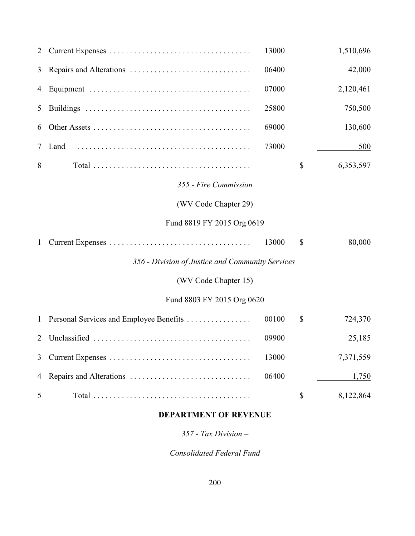| 2            |                                                  | 13000 |               | 1,510,696 |
|--------------|--------------------------------------------------|-------|---------------|-----------|
| 3            |                                                  | 06400 |               | 42,000    |
| 4            |                                                  | 07000 |               | 2,120,461 |
| 5            |                                                  | 25800 |               | 750,500   |
| 6            |                                                  | 69000 |               | 130,600   |
| 7            | Land                                             | 73000 |               | 500       |
| 8            |                                                  |       | \$            | 6,353,597 |
|              | 355 - Fire Commission                            |       |               |           |
|              | (WV Code Chapter 29)                             |       |               |           |
|              | Fund 8819 FY 2015 Org 0619                       |       |               |           |
| $\mathbf{1}$ |                                                  | 13000 | $\mathcal{S}$ | 80,000    |
|              | 356 - Division of Justice and Community Services |       |               |           |
|              | (WV Code Chapter 15)                             |       |               |           |
|              | Fund 8803 FY 2015 Org 0620                       |       |               |           |
| $\mathbf{1}$ | Personal Services and Employee Benefits          | 00100 | \$            | 724,370   |
| 2            |                                                  | 09900 |               | 25,185    |
| 3            |                                                  | 13000 |               | 7,371,559 |
| 4            |                                                  | 06400 |               | 1,750     |
| 5            |                                                  |       | \$            | 8,122,864 |

## **DEPARTMENT OF REVENUE**

*357 - Tax Division –*

*Consolidated Federal Fund*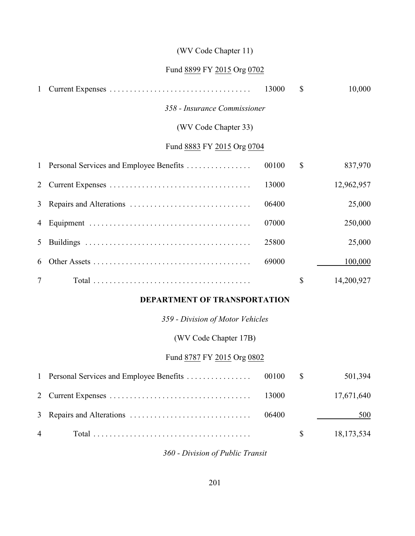## (WV Code Chapter 11)

#### Fund 8899 FY 2015 Org 0702

| 1              |                                           | 13000 | $\mathbb{S}$ | 10,000     |
|----------------|-------------------------------------------|-------|--------------|------------|
|                | 358 - Insurance Commissioner              |       |              |            |
|                | (WV Code Chapter 33)                      |       |              |            |
|                | Fund 8883 FY 2015 Org 0704                |       |              |            |
|                | 1 Personal Services and Employee Benefits | 00100 | $\mathbb{S}$ | 837,970    |
| 2              |                                           | 13000 |              | 12,962,957 |
| 3 <sup>1</sup> |                                           | 06400 |              | 25,000     |
| 4              |                                           | 07000 |              | 250,000    |
| 5              |                                           | 25800 |              | 25,000     |
| 6              |                                           | 69000 |              | 100,000    |
| $\tau$         |                                           |       | $\mathbb{S}$ | 14,200,927 |
|                | <b>BEBIREMENT OF TRANSPORTATION</b>       |       |              |            |

#### **DEPARTMENT OF TRANSPORTATION**

*359 - Division of Motor Vehicles*

(WV Code Chapter 17B)

### Fund 8787 FY 2015 Org 0802

|                |  | 501,394    |
|----------------|--|------------|
|                |  | 17,671,640 |
|                |  | 500        |
| $\overline{4}$ |  | 18,173,534 |

*360 - Division of Public Transit*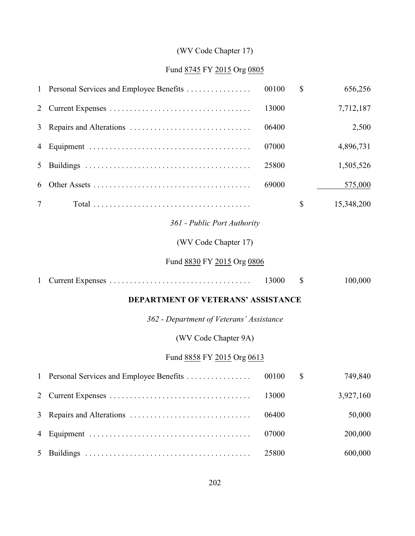# (WV Code Chapter 17)

# Fund 8745 FY 2015 Org 0805

| $\mathbf{1}$   | Personal Services and Employee Benefits   | 00100 | \$ | 656,256    |
|----------------|-------------------------------------------|-------|----|------------|
| 2              |                                           | 13000 |    | 7,712,187  |
| 3              |                                           | 06400 |    | 2,500      |
| 4              |                                           | 07000 |    | 4,896,731  |
| 5              |                                           | 25800 |    | 1,505,526  |
| 6              |                                           | 69000 |    | 575,000    |
| $\tau$         |                                           |       | \$ | 15,348,200 |
|                | 361 - Public Port Authority               |       |    |            |
|                | (WV Code Chapter 17)                      |       |    |            |
|                | Fund 8830 FY 2015 Org 0806                |       |    |            |
| $\mathbf{1}$   |                                           | 13000 | \$ | 100,000    |
|                | <b>DEPARTMENT OF VETERANS' ASSISTANCE</b> |       |    |            |
|                | 362 - Department of Veterans' Assistance  |       |    |            |
|                | (WV Code Chapter 9A)                      |       |    |            |
|                | Fund 8858 FY 2015 Org 0613                |       |    |            |
| $\mathbf{1}$   | Personal Services and Employee Benefits   | 00100 | \$ | 749,840    |
| $\overline{2}$ |                                           | 13000 |    | 3,927,160  |
| 3              |                                           | 06400 |    | 50,000     |
| 4              |                                           | 07000 |    | 200,000    |
| 5              |                                           | 25800 |    | 600,000    |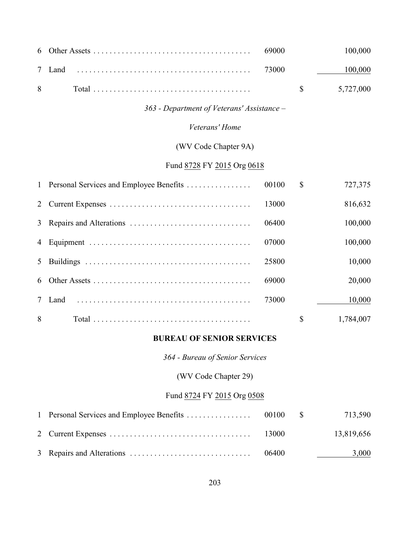|  |  | 100,000 |
|--|--|---------|
|  |  |         |
|  |  |         |

### *363 - Department of Veterans' Assistance –*

### *Veterans' Home*

## (WV Code Chapter 9A)

## Fund 8728 FY 2015 Org 0618

|   | 1 Personal Services and Employee Benefits | 00100 | \$<br>727,375 |
|---|-------------------------------------------|-------|---------------|
|   |                                           | 13000 | 816,632       |
|   |                                           | 06400 | 100,000       |
|   |                                           | 07000 | 100,000       |
| 5 |                                           | 25800 | 10,000        |
|   |                                           | 69000 | 20,000        |
| 7 | Land                                      | 73000 | 10,000        |
| 8 |                                           |       | 1,784,007     |

#### **BUREAU OF SENIOR SERVICES**

*364 - Bureau of Senior Services*

(WV Code Chapter 29)

## Fund 8724 FY 2015 Org 0508

|  |       | 713,590    |
|--|-------|------------|
|  | 13000 | 13,819,656 |
|  | 06400 | 3,000      |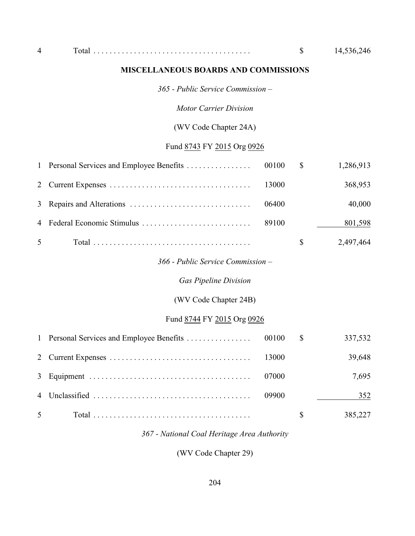#### **MISCELLANEOUS BOARDS AND COMMISSIONS**

*365 - Public Service Commission –*

*Motor Carrier Division*

(WV Code Chapter 24A)

# Fund 8743 FY 2015 Org 0926

|   | 1 Personal Services and Employee Benefits | 00100 | $\mathbb{S}$ | 1,286,913 |  |  |
|---|-------------------------------------------|-------|--------------|-----------|--|--|
|   |                                           | 13000 |              | 368,953   |  |  |
| 3 |                                           | 06400 |              | 40,000    |  |  |
|   |                                           | 89100 |              | 801,598   |  |  |
| 5 |                                           |       | \$           | 2,497,464 |  |  |
|   | 366 - Public Service Commission –         |       |              |           |  |  |
|   | <b>Gas Pipeline Division</b>              |       |              |           |  |  |
|   | (WV Code Chapter 24B)                     |       |              |           |  |  |
|   | Fund 8744 FY 2015 Org 0926                |       |              |           |  |  |

|                |       | 337,532 |
|----------------|-------|---------|
|                |       | 39,648  |
|                | 07000 | 7,695   |
|                | 09900 | 352     |
| 5 <sup>5</sup> |       | 385,227 |

*367 - National Coal Heritage Area Authority*

(WV Code Chapter 29)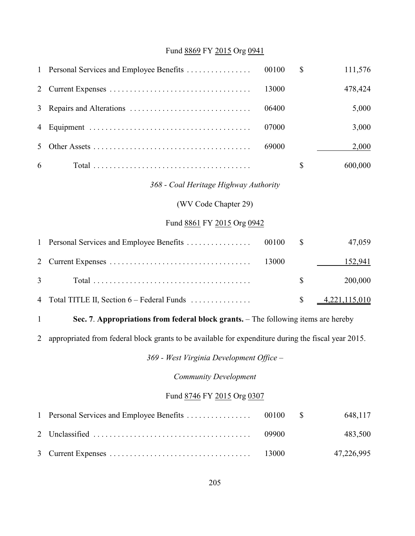# Fund 8869 FY 2015 Org 0941

| 1                          | Personal Services and Employee Benefits                                                             | 00100 | \$                        | 111,576       |
|----------------------------|-----------------------------------------------------------------------------------------------------|-------|---------------------------|---------------|
| 2                          |                                                                                                     | 13000 |                           | 478,424       |
| 3                          | Repairs and Alterations                                                                             | 06400 |                           | 5,000         |
| 4                          |                                                                                                     | 07000 |                           | 3,000         |
| 5                          |                                                                                                     | 69000 |                           | 2,000         |
| 6                          |                                                                                                     |       | \$                        | 600,000       |
|                            | 368 - Coal Heritage Highway Authority                                                               |       |                           |               |
|                            | (WV Code Chapter 29)                                                                                |       |                           |               |
|                            | Fund 8861 FY 2015 Org 0942                                                                          |       |                           |               |
| $\mathbf{1}$               | Personal Services and Employee Benefits                                                             | 00100 | \$                        | 47,059        |
| 2                          |                                                                                                     | 13000 |                           | 152,941       |
| 3                          |                                                                                                     |       | \$                        | 200,000       |
| 4                          | Total TITLE II, Section 6 – Federal Funds                                                           |       | $\boldsymbol{\mathsf{S}}$ | 4,221,115,010 |
| $\mathbf{1}$               | Sec. 7. Appropriations from federal block grants. - The following items are hereby                  |       |                           |               |
| 2                          | appropriated from federal block grants to be available for expenditure during the fiscal year 2015. |       |                           |               |
|                            | 369 - West Virginia Development Office -                                                            |       |                           |               |
|                            | <b>Community Development</b>                                                                        |       |                           |               |
| Fund 8746 FY 2015 Org 0307 |                                                                                                     |       |                           |               |
| 1                          | Personal Services and Employee Benefits                                                             | 00100 | \$                        | 648,117       |
| $\overline{2}$             |                                                                                                     | 09900 |                           | 483,500       |
| 3                          |                                                                                                     | 13000 |                           | 47,226,995    |
|                            |                                                                                                     |       |                           |               |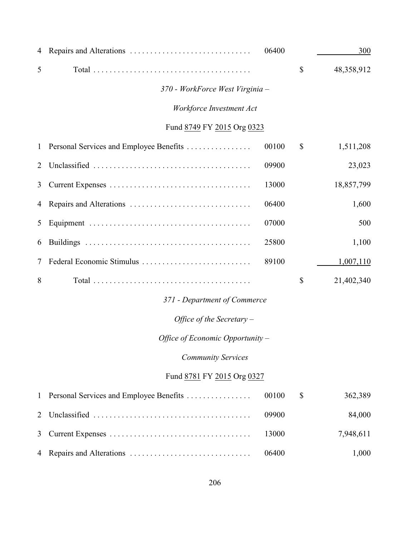| 4              |                                         | 06400 | 300              |
|----------------|-----------------------------------------|-------|------------------|
| 5              |                                         |       | \$<br>48,358,912 |
|                | 370 - WorkForce West Virginia -         |       |                  |
|                | Workforce Investment Act                |       |                  |
|                | Fund 8749 FY 2015 Org 0323              |       |                  |
| $\mathbf{1}$   | Personal Services and Employee Benefits | 00100 | \$<br>1,511,208  |
| 2              |                                         | 09900 | 23,023           |
| 3              |                                         | 13000 | 18,857,799       |
| 4              |                                         | 06400 | 1,600            |
| 5              |                                         | 07000 | 500              |
| 6              |                                         | 25800 | 1,100            |
| 7              | Federal Economic Stimulus               | 89100 | 1,007,110        |
| 8              |                                         |       | \$<br>21,402,340 |
|                | 371 - Department of Commerce            |       |                  |
|                | Office of the Secretary $-$             |       |                  |
|                | Office of Economic Opportunity -        |       |                  |
|                | <b>Community Services</b>               |       |                  |
|                | Fund 8781 FY 2015 Org 0327              |       |                  |
| 1              | Personal Services and Employee Benefits | 00100 | \$<br>362,389    |
| $\overline{2}$ |                                         | 09900 | 84,000           |
| 3              |                                         | 13000 | 7,948,611        |
| 4              |                                         | 06400 | 1,000            |
|                |                                         |       |                  |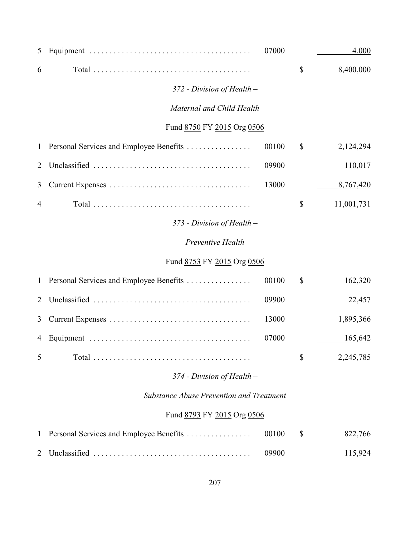| 5              |                                          | 07000 |              | 4,000      |
|----------------|------------------------------------------|-------|--------------|------------|
| 6              |                                          |       | \$           | 8,400,000  |
|                | 372 - Division of Health -               |       |              |            |
|                | Maternal and Child Health                |       |              |            |
|                | Fund 8750 FY 2015 Org 0506               |       |              |            |
| $\mathbf{1}$   | Personal Services and Employee Benefits  | 00100 | $\mathbb{S}$ | 2,124,294  |
| $\overline{2}$ |                                          | 09900 |              | 110,017    |
| 3              |                                          | 13000 |              | 8,767,420  |
| 4              |                                          |       | $\mathbb{S}$ | 11,001,731 |
|                | $373$ - Division of Health –             |       |              |            |
|                | Preventive Health                        |       |              |            |
|                | Fund 8753 FY 2015 Org 0506               |       |              |            |
| $\mathbf{1}$   | Personal Services and Employee Benefits  | 00100 | \$           | 162,320    |
| $\overline{2}$ |                                          | 09900 |              | 22,457     |
| 3              |                                          | 13000 |              | 1,895,366  |
| 4              |                                          | 07000 |              | 165,642    |
| 5              |                                          |       | \$           | 2,245,785  |
|                | $374$ - Division of Health –             |       |              |            |
|                | Substance Abuse Prevention and Treatment |       |              |            |
|                | Fund 8793 FY 2015 Org 0506               |       |              |            |
| 1              | Personal Services and Employee Benefits  | 00100 | \$           | 822,766    |
| 2              |                                          | 09900 |              | 115,924    |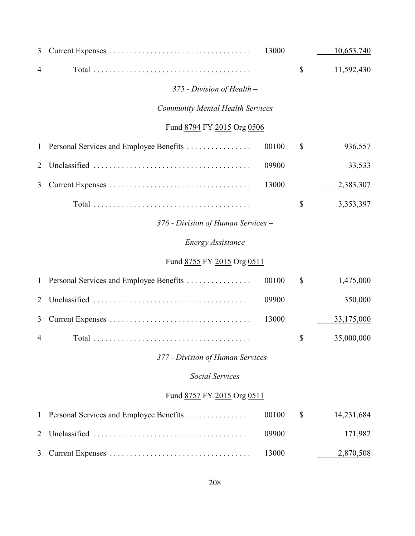| 3              |                                         | 13000 |               | 10,653,740 |  |
|----------------|-----------------------------------------|-------|---------------|------------|--|
| 4              |                                         |       | $\mathbb{S}$  | 11,592,430 |  |
|                | 375 - Division of Health -              |       |               |            |  |
|                | <b>Community Mental Health Services</b> |       |               |            |  |
|                | Fund 8794 FY 2015 Org 0506              |       |               |            |  |
| 1              | Personal Services and Employee Benefits | 00100 | $\mathcal{S}$ | 936,557    |  |
| 2              |                                         | 09900 |               | 33,533     |  |
| 3              |                                         | 13000 |               | 2,383,307  |  |
|                |                                         |       | \$            | 3,353,397  |  |
|                | 376 - Division of Human Services –      |       |               |            |  |
|                | <b>Energy Assistance</b>                |       |               |            |  |
|                | Fund 8755 FY 2015 Org 0511              |       |               |            |  |
| $\mathbf{1}$   | Personal Services and Employee Benefits | 00100 | $\mathcal{S}$ | 1,475,000  |  |
| 2              |                                         | 09900 |               | 350,000    |  |
| 3              |                                         | 13000 |               | 33,175,000 |  |
| 4              |                                         |       | \$            | 35,000,000 |  |
|                | 377 - Division of Human Services -      |       |               |            |  |
|                | <b>Social Services</b>                  |       |               |            |  |
|                | Fund 8757 FY 2015 Org 0511              |       |               |            |  |
| $\mathbf{1}$   | Personal Services and Employee Benefits | 00100 | $\mathcal{S}$ | 14,231,684 |  |
| $\overline{2}$ |                                         | 09900 |               | 171,982    |  |
| 3              |                                         | 13000 |               | 2,870,508  |  |
|                |                                         |       |               |            |  |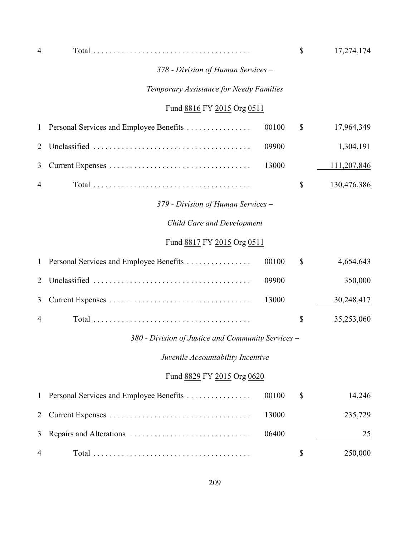| $\overline{4}$                          |                                                    |       | \$ | 17,274,174  |
|-----------------------------------------|----------------------------------------------------|-------|----|-------------|
|                                         | 378 - Division of Human Services -                 |       |    |             |
| Temporary Assistance for Needy Families |                                                    |       |    |             |
|                                         | Fund 8816 FY 2015 Org 0511                         |       |    |             |
| $\mathbf{1}$                            | Personal Services and Employee Benefits            | 00100 | \$ | 17,964,349  |
| 2                                       |                                                    | 09900 |    | 1,304,191   |
| 3                                       |                                                    | 13000 |    | 111,207,846 |
| 4                                       |                                                    |       | \$ | 130,476,386 |
|                                         | 379 - Division of Human Services -                 |       |    |             |
|                                         | Child Care and Development                         |       |    |             |
|                                         | Fund 8817 FY 2015 Org 0511                         |       |    |             |
| $\mathbf{1}$                            | Personal Services and Employee Benefits            | 00100 | \$ | 4,654,643   |
| 2                                       |                                                    | 09900 |    | 350,000     |
| 3                                       |                                                    | 13000 |    | 30,248,417  |
| 4                                       |                                                    |       | \$ | 35,253,060  |
|                                         | 380 - Division of Justice and Community Services – |       |    |             |
|                                         | Juvenile Accountability Incentive                  |       |    |             |
|                                         | Fund 8829 FY 2015 Org 0620                         |       |    |             |
| $\mathbf{1}$                            | Personal Services and Employee Benefits            | 00100 | \$ | 14,246      |
| $\overline{2}$                          |                                                    | 13000 |    | 235,729     |
| 3                                       |                                                    | 06400 |    | 25          |
| 4                                       |                                                    |       | \$ | 250,000     |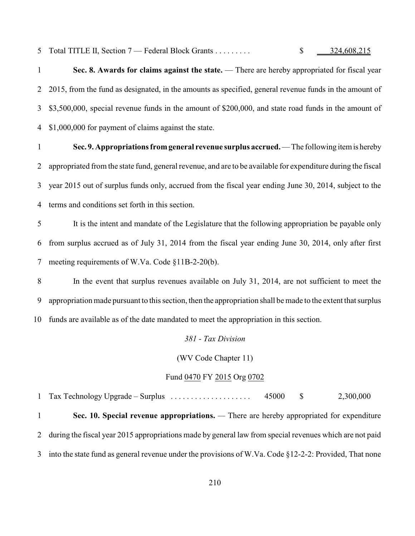5 Total TITLE II, Section 7 — Federal Block Grants . . . . . . . . . . \$ 324,608,215

**Sec. 8. Awards for claims against the state.** — There are hereby appropriated for fiscal year 2015, from the fund as designated, in the amounts as specified, general revenue funds in the amount of \$3,500,000, special revenue funds in the amount of \$200,000, and state road funds in the amount of \$1,000,000 for payment of claims against the state.

 **Sec. 9. Appropriations from general revenue surplus accrued.** — The following item is hereby appropriated from the state fund, general revenue, and are to be available for expenditure during the fiscal year 2015 out of surplus funds only, accrued from the fiscal year ending June 30, 2014, subject to the terms and conditions set forth in this section.

 It is the intent and mandate of the Legislature that the following appropriation be payable only from surplus accrued as of July 31, 2014 from the fiscal year ending June 30, 2014, only after first meeting requirements of W.Va. Code §11B-2-20(b).

 In the event that surplus revenues available on July 31, 2014, are not sufficient to meet the appropriation made pursuant to this section, then the appropriation shall be made to the extent that surplus funds are available as of the date mandated to meet the appropriation in this section.

*381 - Tax Division*

(WV Code Chapter 11)

#### Fund 0470 FY 2015 Org 0702

 Tax Technology Upgrade – Surplus . . . . . . . . . . . . . . . . . . . . 45000 \$ 2,300,000 **Sec. 10. Special revenue appropriations.** *—* There are hereby appropriated for expenditure during the fiscal year 2015 appropriations made by general law from special revenues which are not paid into the state fund as general revenue under the provisions of W.Va. Code §12-2-2: Provided, That none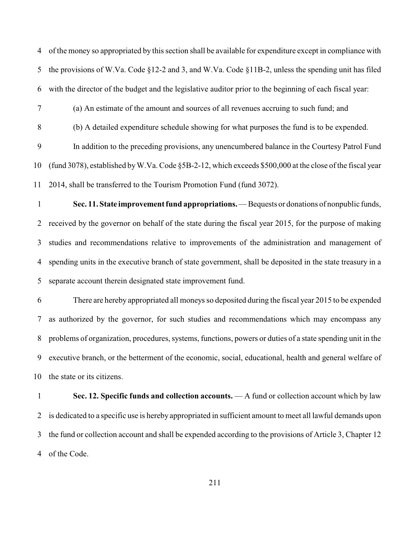of the money so appropriated by this section shall be available for expenditure except in compliance with the provisions of W.Va. Code §12-2 and 3, and W.Va. Code §11B-2, unless the spending unit has filed with the director of the budget and the legislative auditor prior to the beginning of each fiscal year:

- (a) An estimate of the amount and sources of all revenues accruing to such fund; and
- (b) A detailed expenditure schedule showing for what purposes the fund is to be expended.

 In addition to the preceding provisions, any unencumbered balance in the Courtesy Patrol Fund (fund 3078), established by W.Va. Code §5B-2-12, which exceeds \$500,000 at the close of the fiscal year 2014, shall be transferred to the Tourism Promotion Fund (fund 3072).

 **Sec. 11. State improvement fund appropriations.** — Bequests or donations of nonpublic funds, received by the governor on behalf of the state during the fiscal year 2015, for the purpose of making studies and recommendations relative to improvements of the administration and management of spending units in the executive branch of state government, shall be deposited in the state treasury in a separate account therein designated state improvement fund.

 There are hereby appropriated all moneys so deposited during the fiscal year 2015 to be expended as authorized by the governor, for such studies and recommendations which may encompass any problems of organization, procedures, systems, functions, powers or duties of a state spending unit in the executive branch, or the betterment of the economic, social, educational, health and general welfare of the state or its citizens.

 **Sec. 12. Specific funds and collection accounts.** — A fund or collection account which by law is dedicated to a specific use is hereby appropriated in sufficient amount to meet all lawful demands upon the fund or collection account and shall be expended according to the provisions of Article 3, Chapter 12 of the Code.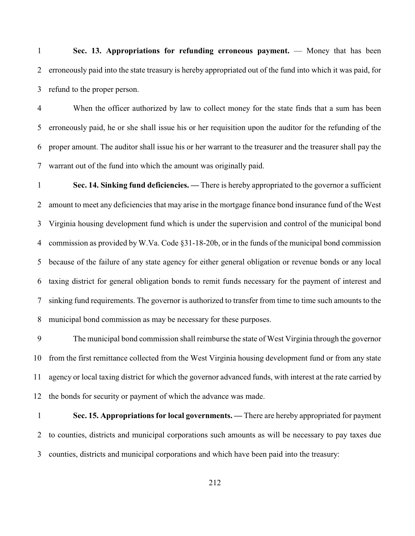**Sec. 13. Appropriations for refunding erroneous payment.** — Money that has been erroneously paid into the state treasury is hereby appropriated out of the fund into which it was paid, for refund to the proper person.

 When the officer authorized by law to collect money for the state finds that a sum has been erroneously paid, he or she shall issue his or her requisition upon the auditor for the refunding of the proper amount. The auditor shall issue his or her warrant to the treasurer and the treasurer shall pay the warrant out of the fund into which the amount was originally paid.

 **Sec. 14. Sinking fund deficiencies. —** There is hereby appropriated to the governor a sufficient amount to meet any deficiencies that may arise in the mortgage finance bond insurance fund of the West Virginia housing development fund which is under the supervision and control of the municipal bond commission as provided by W.Va. Code §31-18-20b, or in the funds of the municipal bond commission because of the failure of any state agency for either general obligation or revenue bonds or any local taxing district for general obligation bonds to remit funds necessary for the payment of interest and sinking fund requirements. The governor is authorized to transfer from time to time such amounts to the municipal bond commission as may be necessary for these purposes.

 The municipal bond commission shall reimburse the state of West Virginia through the governor from the first remittance collected from the West Virginia housing development fund or from any state agency or local taxing district for which the governor advanced funds, with interest at the rate carried by the bonds for security or payment of which the advance was made.

 **Sec. 15. Appropriations for local governments. —** There are hereby appropriated for payment to counties, districts and municipal corporations such amounts as will be necessary to pay taxes due counties, districts and municipal corporations and which have been paid into the treasury: